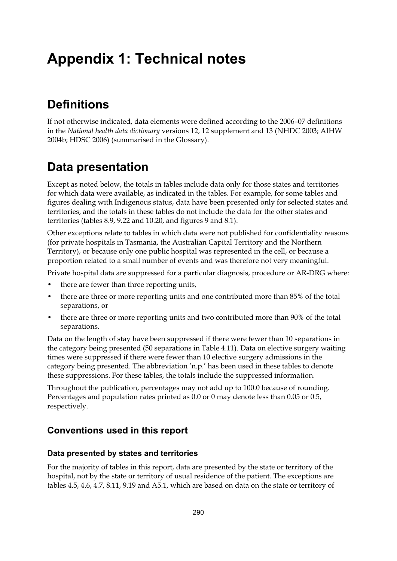# **Appendix 1: Technical notes**

## **Definitions**

If not otherwise indicated, data elements were defined according to the 2006–07 definitions in the *National health data dictionary* versions 12, 12 supplement and 13 (NHDC 2003; AIHW 2004b; HDSC 2006) (summarised in the Glossary).

### **Data presentation**

Except as noted below, the totals in tables include data only for those states and territories for which data were available, as indicated in the tables. For example, for some tables and figures dealing with Indigenous status, data have been presented only for selected states and territories, and the totals in these tables do not include the data for the other states and territories (tables 8.9, 9.22 and 10.20, and figures 9 and 8.1).

Other exceptions relate to tables in which data were not published for confidentiality reasons (for private hospitals in Tasmania, the Australian Capital Territory and the Northern Territory), or because only one public hospital was represented in the cell, or because a proportion related to a small number of events and was therefore not very meaningful.

Private hospital data are suppressed for a particular diagnosis, procedure or AR-DRG where:

- there are fewer than three reporting units,
- there are three or more reporting units and one contributed more than 85% of the total separations, or
- there are three or more reporting units and two contributed more than 90% of the total separations.

Data on the length of stay have been suppressed if there were fewer than 10 separations in the category being presented (50 separations in Table 4.11). Data on elective surgery waiting times were suppressed if there were fewer than 10 elective surgery admissions in the category being presented. The abbreviation 'n.p.' has been used in these tables to denote these suppressions. For these tables, the totals include the suppressed information.

Throughout the publication, percentages may not add up to 100.0 because of rounding. Percentages and population rates printed as 0.0 or 0 may denote less than 0.05 or 0.5, respectively.

### **Conventions used in this report**

#### **Data presented by states and territories**

For the majority of tables in this report, data are presented by the state or territory of the hospital, not by the state or territory of usual residence of the patient. The exceptions are tables 4.5, 4.6, 4.7, 8.11, 9.19 and A5.1, which are based on data on the state or territory of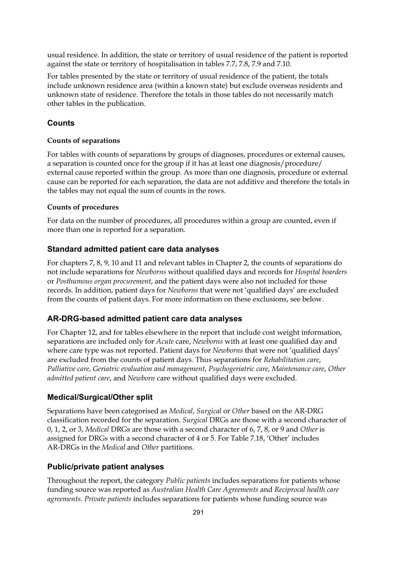usual residence. In addition, the state or territory of usual residence of the patient is reported against the state or territory of hospitalisation in tables 7.7, 7.8, 7.9 and 7.10.

For tables presented by the state or territory of usual residence of the patient, the totals include unknown residence area (within a known state) but exclude overseas residents and unknown state of residence. Therefore the totals in those tables do not necessarily match other tables in the publication.

#### **Counts**

#### **Counts of separations**

For tables with counts of separations by groups of diagnoses, procedures or external causes, a separation is counted once for the group if it has at least one diagnosis/procedure/ external cause reported within the group. As more than one diagnosis, procedure or external cause can be reported for each separation, the data are not additive and therefore the totals in the tables may not equal the sum of counts in the rows.

#### **Counts of procedures**

For data on the number of procedures, all procedures within a group are counted, even if more than one is reported for a separation.

#### **Standard admitted patient care data analyses**

For chapters 7, 8, 9, 10 and 11 and relevant tables in Chapter 2, the counts of separations do not include separations for *Newborns* without qualified days and records for *Hospital boarders* or *Posthumous organ procurement*, and the patient days were also not included for those records. In addition, patient days for *Newborns* that were not 'qualified days' are excluded from the counts of patient days. For more information on these exclusions, see below.

#### **AR-DRG-based admitted patient care data analyses**

For Chapter 12, and for tables elsewhere in the report that include cost weight information, separations are included only for *Acute* care, *Newborns* with at least one qualified day and where care type was not reported. Patient days for *Newborns* that were not 'qualified days' are excluded from the counts of patient days. Thus separations for *Rehabilitation care*, *Palliative care*, *Geriatric evaluation and management*, *Psychogeriatric care*, *Maintenance care*, *Other admitted patient care*, and *Newborn* care without qualified days were excluded.

#### **Medical/Surgical/Other split**

Separations have been categorised as *Medical*, *Surgical* or *Other* based on the AR-DRG classification recorded for the separation. *Surgical* DRGs are those with a second character of 0, 1, 2, or 3, *Medical* DRGs are those with a second character of 6, 7, 8, or 9 and *Other* is assigned for DRGs with a second character of 4 or 5. For Table 7.18, 'Other' includes AR-DRGs in the *Medical* and *Other* partitions.

#### **Public/private patient analyses**

Throughout the report, the category *Public patients* includes separations for patients whose funding source was reported as *Australian Health Care Agreements* and *Reciprocal health care agreements*. *Private patients* includes separations for patients whose funding source was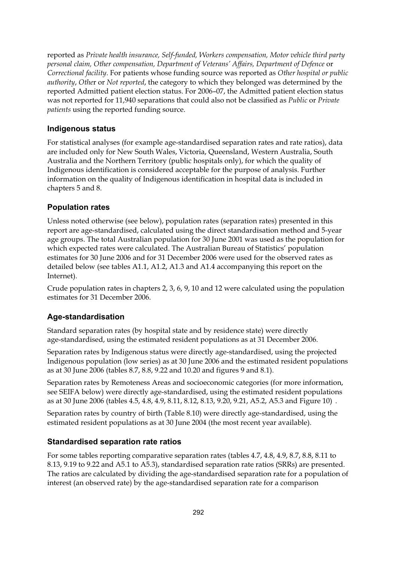reported as *Private health insurance, Self-funded, Workers compensation, Motor vehicle third party personal claim, Other compensation, Department of Veterans' Affairs, Department of Defence* or *Correctional facility*. For patients whose funding source was reported as *Other hospital or public authority*, *Othe*r or *Not reported*, the category to which they belonged was determined by the reported Admitted patient election status. For 2006–07, the Admitted patient election status was not reported for 11,940 separations that could also not be classified as *Public* or *Private patients* using the reported funding source.

#### **Indigenous status**

For statistical analyses (for example age-standardised separation rates and rate ratios), data are included only for New South Wales, Victoria, Queensland, Western Australia, South Australia and the Northern Territory (public hospitals only), for which the quality of Indigenous identification is considered acceptable for the purpose of analysis. Further information on the quality of Indigenous identification in hospital data is included in chapters 5 and 8.

#### **Population rates**

Unless noted otherwise (see below), population rates (separation rates) presented in this report are age-standardised, calculated using the direct standardisation method and 5-year age groups. The total Australian population for 30 June 2001 was used as the population for which expected rates were calculated. The Australian Bureau of Statistics' population estimates for 30 June 2006 and for 31 December 2006 were used for the observed rates as detailed below (see tables A1.1, A1.2, A1.3 and A1.4 accompanying this report on the Internet).

Crude population rates in chapters 2, 3, 6, 9, 10 and 12 were calculated using the population estimates for 31 December 2006.

#### **Age-standardisation**

Standard separation rates (by hospital state and by residence state) were directly age-standardised, using the estimated resident populations as at 31 December 2006.

Separation rates by Indigenous status were directly age-standardised, using the projected Indigenous population (low series) as at 30 June 2006 and the estimated resident populations as at 30 June 2006 (tables 8.7, 8.8, 9.22 and 10.20 and figures 9 and 8.1).

Separation rates by Remoteness Areas and socioeconomic categories (for more information, see SEIFA below) were directly age-standardised, using the estimated resident populations as at 30 June 2006 (tables 4.5, 4.8, 4.9, 8.11, 8.12, 8.13, 9.20, 9.21, A5.2, A5.3 and Figure 10) .

Separation rates by country of birth (Table 8.10) were directly age-standardised, using the estimated resident populations as at 30 June 2004 (the most recent year available).

#### **Standardised separation rate ratios**

For some tables reporting comparative separation rates (tables 4.7, 4.8, 4.9, 8.7, 8.8, 8.11 to 8.13, 9.19 to 9.22 and A5.1 to A5.3), standardised separation rate ratios (SRRs) are presented. The ratios are calculated by dividing the age-standardised separation rate for a population of interest (an observed rate) by the age-standardised separation rate for a comparison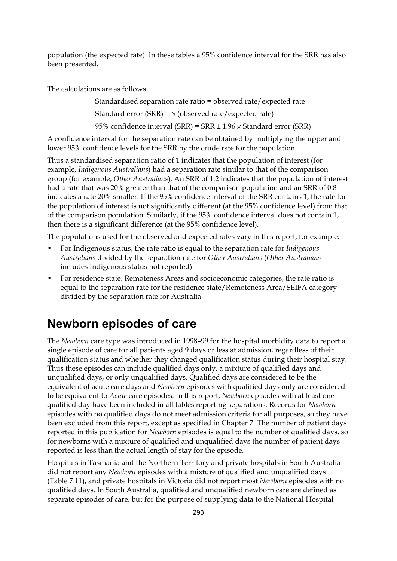population (the expected rate). In these tables a 95% confidence interval for the SRR has also been presented.

The calculations are as follows:

Standardised separation rate ratio = observed rate/expected rate Standard error (SRR) =  $\vee$  (observed rate/expected rate) 95% confidence interval (SRR) =  $SRR \pm 1.96 \times$  Standard error (SRR)

A confidence interval for the separation rate can be obtained by multiplying the upper and lower 95% confidence levels for the SRR by the crude rate for the population.

Thus a standardised separation ratio of 1 indicates that the population of interest (for example, *Indigenous Australians*) had a separation rate similar to that of the comparison group (for example, *Other Australians*). An SRR of 1.2 indicates that the population of interest had a rate that was 20% greater than that of the comparison population and an SRR of 0.8 indicates a rate 20% smaller. If the 95% confidence interval of the SRR contains 1, the rate for the population of interest is not significantly different (at the 95% confidence level) from that of the comparison population. Similarly, if the 95% confidence interval does not contain 1, then there is a significant difference (at the 95% confidence level).

The populations used for the observed and expected rates vary in this report, for example:

- For Indigenous status, the rate ratio is equal to the separation rate for *Indigenous Australians* divided by the separation rate for *Other Australians* (*Other Australians* includes Indigenous status not reported).
- For residence state, Remoteness Areas and socioeconomic categories, the rate ratio is equal to the separation rate for the residence state/Remoteness Area/SEIFA category divided by the separation rate for Australia

### **Newborn episodes of care**

The *Newborn* care type was introduced in 1998–99 for the hospital morbidity data to report a single episode of care for all patients aged 9 days or less at admission, regardless of their qualification status and whether they changed qualification status during their hospital stay. Thus these episodes can include qualified days only, a mixture of qualified days and unqualified days, or only unqualified days. Qualified days are considered to be the equivalent of acute care days and *Newborn* episodes with qualified days only are considered to be equivalent to *Acute* care episodes. In this report, *Newborn* episodes with at least one qualified day have been included in all tables reporting separations. Records for *Newborn* episodes with no qualified days do not meet admission criteria for all purposes, so they have been excluded from this report, except as specified in Chapter 7. The number of patient days reported in this publication for *Newborn* episodes is equal to the number of qualified days, so for newborns with a mixture of qualified and unqualified days the number of patient days reported is less than the actual length of stay for the episode.

Hospitals in Tasmania and the Northern Territory and private hospitals in South Australia did not report any *Newborn* episodes with a mixture of qualified and unqualified days (Table 7.11), and private hospitals in Victoria did not report most *Newborn* episodes with no qualified days. In South Australia, qualified and unqualified newborn care are defined as separate episodes of care, but for the purpose of supplying data to the National Hospital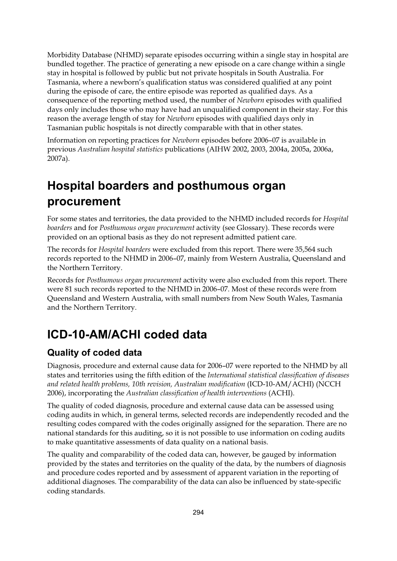Morbidity Database (NHMD) separate episodes occurring within a single stay in hospital are bundled together. The practice of generating a new episode on a care change within a single stay in hospital is followed by public but not private hospitals in South Australia. For Tasmania, where a newborn's qualification status was considered qualified at any point during the episode of care, the entire episode was reported as qualified days. As a consequence of the reporting method used, the number of *Newborn* episodes with qualified days only includes those who may have had an unqualified component in their stay. For this reason the average length of stay for *Newborn* episodes with qualified days only in Tasmanian public hospitals is not directly comparable with that in other states.

Information on reporting practices for *Newborn* episodes before 2006–07 is available in previous *Australian hospital statistics* publications (AIHW 2002, 2003, 2004a, 2005a, 2006a, 2007a).

## **Hospital boarders and posthumous organ procurement**

For some states and territories, the data provided to the NHMD included records for *Hospital boarders* and for *Posthumous organ procurement* activity (see Glossary). These records were provided on an optional basis as they do not represent admitted patient care.

The records for *Hospital boarders* were excluded from this report. There were 35,564 such records reported to the NHMD in 2006–07, mainly from Western Australia, Queensland and the Northern Territory.

Records for *Posthumous organ procurement* activity were also excluded from this report. There were 81 such records reported to the NHMD in 2006–07. Most of these records were from Queensland and Western Australia, with small numbers from New South Wales, Tasmania and the Northern Territory.

## **ICD-10-AM/ACHI coded data**

### **Quality of coded data**

Diagnosis, procedure and external cause data for 2006–07 were reported to the NHMD by all states and territories using the fifth edition of the *International statistical classification of diseases and related health problems, 10th revision, Australian modification* (ICD-10-AM/ACHI) (NCCH 2006), incorporating the *Australian classification of health interventions* (ACHI).

The quality of coded diagnosis, procedure and external cause data can be assessed using coding audits in which, in general terms, selected records are independently recoded and the resulting codes compared with the codes originally assigned for the separation. There are no national standards for this auditing, so it is not possible to use information on coding audits to make quantitative assessments of data quality on a national basis.

The quality and comparability of the coded data can, however, be gauged by information provided by the states and territories on the quality of the data, by the numbers of diagnosis and procedure codes reported and by assessment of apparent variation in the reporting of additional diagnoses. The comparability of the data can also be influenced by state-specific coding standards.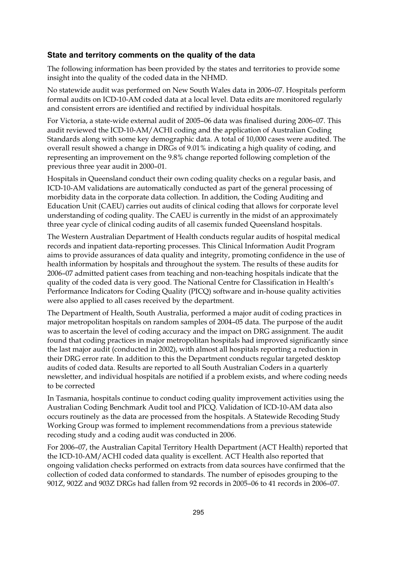#### **State and territory comments on the quality of the data**

The following information has been provided by the states and territories to provide some insight into the quality of the coded data in the NHMD.

No statewide audit was performed on New South Wales data in 2006–07. Hospitals perform formal audits on ICD-10-AM coded data at a local level. Data edits are monitored regularly and consistent errors are identified and rectified by individual hospitals.

For Victoria, a state-wide external audit of 2005–06 data was finalised during 2006–07. This audit reviewed the ICD-10-AM/ACHI coding and the application of Australian Coding Standards along with some key demographic data. A total of 10,000 cases were audited. The overall result showed a change in DRGs of 9.01% indicating a high quality of coding, and representing an improvement on the 9.8% change reported following completion of the previous three year audit in 2000–01.

Hospitals in Queensland conduct their own coding quality checks on a regular basis, and ICD-10-AM validations are automatically conducted as part of the general processing of morbidity data in the corporate data collection. In addition, the Coding Auditing and Education Unit (CAEU) carries out audits of clinical coding that allows for corporate level understanding of coding quality. The CAEU is currently in the midst of an approximately three year cycle of clinical coding audits of all casemix funded Queensland hospitals.

The Western Australian Department of Health conducts regular audits of hospital medical records and inpatient data-reporting processes. This Clinical Information Audit Program aims to provide assurances of data quality and integrity, promoting confidence in the use of health information by hospitals and throughout the system. The results of these audits for 2006–07 admitted patient cases from teaching and non-teaching hospitals indicate that the quality of the coded data is very good. The National Centre for Classification in Health's Performance Indicators for Coding Quality (PICQ) software and in-house quality activities were also applied to all cases received by the department.

The Department of Health, South Australia, performed a major audit of coding practices in major metropolitan hospitals on random samples of 2004–05 data. The purpose of the audit was to ascertain the level of coding accuracy and the impact on DRG assignment. The audit found that coding practices in major metropolitan hospitals had improved significantly since the last major audit (conducted in 2002), with almost all hospitals reporting a reduction in their DRG error rate. In addition to this the Department conducts regular targeted desktop audits of coded data. Results are reported to all South Australian Coders in a quarterly newsletter, and individual hospitals are notified if a problem exists, and where coding needs to be corrected

In Tasmania, hospitals continue to conduct coding quality improvement activities using the Australian Coding Benchmark Audit tool and PICQ. Validation of ICD-10-AM data also occurs routinely as the data are processed from the hospitals. A Statewide Recoding Study Working Group was formed to implement recommendations from a previous statewide recoding study and a coding audit was conducted in 2006.

For 2006–07, the Australian Capital Territory Health Department (ACT Health) reported that the ICD-10-AM/ACHI coded data quality is excellent. ACT Health also reported that ongoing validation checks performed on extracts from data sources have confirmed that the collection of coded data conformed to standards. The number of episodes grouping to the 901Z, 902Z and 903Z DRGs had fallen from 92 records in 2005–06 to 41 records in 2006–07.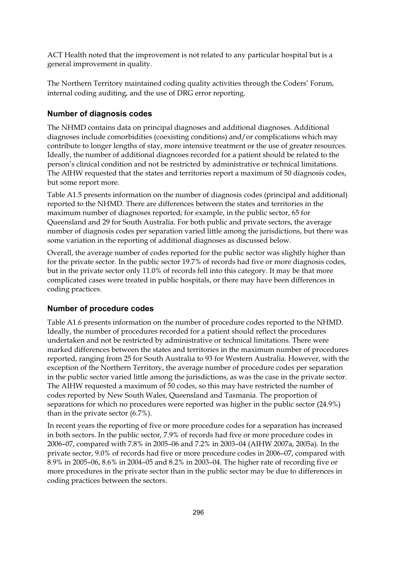ACT Health noted that the improvement is not related to any particular hospital but is a general improvement in quality.

The Northern Territory maintained coding quality activities through the Coders' Forum, internal coding auditing, and the use of DRG error reporting.

#### **Number of diagnosis codes**

The NHMD contains data on principal diagnoses and additional diagnoses. Additional diagnoses include comorbidities (coexisting conditions) and/or complications which may contribute to longer lengths of stay, more intensive treatment or the use of greater resources. Ideally, the number of additional diagnoses recorded for a patient should be related to the person's clinical condition and not be restricted by administrative or technical limitations. The AIHW requested that the states and territories report a maximum of 50 diagnosis codes, but some report more.

Table A1.5 presents information on the number of diagnosis codes (principal and additional) reported to the NHMD. There are differences between the states and territories in the maximum number of diagnoses reported; for example, in the public sector, 65 for Queensland and 29 for South Australia. For both public and private sectors, the average number of diagnosis codes per separation varied little among the jurisdictions, but there was some variation in the reporting of additional diagnoses as discussed below.

Overall, the average number of codes reported for the public sector was slightly higher than for the private sector. In the public sector 19.7% of records had five or more diagnosis codes, but in the private sector only 11.0% of records fell into this category. It may be that more complicated cases were treated in public hospitals, or there may have been differences in coding practices.

#### **Number of procedure codes**

Table A1.6 presents information on the number of procedure codes reported to the NHMD. Ideally, the number of procedures recorded for a patient should reflect the procedures undertaken and not be restricted by administrative or technical limitations. There were marked differences between the states and territories in the maximum number of procedures reported, ranging from 25 for South Australia to 93 for Western Australia. However, with the exception of the Northern Territory, the average number of procedure codes per separation in the public sector varied little among the jurisdictions, as was the case in the private sector. The AIHW requested a maximum of 50 codes, so this may have restricted the number of codes reported by New South Wales, Queensland and Tasmania. The proportion of separations for which no procedures were reported was higher in the public sector (24.9%) than in the private sector (6.7%).

In recent years the reporting of five or more procedure codes for a separation has increased in both sectors. In the public sector, 7.9% of records had five or more procedure codes in 2006–07, compared with 7.8% in 2005–06 and 7.2% in 2003–04 (AIHW 2007a, 2005a). In the private sector, 9.0% of records had five or more procedure codes in 2006–07, compared with 8.9% in 2005–06, 8.6% in 2004–05 and 8.2% in 2003–04. The higher rate of recording five or more procedures in the private sector than in the public sector may be due to differences in coding practices between the sectors.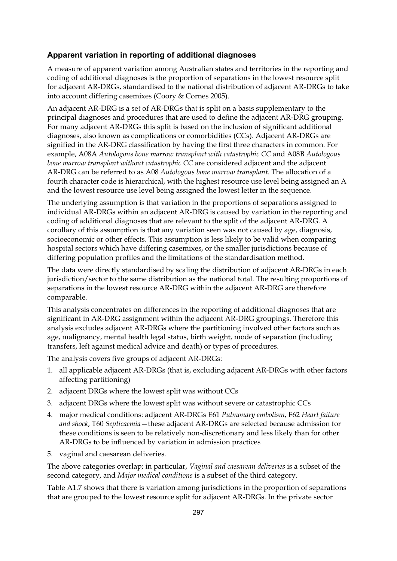#### **Apparent variation in reporting of additional diagnoses**

A measure of apparent variation among Australian states and territories in the reporting and coding of additional diagnoses is the proportion of separations in the lowest resource split for adjacent AR-DRGs, standardised to the national distribution of adjacent AR-DRGs to take into account differing casemixes (Coory & Cornes 2005).

An adjacent AR-DRG is a set of AR-DRGs that is split on a basis supplementary to the principal diagnoses and procedures that are used to define the adjacent AR-DRG grouping. For many adjacent AR-DRGs this split is based on the inclusion of significant additional diagnoses, also known as complications or comorbidities (CCs). Adjacent AR-DRGs are signified in the AR-DRG classification by having the first three characters in common. For example, A08A *Autologous bone marrow transplant with catastrophic CC* and A08B *Autologous bone marrow transplant without catastrophic CC* are considered adjacent and the adjacent AR-DRG can be referred to as A08 *Autologous bone marrow transplant*. The allocation of a fourth character code is hierarchical, with the highest resource use level being assigned an A and the lowest resource use level being assigned the lowest letter in the sequence.

The underlying assumption is that variation in the proportions of separations assigned to individual AR-DRGs within an adjacent AR-DRG is caused by variation in the reporting and coding of additional diagnoses that are relevant to the split of the adjacent AR-DRG. A corollary of this assumption is that any variation seen was not caused by age, diagnosis, socioeconomic or other effects. This assumption is less likely to be valid when comparing hospital sectors which have differing casemixes, or the smaller jurisdictions because of differing population profiles and the limitations of the standardisation method.

The data were directly standardised by scaling the distribution of adjacent AR-DRGs in each jurisdiction/sector to the same distribution as the national total. The resulting proportions of separations in the lowest resource AR-DRG within the adjacent AR-DRG are therefore comparable.

This analysis concentrates on differences in the reporting of additional diagnoses that are significant in AR-DRG assignment within the adjacent AR-DRG groupings. Therefore this analysis excludes adjacent AR-DRGs where the partitioning involved other factors such as age, malignancy, mental health legal status, birth weight, mode of separation (including transfers, left against medical advice and death) or types of procedures.

The analysis covers five groups of adjacent AR-DRGs:

- 1. all applicable adjacent AR-DRGs (that is, excluding adjacent AR-DRGs with other factors affecting partitioning)
- 2. adjacent DRGs where the lowest split was without CCs
- 3. adjacent DRGs where the lowest split was without severe or catastrophic CCs
- 4. major medical conditions: adjacent AR-DRGs E61 *Pulmonary embolism*, F62 *Heart failure and shock*, T60 *Septicaemia*—these adjacent AR-DRGs are selected because admission for these conditions is seen to be relatively non-discretionary and less likely than for other AR-DRGs to be influenced by variation in admission practices
- 5. vaginal and caesarean deliveries.

The above categories overlap; in particular, *Vaginal and caesarean deliveries* is a subset of the second category, and *Major medical conditions* is a subset of the third category.

Table A1.7 shows that there is variation among jurisdictions in the proportion of separations that are grouped to the lowest resource split for adjacent AR-DRGs. In the private sector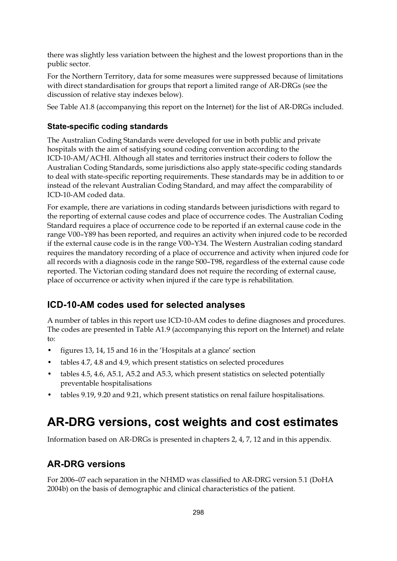there was slightly less variation between the highest and the lowest proportions than in the public sector.

For the Northern Territory, data for some measures were suppressed because of limitations with direct standardisation for groups that report a limited range of AR-DRGs (see the discussion of relative stay indexes below).

See Table A1.8 (accompanying this report on the Internet) for the list of AR-DRGs included.

#### **State-specific coding standards**

The Australian Coding Standards were developed for use in both public and private hospitals with the aim of satisfying sound coding convention according to the ICD-10-AM/ACHI. Although all states and territories instruct their coders to follow the Australian Coding Standards, some jurisdictions also apply state-specific coding standards to deal with state-specific reporting requirements. These standards may be in addition to or instead of the relevant Australian Coding Standard, and may affect the comparability of ICD-10-AM coded data.

For example, there are variations in coding standards between jurisdictions with regard to the reporting of external cause codes and place of occurrence codes. The Australian Coding Standard requires a place of occurrence code to be reported if an external cause code in the range V00–Y89 has been reported, and requires an activity when injured code to be recorded if the external cause code is in the range V00–Y34. The Western Australian coding standard requires the mandatory recording of a place of occurrence and activity when injured code for all records with a diagnosis code in the range S00–T98, regardless of the external cause code reported. The Victorian coding standard does not require the recording of external cause, place of occurrence or activity when injured if the care type is rehabilitation.

### **ICD-10-AM codes used for selected analyses**

A number of tables in this report use ICD-10-AM codes to define diagnoses and procedures. The codes are presented in Table A1.9 (accompanying this report on the Internet) and relate to:

- figures 13, 14, 15 and 16 in the 'Hospitals at a glance' section
- tables 4.7, 4.8 and 4.9, which present statistics on selected procedures
- tables 4.5, 4.6, A5.1, A5.2 and A5.3, which present statistics on selected potentially preventable hospitalisations
- tables 9.19, 9.20 and 9.21, which present statistics on renal failure hospitalisations.

### **AR-DRG versions, cost weights and cost estimates**

Information based on AR-DRGs is presented in chapters 2, 4, 7, 12 and in this appendix.

### **AR-DRG versions**

For 2006–07 each separation in the NHMD was classified to AR-DRG version 5.1 (DoHA 2004b) on the basis of demographic and clinical characteristics of the patient.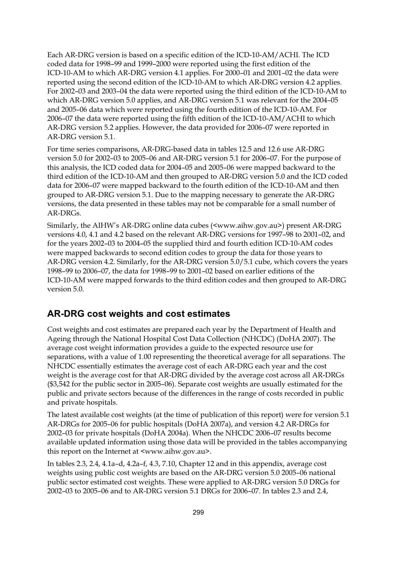Each AR-DRG version is based on a specific edition of the ICD-10-AM/ACHI. The ICD coded data for 1998–99 and 1999–2000 were reported using the first edition of the ICD-10-AM to which AR-DRG version 4.1 applies. For 2000–01 and 2001–02 the data were reported using the second edition of the ICD-10-AM to which AR-DRG version 4.2 applies. For 2002–03 and 2003–04 the data were reported using the third edition of the ICD-10-AM to which AR-DRG version 5.0 applies, and AR-DRG version 5.1 was relevant for the 2004–05 and 2005–06 data which were reported using the fourth edition of the ICD-10-AM. For 2006–07 the data were reported using the fifth edition of the ICD-10-AM/ACHI to which AR-DRG version 5.2 applies. However, the data provided for 2006–07 were reported in AR-DRG version 5.1.

For time series comparisons, AR-DRG-based data in tables 12.5 and 12.6 use AR-DRG version 5.0 for 2002–03 to 2005–06 and AR-DRG version 5.1 for 2006–07. For the purpose of this analysis, the ICD coded data for 2004–05 and 2005–06 were mapped backward to the third edition of the ICD-10-AM and then grouped to AR-DRG version 5.0 and the ICD coded data for 2006–07 were mapped backward to the fourth edition of the ICD-10-AM and then grouped to AR-DRG version 5.1. Due to the mapping necessary to generate the AR-DRG versions, the data presented in these tables may not be comparable for a small number of AR-DRGs.

Similarly, the AIHW's AR-DRG online data cubes (<www.aihw.gov.au>) present AR-DRG versions 4.0, 4.1 and 4.2 based on the relevant AR-DRG versions for 1997–98 to 2001–02, and for the years 2002–03 to 2004–05 the supplied third and fourth edition ICD-10-AM codes were mapped backwards to second edition codes to group the data for those years to AR-DRG version 4.2. Similarly, for the AR-DRG version 5.0/5.1 cube, which covers the years 1998–99 to 2006–07, the data for 1998–99 to 2001–02 based on earlier editions of the ICD-10-AM were mapped forwards to the third edition codes and then grouped to AR-DRG version 5.0.

#### **AR-DRG cost weights and cost estimates**

Cost weights and cost estimates are prepared each year by the Department of Health and Ageing through the National Hospital Cost Data Collection (NHCDC) (DoHA 2007). The average cost weight information provides a guide to the expected resource use for separations, with a value of 1.00 representing the theoretical average for all separations. The NHCDC essentially estimates the average cost of each AR-DRG each year and the cost weight is the average cost for that AR-DRG divided by the average cost across all AR-DRGs (\$3,542 for the public sector in 2005–06). Separate cost weights are usually estimated for the public and private sectors because of the differences in the range of costs recorded in public and private hospitals.

The latest available cost weights (at the time of publication of this report) were for version 5.1 AR-DRGs for 2005–06 for public hospitals (DoHA 2007a), and version 4.2 AR-DRGs for 2002–03 for private hospitals (DoHA 2004a). When the NHCDC 2006–07 results become available updated information using those data will be provided in the tables accompanying this report on the Internet at <www.aihw.gov.au>.

In tables 2.3, 2.4, 4.1a–d, 4.2a–f, 4.3, 7.10, Chapter 12 and in this appendix, average cost weights using public cost weights are based on the AR-DRG version 5.0 2005–06 national public sector estimated cost weights. These were applied to AR-DRG version 5.0 DRGs for 2002–03 to 2005–06 and to AR-DRG version 5.1 DRGs for 2006–07. In tables 2.3 and 2.4,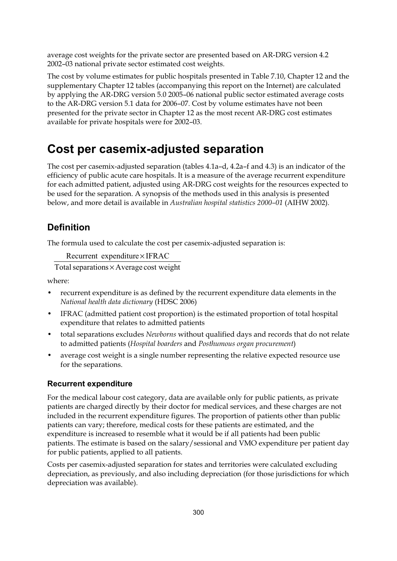average cost weights for the private sector are presented based on AR-DRG version 4.2 2002–03 national private sector estimated cost weights.

The cost by volume estimates for public hospitals presented in Table 7.10, Chapter 12 and the supplementary Chapter 12 tables (accompanying this report on the Internet) are calculated by applying the AR-DRG version 5.0 2005–06 national public sector estimated average costs to the AR-DRG version 5.1 data for 2006–07. Cost by volume estimates have not been presented for the private sector in Chapter 12 as the most recent AR-DRG cost estimates available for private hospitals were for 2002–03.

### **Cost per casemix-adjusted separation**

The cost per casemix-adjusted separation (tables 4.1a–d, 4.2a–f and 4.3) is an indicator of the efficiency of public acute care hospitals. It is a measure of the average recurrent expenditure for each admitted patient, adjusted using AR-DRG cost weights for the resources expected to be used for the separation. A synopsis of the methods used in this analysis is presented below, and more detail is available in *Australian hospital statistics 2000–01* (AIHW 2002).

### **Definition**

The formula used to calculate the cost per casemix-adjusted separation is:

```
Recurrent expenditure × IFRAC
```
Total separations × Average cost weight

where:

- recurrent expenditure is as defined by the recurrent expenditure data elements in the *National health data dictionary* (HDSC 2006)
- IFRAC (admitted patient cost proportion) is the estimated proportion of total hospital expenditure that relates to admitted patients
- total separations excludes *Newborns* without qualified days and records that do not relate to admitted patients (*Hospital boarders* and *Posthumous organ procurement*)
- average cost weight is a single number representing the relative expected resource use for the separations.

#### **Recurrent expenditure**

For the medical labour cost category, data are available only for public patients, as private patients are charged directly by their doctor for medical services, and these charges are not included in the recurrent expenditure figures. The proportion of patients other than public patients can vary; therefore, medical costs for these patients are estimated, and the expenditure is increased to resemble what it would be if all patients had been public patients. The estimate is based on the salary/sessional and VMO expenditure per patient day for public patients, applied to all patients.

Costs per casemix-adjusted separation for states and territories were calculated excluding depreciation, as previously, and also including depreciation (for those jurisdictions for which depreciation was available).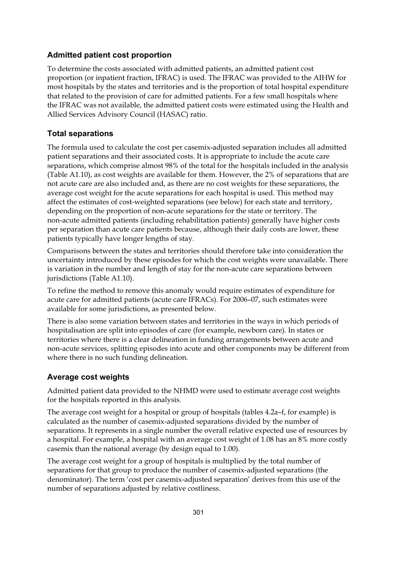#### **Admitted patient cost proportion**

To determine the costs associated with admitted patients, an admitted patient cost proportion (or inpatient fraction, IFRAC) is used. The IFRAC was provided to the AIHW for most hospitals by the states and territories and is the proportion of total hospital expenditure that related to the provision of care for admitted patients. For a few small hospitals where the IFRAC was not available, the admitted patient costs were estimated using the Health and Allied Services Advisory Council (HASAC) ratio.

#### **Total separations**

The formula used to calculate the cost per casemix-adjusted separation includes all admitted patient separations and their associated costs. It is appropriate to include the acute care separations, which comprise almost 98% of the total for the hospitals included in the analysis (Table A1.10), as cost weights are available for them. However, the 2% of separations that are not acute care are also included and, as there are no cost weights for these separations, the average cost weight for the acute separations for each hospital is used. This method may affect the estimates of cost-weighted separations (see below) for each state and territory, depending on the proportion of non-acute separations for the state or territory. The non-acute admitted patients (including rehabilitation patients) generally have higher costs per separation than acute care patients because, although their daily costs are lower, these patients typically have longer lengths of stay.

Comparisons between the states and territories should therefore take into consideration the uncertainty introduced by these episodes for which the cost weights were unavailable. There is variation in the number and length of stay for the non-acute care separations between jurisdictions (Table A1.10).

To refine the method to remove this anomaly would require estimates of expenditure for acute care for admitted patients (acute care IFRACs). For 2006–07, such estimates were available for some jurisdictions, as presented below.

There is also some variation between states and territories in the ways in which periods of hospitalisation are split into episodes of care (for example, newborn care). In states or territories where there is a clear delineation in funding arrangements between acute and non-acute services, splitting episodes into acute and other components may be different from where there is no such funding delineation.

#### **Average cost weights**

Admitted patient data provided to the NHMD were used to estimate average cost weights for the hospitals reported in this analysis.

The average cost weight for a hospital or group of hospitals (tables 4.2a–f, for example) is calculated as the number of casemix-adjusted separations divided by the number of separations. It represents in a single number the overall relative expected use of resources by a hospital. For example, a hospital with an average cost weight of 1.08 has an 8% more costly casemix than the national average (by design equal to 1.00).

The average cost weight for a group of hospitals is multiplied by the total number of separations for that group to produce the number of casemix-adjusted separations (the denominator). The term 'cost per casemix-adjusted separation' derives from this use of the number of separations adjusted by relative costliness.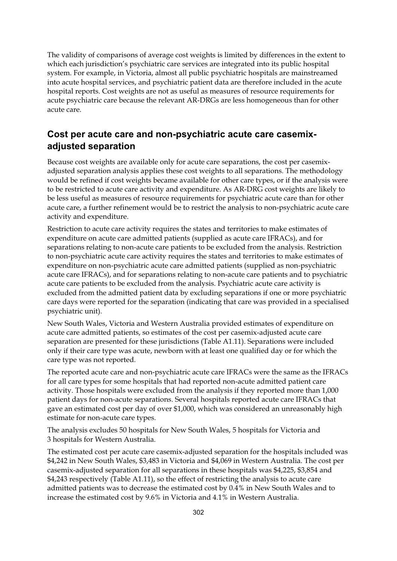The validity of comparisons of average cost weights is limited by differences in the extent to which each jurisdiction's psychiatric care services are integrated into its public hospital system. For example, in Victoria, almost all public psychiatric hospitals are mainstreamed into acute hospital services, and psychiatric patient data are therefore included in the acute hospital reports. Cost weights are not as useful as measures of resource requirements for acute psychiatric care because the relevant AR-DRGs are less homogeneous than for other acute care.

### **Cost per acute care and non-psychiatric acute care casemixadjusted separation**

Because cost weights are available only for acute care separations, the cost per casemixadjusted separation analysis applies these cost weights to all separations. The methodology would be refined if cost weights became available for other care types, or if the analysis were to be restricted to acute care activity and expenditure. As AR-DRG cost weights are likely to be less useful as measures of resource requirements for psychiatric acute care than for other acute care, a further refinement would be to restrict the analysis to non-psychiatric acute care activity and expenditure.

Restriction to acute care activity requires the states and territories to make estimates of expenditure on acute care admitted patients (supplied as acute care IFRACs), and for separations relating to non-acute care patients to be excluded from the analysis. Restriction to non-psychiatric acute care activity requires the states and territories to make estimates of expenditure on non-psychiatric acute care admitted patients (supplied as non-psychiatric acute care IFRACs), and for separations relating to non-acute care patients and to psychiatric acute care patients to be excluded from the analysis. Psychiatric acute care activity is excluded from the admitted patient data by excluding separations if one or more psychiatric care days were reported for the separation (indicating that care was provided in a specialised psychiatric unit).

New South Wales, Victoria and Western Australia provided estimates of expenditure on acute care admitted patients, so estimates of the cost per casemix-adjusted acute care separation are presented for these jurisdictions (Table A1.11). Separations were included only if their care type was acute, newborn with at least one qualified day or for which the care type was not reported.

The reported acute care and non-psychiatric acute care IFRACs were the same as the IFRACs for all care types for some hospitals that had reported non-acute admitted patient care activity. Those hospitals were excluded from the analysis if they reported more than 1,000 patient days for non-acute separations. Several hospitals reported acute care IFRACs that gave an estimated cost per day of over \$1,000, which was considered an unreasonably high estimate for non-acute care types.

The analysis excludes 50 hospitals for New South Wales, 5 hospitals for Victoria and 3 hospitals for Western Australia.

The estimated cost per acute care casemix-adjusted separation for the hospitals included was \$4,242 in New South Wales, \$3,483 in Victoria and \$4,069 in Western Australia. The cost per casemix-adjusted separation for all separations in these hospitals was \$4,225, \$3,854 and \$4,243 respectively (Table A1.11), so the effect of restricting the analysis to acute care admitted patients was to decrease the estimated cost by 0.4% in New South Wales and to increase the estimated cost by 9.6% in Victoria and 4.1% in Western Australia.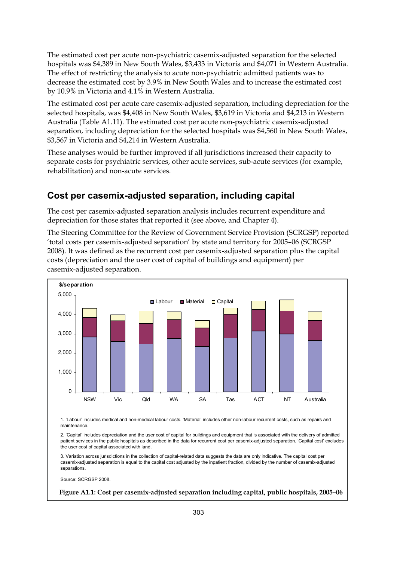The estimated cost per acute non-psychiatric casemix-adjusted separation for the selected hospitals was \$4,389 in New South Wales, \$3,433 in Victoria and \$4,071 in Western Australia. The effect of restricting the analysis to acute non-psychiatric admitted patients was to decrease the estimated cost by 3.9% in New South Wales and to increase the estimated cost by 10.9% in Victoria and 4.1% in Western Australia.

The estimated cost per acute care casemix-adjusted separation, including depreciation for the selected hospitals, was \$4,408 in New South Wales, \$3,619 in Victoria and \$4,213 in Western Australia (Table A1.11). The estimated cost per acute non-psychiatric casemix-adjusted separation, including depreciation for the selected hospitals was \$4,560 in New South Wales, \$3,567 in Victoria and \$4,214 in Western Australia.

These analyses would be further improved if all jurisdictions increased their capacity to separate costs for psychiatric services, other acute services, sub-acute services (for example, rehabilitation) and non-acute services.

### **Cost per casemix-adjusted separation, including capital**

The cost per casemix-adjusted separation analysis includes recurrent expenditure and depreciation for those states that reported it (see above, and Chapter 4).

The Steering Committee for the Review of Government Service Provision (SCRGSP) reported 'total costs per casemix-adjusted separation' by state and territory for 2005–06 (SCRGSP 2008). It was defined as the recurrent cost per casemix-adjusted separation plus the capital costs (depreciation and the user cost of capital of buildings and equipment) per casemix-adjusted separation.



1. 'Labour' includes medical and non-medical labour costs. 'Material' includes other non-labour recurrent costs, such as repairs and maintenance.

2. 'Capital' includes depreciation and the user cost of capital for buildings and equipment that is associated with the delivery of admitted patient services in the public hospitals as described in the data for recurrent cost per casemix-adjusted separation. 'Capital cost' excludes the user cost of capital associated with land.

3. Variation across jurisdictions in the collection of capital-related data suggests the data are only indicative. The capital cost per casemix-adjusted separation is equal to the capital cost adjusted by the inpatient fraction, divided by the number of casemix-adjusted separations.

Source: SCRGSP 2008.

#### **Figure A1.1: Cost per casemix-adjusted separation including capital, public hospitals, 2005–06**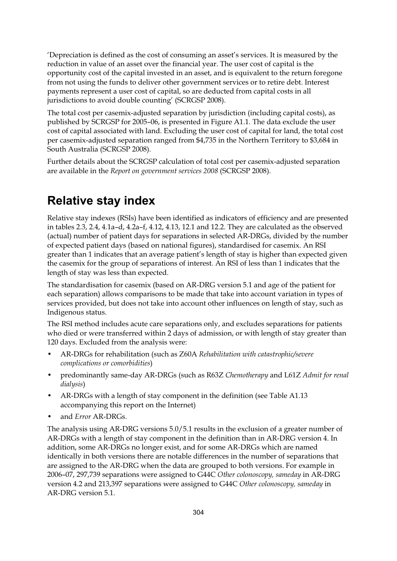'Depreciation is defined as the cost of consuming an asset's services. It is measured by the reduction in value of an asset over the financial year. The user cost of capital is the opportunity cost of the capital invested in an asset, and is equivalent to the return foregone from not using the funds to deliver other government services or to retire debt. Interest payments represent a user cost of capital, so are deducted from capital costs in all jurisdictions to avoid double counting' (SCRGSP 2008).

The total cost per casemix-adjusted separation by jurisdiction (including capital costs), as published by SCRGSP for 2005–06, is presented in Figure A1.1. The data exclude the user cost of capital associated with land. Excluding the user cost of capital for land, the total cost per casemix-adjusted separation ranged from \$4,735 in the Northern Territory to \$3,684 in South Australia (SCRGSP 2008).

Further details about the SCRGSP calculation of total cost per casemix-adjusted separation are available in the *Report on government services 2008* (SCRGSP 2008).

## **Relative stay index**

Relative stay indexes (RSIs) have been identified as indicators of efficiency and are presented in tables 2.3, 2.4, 4.1a–d, 4.2a–f, 4.12, 4.13, 12.1 and 12.2. They are calculated as the observed (actual) number of patient days for separations in selected AR-DRGs, divided by the number of expected patient days (based on national figures), standardised for casemix. An RSI greater than 1 indicates that an average patient's length of stay is higher than expected given the casemix for the group of separations of interest. An RSI of less than 1 indicates that the length of stay was less than expected.

The standardisation for casemix (based on AR-DRG version 5.1 and age of the patient for each separation) allows comparisons to be made that take into account variation in types of services provided, but does not take into account other influences on length of stay, such as Indigenous status.

The RSI method includes acute care separations only, and excludes separations for patients who died or were transferred within 2 days of admission, or with length of stay greater than 120 days. Excluded from the analysis were:

- AR-DRGs for rehabilitation (such as Z60A *Rehabilitation with catastrophic/severe complications or comorbidities*)
- predominantly same-day AR-DRGs (such as R63Z *Chemotherapy* and L61Z *Admit for renal dialysis*)
- AR-DRGs with a length of stay component in the definition (see Table A1.13) accompanying this report on the Internet)
- and *Error* AR-DRGs.

The analysis using AR-DRG versions 5.0/5.1 results in the exclusion of a greater number of AR-DRGs with a length of stay component in the definition than in AR-DRG version 4. In addition, some AR-DRGs no longer exist, and for some AR-DRGs which are named identically in both versions there are notable differences in the number of separations that are assigned to the AR-DRG when the data are grouped to both versions. For example in 2006–07, 297,739 separations were assigned to G44C *Other colonoscopy, sameday* in AR-DRG version 4.2 and 213,397 separations were assigned to G44C *Other colonoscopy, sameday* in AR-DRG version 5.1.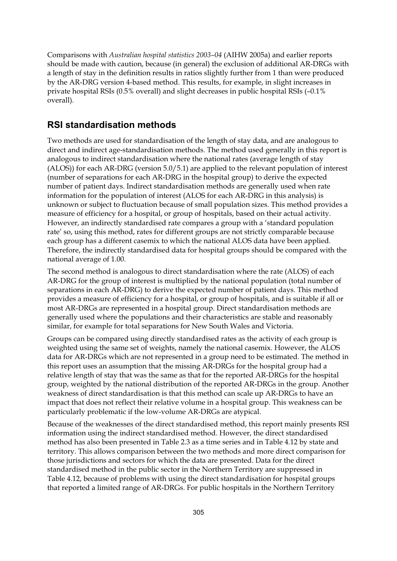Comparisons with *Australian hospital statistics 2003–04* (AIHW 2005a) and earlier reports should be made with caution, because (in general) the exclusion of additional AR-DRGs with a length of stay in the definition results in ratios slightly further from 1 than were produced by the AR-DRG version 4-based method. This results, for example, in slight increases in private hospital RSIs (0.5% overall) and slight decreases in public hospital RSIs (–0.1% overall).

#### **RSI standardisation methods**

Two methods are used for standardisation of the length of stay data, and are analogous to direct and indirect age-standardisation methods. The method used generally in this report is analogous to indirect standardisation where the national rates (average length of stay (ALOS)) for each AR-DRG (version 5.0/5.1) are applied to the relevant population of interest (number of separations for each AR-DRG in the hospital group) to derive the expected number of patient days. Indirect standardisation methods are generally used when rate information for the population of interest (ALOS for each AR-DRG in this analysis) is unknown or subject to fluctuation because of small population sizes. This method provides a measure of efficiency for a hospital, or group of hospitals, based on their actual activity. However, an indirectly standardised rate compares a group with a 'standard population rate' so, using this method, rates for different groups are not strictly comparable because each group has a different casemix to which the national ALOS data have been applied. Therefore, the indirectly standardised data for hospital groups should be compared with the national average of 1.00.

The second method is analogous to direct standardisation where the rate (ALOS) of each AR-DRG for the group of interest is multiplied by the national population (total number of separations in each AR-DRG) to derive the expected number of patient days. This method provides a measure of efficiency for a hospital, or group of hospitals, and is suitable if all or most AR-DRGs are represented in a hospital group. Direct standardisation methods are generally used where the populations and their characteristics are stable and reasonably similar, for example for total separations for New South Wales and Victoria.

Groups can be compared using directly standardised rates as the activity of each group is weighted using the same set of weights, namely the national casemix. However, the ALOS data for AR-DRGs which are not represented in a group need to be estimated. The method in this report uses an assumption that the missing AR-DRGs for the hospital group had a relative length of stay that was the same as that for the reported AR-DRGs for the hospital group, weighted by the national distribution of the reported AR-DRGs in the group. Another weakness of direct standardisation is that this method can scale up AR-DRGs to have an impact that does not reflect their relative volume in a hospital group. This weakness can be particularly problematic if the low-volume AR-DRGs are atypical.

Because of the weaknesses of the direct standardised method, this report mainly presents RSI information using the indirect standardised method. However, the direct standardised method has also been presented in Table 2.3 as a time series and in Table 4.12 by state and territory. This allows comparison between the two methods and more direct comparison for those jurisdictions and sectors for which the data are presented. Data for the direct standardised method in the public sector in the Northern Territory are suppressed in Table 4.12, because of problems with using the direct standardisation for hospital groups that reported a limited range of AR-DRGs. For public hospitals in the Northern Territory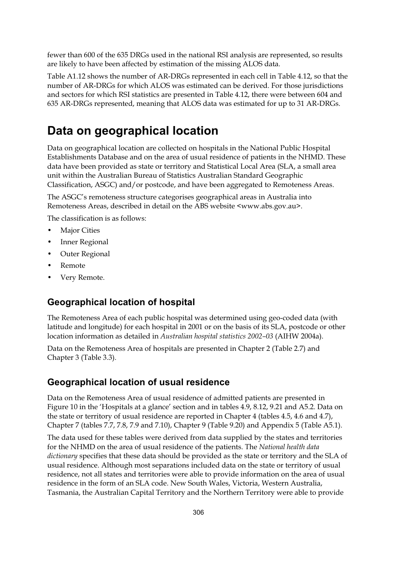fewer than 600 of the 635 DRGs used in the national RSI analysis are represented, so results are likely to have been affected by estimation of the missing ALOS data.

Table A1.12 shows the number of AR-DRGs represented in each cell in Table 4.12, so that the number of AR-DRGs for which ALOS was estimated can be derived. For those jurisdictions and sectors for which RSI statistics are presented in Table 4.12, there were between 604 and 635 AR-DRGs represented, meaning that ALOS data was estimated for up to 31 AR-DRGs.

### **Data on geographical location**

Data on geographical location are collected on hospitals in the National Public Hospital Establishments Database and on the area of usual residence of patients in the NHMD. These data have been provided as state or territory and Statistical Local Area (SLA, a small area unit within the Australian Bureau of Statistics Australian Standard Geographic Classification, ASGC) and/or postcode, and have been aggregated to Remoteness Areas.

The ASGC's remoteness structure categorises geographical areas in Australia into Remoteness Areas, described in detail on the ABS website <www.abs.gov.au>.

The classification is as follows:

- **Major Cities**
- Inner Regional
- Outer Regional
- Remote
- Very Remote.

#### **Geographical location of hospital**

The Remoteness Area of each public hospital was determined using geo-coded data (with latitude and longitude) for each hospital in 2001 or on the basis of its SLA, postcode or other location information as detailed in *Australian hospital statistics 2002–03* (AIHW 2004a).

Data on the Remoteness Area of hospitals are presented in Chapter 2 (Table 2.7) and Chapter 3 (Table 3.3).

#### **Geographical location of usual residence**

Data on the Remoteness Area of usual residence of admitted patients are presented in Figure 10 in the 'Hospitals at a glance' section and in tables 4.9, 8.12, 9.21 and A5.2. Data on the state or territory of usual residence are reported in Chapter 4 (tables 4.5, 4.6 and 4.7), Chapter 7 (tables 7.7, 7.8, 7.9 and 7.10), Chapter 9 (Table 9.20) and Appendix 5 (Table A5.1).

The data used for these tables were derived from data supplied by the states and territories for the NHMD on the area of usual residence of the patients. The *National health data dictionary* specifies that these data should be provided as the state or territory and the SLA of usual residence. Although most separations included data on the state or territory of usual residence, not all states and territories were able to provide information on the area of usual residence in the form of an SLA code. New South Wales, Victoria, Western Australia, Tasmania, the Australian Capital Territory and the Northern Territory were able to provide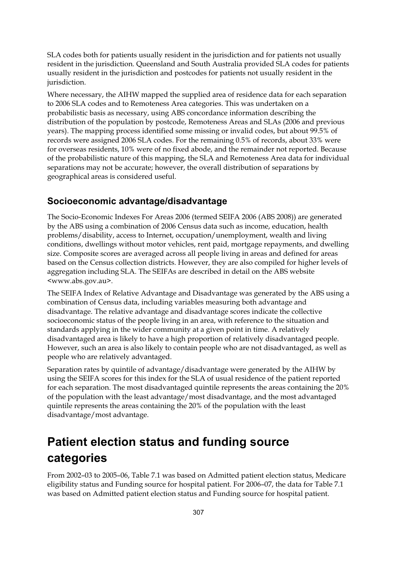SLA codes both for patients usually resident in the jurisdiction and for patients not usually resident in the jurisdiction. Queensland and South Australia provided SLA codes for patients usually resident in the jurisdiction and postcodes for patients not usually resident in the jurisdiction.

Where necessary, the AIHW mapped the supplied area of residence data for each separation to 2006 SLA codes and to Remoteness Area categories. This was undertaken on a probabilistic basis as necessary, using ABS concordance information describing the distribution of the population by postcode, Remoteness Areas and SLAs (2006 and previous years). The mapping process identified some missing or invalid codes, but about 99.5% of records were assigned 2006 SLA codes. For the remaining 0.5% of records, about 33% were for overseas residents, 10% were of no fixed abode, and the remainder not reported. Because of the probabilistic nature of this mapping, the SLA and Remoteness Area data for individual separations may not be accurate; however, the overall distribution of separations by geographical areas is considered useful.

#### **Socioeconomic advantage/disadvantage**

The Socio-Economic Indexes For Areas 2006 (termed SEIFA 2006 (ABS 2008)) are generated by the ABS using a combination of 2006 Census data such as income, education, health problems/disability, access to Internet, occupation/unemployment, wealth and living conditions, dwellings without motor vehicles, rent paid, mortgage repayments, and dwelling size. Composite scores are averaged across all people living in areas and defined for areas based on the Census collection districts. However, they are also compiled for higher levels of aggregation including SLA. The SEIFAs are described in detail on the ABS website <www.abs.gov.au>.

The SEIFA Index of Relative Advantage and Disadvantage was generated by the ABS using a combination of Census data, including variables measuring both advantage and disadvantage. The relative advantage and disadvantage scores indicate the collective socioeconomic status of the people living in an area, with reference to the situation and standards applying in the wider community at a given point in time. A relatively disadvantaged area is likely to have a high proportion of relatively disadvantaged people. However, such an area is also likely to contain people who are not disadvantaged, as well as people who are relatively advantaged.

Separation rates by quintile of advantage/disadvantage were generated by the AIHW by using the SEIFA scores for this index for the SLA of usual residence of the patient reported for each separation. The most disadvantaged quintile represents the areas containing the 20% of the population with the least advantage/most disadvantage, and the most advantaged quintile represents the areas containing the 20% of the population with the least disadvantage/most advantage.

## **Patient election status and funding source categories**

From 2002–03 to 2005–06, Table 7.1 was based on Admitted patient election status, Medicare eligibility status and Funding source for hospital patient. For 2006–07, the data for Table 7.1 was based on Admitted patient election status and Funding source for hospital patient.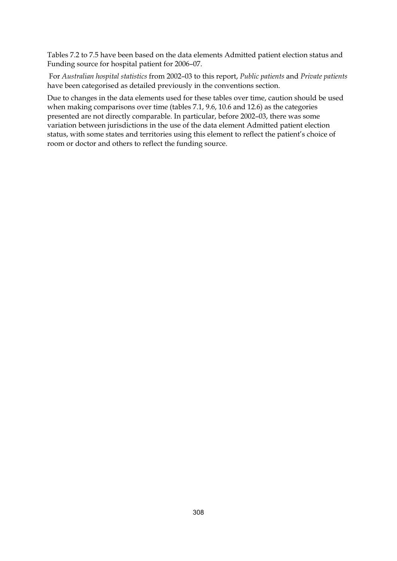Tables 7.2 to 7.5 have been based on the data elements Admitted patient election status and Funding source for hospital patient for 2006–07.

 For *Australian hospital statistics* from 2002–03 to this report, *Public patients* and *Private patients* have been categorised as detailed previously in the conventions section.

Due to changes in the data elements used for these tables over time, caution should be used when making comparisons over time (tables 7.1, 9.6, 10.6 and 12.6) as the categories presented are not directly comparable. In particular, before 2002–03, there was some variation between jurisdictions in the use of the data element Admitted patient election status, with some states and territories using this element to reflect the patient's choice of room or doctor and others to reflect the funding source.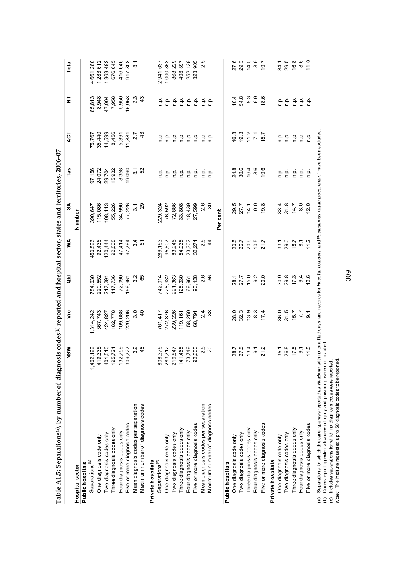| One diagnosis code only<br>Separations <sup>(b)</sup><br>Public hospitals<br>Hospital sector |                          | ۊ                | Ξ       | ≸              | SA                | Tas     | <b>ACT</b>       | 5             | Total     |
|----------------------------------------------------------------------------------------------|--------------------------|------------------|---------|----------------|-------------------|---------|------------------|---------------|-----------|
|                                                                                              |                          |                  |         |                | Number            |         |                  |               |           |
|                                                                                              |                          |                  |         |                |                   |         |                  |               |           |
|                                                                                              | 1,462,129                | 1,314,242        | 784,630 | 450,896        | 390,647           | 97,156  |                  | 85,813        | 4,661,280 |
|                                                                                              | 419,335                  | 367,743          | 220,552 | 92,436         | 115,086           | 24,072  | 75,767<br>35,440 | 8,948         | 283,612   |
| Two diagnosis codes only                                                                     | 1,510<br>40 <sub>1</sub> | 424, 827         | 217,291 | 120,444        | 108,113           | 29,704  | 14,599           | 47,004        | 1,363,492 |
| Three diagnosis codes only                                                                   | 195,721                  | 182,778          | 117,736 | 92,838         | 55,226            | 15,932  | 8,456            | 7,958         | 676,645   |
| Four diagnosis codes only                                                                    | 132,759                  | 109,688          | 72,090  | 47,414         | 34,996            | 8,358   | 5,391            | 5,950         | 416,646   |
| Five or more diagnosis codes                                                                 | 309,727                  | 229,206          | 156,961 | 97,764         | 77,226            | 19,090  | 11,881           | 15,953        | 917,808   |
| Mean diagnosis codes per separation                                                          | 3.2                      | 3.0              | 3.2     | 3.4            | 3.1               | 3.1     | 2.7              | 3.3           | 3.1       |
| Maximum number of diagnosis codes                                                            | 48                       | $\overline{4}$   | 65      | 61             | 29                | 52      | 43               | $\frac{3}{4}$ |           |
| Private hospitals                                                                            |                          |                  |         |                |                   |         |                  |               |           |
| Separations <sup>(b)</sup>                                                                   | 808,376                  | 761,417          | 742,014 | 289,163        | 229,324           | ۹.      | n.p.             | ن<br>ء        | 2,941,637 |
| One diagnosis code only                                                                      | 283,712                  | 272,876          | 228,932 | 95,607         | 76,592            | ρ.<br>Γ | ρ.<br>Γ          | نې<br>D       | 1,000,853 |
| Two diagnosis codes only                                                                     | 216,847                  | 239,226          | 221,363 | 83,945         | 72,886            | n.p.    | n.p.             | ؋<br>¤        | 868,229   |
| Three diagnosis codes only                                                                   | 1,468<br>141             | 119, 161         | 128,330 | 54,038         | 33,808            | n.p.    | n.p.             | ن<br>P        | 493,397   |
| Four diagnosis codes only                                                                    | 73,749                   | 58,250           | 69,961  | 23,302         | 18,439            | ρ.      | n.p.             | ρ.<br>Γ       | 252,139   |
| Five or more diagnosis codes                                                                 | 92,600                   | 68,791           | 93,428  | 32,271         | 27,599            | ρ.      | n.p.             | م.<br>c       | 323,905   |
| Mean diagnosis codes per separation                                                          | 2.5                      | 2.4              | 2.6     | 2.6            | 2.6               | n.p.    | n.p.             | م<br>ء        | 2.5       |
| Maximum number of diagnosis codes                                                            | $\overline{c}$           | 38               | SS      | $\ddot{4}$     | $\infty$          | n.p.    | $\Omega$         | n.p.          |           |
|                                                                                              |                          |                  |         |                | Per cent          |         |                  |               |           |
| Public hospitals                                                                             |                          |                  |         |                |                   |         |                  |               |           |
| One diagnosis code only                                                                      | 28.7                     | 28.0             | 28.1    | 20.5           | 29.5              | 24.8    | 46.8             | 10.4          | 27.6      |
| Two diagnosis codes only                                                                     | 27.5                     | 32.3             | 27.7    | 26.7           | 27.7              | 30.6    | 19.3             | 54.8          | 29.3      |
| Three diagnosis codes only                                                                   | 13.4                     | 13.9             | 15.0    | 20.6           | 14.1              | 16.4    | 11.2             | 9.3           | 14.5      |
| Four diagnosis codes only                                                                    | $\overline{9}$ .         | $8.\overline{3}$ | 9.2     | 10.5           | 9.0               | 8.6     | $\sum$           | 6.9           | 8.9       |
| Five or more diagnosis codes                                                                 | 21.2                     | 17.4             | 20.0    | 21.7           | 19.8              | 19.6    | 15.7             | 18.6          | 19.7      |
| Private hospitals                                                                            |                          |                  |         |                |                   |         |                  |               |           |
| One diagnosis code only                                                                      | 35.1                     | 36.0             | 30.9    | 33.1           | 33.4              | ن<br>ء  | n.p.             | n.p.          | 34.1      |
| Two diagnosis codes only                                                                     | 26.8                     | 31.5             | 29.8    | 29.0           | 31.8              | ρ.      | ف<br>ع           | ρ.<br>Γ       | 29.5      |
| Three diagnosis codes only                                                                   | 17.5                     | 15.7             | 17.3    | 18.7           | 14.7              | n.p.    | ف<br>ع           | ρ.<br>Π       | 16.8      |
| Four diagnosis codes only                                                                    | $\overline{9}$ .         | $\overline{7.7}$ | 9.4     | $\overline{8}$ | $\overline{8}$ .0 | ن<br>P  | n.p.             | نې<br>D       | 8.6       |
| Five or more diagnosis codes                                                                 | 11.5                     | $\overline{9}$ . | 12.6    | 11.2           | 12.0              | n.p.    | n.p.             | م<br>ء        | 11.0      |

રૂ<br>૦ ँ<br>त∑ (a) separations for wincin the care type was reported as ine woorn with no qualitie (b) Codes reporting external causes of injury and poisoning were not included.<br>(c) Includes separations for which no diagnosis codes were

(b) Codes reporting external causes of injury and poisoning were not included. (c) Includes separations for which no diagnosis codes were reported.

*Note:* The Institute requested up to 50 diagnosis codes to be reported.

309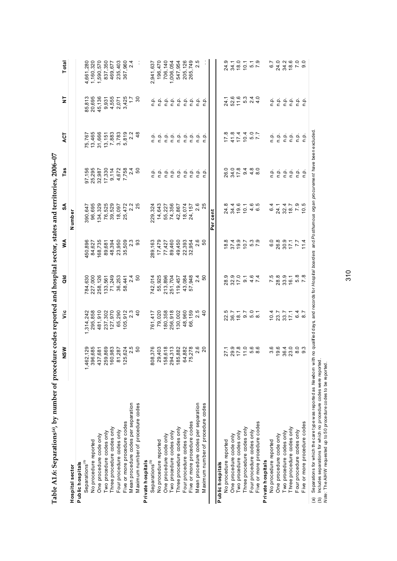| Table A1.6: Separations(a), by number of procedure codes reported and hospital sector, states and territories, 2006-07                               |                                       |                                   |                  |                                     |                                                                                                          |                 |                                                             |                    |                             |
|------------------------------------------------------------------------------------------------------------------------------------------------------|---------------------------------------|-----------------------------------|------------------|-------------------------------------|----------------------------------------------------------------------------------------------------------|-----------------|-------------------------------------------------------------|--------------------|-----------------------------|
|                                                                                                                                                      | NSW                                   | ۊ                                 | ă                | ⋚                                   | న్                                                                                                       | Tas             | <b>ACT</b>                                                  | 5                  | Total                       |
| Hospital sector                                                                                                                                      |                                       |                                   |                  |                                     | Number                                                                                                   |                 |                                                             |                    |                             |
| Public hospitals                                                                                                                                     |                                       |                                   |                  |                                     |                                                                                                          |                 |                                                             |                    |                             |
| Separations <sup>(D)</sup>                                                                                                                           | ,129<br>1,462,                        | 1,314,242                         | 784,630          | 450,896                             | 390,647                                                                                                  | 97,156          | 75,767                                                      | 85,813             | 4,661,280                   |
| No procedure reported                                                                                                                                | 685<br>396                            | 295,858                           | 227,000          | 84,627                              | 96,695                                                                                                   | 25,295          | 13,465                                                      | 20,695             | 1,160,320                   |
| One procedure code only                                                                                                                              | ,681<br>437                           | 481,910                           | 258,126          | 168,735                             | 134,329                                                                                                  | 32,987          | 31,666                                                      | 45,136             | 1,590,570                   |
| Two procedure codes only                                                                                                                             | ,869<br>259                           | 237,302                           | 133,561          | 89,681                              | 76,525                                                                                                   | 17,330          | 13, 151                                                     | 9,931              | 837,350                     |
| Three procedure codes only                                                                                                                           | 983<br>160                            | 127,970                           | 71,249           | 48,394                              | 39,529                                                                                                   | 9,114           | 7,883                                                       | 4,555              | 469,677                     |
| Four procedure codes only                                                                                                                            | ,287<br>$\overline{8}$                | 65,290                            | 36,253           | 23,950                              | 18,097                                                                                                   | 4,672           | $3,783$<br>$5,819$<br>$2.2$                                 | 2,071              | 235,403                     |
| Five or more procedure codes                                                                                                                         | 125                                   | 105,                              | 58,441           | 35,509<br>2.3<br>93                 | 25,472                                                                                                   | 7,758<br>2.4    |                                                             |                    | 367,960                     |
| Mean procedure codes per separation                                                                                                                  | 624<br>2.5                            | $\frac{912}{2.3}$                 | 2.4              |                                     | 2.2                                                                                                      |                 |                                                             | 3,425              | 2.4                         |
| Maximum number of procedure codes                                                                                                                    | 50                                    | $\overline{4}$                    | 50               |                                     | 25                                                                                                       | 50              | $\frac{8}{4}$                                               | $\overline{30}$    |                             |
| Private hospitals                                                                                                                                    |                                       |                                   |                  |                                     |                                                                                                          |                 |                                                             |                    |                             |
| Separations <sup>(b)</sup>                                                                                                                           | ,376<br>808                           | 761,417                           | 742,014          | 289,163                             | 229,324                                                                                                  | ۹.              | ن<br>ء                                                      | ۹.                 | 2,941,637                   |
| No procedure reported                                                                                                                                | ,403<br>29                            | 79,020                            | 55,925           | 17,479                              | 14,643                                                                                                   | ن<br>م          |                                                             |                    | 196,470                     |
| One procedure code only                                                                                                                              | 158                                   | 180,358                           | 213,896          | 77,427                              | 55,227                                                                                                   |                 | 후 후 후<br>후 후 후                                              |                    | 706,140                     |
| Two procedure codes only                                                                                                                             | 618<br>294                            | 256,918                           | 251,704          | 89,460                              | 74,356                                                                                                   | ن ۾<br>ح        |                                                             |                    | 1,006,054                   |
| Three procedure codes only                                                                                                                           | ,882<br>185                           | 130,002                           | 119,457          | 49,450                              | 42,867                                                                                                   |                 |                                                             |                    | 547,954                     |
| Four procedure codes only                                                                                                                            | ,882<br>64                            | 48,960                            | 43,084           | 22,393                              | 18,074                                                                                                   | 후 후             |                                                             |                    | 205,126                     |
| Five or more procedure codes                                                                                                                         | 278<br>75                             | 66,159                            | 57,948           | 32,954                              | 24,157                                                                                                   | ρ.<br>Γ         | $\begin{array}{ccc}\n 2 & 2 & 3 \\ 3 & 2 & 3\n \end{array}$ |                    | 265,749                     |
| Mean procedure codes per separation                                                                                                                  | 2.6                                   | 2.5                               | 2.4              | 2.6                                 | 2.6                                                                                                      | غ<br>م          | n.p.                                                        |                    | 2.5                         |
| Maximum number of procedure codes                                                                                                                    | 20                                    | $\overline{4}$                    | 50               | 50                                  | 25                                                                                                       | غ               | .<br>۹.                                                     | نو                 |                             |
|                                                                                                                                                      |                                       |                                   |                  |                                     | Per cent                                                                                                 |                 |                                                             |                    |                             |
| Public hospitals                                                                                                                                     |                                       |                                   |                  |                                     |                                                                                                          |                 |                                                             |                    |                             |
| No procedure reported                                                                                                                                |                                       | 22.5                              | 28.9             | 18.8                                | 24.8                                                                                                     | 26.0            | 17.8                                                        | 24.1               | 24.9                        |
| One procedure code only                                                                                                                              |                                       | 36.7                              | 32.9<br>17.0     | 37.4                                |                                                                                                          | 34.0<br>17.8    |                                                             |                    |                             |
| Two procedure codes only                                                                                                                             | $27.980$<br>$7.980$<br>$7.7$<br>$7.7$ | 18.1                              |                  |                                     | $34.6$<br>$19.6$<br>$10.1$                                                                               |                 | $41.8$<br>17.4                                              | 52.6<br>11.6       |                             |
| Three procedure codes only                                                                                                                           |                                       | 0<br>0<br>0<br>0<br>0<br>0<br>0   | $\overline{9}$ . | 5 5 7 9 7<br>6 7 9 9 9<br>6 7 9 9 7 |                                                                                                          | $9400$<br>$400$ | $7.7$<br>5.0<br>7.7                                         |                    | $34.1$<br>$18.0$<br>$10.1$  |
| Four procedure codes only                                                                                                                            | 6.6<br>6.0                            |                                   | $4.6$<br>7.4     |                                     | $4.6$<br>6.5                                                                                             |                 |                                                             |                    | $\frac{6}{7}$ . 3           |
| Five or more procedure codes                                                                                                                         |                                       |                                   |                  |                                     |                                                                                                          |                 |                                                             |                    |                             |
| Private hospitals                                                                                                                                    |                                       |                                   |                  |                                     |                                                                                                          |                 |                                                             |                    |                             |
| No procedure reported                                                                                                                                | 3.6                                   | 10.4                              | 7.5              | 6.0                                 | 6.4                                                                                                      | n.p.            |                                                             |                    | 6.7                         |
| One procedure code only                                                                                                                              | 19.6                                  | 23.7                              | 28.8             | 26.8                                | 24.1                                                                                                     | غ<br>ج          | a a a a a a<br>c c c c c c                                  | 후 후                | 24.0                        |
| Two procedure codes only                                                                                                                             | 36.4                                  | $33.7$<br>$5.7$<br>$6.7$<br>$8.7$ | 33.9<br>16.1     | 30.9<br>17.1                        | $32.4$<br>18.7                                                                                           | n.p.            |                                                             | 후 후 후 후<br>후 후 후 후 | $34000$<br>$7600$<br>$7600$ |
| Three procedure codes only                                                                                                                           | 23.0                                  |                                   |                  |                                     |                                                                                                          | ρ.              |                                                             |                    |                             |
| Four procedure codes only                                                                                                                            | 8.3<br>9.3                            |                                   | 5.8<br>7.8       | $\overline{z}$                      | $7.9$<br>10.5                                                                                            | .م<br>م         |                                                             |                    |                             |
| Five or more procedure codes                                                                                                                         |                                       |                                   |                  | 11.4                                |                                                                                                          | غ<br>a          |                                                             |                    |                             |
| Separations for which the care type was reported as Newbom with<br>$\widehat{a}$                                                                     |                                       |                                   |                  |                                     | no qualified days, and records for Hospital boarders and Posthumous organ procurement have been excluded |                 |                                                             |                    |                             |
| Includes separations for which no procedure codes were reported.<br>Note: The AIHW requested up to 50 proce dure codes to be reported.<br>$\ddot{e}$ |                                       |                                   |                  |                                     |                                                                                                          |                 |                                                             |                    |                             |

- 5  $\ddot{\phantom{0}}$  $\frac{1}{2}$ ्र<br>प - 1 ة<br>وب

*Note:* The AIHW requested up to 50 procedure codes to be reported.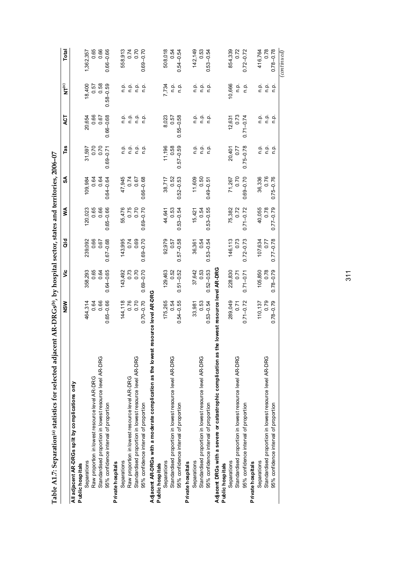| Table A1.7: Separation(*) statistics for selected adjacent AR-DRGs(*), by hospital sector, states and territories, 2006-07 |                       |               |               |               |               |               |               |                  |               |
|----------------------------------------------------------------------------------------------------------------------------|-----------------------|---------------|---------------|---------------|---------------|---------------|---------------|------------------|---------------|
|                                                                                                                            | <b>NSW</b>            | ۊ             | ਰ<br>ਹ        | ⋚             | SA            | Tas           | ă             | $\sum_{i=1}^{n}$ | Total         |
| All adjacent AR-DRGs split by complications only<br>Public hospitals                                                       |                       |               |               |               |               |               |               |                  |               |
| Separations                                                                                                                | 464,314               | 358,293       | 239,092       | 120,023       | 109,984       | 31,597        | 20,654        | 18,400           | 1,362,357     |
| Raw proportion in lowest resource level AR-DRG                                                                             | 0.64                  | 0.65          | 0.66          | 0.65          | 0.64          | 0.70          | 0.66          | 0.57             | 0.65          |
| Standardised proportion in lowest resource level AR-DRG                                                                    | 0.66                  | 0.64          | 0.67          | 0.66          | 0.64          | 0.70          | 0.67          | 0.58             | 0.66          |
| 95% confidence interval of proportion                                                                                      | $0.65 - 0.66$         | $0.64 - 0.65$ | $0.67 - 0.68$ | $0.65 - 0.66$ | $0.64 - 0.64$ | $0.69 - 0.71$ | $0.66 - 0.68$ | $0.58 - 0.59$    | $0.66 - 0.66$ |
| Private hospitals                                                                                                          |                       |               |               |               |               |               |               |                  |               |
| Separations                                                                                                                | 144,118               | 143,492       | 143,995       | 55,476        | 47,945        | ن<br>ء        |               |                  | 558,913       |
| Raw proportion in lowest resource level AR-DRG                                                                             | 0.76<br>0.70          | 0.73          | 0.74          | 0.75          | 0.74          | ρ.<br>Γ       | ن في<br>د د   | ءِ جو<br>ذ ج     | 0.74          |
| Standardised proportion in lowest resource level AR-DRG                                                                    |                       | 0.70          | 0.69          | 0.70          | 0.67          | n.p.          | n.p.          | م.<br>n          | 0.70          |
| 95% confidence interval of proportion                                                                                      | $0.70 - 0.70$         | $0.69 - 0.70$ | $0.69 - 0.70$ | $0.69 - 0.70$ | $0.66 - 0.68$ | ءِ<br>ء       | n.p.          | ءِ<br>ت          | $0.69 - 0.70$ |
| Adjacent AR-DRGs with a moderate complication as the lowest                                                                | resource level AR-DRG |               |               |               |               |               |               |                  |               |
| Public hospitals                                                                                                           |                       |               |               |               |               |               |               |                  |               |
| Separations                                                                                                                | 175,265               | 129,463       | 92,979        | 44,641        | 38,717        | 11,196        | 8,023         | 7,734            | 508,018       |
| Standardised proportion in lowest resource level AR-DRG                                                                    | 0.54                  | 0.52          | 0.57          | 0.53          | 0.52          | 0.58          | 0.57          | ن<br>غ           | 0.54          |
| 95% confidence interval of proportion                                                                                      | $0.54 - 0.55$         | $0.51 - 0.52$ | $0.57 - 0.58$ | $0.53 - 0.54$ | $0.52 - 0.53$ | $0.57 - 0.59$ | $0.55 - 0.58$ | o.<br>C          | $0.54 - 0.54$ |
| Private hospitals                                                                                                          |                       |               |               |               |               |               |               |                  |               |
| Separations                                                                                                                | 33,981                | 37,642        | 36,361        | 15,421        | 11,609        | ن<br>غ        | ن<br>ء        | ءِ<br>ت          | 142,149       |
| Standardised proportion in lowest resource level AR-DRG                                                                    | 0.53                  | 0.53          | 0.54          | 0.54          | 0.50          | ءِ<br>ت       | ف<br>ء        | ف<br>n           | 0.53          |
| 95% confidence interval of proportion                                                                                      | $0.53 - 0.54$         | $0.52 - 0.53$ | $0.53 - 0.54$ | $0.53 - 0.55$ | $0.49 - 0.5$  | ρ.<br>Γ       | n.p.          | ρ.<br>Γ          | $0.53 - 0.54$ |

| $\frac{1}{2}$                |
|------------------------------|
|                              |
|                              |
|                              |
|                              |
|                              |
|                              |
|                              |
|                              |
|                              |
|                              |
|                              |
|                              |
|                              |
|                              |
|                              |
|                              |
|                              |
|                              |
|                              |
|                              |
|                              |
|                              |
|                              |
|                              |
|                              |
|                              |
|                              |
|                              |
|                              |
|                              |
|                              |
|                              |
|                              |
|                              |
| $\mathbf{p}$ of $\mathbf{p}$ |
|                              |
|                              |
|                              |
|                              |
|                              |
| $\overline{\phantom{a}}$     |
|                              |
|                              |
|                              |
|                              |
|                              |
|                              |
|                              |
|                              |
|                              |
|                              |
|                              |
|                              |
|                              |
| ֦֘                           |
|                              |
|                              |
| ֕<br>l                       |
|                              |
| į                            |
| ١<br>l<br>j<br>l             |
| I<br>֠                       |
|                              |
| I<br>I                       |
|                              |
| i                            |
| J<br>i                       |
| í<br>ļ<br>I                  |

| I<br>י |
|--------|
|        |
|        |
|        |
|        |
|        |
|        |
| l      |
|        |
|        |
|        |
| l      |
| ì      |

| Adjacent DRGs with a severe or catastrophic complication as | the lowest resource level AR-DRG                       |                              |                              |                                 |                             |                |                                                                                     |                        |                              |
|-------------------------------------------------------------|--------------------------------------------------------|------------------------------|------------------------------|---------------------------------|-----------------------------|----------------|-------------------------------------------------------------------------------------|------------------------|------------------------------|
| Public hospitals                                            |                                                        |                              |                              |                                 |                             |                |                                                                                     |                        |                              |
| Separations                                                 |                                                        |                              |                              |                                 |                             |                |                                                                                     |                        |                              |
| Standardised proportion in lowest resource level AR-DRG     | 289,049<br>0.71<br>0.71-0.72                           | 228,830<br>0.71              | 146,113<br>0.73<br>0.72-0.73 | 75, 382<br>0.72<br>0.71-0.72    | 71,267<br>0.70              | 20,401<br>0.77 | $12,631$<br>0.73                                                                    | 10,666<br>n.p.<br>n.p. | 854,339<br>0.72              |
| 95% confidence interval of proportion                       |                                                        | $0.71 - 0.71$                |                              |                                 | $7.69 - 0.70$               | $0.75 - 0.78$  | $0.71 - 0.74$                                                                       |                        | $0.72 - 0.72$                |
| Private hospitals                                           |                                                        |                              |                              |                                 |                             |                |                                                                                     |                        |                              |
| Separations                                                 |                                                        |                              |                              |                                 |                             | ن<br>E         | م.<br>-                                                                             |                        |                              |
| Standardised proportion in lowest resource level AR-DRG     | $\begin{array}{c} 110,137 \\ 0.79 \\ 95.0 \end{array}$ | 105,850<br>87.0<br>87.0-87.0 | 82'0-22'0<br>24'0<br>FS9'20L | 40,055<br>0.70<br>87.0<br>88.04 | 36,336<br>0.76<br>0.75-0.76 | n.p.           |                                                                                     |                        | 416,764<br>0.78<br>0.78–0.78 |
| 95% confidence interval of proportion                       |                                                        |                              |                              |                                 |                             | n.p.           | $\begin{array}{ccc} \mathbf{0} & \mathbf{0} \\ \mathbf{1} & \mathbf{0} \end{array}$ |                        |                              |

*(continued)*

 $(continued)$ 

416,764<br>0.78<br>0.78-0.78

854,339<br>0.72<br>0.72-0.72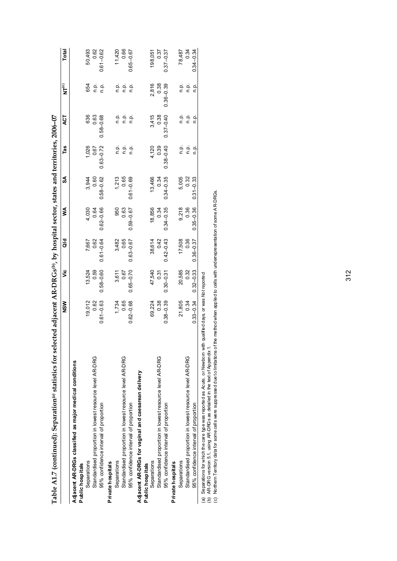| Table A1.7 (continued): Separation <sup>(a)</sup> statistics for sel                                                                                                                                                                                                                                                                                                     | lected adjacent AR-DRGs( <sup>b</sup> ), by hospital sector, states and territories, 2006–07 |               |               |               |               |               |               |               |               |
|--------------------------------------------------------------------------------------------------------------------------------------------------------------------------------------------------------------------------------------------------------------------------------------------------------------------------------------------------------------------------|----------------------------------------------------------------------------------------------|---------------|---------------|---------------|---------------|---------------|---------------|---------------|---------------|
|                                                                                                                                                                                                                                                                                                                                                                          | <b>NSW</b>                                                                                   | ۊ             | ਰ<br>ਹ        | ≸             | SA            | Tas           | 42            | $N T^{(c)}$   | Total         |
| Adjacent AR-DRGs classified as major medical conditions                                                                                                                                                                                                                                                                                                                  |                                                                                              |               |               |               |               |               |               |               |               |
| Public hospitals                                                                                                                                                                                                                                                                                                                                                         |                                                                                              |               |               |               |               |               |               |               |               |
| Separations                                                                                                                                                                                                                                                                                                                                                              | 19,012                                                                                       | 13,524        | 7,667         | 4,030         | 3,944         | 1,026         | 636           | 654           | 50,493        |
| Standardised proportion in lowest resource level AR-DRG                                                                                                                                                                                                                                                                                                                  | 0.62                                                                                         | 0.59          | 0.62          | 0.64          | 0.60          | 0.67          | 0.63          | ن<br>ء        | 0.62          |
| 95% confidence interval of proportion                                                                                                                                                                                                                                                                                                                                    | $0.61 - 0.63$                                                                                | $0.58 - 0.60$ | $0.61 - 0.64$ | $0.62 - 0.66$ | $0.58 - 0.62$ | $0.63 - 0.72$ | $0.58 - 0.68$ | ن<br>C        | $0.61 - 0.62$ |
| Private hospitals                                                                                                                                                                                                                                                                                                                                                        |                                                                                              |               |               |               |               |               |               |               |               |
| Separations                                                                                                                                                                                                                                                                                                                                                              | 1,734                                                                                        | 3,611         | 3,482         | 950           | 1,213         | ن<br>غ        | ف<br>غ        | ف<br>أ        | 11,420        |
| Standardised proportion in lowest resource level AR-DRG                                                                                                                                                                                                                                                                                                                  | 0.65                                                                                         | 0.67          | 0.65          | 0.63          | 0.65          | ف<br>ع        | n.p.          | ن<br>ء        | 0.66          |
| 95% confidence interval of proportion                                                                                                                                                                                                                                                                                                                                    | $0.62 - 0.68$                                                                                | $0.65 - 0.70$ | $0.63 - 0.67$ | $0.59 - 0.67$ | $0.61 - 0.69$ | n.p.          | ف<br>ع        | ρ.<br>Γ       | $0.65 - 0.67$ |
| Adjacent AR-DRGs for vaginal and caesarean delivery                                                                                                                                                                                                                                                                                                                      |                                                                                              |               |               |               |               |               |               |               |               |
| Public hospitals                                                                                                                                                                                                                                                                                                                                                         |                                                                                              |               |               |               |               |               |               |               |               |
| Separations                                                                                                                                                                                                                                                                                                                                                              | 69,224                                                                                       | 47,540        | 38,614        | 18,856        | 13,466        | 4,120         | 3,415         | 2,816         | 198,051       |
| Standardised proportion in lowest resource level AR-DRG                                                                                                                                                                                                                                                                                                                  | 0.38                                                                                         | 0.31          | 0.42          | 0.34          | 0.34          | 0.39          | 0.38          | 0.38          | 0.37          |
| 95% confidence interval of proportion                                                                                                                                                                                                                                                                                                                                    | $0.38 - 0.39$                                                                                | $0.30 - 0.31$ | $0.42 - 0.43$ | $0.34 - 0.35$ | $0.34 - 0.35$ | $0.38 - 0.40$ | $0.37 - 0.40$ | $0.36 - 0.39$ | $0.37 - 0.37$ |
| Private hospitals                                                                                                                                                                                                                                                                                                                                                        |                                                                                              |               |               |               |               |               |               |               |               |
| Separations                                                                                                                                                                                                                                                                                                                                                              | 21,805                                                                                       | 20,585        | 17,508        | 9,218         | 5,005         | ن<br>غ        | ن<br>غ        | ے<br>ص        | 78,487        |
| Standardised proportion in lowest resource level AR-DRG                                                                                                                                                                                                                                                                                                                  | 0.34                                                                                         | 0.32          | 0.36          | 0.36          | 0.32          | n.p.          | م.<br>n       | م.<br>P       | 0.34          |
| 95% confidence interval of proportion                                                                                                                                                                                                                                                                                                                                    | $0.33 - 0.34$                                                                                | $0.32 - 0.33$ | $0.36 - 0.37$ | $0.35 - 0.36$ | $0.31 - 0.33$ | o.<br>C       | ن<br>ح        | ن<br>ح        | $0.34 - 0.34$ |
| Northern Territory data for some cells were suppressed due to limitations of the method when applied to cells with underrepresentation of some AR-DRGs.<br>Separations for which the care type was reported as Acute, or Newborn with qualified days, or was Not reported<br>(b) AR-DRG version 5.1, using AR-DRGs as detailed in the text of Appendix 1<br>$\odot$<br>@ |                                                                                              |               |               |               |               |               |               |               |               |

312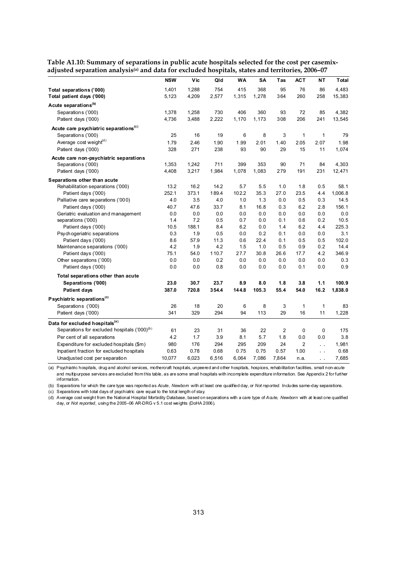|                                                          | <b>NSW</b> | Vic   | Qld   | <b>WA</b> | SA    | Tas            | <b>ACT</b>     | NΤ                   | Total   |
|----------------------------------------------------------|------------|-------|-------|-----------|-------|----------------|----------------|----------------------|---------|
| Total separations ('000)                                 | 1,401      | 1,288 | 754   | 415       | 368   | 95             | 76             | 86                   | 4,483   |
| Total patient days ('000)                                | 5,123      | 4,209 | 2,577 | 1,315     | 1,278 | 364            | 260            | 258                  | 15,383  |
| Acute separations <sup>(b)</sup>                         |            |       |       |           |       |                |                |                      |         |
| Separations ('000)                                       | 1,378      | 1,258 | 730   | 406       | 360   | 93             | 72             | 85                   | 4,382   |
| Patient days ('000)                                      | 4,736      | 3,488 | 2,222 | 1,170     | 1,173 | 308            | 206            | 241                  | 13,545  |
| Acute care psychiatric separations <sup>(c)</sup>        |            |       |       |           |       |                |                |                      |         |
| Separations ('000)                                       | 25         | 16    | 19    | 6         | 8     | 3              | 1              | 1                    | 79      |
| Average cost weight <sup>(d)</sup>                       | 1.79       | 2.46  | 1.90  | 1.99      | 2.01  | 1.40           | 2.05           | 2.07                 | 1.98    |
| Patient days ('000)                                      | 328        | 271   | 238   | 93        | 90    | 29             | 15             | 11                   | 1,074   |
| Acute care non-psychiatric separations                   |            |       |       |           |       |                |                |                      |         |
| Separations ('000)                                       | 1,353      | 1,242 | 711   | 399       | 353   | 90             | 71             | 84                   | 4,303   |
| Patient days ('000)                                      | 4,408      | 3,217 | 1,984 | 1,078     | 1,083 | 279            | 191            | 231                  | 12,471  |
| Separations other than acute                             |            |       |       |           |       |                |                |                      |         |
| Rehabilitation separations ('000)                        | 13.2       | 16.2  | 14.2  | 5.7       | 5.5   | 1.0            | 1.8            | 0.5                  | 58.1    |
| Patient days ('000)                                      | 252.1      | 373.1 | 189.4 | 102.2     | 35.3  | 27.0           | 23.5           | 4.4                  | 1,006.8 |
| Palliative care separations ('000)                       | 4.0        | 3.5   | 4.0   | 1.0       | 1.3   | 0.0            | 0.5            | 0.3                  | 14.5    |
| Patient days ('000)                                      | 40.7       | 47.6  | 33.7  | 8.1       | 16.8  | 0.3            | 6.2            | 2.8                  | 156.1   |
| Geriatric evaluation and management                      | 0.0        | 0.0   | 0.0   | 0.0       | 0.0   | 0.0            | 0.0            | 0.0                  | 0.0     |
| separations ('000)                                       | 1.4        | 7.2   | 0.5   | 0.7       | 0.0   | 0.1            | 0.6            | 0.2                  | 10.5    |
| Patient days ('000)                                      | 10.5       | 188.1 | 8.4   | 6.2       | 0.0   | 1.4            | 6.2            | 4.4                  | 225.3   |
| Psychogeriatric separations                              | 0.3        | 1.9   | 0.5   | 0.0       | 0.2   | 0.1            | 0.0            | 0.0                  | 3.1     |
| Patient days ('000)                                      | 8.6        | 57.9  | 11.3  | 0.6       | 22.4  | 0.1            | 0.5            | 0.5                  | 102.0   |
| Maintenance separations ('000)                           | 4.2        | 1.9   | 4.2   | 1.5       | 1.0   | 0.5            | 0.9            | 0.2                  | 14.4    |
| Patient days ('000)                                      | 75.1       | 54.0  | 110.7 | 27.7      | 30.8  | 26.6           | 17.7           | 4.2                  | 346.9   |
| Other separations ('000)                                 | 0.0        | 0.0   | 0.2   | 0.0       | 0.0   | 0.0            | 0.0            | 0.0                  | 0.3     |
| Patient days ('000)                                      | 0.0        | 0.0   | 0.8   | 0.0       | 0.0   | 0.0            | 0.1            | 0.0                  | 0.9     |
| Total separations other than acute                       |            |       |       |           |       |                |                |                      |         |
| Separations ('000)                                       | 23.0       | 30.7  | 23.7  | 8.9       | 8.0   | 1.8            | 3.8            | 1.1                  | 100.9   |
| <b>Patient days</b>                                      | 387.0      | 720.8 | 354.4 | 144.8     | 105.3 | 55.4           | 54.0           | 16.2                 | 1,838.0 |
| Psychiatric separations <sup>(c)</sup>                   |            |       |       |           |       |                |                |                      |         |
| Separations ('000)                                       | 26         | 18    | 20    | 6         | 8     | 3              | $\mathbf{1}$   | 1                    | 83      |
| Patient days ('000)                                      | 341        | 329   | 294   | 94        | 113   | 29             | 16             | 11                   | 1,228   |
| Data for excluded hospitals <sup>(a)</sup>               |            |       |       |           |       |                |                |                      |         |
| Separations for excluded hospitals ('000) <sup>(b)</sup> | 61         | 23    | 31    | 36        | 22    | $\overline{2}$ | 0              | $\mathbf 0$          | 175     |
| Per cent of all separations                              | 4.2        | 1.7   | 3.9   | 8.1       | 5.7   | 1.8            | 0.0            | 0.0                  | 3.8     |
| Expenditure for excluded hospitals (\$m)                 | 980        | 176   | 294   | 295       | 209   | 24             | $\overline{2}$ | $\ddotsc$            | 1,981   |
| Inpatient fraction for excluded hospitals                | 0.63       | 0.78  | 0.68  | 0.75      | 0.75  | 0.57           | 1.00           | $\ddot{\phantom{0}}$ | 0.68    |
| Unadjusted cost per separation                           | 10,077     | 6,023 | 6,516 | 6,064     | 7,086 | 7,864          | n.a.           |                      | 7,685   |
|                                                          |            |       |       |           |       |                |                | г.                   |         |

**Table A1.10: Summary of separations in public acute hospitals selected for the cost per casemix**adjusted separation analysis<sup>(a)</sup> and data for excluded hospitals, states and territories, 2006-07

(a) Psychiatric hospitals, drug and alcohol services, mothercraft hospitals, unpeered and other hospitals, hospices, rehabilitation facilities, small non-acute and multipurpose services are excluded from this table, as are some small hospitals with incomplete expenditure information. See Appendix 2 for further information.

(b) Separations for which the care type was reported as *Acute, Newborn* with at least one qualified day, or *Not reported.* Includes same-day separations.

(c) Separations with total days of psychiatric care equal to the total length of stay.

(d) Average cost weight from the National Hospital Morbidity Database, based on separations with a care type of *Acute, Newborn* with at least one qualified day, or *Not reported,* using the 2005–06 AR-DRG v 5.1 cost weights (DoHA 2006).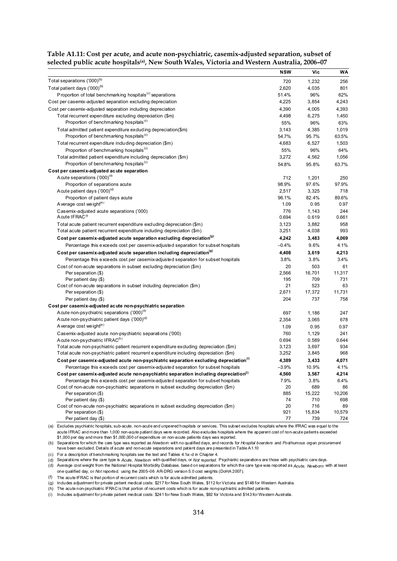|                                                                                                  | <b>NSW</b>  | Vic           | WA           |
|--------------------------------------------------------------------------------------------------|-------------|---------------|--------------|
| Total separations ('000) <sup>(b)</sup>                                                          | 720         | 1,232         | 256          |
| Total patient days ('000) <sup>(b)</sup>                                                         | 2,620       | 4,035         | 801          |
| Proportion of total benchmarking hospitals <sup>(c)</sup> separations                            | 51.4%       | 96%           | 62%          |
| Cost per casemix-adjusted separation excluding depreciation                                      | 4,225       | 3,854         | 4,243        |
| Cost per casemix-adjusted separation including depreciation                                      | 4,390       | 4,005         | 4,393        |
| Total recurrent expenditure excluding depreciation (\$m)                                         | 4,498       | 6,275         | 1,450        |
| Proportion of benchmarking hospitals <sup>(c)</sup>                                              | 55%         | 96%           | 63%          |
| Total admitted patient expenditure excluding depreciation(\$m)                                   | 3,143       | 4,385         | 1,019        |
| Proportion of benchmarking hospitals <sup>(c)</sup>                                              | 54.7%       | 95.7%         | 63.5%        |
| Total recurrent expenditure including depreciation (\$m)                                         | 4,683       | 6,527         | 1,503        |
| Proportion of benchmarking hospitals <sup>(c)</sup>                                              | 55%         | 96%           | 64%          |
| Total admitted patient expenditure including depreciation (\$m)                                  | 3,272       | 4,562         | 1,056        |
| Proportion of benchmarking hospitals <sup>(c)</sup>                                              | 54.8%       | 95.8%         | 63.7%        |
| Cost per casemix-adjusted acute separation                                                       |             |               |              |
| A cute separations ('000) <sup>(a)</sup>                                                         | 712         | 1,201         | 250          |
| Proportion of separations acute                                                                  | 98.9%       | 97.6%         | 97.9%        |
| Acute patient days ('000) <sup>(d)</sup>                                                         | 2,517       | 3,325         | 718          |
| Proportion of patient days acute                                                                 | 96.1%       | 82.4%         | 89.6%        |
| Average cost weight <sup>(e)</sup>                                                               | 1.09        | 0.95          | 0.97         |
| Casemix-adjusted acute separations ('000)                                                        | 776         | 1,143         | 244          |
| Acute IFRAC <sup>(f)</sup>                                                                       | 0.694       | 0.619         | 0.661        |
| Total acute patient recurrent expenditure excluding depreciation (\$m)                           | 3,123       | 3,882         | 958          |
| Total acute patient recurrent expenditure including depreciation (\$m)                           | 3,251       | 4,038         | 993          |
| Cost per casemix-adjusted acute separation excluding depreciation <sup>(9)</sup>                 | 4,242       | 3,483         | 4,069        |
| Percentage this exceeds cost per casemix-adjusted separation for subset hospitals                | $-0.4\%$    | 9.6%          | 4.1%         |
| Cost per casemix-adjusted acute separation including depreciation <sup>(9)</sup>                 | 4,408       | 3.619         | 4.213        |
| Percentage this exceeds cost per casemix-adjusted separation for subset hospitals                | 3.8%        | 3.8%          | 3.4%         |
|                                                                                                  |             |               |              |
| Cost of non-acute separations in subset excluding depreciation (\$m)                             | 20<br>2,566 | 503<br>16,701 | 61<br>11,317 |
| Per separation (\$)<br>Per patient day (\$)                                                      | 195         | 709           | 731          |
| Cost of non-acute separations in subset including depreciation (\$m)                             | 21          | 523           | 63           |
| Per separation (\$)                                                                              | 2,671       | 17,372        | 11,731       |
| Per patient day (\$)                                                                             | 204         | 737           | 758          |
| Cost per casemix-adjusted acute non-psychiatric separation                                       |             |               |              |
| A cute non-psychiatric separations ('000) <sup>(a)</sup>                                         | 697         | 1,186         | 247          |
| A cute non-psychiatric patient days ('000)(d)                                                    | 2,354       | 3,065         | 678          |
| A verage cost we ight <sup>(e)</sup>                                                             | 1.09        | 0.95          | 0.97         |
| Casemix-adjusted acute non-psychiatric separations ('000)                                        | 760         | 1,129         | 241          |
| A cute non-psychiatric IFRAC <sup>(h)</sup>                                                      | 0.694       | 0.589         | 0.644        |
| Total acute non-psychiatric patient recurrent expenditure excluding depreciation (\$m)           | 3,123       | 3,697         | 934          |
| Total acute non-psychiatric patient recurrent expenditure including depreciation (\$m)           | 3,252       | 3,845         | 968          |
| Cost per casemix-adjusted acute non-psychiatric separation excluding depreciation <sup>(i)</sup> | 4,389       | 3,433         | 4,071        |
| Percentage this exceeds cost per casemix-adjusted separation for subset hospitals                | $-3.9%$     | 10.9%         | 4.1%         |
| Cost per casemix-adjusted acute non-psychiatric separation including depreciation <sup>(i)</sup> | 4,560       | 3,567         | 4,214        |
| Percentage this exceeds cost per casemix-adjusted separation for subset hospitals                | 7.9%        | 3.8%          | 6.4%         |
| Cost of non-acute non-psychiatric separations in subset excluding depreciation (\$m)             | 20          | 689           | 86           |
| Per separation (\$)                                                                              | 885         | 15,222        | 10,206       |
| Per patient day (\$)                                                                             | 74          | 710           | 698          |
| Cost of non-acute non-psychiatric separations in subset excluding depreciation (\$m)             | 20          | 716           | 89           |
| Per separation (\$)                                                                              | 921         | 15,834        | 10,579       |
| Per patient day (\$)                                                                             | 77          | 739           | 724          |

**Table A1.11: Cost per acute, and acute non-psychiatric, casemix-adjusted separation, subset of selected public acute hospitals(a), New South Wales, Victoria and Western Australia, 2006–07** 

(a) Excludes psychiatric hospitals, sub-acute, non-acute and unpeered hospitals or services. This subset excludes hospitals where the IFRAC was equal to the acute IFRAC and more than 1,000 non-acute patient days were recorded. Also excludes hospitals where the apparent cost of non-acute patients exceeded \$1,000 per day and more than \$1,000,000 of expenditure on non-acute patients days was reported.

(b) Separations for which the care type was reported as *Newborn* with no qualified days, and records for *Hospital boarders* and *Posthumous organ procurement*  have been excluded. Details of acute and non-acute separations and patient days are presented in Table A1.10

(c) For a description of benchmarking hospitals see the text and Tables 4.1a–d in Chapter 4.

(d) Separations where the care type is *Acute, Newborn* with qualified days, or *Not reported.* Psychiatric separations are those with psychiatric care days.

(d) Average cost weight from the National Hospital Morbidity Database, based on separations for which the care type was reported as *Acute, Newborn* with at least one qualified day, or *Not reported,* using the 2005–06 AR-DRG version 5.0 cost weights (DoHA 2007).

(f) The acute IFRAC is that portion of recurrent costs which is for acute admitted patients.

(g) Includes adjustment for private patient medical costs: \$217 for New South Wales, \$112 for Victoria and \$148 for Western Australia.

(h) The acute non-psychiatric IFRAC is that portion of recurrent costs which is for acute non-psychiatric admitted patients.

(i) Includes adjustment for private patient medical costs: \$241 for New South Wales, \$92 for Victoria and \$143 for Western Australia.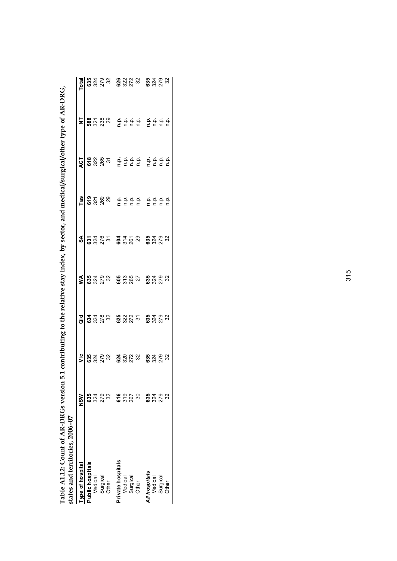| states and territories, 2006-07 |                      |                      |                            |                                |                                    |                                                                                                                                                           |                                                                                                                                             |       |                                  |
|---------------------------------|----------------------|----------------------|----------------------------|--------------------------------|------------------------------------|-----------------------------------------------------------------------------------------------------------------------------------------------------------|---------------------------------------------------------------------------------------------------------------------------------------------|-------|----------------------------------|
| we of hospital                  | NSM                  | ۊ                    | ਰ<br>ਹ                     | ⋚                              | వ్                                 | Tas                                                                                                                                                       | ACT                                                                                                                                         | ⋚     | Total                            |
| Public hospitals                |                      |                      |                            |                                |                                    |                                                                                                                                                           |                                                                                                                                             |       |                                  |
| Medical                         |                      |                      |                            |                                |                                    |                                                                                                                                                           |                                                                                                                                             |       |                                  |
|                                 | <b>8</b> 328<br>8328 | <b>8328</b><br>8328  | <b>3328</b><br>8328        |                                |                                    |                                                                                                                                                           |                                                                                                                                             | 82788 | <b>8328</b><br>8328              |
| Surgical<br>Other               |                      |                      |                            |                                |                                    |                                                                                                                                                           |                                                                                                                                             |       |                                  |
| Private hospitals               |                      |                      | <b>8225</b><br>8225<br>825 | <b>3323 52627</b><br>2022 2022 | <b>ទ្</b> ង្គីង <b>ខ្ញុ</b> ំងឺនួន | $\frac{5}{6}$ $\frac{2}{3}$ $\frac{2}{3}$ $\frac{8}{3}$ $\frac{8}{3}$ $\frac{6}{1}$ $\frac{6}{1}$ $\frac{1}{2}$ $\frac{6}{1}$ $\frac{1}{6}$ $\frac{1}{1}$ | $\frac{8}{6}$ $\frac{8}{3}$ $\frac{8}{6}$ $\frac{5}{6}$ $\frac{6}{6}$ $\frac{6}{6}$ $\frac{6}{6}$ $\frac{6}{6}$ $\frac{6}{6}$ $\frac{6}{6}$ |       |                                  |
| Medical                         | <b>9</b><br>95<br>95 |                      |                            |                                |                                    |                                                                                                                                                           |                                                                                                                                             |       |                                  |
| Surgical<br>Other               |                      | <b>23223</b><br>2323 |                            |                                |                                    |                                                                                                                                                           |                                                                                                                                             |       | 8323                             |
|                                 | న్                   |                      |                            |                                |                                    |                                                                                                                                                           |                                                                                                                                             |       |                                  |
| All hospitals                   |                      |                      | <b>8222</b><br>8222        | <b>8222</b><br>8222            |                                    |                                                                                                                                                           |                                                                                                                                             |       |                                  |
| Medical                         | <b>8248</b><br>8248  | <b>82223</b><br>8223 |                            |                                | <b>3323</b><br>8323                | $\frac{1}{5}$ $\frac{1}{5}$ $\frac{1}{5}$ $\frac{1}{5}$ $\frac{1}{5}$ $\frac{1}{5}$                                                                       | $\frac{1}{5}$ $\frac{1}{5}$ $\frac{1}{5}$ $\frac{1}{5}$ $\frac{1}{5}$ $\frac{1}{5}$                                                         |       | <b>ន្ល</b> ី ដូន<br><b>ន</b> ្លង |
| Surgical                        |                      |                      |                            |                                |                                    |                                                                                                                                                           |                                                                                                                                             |       |                                  |
| Other                           |                      |                      |                            |                                |                                    |                                                                                                                                                           |                                                                                                                                             |       |                                  |
|                                 |                      |                      |                            |                                |                                    |                                                                                                                                                           |                                                                                                                                             |       |                                  |

Table A1.12: Count of AR-DRGs version 5.1 contributing to the relative stay index, by sector, and medical/surgical/other type of AR-DRG,<br>states and territories, 2006–07 **Table A1.12: Count of AR-DRGs version 5.1 contributing to the relative stay index, by sector, and medical/surgical/other type of AR-DRG,**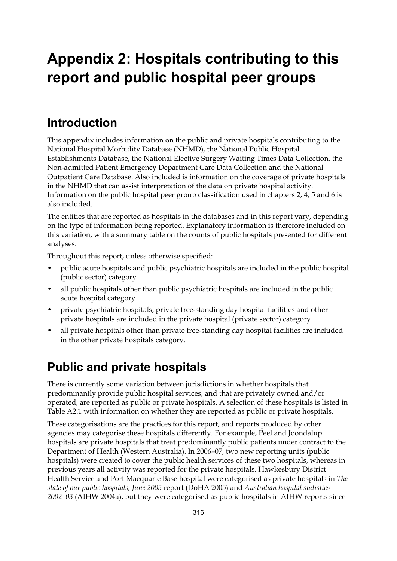# **Appendix 2: Hospitals contributing to this report and public hospital peer groups**

### **Introduction**

This appendix includes information on the public and private hospitals contributing to the National Hospital Morbidity Database (NHMD), the National Public Hospital Establishments Database, the National Elective Surgery Waiting Times Data Collection, the Non-admitted Patient Emergency Department Care Data Collection and the National Outpatient Care Database. Also included is information on the coverage of private hospitals in the NHMD that can assist interpretation of the data on private hospital activity. Information on the public hospital peer group classification used in chapters 2, 4, 5 and 6 is also included.

The entities that are reported as hospitals in the databases and in this report vary, depending on the type of information being reported. Explanatory information is therefore included on this variation, with a summary table on the counts of public hospitals presented for different analyses.

Throughout this report, unless otherwise specified:

- public acute hospitals and public psychiatric hospitals are included in the public hospital (public sector) category
- all public hospitals other than public psychiatric hospitals are included in the public acute hospital category
- private psychiatric hospitals, private free-standing day hospital facilities and other private hospitals are included in the private hospital (private sector) category
- all private hospitals other than private free-standing day hospital facilities are included in the other private hospitals category.

### **Public and private hospitals**

There is currently some variation between jurisdictions in whether hospitals that predominantly provide public hospital services, and that are privately owned and/or operated, are reported as public or private hospitals. A selection of these hospitals is listed in Table A2.1 with information on whether they are reported as public or private hospitals.

These categorisations are the practices for this report, and reports produced by other agencies may categorise these hospitals differently. For example, Peel and Joondalup hospitals are private hospitals that treat predominantly public patients under contract to the Department of Health (Western Australia). In 2006–07, two new reporting units (public hospitals) were created to cover the public health services of these two hospitals, whereas in previous years all activity was reported for the private hospitals. Hawkesbury District Health Service and Port Macquarie Base hospital were categorised as private hospitals in *The state of our public hospitals, June 2005* report (DoHA 2005) and *Australian hospital statistics 2002–03* (AIHW 2004a), but they were categorised as public hospitals in AIHW reports since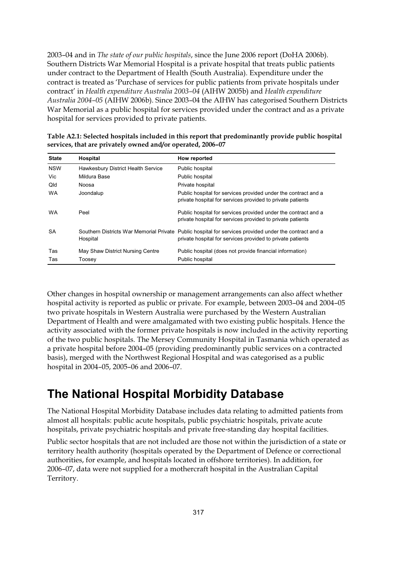2003–04 and in *The state of our public hospitals*, since the June 2006 report (DoHA 2006b). Southern Districts War Memorial Hospital is a private hospital that treats public patients under contract to the Department of Health (South Australia). Expenditure under the contract is treated as 'Purchase of services for public patients from private hospitals under contract' in *Health expenditure Australia 2003–04* (AIHW 2005b) and *Health expenditure Australia 2004–05* (AIHW 2006b). Since 2003–04 the AIHW has categorised Southern Districts War Memorial as a public hospital for services provided under the contract and as a private hospital for services provided to private patients.

| Atata | Hosnital | How reported                                                                                      |
|-------|----------|---------------------------------------------------------------------------------------------------|
|       |          | services, that are privately owned and/or operated, 2006-07                                       |
|       |          | Table A2.1: Selected hospitals included in this report that predominantly provide public hospital |

| <b>State</b> | Hospital                           | How reported                                                                                                                                                         |
|--------------|------------------------------------|----------------------------------------------------------------------------------------------------------------------------------------------------------------------|
| <b>NSW</b>   | Hawkesbury District Health Service | Public hospital                                                                                                                                                      |
| Vic          | Mildura Base                       | Public hospital                                                                                                                                                      |
| Qld          | Noosa                              | Private hospital                                                                                                                                                     |
| <b>WA</b>    | Joondalup                          | Public hospital for services provided under the contract and a<br>private hospital for services provided to private patients                                         |
| <b>WA</b>    | Peel                               | Public hospital for services provided under the contract and a<br>private hospital for services provided to private patients                                         |
| <b>SA</b>    | Hospital                           | Southern Districts War Memorial Private Public hospital for services provided under the contract and a<br>private hospital for services provided to private patients |
| Tas          | May Shaw District Nursing Centre   | Public hospital (does not provide financial information)                                                                                                             |
| Tas          | Toosey                             | Public hospital                                                                                                                                                      |

Other changes in hospital ownership or management arrangements can also affect whether hospital activity is reported as public or private. For example, between 2003–04 and 2004–05 two private hospitals in Western Australia were purchased by the Western Australian Department of Health and were amalgamated with two existing public hospitals. Hence the activity associated with the former private hospitals is now included in the activity reporting of the two public hospitals. The Mersey Community Hospital in Tasmania which operated as a private hospital before 2004–05 (providing predominantly public services on a contracted basis), merged with the Northwest Regional Hospital and was categorised as a public hospital in 2004–05, 2005–06 and 2006–07.

## **The National Hospital Morbidity Database**

The National Hospital Morbidity Database includes data relating to admitted patients from almost all hospitals: public acute hospitals, public psychiatric hospitals, private acute hospitals, private psychiatric hospitals and private free-standing day hospital facilities.

Public sector hospitals that are not included are those not within the jurisdiction of a state or territory health authority (hospitals operated by the Department of Defence or correctional authorities, for example, and hospitals located in offshore territories). In addition, for 2006–07, data were not supplied for a mothercraft hospital in the Australian Capital Territory.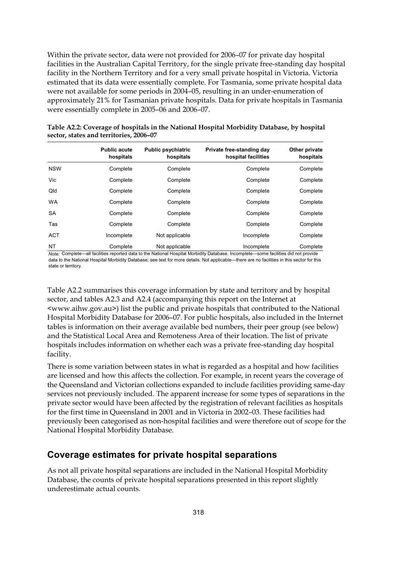Within the private sector, data were not provided for 2006–07 for private day hospital facilities in the Australian Capital Territory, for the single private free-standing day hospital facility in the Northern Territory and for a very small private hospital in Victoria. Victoria estimated that its data were essentially complete. For Tasmania, some private hospital data were not available for some periods in 2004–05, resulting in an under-enumeration of approximately 21% for Tasmanian private hospitals. Data for private hospitals in Tasmania were essentially complete in 2005–06 and 2006–07.

|            | <b>Public acute</b><br>hospitals | <b>Public psychiatric</b><br>hospitals | Private free-standing day<br>hospital facilities | Other private<br>hospitals |
|------------|----------------------------------|----------------------------------------|--------------------------------------------------|----------------------------|
| <b>NSW</b> | Complete                         | Complete                               | Complete                                         | Complete                   |
| Vic        | Complete                         | Complete                               | Complete                                         | Complete                   |
| Qld        | Complete                         | Complete                               | Complete                                         | Complete                   |
| <b>WA</b>  | Complete                         | Complete                               | Complete                                         | Complete                   |
| <b>SA</b>  | Complete                         | Complete                               | Complete                                         | Complete                   |
| Tas        | Complete                         | Complete                               | Complete                                         | Complete                   |
| <b>ACT</b> | Incomplete                       | Not applicable                         | Incomplete                                       | Complete                   |
| NT         | Complete                         | Not applicable                         | Incomplete                                       | Complete                   |

**Table A2.2: Coverage of hospitals in the National Hospital Morbidity Database, by hospital sector, states and territories, 2006–07** 

*Note:* Complete—all facilities reported data to the National Hospital Morbidity Database. Incomplete—some facilities did not provide data to the National Hospital Morbidity Database; see text for more details. Not applicable—there are no facilities in this sector for this state or territory.

Table A2.2 summarises this coverage information by state and territory and by hospital sector, and tables A2.3 and A2.4 (accompanying this report on the Internet at <www.aihw.gov.au>) list the public and private hospitals that contributed to the National Hospital Morbidity Database for 2006–07. For public hospitals, also included in the Internet tables is information on their average available bed numbers, their peer group (see below) and the Statistical Local Area and Remoteness Area of their location. The list of private hospitals includes information on whether each was a private free-standing day hospital facility.

There is some variation between states in what is regarded as a hospital and how facilities are licensed and how this affects the collection. For example, in recent years the coverage of the Queensland and Victorian collections expanded to include facilities providing same-day services not previously included. The apparent increase for some types of separations in the private sector would have been affected by the registration of relevant facilities as hospitals for the first time in Queensland in 2001 and in Victoria in 2002–03. These facilities had previously been categorised as non-hospital facilities and were therefore out of scope for the National Hospital Morbidity Database.

#### **Coverage estimates for private hospital separations**

As not all private hospital separations are included in the National Hospital Morbidity Database, the counts of private hospital separations presented in this report slightly underestimate actual counts.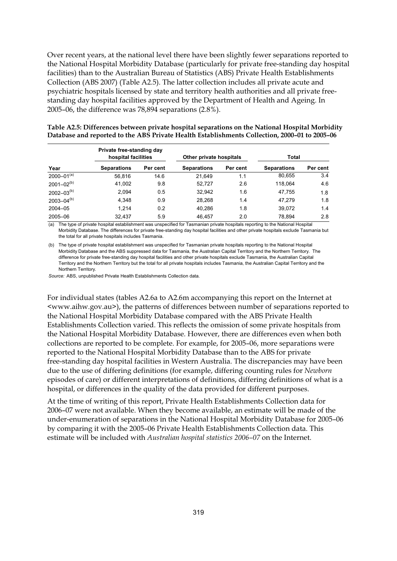Over recent years, at the national level there have been slightly fewer separations reported to the National Hospital Morbidity Database (particularly for private free-standing day hospital facilities) than to the Australian Bureau of Statistics (ABS) Private Health Establishments Collection (ABS 2007) (Table A2.5). The latter collection includes all private acute and psychiatric hospitals licensed by state and territory health authorities and all private freestanding day hospital facilities approved by the Department of Health and Ageing. In 2005–06, the difference was 78,894 separations (2.8%).

| Year              | Private free-standing day<br>hospital facilities |          | Other private hospitals |          | Total              |          |
|-------------------|--------------------------------------------------|----------|-------------------------|----------|--------------------|----------|
|                   | <b>Separations</b>                               | Per cent | <b>Separations</b>      | Per cent | <b>Separations</b> | Per cent |
| $2000 - 01^{(a)}$ | 56.816                                           | 14.6     | 21.649                  | 1.1      | 80,655             | 3.4      |
| $2001 - 02^{(b)}$ | 41,002                                           | 9.8      | 52,727                  | 2.6      | 118.064            | 4.6      |
| $2002 - 03^{(b)}$ | 2,094                                            | 0.5      | 32,942                  | 1.6      | 47.755             | 1.8      |
| $2003 - 04^{(b)}$ | 4,348                                            | 0.9      | 28,268                  | 1.4      | 47.279             | 1.8      |
| $2004 - 05$       | 1.214                                            | 0.2      | 40.286                  | 1.8      | 39.072             | 1.4      |
| 2005-06           | 32.437                                           | 5.9      | 46.457                  | 2.0      | 78.894             | 2.8      |

| Table A2.5: Differences between private hospital separations on the National Hospital Morbidity |
|-------------------------------------------------------------------------------------------------|
| Database and reported to the ABS Private Health Establishments Collection, 2000–01 to 2005–06   |

(a) The type of private hospital establishment was unspecified for Tasmanian private hospitals reporting to the National Hospital Morbidity Database. The differences for private free-standing day hospital facilities and other private hospitals exclude Tasmania but the total for all private hospitals includes Tasmania.

(b) The type of private hospital establishment was unspecified for Tasmanian private hospitals reporting to the National Hospital Morbidity Database and the ABS suppressed data for Tasmania, the Australian Capital Territory and the Northern Territory. The difference for private free-standing day hospital facilities and other private hospitals exclude Tasmania, the Australian Capital Territory and the Northern Territory but the total for all private hospitals includes Tasmania, the Australian Capital Territory and the Northern Territory.

*Source:* ABS, unpublished Private Health Establishments Collection data.

For individual states (tables A2.6a to A2.6m accompanying this report on the Internet at <www.aihw.gov.au>), the patterns of differences between number of separations reported to the National Hospital Morbidity Database compared with the ABS Private Health Establishments Collection varied. This reflects the omission of some private hospitals from the National Hospital Morbidity Database. However, there are differences even when both collections are reported to be complete. For example, for 2005–06, more separations were reported to the National Hospital Morbidity Database than to the ABS for private free-standing day hospital facilities in Western Australia. The discrepancies may have been due to the use of differing definitions (for example, differing counting rules for *Newborn* episodes of care) or different interpretations of definitions, differing definitions of what is a hospital, or differences in the quality of the data provided for different purposes.

At the time of writing of this report, Private Health Establishments Collection data for 2006–07 were not available. When they become available, an estimate will be made of the under-enumeration of separations in the National Hospital Morbidity Database for 2005–06 by comparing it with the 2005–06 Private Health Establishments Collection data. This estimate will be included with *Australian hospital statistics 2006–07* on the Internet.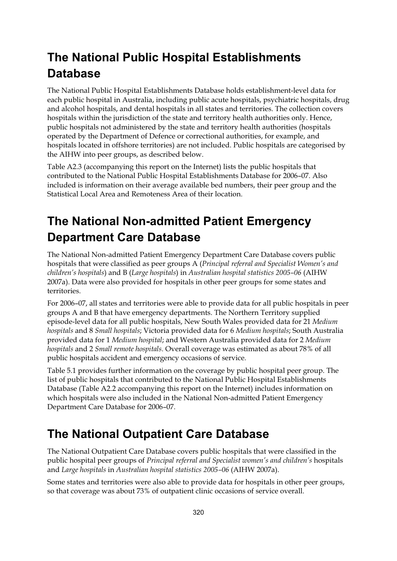## **The National Public Hospital Establishments Database**

The National Public Hospital Establishments Database holds establishment-level data for each public hospital in Australia, including public acute hospitals, psychiatric hospitals, drug and alcohol hospitals, and dental hospitals in all states and territories. The collection covers hospitals within the jurisdiction of the state and territory health authorities only. Hence, public hospitals not administered by the state and territory health authorities (hospitals operated by the Department of Defence or correctional authorities, for example, and hospitals located in offshore territories) are not included. Public hospitals are categorised by the AIHW into peer groups, as described below.

Table A2.3 (accompanying this report on the Internet) lists the public hospitals that contributed to the National Public Hospital Establishments Database for 2006–07. Also included is information on their average available bed numbers, their peer group and the Statistical Local Area and Remoteness Area of their location.

## **The National Non-admitted Patient Emergency Department Care Database**

The National Non-admitted Patient Emergency Department Care Database covers public hospitals that were classified as peer groups A (*Principal referral and Specialist Women's and children's hospitals*) and B (*Large hospitals*) in *Australian hospital statistics 2005–06* (AIHW 2007a). Data were also provided for hospitals in other peer groups for some states and territories.

For 2006–07, all states and territories were able to provide data for all public hospitals in peer groups A and B that have emergency departments. The Northern Territory supplied episode-level data for all public hospitals, New South Wales provided data for 21 *Medium hospitals* and 8 *Small hospitals*; Victoria provided data for 6 *Medium hospitals*; South Australia provided data for 1 *Medium hospital*; and Western Australia provided data for 2 *Medium hospitals* and 2 *Small remote hospitals*. Overall coverage was estimated as about 78% of all public hospitals accident and emergency occasions of service.

Table 5.1 provides further information on the coverage by public hospital peer group. The list of public hospitals that contributed to the National Public Hospital Establishments Database (Table A2.2 accompanying this report on the Internet) includes information on which hospitals were also included in the National Non-admitted Patient Emergency Department Care Database for 2006–07.

## **The National Outpatient Care Database**

The National Outpatient Care Database covers public hospitals that were classified in the public hospital peer groups of *Principal referral and Specialist women's and children's* hospitals and *Large hospitals* in *Australian hospital statistics 2005–06* (AIHW 2007a).

Some states and territories were also able to provide data for hospitals in other peer groups, so that coverage was about 73% of outpatient clinic occasions of service overall.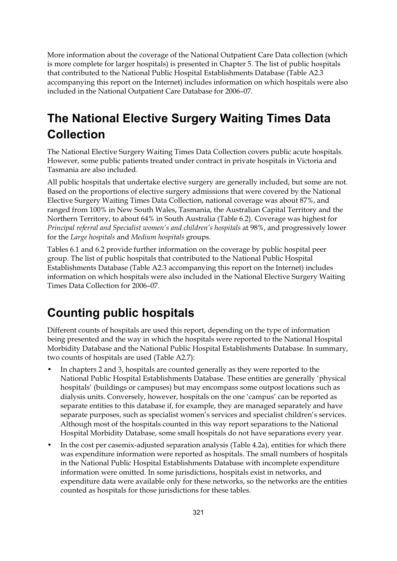More information about the coverage of the National Outpatient Care Data collection (which is more complete for larger hospitals) is presented in Chapter 5. The list of public hospitals that contributed to the National Public Hospital Establishments Database (Table A2.3 accompanying this report on the Internet) includes information on which hospitals were also included in the National Outpatient Care Database for 2006–07.

## **The National Elective Surgery Waiting Times Data Collection**

The National Elective Surgery Waiting Times Data Collection covers public acute hospitals. However, some public patients treated under contract in private hospitals in Victoria and Tasmania are also included.

All public hospitals that undertake elective surgery are generally included, but some are not. Based on the proportions of elective surgery admissions that were covered by the National Elective Surgery Waiting Times Data Collection, national coverage was about 87%, and ranged from 100% in New South Wales, Tasmania, the Australian Capital Territory and the Northern Territory, to about 64% in South Australia (Table 6.2). Coverage was highest for *Principal referral and Specialist women's and children's hospitals* at 98%, and progressively lower for the *Large hospitals* and *Medium hospitals* groups.

Tables 6.1 and 6.2 provide further information on the coverage by public hospital peer group. The list of public hospitals that contributed to the National Public Hospital Establishments Database (Table A2.3 accompanying this report on the Internet) includes information on which hospitals were also included in the National Elective Surgery Waiting Times Data Collection for 2006–07.

## **Counting public hospitals**

Different counts of hospitals are used this report, depending on the type of information being presented and the way in which the hospitals were reported to the National Hospital Morbidity Database and the National Public Hospital Establishments Database. In summary, two counts of hospitals are used (Table A2.7):

- In chapters 2 and 3, hospitals are counted generally as they were reported to the National Public Hospital Establishments Database. These entities are generally 'physical hospitals' (buildings or campuses) but may encompass some outpost locations such as dialysis units. Conversely, however, hospitals on the one 'campus' can be reported as separate entities to this database if, for example, they are managed separately and have separate purposes, such as specialist women's services and specialist children's services. Although most of the hospitals counted in this way report separations to the National Hospital Morbidity Database, some small hospitals do not have separations every year.
- In the cost per casemix-adjusted separation analysis (Table 4.2a), entities for which there was expenditure information were reported as hospitals. The small numbers of hospitals in the National Public Hospital Establishments Database with incomplete expenditure information were omitted. In some jurisdictions, hospitals exist in networks, and expenditure data were available only for these networks, so the networks are the entities counted as hospitals for those jurisdictions for these tables.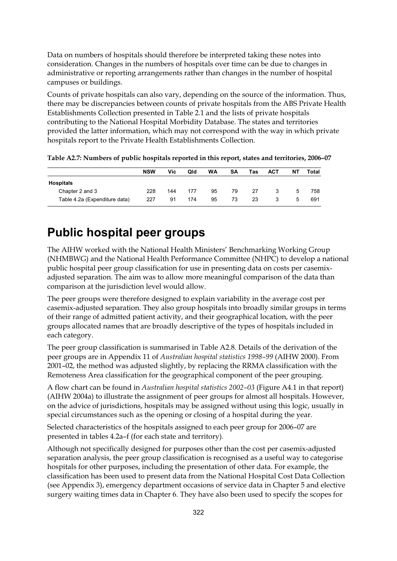Data on numbers of hospitals should therefore be interpreted taking these notes into consideration. Changes in the numbers of hospitals over time can be due to changes in administrative or reporting arrangements rather than changes in the number of hospital campuses or buildings.

Counts of private hospitals can also vary, depending on the source of the information. Thus, there may be discrepancies between counts of private hospitals from the ABS Private Health Establishments Collection presented in Table 2.1 and the lists of private hospitals contributing to the National Hospital Morbidity Database. The states and territories provided the latter information, which may not correspond with the way in which private hospitals report to the Private Health Establishments Collection.

|                               | <b>NSW</b> | Vic | Qld | <b>WA</b> | SΑ | Tas | <b>ACT</b> | NΤ | Total |
|-------------------------------|------------|-----|-----|-----------|----|-----|------------|----|-------|
| <b>Hospitals</b>              |            |     |     |           |    |     |            |    |       |
| Chapter 2 and 3               | 228        | 144 | 177 | 95        | 79 | 27  | 3          | 5  | 758   |
| Table 4.2a (Expenditure data) | 227        | 91  | 174 | 95        | 73 | 23  |            | 5  | 691   |

**Table A2.7: Numbers of public hospitals reported in this report, states and territories, 2006–07** 

### **Public hospital peer groups**

The AIHW worked with the National Health Ministers' Benchmarking Working Group (NHMBWG) and the National Health Performance Committee (NHPC) to develop a national public hospital peer group classification for use in presenting data on costs per casemixadjusted separation. The aim was to allow more meaningful comparison of the data than comparison at the jurisdiction level would allow.

The peer groups were therefore designed to explain variability in the average cost per casemix-adjusted separation. They also group hospitals into broadly similar groups in terms of their range of admitted patient activity, and their geographical location, with the peer groups allocated names that are broadly descriptive of the types of hospitals included in each category.

The peer group classification is summarised in Table A2.8. Details of the derivation of the peer groups are in Appendix 11 of *Australian hospital statistics 1998–99* (AIHW 2000). From 2001–02, the method was adjusted slightly, by replacing the RRMA classification with the Remoteness Area classification for the geographical component of the peer grouping.

A flow chart can be found in *Australian hospital statistics 2002–03* (Figure A4.1 in that report) (AIHW 2004a) to illustrate the assignment of peer groups for almost all hospitals. However, on the advice of jurisdictions, hospitals may be assigned without using this logic, usually in special circumstances such as the opening or closing of a hospital during the year.

Selected characteristics of the hospitals assigned to each peer group for 2006–07 are presented in tables 4.2a–f (for each state and territory).

Although not specifically designed for purposes other than the cost per casemix-adjusted separation analysis, the peer group classification is recognised as a useful way to categorise hospitals for other purposes, including the presentation of other data. For example, the classification has been used to present data from the National Hospital Cost Data Collection (see Appendix 3), emergency department occasions of service data in Chapter 5 and elective surgery waiting times data in Chapter 6. They have also been used to specify the scopes for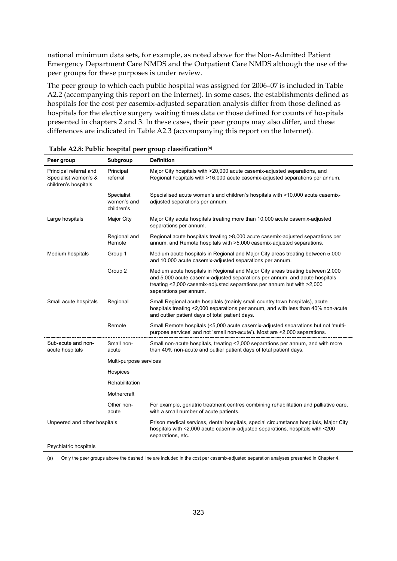national minimum data sets, for example, as noted above for the Non-Admitted Patient Emergency Department Care NMDS and the Outpatient Care NMDS although the use of the peer groups for these purposes is under review.

The peer group to which each public hospital was assigned for 2006–07 is included in Table A2.2 (accompanying this report on the Internet). In some cases, the establishments defined as hospitals for the cost per casemix-adjusted separation analysis differ from those defined as hospitals for the elective surgery waiting times data or those defined for counts of hospitals presented in chapters 2 and 3. In these cases, their peer groups may also differ, and these differences are indicated in Table A2.3 (accompanying this report on the Internet).

| Peer group                                                             | Subgroup                                | <b>Definition</b>                                                                                                                                                                                                                                                 |  |
|------------------------------------------------------------------------|-----------------------------------------|-------------------------------------------------------------------------------------------------------------------------------------------------------------------------------------------------------------------------------------------------------------------|--|
| Principal referral and<br>Specialist women's &<br>children's hospitals | Principal<br>referral                   | Major City hospitals with >20,000 acute casemix-adjusted separations, and<br>Regional hospitals with >16,000 acute casemix-adjusted separations per annum.                                                                                                        |  |
|                                                                        | Specialist<br>women's and<br>children's | Specialised acute women's and children's hospitals with >10,000 acute casemix-<br>adjusted separations per annum.                                                                                                                                                 |  |
| Large hospitals                                                        | Major City                              | Major City acute hospitals treating more than 10,000 acute casemix-adjusted<br>separations per annum.                                                                                                                                                             |  |
|                                                                        | Regional and<br>Remote                  | Regional acute hospitals treating >8,000 acute casemix-adjusted separations per<br>annum, and Remote hospitals with >5,000 casemix-adjusted separations.                                                                                                          |  |
| Medium hospitals                                                       | Group 1                                 | Medium acute hospitals in Regional and Major City areas treating between 5,000<br>and 10,000 acute casemix-adjusted separations per annum.                                                                                                                        |  |
|                                                                        | Group 2                                 | Medium acute hospitals in Regional and Major City areas treating between 2,000<br>and 5,000 acute casemix-adjusted separations per annum, and acute hospitals<br>treating <2,000 casemix-adjusted separations per annum but with >2,000<br>separations per annum. |  |
| Small acute hospitals                                                  | Regional                                | Small Regional acute hospitals (mainly small country town hospitals), acute<br>hospitals treating <2,000 separations per annum, and with less than 40% non-acute<br>and outlier patient days of total patient days.                                               |  |
|                                                                        | Remote                                  | Small Remote hospitals (<5,000 acute casemix-adjusted separations but not 'multi-<br>purpose services' and not 'small non-acute'). Most are <2,000 separations.                                                                                                   |  |
| Sub-acute and non-<br>acute hospitals                                  | Small non-<br>acute                     | Small non-acute hospitals, treating <2,000 separations per annum, and with more<br>than 40% non-acute and outlier patient days of total patient days.                                                                                                             |  |
|                                                                        | Multi-purpose services                  |                                                                                                                                                                                                                                                                   |  |
|                                                                        | Hospices                                |                                                                                                                                                                                                                                                                   |  |
|                                                                        | Rehabilitation                          |                                                                                                                                                                                                                                                                   |  |
|                                                                        | Mothercraft                             |                                                                                                                                                                                                                                                                   |  |
|                                                                        | Other non-<br>acute                     | For example, geriatric treatment centres combining rehabilitation and palliative care,<br>with a small number of acute patients.                                                                                                                                  |  |
| Unpeered and other hospitals                                           |                                         | Prison medical services, dental hospitals, special circumstance hospitals, Major City<br>hospitals with <2,000 acute casemix-adjusted separations, hospitals with <200<br>separations, etc.                                                                       |  |
| Psychiatric hospitals                                                  |                                         |                                                                                                                                                                                                                                                                   |  |

|  |  | Table A2.8: Public hospital peer group classification <sup>(a)</sup> |
|--|--|----------------------------------------------------------------------|
|--|--|----------------------------------------------------------------------|

(a) Only the peer groups above the dashed line are included in the cost per casemix-adjusted separation analyses presented in Chapter 4.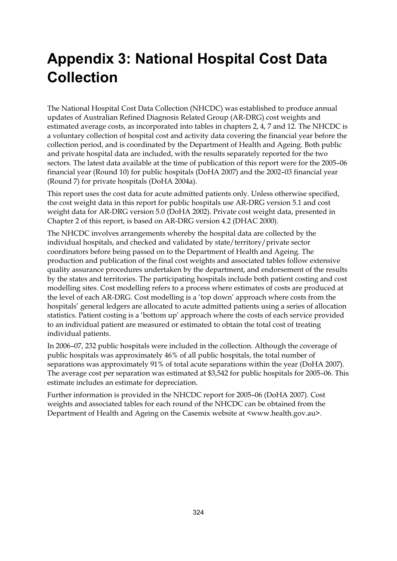# **Appendix 3: National Hospital Cost Data Collection**

The National Hospital Cost Data Collection (NHCDC) was established to produce annual updates of Australian Refined Diagnosis Related Group (AR-DRG) cost weights and estimated average costs, as incorporated into tables in chapters 2, 4, 7 and 12. The NHCDC is a voluntary collection of hospital cost and activity data covering the financial year before the collection period, and is coordinated by the Department of Health and Ageing. Both public and private hospital data are included, with the results separately reported for the two sectors. The latest data available at the time of publication of this report were for the 2005–06 financial year (Round 10) for public hospitals (DoHA 2007) and the 2002–03 financial year (Round 7) for private hospitals (DoHA 2004a).

This report uses the cost data for acute admitted patients only. Unless otherwise specified, the cost weight data in this report for public hospitals use AR-DRG version 5.1 and cost weight data for AR-DRG version 5.0 (DoHA 2002). Private cost weight data, presented in Chapter 2 of this report, is based on AR-DRG version 4.2 (DHAC 2000).

The NHCDC involves arrangements whereby the hospital data are collected by the individual hospitals, and checked and validated by state/territory/private sector coordinators before being passed on to the Department of Health and Ageing. The production and publication of the final cost weights and associated tables follow extensive quality assurance procedures undertaken by the department, and endorsement of the results by the states and territories. The participating hospitals include both patient costing and cost modelling sites. Cost modelling refers to a process where estimates of costs are produced at the level of each AR-DRG. Cost modelling is a 'top down' approach where costs from the hospitals' general ledgers are allocated to acute admitted patients using a series of allocation statistics. Patient costing is a 'bottom up' approach where the costs of each service provided to an individual patient are measured or estimated to obtain the total cost of treating individual patients.

In 2006–07, 232 public hospitals were included in the collection. Although the coverage of public hospitals was approximately 46% of all public hospitals, the total number of separations was approximately 91% of total acute separations within the year (DoHA 2007). The average cost per separation was estimated at \$3,542 for public hospitals for 2005–06. This estimate includes an estimate for depreciation.

Further information is provided in the NHCDC report for 2005–06 (DoHA 2007). Cost weights and associated tables for each round of the NHCDC can be obtained from the Department of Health and Ageing on the Casemix website at <www.health.gov.au>.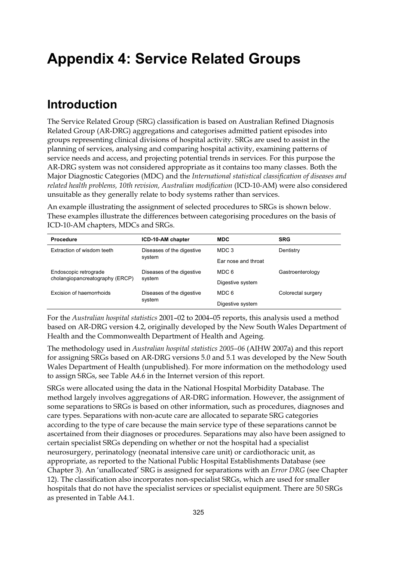# **Appendix 4: Service Related Groups**

### **Introduction**

The Service Related Group (SRG) classification is based on Australian Refined Diagnosis Related Group (AR-DRG) aggregations and categorises admitted patient episodes into groups representing clinical divisions of hospital activity. SRGs are used to assist in the planning of services, analysing and comparing hospital activity, examining patterns of service needs and access, and projecting potential trends in services. For this purpose the AR-DRG system was not considered appropriate as it contains too many classes. Both the Major Diagnostic Categories (MDC) and the *International statistical classification of diseases and related health problems, 10th revision, Australian modification* (ICD-10-AM) were also considered unsuitable as they generally relate to body systems rather than services.

An example illustrating the assignment of selected procedures to SRGs is shown below. These examples illustrate the differences between categorising procedures on the basis of ICD-10-AM chapters, MDCs and SRGs.

| Procedure                       | ICD-10-AM chapter                   | <b>MDC</b>          | <b>SRG</b>         |  |
|---------------------------------|-------------------------------------|---------------------|--------------------|--|
| Extraction of wisdom teeth      | Diseases of the digestive           | MDC 3<br>Dentistry  |                    |  |
|                                 | system                              | Far nose and throat |                    |  |
| Endoscopic retrograde           | Diseases of the digestive<br>system | MDC 6               | Gastroenterology   |  |
| cholangiopancreatography (ERCP) |                                     | Digestive system    |                    |  |
| Excision of haemorrhoids        | Diseases of the digestive<br>system | MDC 6               | Colorectal surgery |  |
|                                 |                                     | Digestive system    |                    |  |

For the *Australian hospital statistics* 2001–02 to 2004–05 reports, this analysis used a method based on AR-DRG version 4.2, originally developed by the New South Wales Department of Health and the Commonwealth Department of Health and Ageing.

The methodology used in *Australian hospital statistics 2005–06* (AIHW 2007a) and this report for assigning SRGs based on AR-DRG versions 5.0 and 5.1 was developed by the New South Wales Department of Health (unpublished). For more information on the methodology used to assign SRGs, see Table A4.6 in the Internet version of this report.

SRGs were allocated using the data in the National Hospital Morbidity Database. The method largely involves aggregations of AR-DRG information. However, the assignment of some separations to SRGs is based on other information, such as procedures, diagnoses and care types. Separations with non-acute care are allocated to separate SRG categories according to the type of care because the main service type of these separations cannot be ascertained from their diagnoses or procedures. Separations may also have been assigned to certain specialist SRGs depending on whether or not the hospital had a specialist neurosurgery, perinatology (neonatal intensive care unit) or cardiothoracic unit, as appropriate, as reported to the National Public Hospital Establishments Database (see Chapter 3). An 'unallocated' SRG is assigned for separations with an *Error DRG* (see Chapter 12). The classification also incorporates non-specialist SRGs, which are used for smaller hospitals that do not have the specialist services or specialist equipment. There are 50 SRGs as presented in Table A4.1.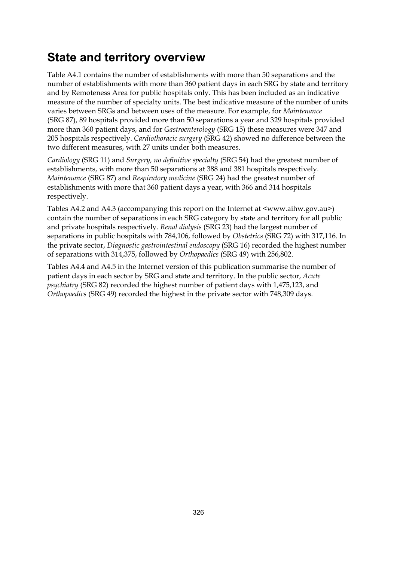#### **State and territory overview**

Table A4.1 contains the number of establishments with more than 50 separations and the number of establishments with more than 360 patient days in each SRG by state and territory and by Remoteness Area for public hospitals only. This has been included as an indicative measure of the number of specialty units. The best indicative measure of the number of units varies between SRGs and between uses of the measure. For example, for *Maintenance* (SRG 87), 89 hospitals provided more than 50 separations a year and 329 hospitals provided more than 360 patient days, and for *Gastroenterology* (SRG 15) these measures were 347 and 205 hospitals respectively. *Cardiothoracic surgery* (SRG 42) showed no difference between the two different measures, with 27 units under both measures.

*Cardiology* (SRG 11) and *Surgery, no definitive specialty* (SRG 54) had the greatest number of establishments, with more than 50 separations at 388 and 381 hospitals respectively. *Maintenance* (SRG 87) and *Respiratory medicine* (SRG 24) had the greatest number of establishments with more that 360 patient days a year, with 366 and 314 hospitals respectively.

Tables A4.2 and A4.3 (accompanying this report on the Internet at <www.aihw.gov.au>) contain the number of separations in each SRG category by state and territory for all public and private hospitals respectively. *Renal dialysis* (SRG 23) had the largest number of separations in public hospitals with 784,106, followed by *Obstetrics* (SRG 72) with 317,116. In the private sector, *Diagnostic gastrointestinal endoscopy* (SRG 16) recorded the highest number of separations with 314,375, followed by *Orthopaedics* (SRG 49) with 256,802.

Tables A4.4 and A4.5 in the Internet version of this publication summarise the number of patient days in each sector by SRG and state and territory. In the public sector, *Acute psychiatry* (SRG 82) recorded the highest number of patient days with 1,475,123, and *Orthopaedics* (SRG 49) recorded the highest in the private sector with 748,309 days.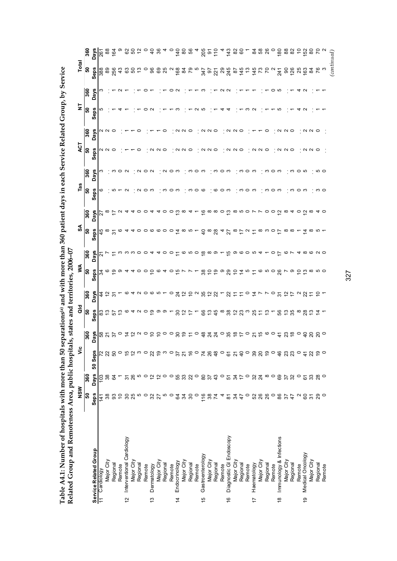| Related Group and Remoteness Area, public hospita |                   |                  |                  | states<br>$\overline{\mathbf{s}}$ , |                                        |                         | and territories, 2006-07 |                  |                    |                                                           |      |                |         |             |                |             |                                                                              |                                             |
|---------------------------------------------------|-------------------|------------------|------------------|-------------------------------------|----------------------------------------|-------------------------|--------------------------|------------------|--------------------|-----------------------------------------------------------|------|----------------|---------|-------------|----------------|-------------|------------------------------------------------------------------------------|---------------------------------------------|
|                                                   | NSW               |                  | قا               |                                     | aa                                     |                         | ≸                        |                  | SA                 |                                                           | Tas  |                | ACT     |             | $\overline{z}$ |             | Total                                                                        |                                             |
|                                                   | ន                 | 360              |                  | 360                                 | န္တ                                    | 360                     | န္တ                      | 360              | ြို့               | 360                                                       | န္တ  | 360            | န္တ     | 360         | န္တ            | 360         | ြိ                                                                           | 360                                         |
| Service Related Group                             | Seps              | <b>Days</b>      | <b>Seps</b><br>ន | <b>Days</b>                         | Seps                                   | Days                    | <b>Seps</b>              | Days             | <b>Seps</b>        | Days                                                      | Seps | <b>Days</b>    | Seps    | <b>Days</b> | <b>Seps</b>    | <b>Days</b> | <b>Seps</b>                                                                  | <b>Days</b>                                 |
| Cardiology<br>$\overline{1}$                      | 141               | 103              |                  |                                     |                                        |                         |                          | 21               |                    | 22                                                        |      | ო              |         |             | ഥ              |             | 388                                                                          | 261                                         |
| Major City                                        | 38                | 38               |                  | នី ភី<br>ន                          |                                        | おおい                     | శ ల                      |                  | $48$ $\frac{8}{2}$ | $\infty$ $\sim$                                           |      |                | N N O   | ש ש         |                |             | 89                                                                           | $_{88}$                                     |
| Regional                                          | 3                 | 54               | 50               |                                     |                                        |                         | ္ စ                      |                  |                    |                                                           | ഥ    | ო              |         | ○           |                |             | 256                                                                          | $\mathfrak{g}$                              |
| Remote                                            | $\overline{C}$    |                  | $\circ$          |                                     | 8 2 2 3 9                              |                         |                          |                  | ဖ                  | $\sim$                                                    |      | $\circ$ $\sim$ |         |             |                |             | $\frac{3}{4}$                                                                |                                             |
| Interventional Cardiology<br>12                   |                   | 51               | 523              | $\circ$ 4                           |                                        | $\sim$ $\circ$          |                          | က က က ဝ          | 4                  |                                                           |      |                |         |             |                |             |                                                                              |                                             |
| Major City                                        | 9855              | 26               |                  | $\sim$                              |                                        | 4 <sub>o</sub>          |                          |                  |                    |                                                           |      |                |         |             |                |             | ន ន ន                                                                        |                                             |
| Regional                                          |                   | 5                |                  | $\sim$                              | 4 U                                    |                         |                          |                  | っ                  | 0                                                         |      | $\sim$         |         |             |                |             |                                                                              |                                             |
| Remote                                            |                   |                  | $\circ$          | $\circ$                             | っ                                      |                         |                          |                  |                    | $\circ$                                                   | ం ෆ  | $\circ$ $\sim$ |         |             |                |             |                                                                              |                                             |
| Dermatology<br>$\frac{3}{2}$                      | $-8.56$           | QQQQ             | 22               | $\circ$                             | ္ဘာ                                    | ဝ ဖ ဟ                   | ₽                        |                  |                    | 4                                                         |      |                |         |             |                |             | $^{\circ}$ $^{\circ}$ $^{\circ}$ $^{\circ}$ $^{\circ}$ $^{\circ}$ $^{\circ}$ | $a$ $a$ $a$ $b$ $c$ $b$ $d$ $c$ $d$ $a$ $d$ |
| Major City                                        |                   |                  | <u>ღ</u> ო       | $\subseteq$                         | တ                                      |                         |                          |                  |                    |                                                           |      |                |         |             |                |             |                                                                              |                                             |
| Regional                                          |                   |                  |                  | $\circ$                             |                                        |                         |                          | 0                | っ                  | 0                                                         | ო    | $\sim$         | ○       |             |                |             |                                                                              |                                             |
| Remote                                            | $\circ$           | $\circ$          | $\circ$          | $\circ$                             |                                        | $\circ$                 |                          | 0                | 0                  | っ                                                         | ం ෆ  | ం ෆ            |         |             |                |             |                                                                              |                                             |
| Endocrinology<br>$\overline{4}$                   |                   | 55<br>33         | 57               | $30^{\circ}$                        | $\boldsymbol{S}$                       | $\overline{2}$          | 5                        |                  | 4                  | <u>ന</u> ∞                                                |      |                |         |             |                |             | 168                                                                          |                                             |
| Major City                                        | <b>24</b>         |                  | $\overline{2}$   | $\frac{5}{2}$                       | $\tilde{c}$                            | $\tilde{c}$             |                          | ဖ                | $\infty$           |                                                           |      |                | N N O   |             |                |             | 287                                                                          | 9.588                                       |
| Regional                                          | $\boldsymbol{S}$  | 22               | $\frac{6}{5}$    |                                     | ₽                                      | 10282                   |                          | ഹ                | ഹ                  |                                                           | ო    | ო              |         | ⊂           |                |             |                                                                              |                                             |
| Remote                                            | $\circ$           | $\circ$          | $\circ$          | $\circ$                             |                                        |                         |                          | $\circ$ $\infty$ |                    |                                                           | っ    | 0              |         |             | ດ ທ            |             |                                                                              |                                             |
| Gastroenterology<br>15                            | 16                | 80<br>37         | 74               | $\frac{8}{4}$                       | 66                                     |                         | $30^{\circ}$             |                  |                    |                                                           | ဖ    | ന              |         |             |                |             | 347                                                                          | $\frac{205}{50}$                            |
| Major City                                        | 38                |                  |                  |                                     | ှာ                                     |                         |                          | $\infty$         |                    | ဖေထ                                                       |      |                | N N O   | N N         |                |             | $\overline{6}$                                                               |                                             |
| Regional                                          | $\overline{7}$    | $\frac{3}{6}$    | 48               | $\frac{4}{2}$                       | 45                                     | ಜ                       | $\frac{6}{1}$            | တ                | 9.845              | $\infty$                                                  | ဖ    | ო              |         | $\circ$     |                |             | 221                                                                          | 10                                          |
| Remote                                            | 4                 |                  | $\circ$          |                                     |                                        |                         | တ                        |                  |                    | $\circ$                                                   |      |                |         |             |                |             |                                                                              |                                             |
| Diagnostic GI Endoscopy<br>$\frac{6}{5}$          | 5 F               | 51               | <b>6 N</b>       | $-8.5$                              | $^{\circ}$ $\frac{8}{2}$ $\frac{1}{2}$ | ನ                       | 29                       | မ္ စ             |                    |                                                           |      |                |         |             |                |             | 245                                                                          | 143                                         |
| Major City                                        |                   | 34               |                  |                                     |                                        | Ξ                       | $\overline{C}$           |                  | $\frac{8}{5}$      |                                                           |      |                | N N O   | $\sim$      |                |             | 87                                                                           | 82                                          |
| Regional                                          | 47                | $\overline{1}$   | $\overline{4}$   | $\overline{=}$                      | 23                                     |                         | $\overline{4}$           | ဖ                |                    |                                                           | ო    | ო              |         | $\circ$     |                |             | 145                                                                          |                                             |
| Remote                                            | $\circ$           | $\circ$          | $\circ$          | $\circ$                             | S                                      | $\circ$                 | ယ                        | $\circ$          | N                  |                                                           | ○    | っ              |         |             | ო              |             |                                                                              |                                             |
| Haematology<br>$\overline{1}$                     | 52 8              | 32               | ೫ ನಿ             | $\frac{5}{15}$                      | 25                                     | Ż,                      |                          | S                |                    | $\tilde{\omega}$ $\infty$ $\infty$ $\infty$ $\sim$ $\sim$ | ო    | က              | N N     |             | $\sim$         |             | $740$<br>$72$                                                                | 288                                         |
| Major City                                        |                   | 24               |                  |                                     |                                        |                         | ဖ                        | 4                | $\infty$           |                                                           |      |                |         |             |                |             |                                                                              |                                             |
| Regional                                          | 26                | $\infty$ $\circ$ | $\frac{1}{6}$    | $\circ \circ 7$                     | ဗု                                     |                         | ယ                        |                  | ო                  | $\circ$                                                   | ო    | ო              | $\circ$ |             |                |             | $\overline{z}$                                                               |                                             |
| Remote                                            | $\circ$           |                  |                  |                                     |                                        | $\circ$                 | $\circ$                  | 0                | $\frac{1}{2}$      | $\circ$                                                   | ం ఌ  | ం అ            |         |             |                |             |                                                                              | $\circ$                                     |
| Immunology & Infections<br>$\frac{8}{1}$          |                   | 69               | 46               |                                     | 56                                     | $\overline{5}$          | 26                       |                  |                    | ∾                                                         |      |                |         |             | <b>ι</b> Ω     | ഥ           | 241                                                                          | $\overline{80}$                             |
| Major City                                        | 768               | 57               | 23               | $23 \times 0$                       | $\frac{3}{2}$                          | $\tilde{c}$             |                          | ဖ                | ∞                  | $\infty$                                                  |      |                | N N O   | $\sim$      |                |             | 8                                                                            | 88                                          |
| Regional                                          |                   | 32               | $\frac{23}{5}$   |                                     |                                        | 5                       | ၜ                        |                  | $\infty$           | 4                                                         | ო    | ო              |         | $\circ$     |                |             | 126                                                                          |                                             |
| Remote                                            | $\mathbf{\Omega}$ | $\circ$          |                  |                                     | $\frac{8}{28}$                         | $\sim$                  | $rac{10}{10}$            |                  |                    | $\circ$                                                   | っ    | ○              |         |             |                |             | 25<br>163                                                                    | $\tilde{0}$                                 |
| Medical Oncology<br>6Ļ                            | $rac{6}{5}$       | 61               |                  | $\theta$                            |                                        | $\mathcal{S} \subseteq$ |                          | $\infty$         | 4                  | $\tilde{5}$                                               | ო    | מ              |         | N N         |                |             |                                                                              | 152                                         |
| Major City                                        |                   | $33\,$           | 7890             | $88^\circ$                          |                                        |                         | ∞                        | $\circ$ $\circ$  |                    | $\infty$                                                  |      |                | NN O    |             |                |             | 84                                                                           | $8R^2$                                      |
| Regional                                          | $\frac{8}{20}$    | $\frac{8}{28}$   |                  |                                     | ュー                                     | $\frac{1}{2}$           | 10 O                     |                  | ယ                  | 4 ⊂                                                       | က င  | տ ၀            |         | $\circ$     |                |             | $\frac{8}{2}$                                                                |                                             |
| Remote                                            |                   |                  |                  |                                     |                                        |                         |                          |                  |                    |                                                           |      |                |         |             |                |             |                                                                              |                                             |
|                                                   |                   |                  |                  |                                     |                                        |                         |                          |                  |                    |                                                           |      |                |         |             |                |             | (continued)                                                                  |                                             |

**Table A4.1: Number of hospitals with more than 50 separations(a) and with more than 360 patient days in each Service Related Group, by Service**  each Service Related Croup by Service ro than 360 patient days in ۱,  $\mathbf{r}$ ng than 50 es  $\cdots$ Table 441: Number of bosnitals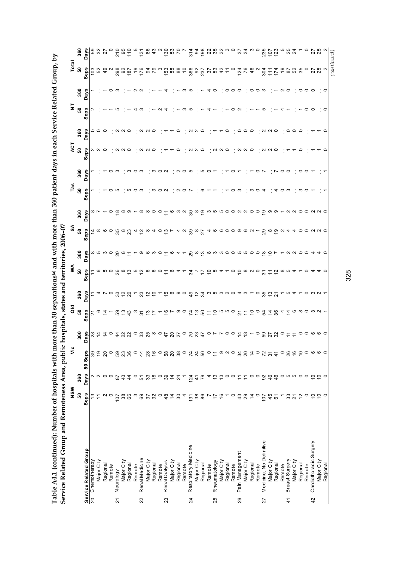|                                         | NSW             |                                | ۶Ë                  |                           | ă                                               |                | ≸                 |                            | ર્ક                        |                         | Tas      |             | ACT      |                                   | $\overline{z}$ |               | Total                                                         |               |
|-----------------------------------------|-----------------|--------------------------------|---------------------|---------------------------|-------------------------------------------------|----------------|-------------------|----------------------------|----------------------------|-------------------------|----------|-------------|----------|-----------------------------------|----------------|---------------|---------------------------------------------------------------|---------------|
|                                         | SO              | 360                            |                     | 360                       | ြို့                                            | 360            | ြို့              | 360                        | ြို့                       | 360                     | ន        | 360         | ន        | 360                               | ន              | 360           | ន                                                             | 360           |
| Service Related Group                   | Seps            | <b>Days</b>                    | Seps<br>50          | Days                      | Seps                                            | Days           | U)<br><b>Sep</b>  | ays<br>۵                   | eps<br>w                   | ays<br>$\Box$           | eps<br>Ŵ | <b>Days</b> | eps<br>w | <b>Days</b>                       | Seps           | <b>Days</b>   | Seps                                                          | Days          |
| 20 Chemotherapy                         | ≌               |                                |                     | 28                        | 21                                              |                |                   |                            |                            |                         |          |             |          |                                   |                |               |                                                               | 59            |
| Major City                              | $\tilde{+}$     | ט מ                            | $\overline{9}$      | $\tilde{4}$               | $\circ$ $\frac{1}{4}$ $\sim$                    | 4              |                   | 8<br>8<br>8<br>8<br>8      | ≠ ∞ ဖ ဝ ယ္က                |                         |          |             | N N O    | 000                               |                |               | នៃ ន                                                          | 32            |
| Regional                                |                 | $\circ$ $\circ$                | $\overline{c}$      | ₫                         |                                                 |                |                   |                            |                            |                         |          |             |          |                                   |                |               | $\frac{9}{4}$                                                 | 27            |
| Remote                                  |                 |                                | $\circ$             | $\circ$                   |                                                 | ○              |                   |                            |                            |                         |          |             |          |                                   |                |               |                                                               |               |
| Neurology<br>$\overline{2}$             | 107             | $\overline{8}$                 | 59                  | 4                         | 59                                              | ္က             |                   |                            |                            | ≌                       | Ю        |             |          | $\cdot$ $\alpha$ $\alpha$ $\circ$ |                |               | 298                                                           | $\frac{0}{2}$ |
| Major City                              | 38              | 43                             | <b>23</b>           | S                         |                                                 | $\tilde{c}$    |                   | $\infty$                   | $\frac{8}{2}$              | $\infty$                |          |             | N N O    |                                   |                |               | $rac{92}{187}$                                                | $rac{95}{10}$ |
| Regional                                | 89              | $\frac{4}{3}$                  |                     | $\Omega$                  | $\begin{array}{c} 2 & 2 \\ 2 & 3 \end{array}$   | ຊ              |                   | Ξ                          |                            | တ                       |          |             |          |                                   |                |               |                                                               |               |
| Remote                                  |                 | $\circ$                        | $\circ$             | $\circ$                   |                                                 |                |                   |                            | 4                          |                         |          |             |          |                                   |                |               | <b>9</b>                                                      |               |
| Renal Medicine<br>22                    | 873             | 51                             | $\frac{4}{4}$       | 33                        | $\overline{5}$                                  | ಔ              | <u>ထ ငှ ပ ဉ ထ</u> | တ                          | $\tilde{c}$                |                         |          |             |          | $\cdot$ $\alpha$ $\alpha$ $\circ$ |                |               | 176                                                           | 131           |
| Major City                              |                 | 33                             |                     | 25                        | $\frac{13}{7}$                                  | $\tilde{c}$    |                   |                            | $\infty$                   |                         |          |             | N N O    |                                   |                |               | 34                                                            | 86            |
| Regional                                |                 | $\overset{\circ}{\phantom{a}}$ | 2800                |                           |                                                 | $\tilde{c}$    | ဖ                 | ო                          | ₹                          | っ                       |          |             |          |                                   |                |               | 79                                                            | $\frac{3}{4}$ |
| Remote                                  |                 |                                |                     | ∞ ⇔                       |                                                 |                | $\circ$           | o                          | o                          | 0                       |          | 0           |          |                                   |                |               |                                                               |               |
| Renal Dialysis<br>23                    | 48              | 39                             | $58\,$              | 4                         | $\frac{6}{5}$                                   | ≌              | $\tilde{\tau}$    | Ξ                          | ≌                          |                         | $\sim$   | $\sim$      |          |                                   |                |               |                                                               |               |
| Major City                              | $\frac{4}{7}$   | $\frac{4}{4}$                  | $\overline{20}$     | ನಿ                        | $\sim$ $\circ$ $\circ$                          | ဖ              | ဖ                 | ဖ                          | Ľ                          | ဖ                       |          |             |          |                                   |                |               | $\begin{array}{c} 12.2 \\ 12.5 \\ 23.6 \\ \hline \end{array}$ | $\frac{5}{2}$ |
| Regional                                | 30              | $^{24}$                        | $38\,$              | 27                        |                                                 | တ              | 4                 | ᠴ                          |                            | ന വ                     | N        |             | $\circ$  |                                   |                |               |                                                               |               |
| Remote                                  | 4               |                                | $\circ$             | $\circ$                   |                                                 | $\circ$        |                   |                            | 4 U                        |                         | 0        | N O         |          |                                   |                | ო             | $\tilde{c}$                                                   |               |
| Respiratory Medicine<br>$\overline{24}$ | $\frac{58}{98}$ |                                |                     | $\mathcal{L}$             |                                                 | ę              | 34                |                            | $3^{\circ}$ $\frac{8}{27}$ |                         |          | ഹ           |          | $\sim$                            |                | ഥ             | 366<br>92<br>237                                              | 314           |
| Major City                              |                 | $\frac{4}{4}$                  | <b>ZZS</b>          | 23                        |                                                 | $\tilde{c}$    | $\overline{ }$    |                            |                            |                         |          |             | N N O    | $\sim$ $\sim$                     |                |               |                                                               |               |
| Regional                                |                 | 79                             |                     | $\frac{4}{7}$             | 7.082                                           | $\mathfrak{F}$ | $\overline{1}$    |                            |                            |                         |          | ഥ           |          |                                   |                |               |                                                               | $rac{2}{3}$   |
| Remote                                  |                 |                                | $\circ$             | $\circ$                   |                                                 | ო              | $\overline{C}$    |                            |                            |                         |          | o           |          |                                   |                | 4             | 37                                                            |               |
| Rheumatology<br>25                      | 17              | ≌                              | $\tilde{L}$         |                           | 50000                                           | 10 m N O       | ഹ                 |                            |                            |                         |          |             | N N O    |                                   |                | $\circ$       |                                                               | 252           |
| Major City                              | $\frac{6}{5}$   | ഇ                              | စ လ                 |                           |                                                 |                | ↴                 |                            |                            |                         |          |             |          |                                   |                |               | 42                                                            |               |
| Regional                                |                 |                                |                     |                           |                                                 |                |                   |                            |                            |                         |          |             |          | c                                 |                | 00            | $\tilde{t}$                                                   | က ဝ           |
| Remote                                  |                 |                                | $\circ$             | $\circ$                   |                                                 |                | 0                 |                            |                            |                         |          |             |          |                                   |                |               | $\circ$                                                       |               |
| Pain Management<br>26                   | $\frac{3}{4}$   |                                | $\frac{9}{4}$       | 4                         | 21500248                                        | ᢋ ო            | $\tilde{c}$       | တ္တြင္း စက ပဝဝ က က ဝဝ စ္ ဥ | 4 6 6 0 0 0 0 0 1          |                         |          |             | N        | 0                                 |                | $\circ$       | <b>124</b><br>76                                              | 24            |
| Major City                              | 29              | ニ                              |                     | ო                         |                                                 |                | ∞                 |                            |                            |                         |          |             | $\sim$   | $\circ$                           |                |               |                                                               |               |
| Regional                                | $\dot{4}$       | $\circ$                        | $\overline{4}$      |                           |                                                 |                | $\sim$            |                            |                            |                         |          |             | $\circ$  | $\circ$                           |                | 00 m          | 46                                                            | ო             |
| Remote                                  |                 | $\circ$                        | $\circ$             | 0                         |                                                 | $\circ$        | $\circ$           |                            | $\overline{ }$             |                         | 0        |             |          |                                   |                |               |                                                               | $\circ$       |
| Medicine, No Definitive<br>27           | $\frac{10}{2}$  | 92                             | $\frac{2}{3}$       | 59                        |                                                 | 35             | $\overline{3}$    |                            | 29                         | စ္                      |          |             | $\sim$   | $N$ $N$ $\circ$                   |                |               | 304                                                           | 235           |
| Major City                              | 45              | 46                             |                     | 27                        |                                                 | ិ៍ ភ           | $\tilde{t}$       |                            | ∞ ഇ                        | တ                       |          |             | $\sim$   |                                   |                |               | $\frac{1}{11}$                                                | 107           |
| Regional                                | 61              | 46                             | $\frac{4}{3}$       | $\frac{2}{3}$             |                                                 |                | $\frac{2}{3}$     |                            |                            | ၜ                       |          |             | $\circ$  |                                   |                |               | 174                                                           | 123           |
| Remote                                  |                 | 0 10 10 10                     | $\circ$             |                           | 4                                               |                | ∞                 |                            | $\sim$                     |                         |          | っ           |          |                                   |                | $\sim$ $\sim$ | e,                                                            | ယ             |
| Breast Surgery<br>$\frac{4}{1}$         | 37              |                                | 26                  |                           | $\ddot{4}$                                      | ഥ              | ഹ                 |                            | ↴                          | $\sim$                  |          | $\circ$     |          |                                   |                |               | 87                                                            | 25<br>24      |
| Major City                              |                 |                                |                     |                           |                                                 |                | ↴                 | N N O                      | 4                          | $\sim$ 0                |          |             |          | $\circ \circ \circ$               |                |               | 52                                                            |               |
| Regional                                | $\tilde{c}$     |                                | $\overline{C}$      | 0                         |                                                 |                |                   |                            | $\circ$                    |                         |          |             |          |                                   |                |               | 35                                                            |               |
| Remote                                  | $\circ$         | $\circ$                        | $\circ$             |                           |                                                 | 0              | 0                 | $\circ$                    |                            |                         |          |             |          |                                   |                | 000           | $\circ$                                                       | $\circ$       |
| Cardiothoracic Surgery<br>42            | 550             | 220                            |                     | $\circ \circ \circ \circ$ | $\circ$ $\circ$ $\circ$ $\circ$ $\circ$ $\circ$ | ຕ ດ +          |                   |                            | $O$ $N$ $N$ $O$            | $\circ$ $\circ$ $\circ$ |          |             |          |                                   |                |               | 27                                                            |               |
| Major City                              |                 |                                | $\circ \circ \circ$ |                           |                                                 |                |                   | $\sim$                     |                            |                         |          |             |          |                                   |                |               | 25                                                            | 25            |
| Regional                                |                 |                                |                     |                           |                                                 |                |                   |                            |                            |                         |          |             |          |                                   |                | $\circ$       | $\sim$                                                        | $\sim$        |
|                                         |                 |                                |                     |                           |                                                 |                |                   |                            |                            |                         |          |             |          |                                   |                |               | (continued)                                                   |               |

Table A4.1 (continued): Number of hospitals with more than 50 separations<sup>(a)</sup> and with more than 360 patient days in each Service Related Group, by **Table A4.1 (continued): Number of hospitals with more than 50 separations(a) and with more than 360 patient days in each Service Related Group, by** 

328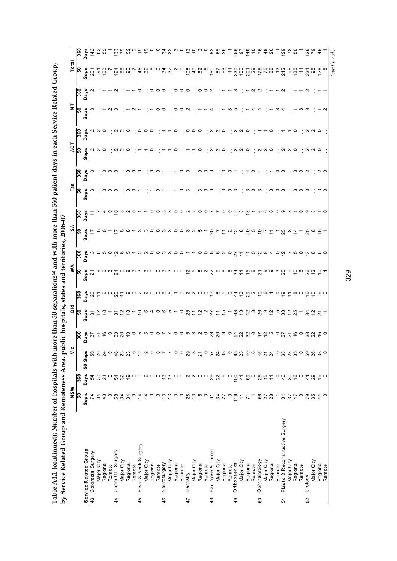Table A4.1 (continued): Number of hospitals with more than 50 separations® and with more than 360 patient days in each Service Related Group,<br>hy Service Related Groum and Remoteness Area\_mublic hospitals\_states and territo **Table A4.1 (continued): Number of hospitals with more than 50 separations(a) and with more than 360 patient days in each Service Related Group, by Service Related Group and Remoteness Area, public hospitals, states and territories, 2006–07** 

| 360<br><b>Days</b><br>59<br>$\frac{33}{79}$<br>52<br>$\sim$ $\circ$<br>ഉ<br>22<br>22<br>$\alpha$ $\alpha$ $\beta$ $\alpha$ $\alpha$<br>92<br>65<br>26<br>256<br>97<br>149<br>126<br>82<br>O<br>$\tilde{=}$<br>26<br>129<br>SO<br>142<br>ន<br><b>Seps</b><br>$\frac{58}{6}$<br>96<br>45<br>39<br>$\circ$<br>32<br>$\sim$<br>$\circ$<br>108<br>$\overline{4}$<br>62<br>ဖ<br>196<br>$\frac{8}{6}$<br><b>201</b><br>29<br><b>75</b><br>88<br>96<br>95<br>$\frac{8}{2}$<br>50<br>34<br>330<br>$\frac{8}{100}$<br>176<br>$\frac{3}{2}$<br>242<br>135<br>$\tilde{\tau}$<br>$\tilde{+}$<br>231<br>.<br>20<br>360<br><b>Days</b><br>○<br>っ<br>○<br>$\circ$<br>ო<br>$\sim$<br>ြိ<br>Seps<br>$\sim$<br>5<br>360<br>U)<br>N N O<br>NNO<br>000<br>N N O<br>000<br>$\circ$<br>$\sim$<br>$\sim$<br>$\circ$<br>○<br>っ<br>$\sim$<br>$\circ$<br>Day<br><b>ິລ</b><br>U)<br>N N O<br>0<br>$\sim$<br>$\circ$<br>$\sim$ $\sim$<br>$\circ$<br>$\sim$<br>$\circ$<br>N U<br>$\circ$<br>○<br>$\sim$<br><b>Sep</b><br>360<br>Days<br>ం ෆ<br>ო 0 ო<br>$\circ$<br>0<br>C<br>0<br>ო<br>$\circ$<br>0<br>$\circ$ $\sim$<br>$\sim$ $\circ$<br>ო<br>္စြ<br>Seps<br>S<br>∞<br>$\circ$<br>ო<br>ო<br>က င<br>っ<br>360<br>o o m m o o n n o o r<br>$\circ$<br>$2^{\circ}$<br>က<br>ဖ ဖ ဝ<br>∞<br>$\circ$<br>ဝ ၈ ထ<br>$\circ$<br>ာ<br>Days<br>っ<br>$\sim$<br>∼<br>န္တ<br>U)<br>o o m m o o w n w<br>$\overline{c}$<br>$\infty$<br>29<br>S<br>25<br>$\infty$ $\infty$<br>$\sim$<br>$\frac{2}{3}$<br>္စာ<br>೧<br>∞<br>$\tilde{4}$<br>∞<br>۰ ص<br>∞<br>∞<br>ო<br>ო<br>P.<br>ê۶<br>ဖာ<br>360<br>Days<br>co co co co<br>$\circ$<br>$\infty$<br>ဖလ<br>$\circ$<br>$\overline{a}$<br>ယ<br>$\overline{\mathbf{c}}$<br>∞<br>$\tilde{c}$<br>မာ ဝ<br>ო<br>∞<br>ທ ⊂<br>0<br>77<br>4<br>0<br>r<br>န္တ<br>Seps<br>$\circ \circ \circ \sim$<br>ၜ<br>o m m m o o m m o o<br><b>558</b><br>22<br>တ<br>$\infty$<br>$5\frac{3}{4}$<br>$\frac{5}{1}$<br>$\infty$<br>တ တ<br>ო<br>25<br>ၜ<br>$\circ$<br>ဖ<br>26<br>$\sim$<br>$\frac{1}{2}$<br>$\circ$ 4<br>$\tilde{=}$<br>Ń<br>360<br>29<br>Days<br>$E = 0$ $S = 0$<br>000000<br>ဝတ္ထက္ဝ<br>చ<br>$\sim$ $\circ$<br>ၜ<br>$\infty$ $\circ$<br>ဖ ဝ<br>20<br>ဖေဖ<br>0 N N 0<br>$\frac{4}{3}$<br>ဖ<br>$\circ$<br>$\circ$ $\circ$<br>Ξ<br>န္တ<br>Seps<br>$\infty$<br>26<br>38<br>25<br>25<br>$\frac{1}{2}$ $\alpha$<br>63<br>$\frac{1}{2}$<br>42<br>တ<br>္ဟာ က<br>$\frac{2}{3}$<br>$\frac{\alpha}{2}$ $\frac{\alpha}{2}$ $\frac{\alpha}{2}$<br>$\tilde{c}$<br>ဖ<br>ഗ<br>0<br>27<br>$\frac{5}{2}$<br>34<br>$\tilde{c}$<br>₽<br>0<br>Ξ<br>స్<br>$\overline{\mathcal{S}}$<br>ò.<br>360<br>Days<br>6030<br>ನಿ ನಿ ಎಂ<br>$\frac{6}{10}$<br>38<br>22<br>$O$ ທ $M$ $O$<br>52<br>300<br>a no<br>ိုင္ ဝ<br>≌<br>57<br>o w<br>ഥ<br>っ<br>$\overline{\Omega}$<br>55<br>21<br>$ 4220$<br>$\frac{8}{2}$<br>50533<br>$-8849$<br>$45$ $7$ $24$<br>$\circ$<br>6385<br>$\circ$<br>Seps<br>$\circ$<br>$\circ$<br>00<br>50<br><b>Days</b><br>360<br>59<br>290000<br>32<br>စ္ ၀ စ<br>28<br>22<br>100<br>$\circ$<br>26<br>$\frac{6}{1}$<br>46<br>30<br>$\frac{6}{5}$<br>$\circ$<br>44<br>37<br>ၜ<br>$\circ$<br>$\mathfrak{S}$<br>$\circ$<br>ဖ<br>$\circ$<br>54<br>51<br>ഇ<br>$\circ$<br>$\frac{1}{4}$<br>$\overline{a}$<br>န္တ<br>Seps<br><b>5678</b><br>79<br>35<br>28<br>$\frac{1}{2}$<br>$\frac{5}{3}$<br>$\circ$<br><b>6</b> 25<br>24<br>37<br>47<br>$\circ$<br><b>4 ¥ 5</b><br>84<br>$\circ$<br>$\overline{4}$<br>$\circ$<br>$\tilde{\mathbf{c}}$<br>$\frac{3}{2}$<br>$\circ$ $\circ$<br>$\circ$<br>16<br>4<br>$\frac{4}{4}$<br>$\mathcal{L}$<br>Ξ,<br>$\tilde{t}$<br>$\overline{r}$<br>Plastic & Reconstructive Surgery<br>Head & Neck Surgery<br><b>Service Related Group</b><br>43 Colorectal Surgerv<br>Ear, Nose & Throat<br>Upper GIT Surgery<br>Colorectal Surgery<br>Ophthalmology<br>Major City<br>Major City<br>Major City<br>Major City<br>Major City<br>Major City<br>Major City<br>Major City<br>Major City<br>Major City<br>Regional<br>Orthopaedics<br>Neurosurgery<br>Regional<br>Regional<br>Regional<br>Regional<br>Regional<br>Regional<br>Remote<br>Regional<br>Regional<br>Regional<br>Remote<br>Remote<br>Remote<br>Remote<br>Remote<br>Remote<br>Remote<br>Remote<br>Remote<br>Dentistry<br>Urology<br>49<br>50<br>52<br>45<br>46<br>$\frac{4}{4}$<br>47<br>48<br>51 | by optivite related only and reliefs when $P$ | NSW | ءُ | ĕ | ⋚ | వ్ | Ë | ΑCΤ | ż | Total |  |
|-----------------------------------------------------------------------------------------------------------------------------------------------------------------------------------------------------------------------------------------------------------------------------------------------------------------------------------------------------------------------------------------------------------------------------------------------------------------------------------------------------------------------------------------------------------------------------------------------------------------------------------------------------------------------------------------------------------------------------------------------------------------------------------------------------------------------------------------------------------------------------------------------------------------------------------------------------------------------------------------------------------------------------------------------------------------------------------------------------------------------------------------------------------------------------------------------------------------------------------------------------------------------------------------------------------------------------------------------------------------------------------------------------------------------------------------------------------------------------------------------------------------------------------------------------------------------------------------------------------------------------------------------------------------------------------------------------------------------------------------------------------------------------------------------------------------------------------------------------------------------------------------------------------------------------------------------------------------------------------------------------------------------------------------------------------------------------------------------------------------------------------------------------------------------------------------------------------------------------------------------------------------------------------------------------------------------------------------------------------------------------------------------------------------------------------------------------------------------------------------------------------------------------------------------------------------------------------------------------------------------------------------------------------------------------------------------------------------------------------------------------------------------------------------------------------------------------------------------------------------------------------------------------------------------------------------------------------------------------------------------------------------------------------------------------------------------------------------------------------------------------------------------------------------------------------------------------------------------------------------------------------------------------------------------------------------------------------------------------------------------------------------------------------------------------------------------------------------------------------------------------------------------------------------------------------------------------------------------------------------------------------------------------------------------------------------------------------------------------------------------------------------------------------------------------------------------------------------------------------------------------------------------------------------------------------------------------------------------------------------------------------------------------------------------------------------------------------------------------------------------------------------------------------------------------------------------------------------------------------------------------|-----------------------------------------------|-----|----|---|---|----|---|-----|---|-------|--|
|                                                                                                                                                                                                                                                                                                                                                                                                                                                                                                                                                                                                                                                                                                                                                                                                                                                                                                                                                                                                                                                                                                                                                                                                                                                                                                                                                                                                                                                                                                                                                                                                                                                                                                                                                                                                                                                                                                                                                                                                                                                                                                                                                                                                                                                                                                                                                                                                                                                                                                                                                                                                                                                                                                                                                                                                                                                                                                                                                                                                                                                                                                                                                                                                                                                                                                                                                                                                                                                                                                                                                                                                                                                                                                                                                                                                                                                                                                                                                                                                                                                                                                                                                                                                                                                     |                                               |     |    |   |   |    |   |     |   |       |  |
|                                                                                                                                                                                                                                                                                                                                                                                                                                                                                                                                                                                                                                                                                                                                                                                                                                                                                                                                                                                                                                                                                                                                                                                                                                                                                                                                                                                                                                                                                                                                                                                                                                                                                                                                                                                                                                                                                                                                                                                                                                                                                                                                                                                                                                                                                                                                                                                                                                                                                                                                                                                                                                                                                                                                                                                                                                                                                                                                                                                                                                                                                                                                                                                                                                                                                                                                                                                                                                                                                                                                                                                                                                                                                                                                                                                                                                                                                                                                                                                                                                                                                                                                                                                                                                                     |                                               |     |    |   |   |    |   |     |   |       |  |
|                                                                                                                                                                                                                                                                                                                                                                                                                                                                                                                                                                                                                                                                                                                                                                                                                                                                                                                                                                                                                                                                                                                                                                                                                                                                                                                                                                                                                                                                                                                                                                                                                                                                                                                                                                                                                                                                                                                                                                                                                                                                                                                                                                                                                                                                                                                                                                                                                                                                                                                                                                                                                                                                                                                                                                                                                                                                                                                                                                                                                                                                                                                                                                                                                                                                                                                                                                                                                                                                                                                                                                                                                                                                                                                                                                                                                                                                                                                                                                                                                                                                                                                                                                                                                                                     |                                               |     |    |   |   |    |   |     |   |       |  |
|                                                                                                                                                                                                                                                                                                                                                                                                                                                                                                                                                                                                                                                                                                                                                                                                                                                                                                                                                                                                                                                                                                                                                                                                                                                                                                                                                                                                                                                                                                                                                                                                                                                                                                                                                                                                                                                                                                                                                                                                                                                                                                                                                                                                                                                                                                                                                                                                                                                                                                                                                                                                                                                                                                                                                                                                                                                                                                                                                                                                                                                                                                                                                                                                                                                                                                                                                                                                                                                                                                                                                                                                                                                                                                                                                                                                                                                                                                                                                                                                                                                                                                                                                                                                                                                     |                                               |     |    |   |   |    |   |     |   |       |  |
|                                                                                                                                                                                                                                                                                                                                                                                                                                                                                                                                                                                                                                                                                                                                                                                                                                                                                                                                                                                                                                                                                                                                                                                                                                                                                                                                                                                                                                                                                                                                                                                                                                                                                                                                                                                                                                                                                                                                                                                                                                                                                                                                                                                                                                                                                                                                                                                                                                                                                                                                                                                                                                                                                                                                                                                                                                                                                                                                                                                                                                                                                                                                                                                                                                                                                                                                                                                                                                                                                                                                                                                                                                                                                                                                                                                                                                                                                                                                                                                                                                                                                                                                                                                                                                                     |                                               |     |    |   |   |    |   |     |   |       |  |
|                                                                                                                                                                                                                                                                                                                                                                                                                                                                                                                                                                                                                                                                                                                                                                                                                                                                                                                                                                                                                                                                                                                                                                                                                                                                                                                                                                                                                                                                                                                                                                                                                                                                                                                                                                                                                                                                                                                                                                                                                                                                                                                                                                                                                                                                                                                                                                                                                                                                                                                                                                                                                                                                                                                                                                                                                                                                                                                                                                                                                                                                                                                                                                                                                                                                                                                                                                                                                                                                                                                                                                                                                                                                                                                                                                                                                                                                                                                                                                                                                                                                                                                                                                                                                                                     |                                               |     |    |   |   |    |   |     |   |       |  |
|                                                                                                                                                                                                                                                                                                                                                                                                                                                                                                                                                                                                                                                                                                                                                                                                                                                                                                                                                                                                                                                                                                                                                                                                                                                                                                                                                                                                                                                                                                                                                                                                                                                                                                                                                                                                                                                                                                                                                                                                                                                                                                                                                                                                                                                                                                                                                                                                                                                                                                                                                                                                                                                                                                                                                                                                                                                                                                                                                                                                                                                                                                                                                                                                                                                                                                                                                                                                                                                                                                                                                                                                                                                                                                                                                                                                                                                                                                                                                                                                                                                                                                                                                                                                                                                     |                                               |     |    |   |   |    |   |     |   |       |  |
|                                                                                                                                                                                                                                                                                                                                                                                                                                                                                                                                                                                                                                                                                                                                                                                                                                                                                                                                                                                                                                                                                                                                                                                                                                                                                                                                                                                                                                                                                                                                                                                                                                                                                                                                                                                                                                                                                                                                                                                                                                                                                                                                                                                                                                                                                                                                                                                                                                                                                                                                                                                                                                                                                                                                                                                                                                                                                                                                                                                                                                                                                                                                                                                                                                                                                                                                                                                                                                                                                                                                                                                                                                                                                                                                                                                                                                                                                                                                                                                                                                                                                                                                                                                                                                                     |                                               |     |    |   |   |    |   |     |   |       |  |
|                                                                                                                                                                                                                                                                                                                                                                                                                                                                                                                                                                                                                                                                                                                                                                                                                                                                                                                                                                                                                                                                                                                                                                                                                                                                                                                                                                                                                                                                                                                                                                                                                                                                                                                                                                                                                                                                                                                                                                                                                                                                                                                                                                                                                                                                                                                                                                                                                                                                                                                                                                                                                                                                                                                                                                                                                                                                                                                                                                                                                                                                                                                                                                                                                                                                                                                                                                                                                                                                                                                                                                                                                                                                                                                                                                                                                                                                                                                                                                                                                                                                                                                                                                                                                                                     |                                               |     |    |   |   |    |   |     |   |       |  |
|                                                                                                                                                                                                                                                                                                                                                                                                                                                                                                                                                                                                                                                                                                                                                                                                                                                                                                                                                                                                                                                                                                                                                                                                                                                                                                                                                                                                                                                                                                                                                                                                                                                                                                                                                                                                                                                                                                                                                                                                                                                                                                                                                                                                                                                                                                                                                                                                                                                                                                                                                                                                                                                                                                                                                                                                                                                                                                                                                                                                                                                                                                                                                                                                                                                                                                                                                                                                                                                                                                                                                                                                                                                                                                                                                                                                                                                                                                                                                                                                                                                                                                                                                                                                                                                     |                                               |     |    |   |   |    |   |     |   |       |  |
|                                                                                                                                                                                                                                                                                                                                                                                                                                                                                                                                                                                                                                                                                                                                                                                                                                                                                                                                                                                                                                                                                                                                                                                                                                                                                                                                                                                                                                                                                                                                                                                                                                                                                                                                                                                                                                                                                                                                                                                                                                                                                                                                                                                                                                                                                                                                                                                                                                                                                                                                                                                                                                                                                                                                                                                                                                                                                                                                                                                                                                                                                                                                                                                                                                                                                                                                                                                                                                                                                                                                                                                                                                                                                                                                                                                                                                                                                                                                                                                                                                                                                                                                                                                                                                                     |                                               |     |    |   |   |    |   |     |   |       |  |
|                                                                                                                                                                                                                                                                                                                                                                                                                                                                                                                                                                                                                                                                                                                                                                                                                                                                                                                                                                                                                                                                                                                                                                                                                                                                                                                                                                                                                                                                                                                                                                                                                                                                                                                                                                                                                                                                                                                                                                                                                                                                                                                                                                                                                                                                                                                                                                                                                                                                                                                                                                                                                                                                                                                                                                                                                                                                                                                                                                                                                                                                                                                                                                                                                                                                                                                                                                                                                                                                                                                                                                                                                                                                                                                                                                                                                                                                                                                                                                                                                                                                                                                                                                                                                                                     |                                               |     |    |   |   |    |   |     |   |       |  |
|                                                                                                                                                                                                                                                                                                                                                                                                                                                                                                                                                                                                                                                                                                                                                                                                                                                                                                                                                                                                                                                                                                                                                                                                                                                                                                                                                                                                                                                                                                                                                                                                                                                                                                                                                                                                                                                                                                                                                                                                                                                                                                                                                                                                                                                                                                                                                                                                                                                                                                                                                                                                                                                                                                                                                                                                                                                                                                                                                                                                                                                                                                                                                                                                                                                                                                                                                                                                                                                                                                                                                                                                                                                                                                                                                                                                                                                                                                                                                                                                                                                                                                                                                                                                                                                     |                                               |     |    |   |   |    |   |     |   |       |  |
|                                                                                                                                                                                                                                                                                                                                                                                                                                                                                                                                                                                                                                                                                                                                                                                                                                                                                                                                                                                                                                                                                                                                                                                                                                                                                                                                                                                                                                                                                                                                                                                                                                                                                                                                                                                                                                                                                                                                                                                                                                                                                                                                                                                                                                                                                                                                                                                                                                                                                                                                                                                                                                                                                                                                                                                                                                                                                                                                                                                                                                                                                                                                                                                                                                                                                                                                                                                                                                                                                                                                                                                                                                                                                                                                                                                                                                                                                                                                                                                                                                                                                                                                                                                                                                                     |                                               |     |    |   |   |    |   |     |   |       |  |
|                                                                                                                                                                                                                                                                                                                                                                                                                                                                                                                                                                                                                                                                                                                                                                                                                                                                                                                                                                                                                                                                                                                                                                                                                                                                                                                                                                                                                                                                                                                                                                                                                                                                                                                                                                                                                                                                                                                                                                                                                                                                                                                                                                                                                                                                                                                                                                                                                                                                                                                                                                                                                                                                                                                                                                                                                                                                                                                                                                                                                                                                                                                                                                                                                                                                                                                                                                                                                                                                                                                                                                                                                                                                                                                                                                                                                                                                                                                                                                                                                                                                                                                                                                                                                                                     |                                               |     |    |   |   |    |   |     |   |       |  |
|                                                                                                                                                                                                                                                                                                                                                                                                                                                                                                                                                                                                                                                                                                                                                                                                                                                                                                                                                                                                                                                                                                                                                                                                                                                                                                                                                                                                                                                                                                                                                                                                                                                                                                                                                                                                                                                                                                                                                                                                                                                                                                                                                                                                                                                                                                                                                                                                                                                                                                                                                                                                                                                                                                                                                                                                                                                                                                                                                                                                                                                                                                                                                                                                                                                                                                                                                                                                                                                                                                                                                                                                                                                                                                                                                                                                                                                                                                                                                                                                                                                                                                                                                                                                                                                     |                                               |     |    |   |   |    |   |     |   |       |  |
|                                                                                                                                                                                                                                                                                                                                                                                                                                                                                                                                                                                                                                                                                                                                                                                                                                                                                                                                                                                                                                                                                                                                                                                                                                                                                                                                                                                                                                                                                                                                                                                                                                                                                                                                                                                                                                                                                                                                                                                                                                                                                                                                                                                                                                                                                                                                                                                                                                                                                                                                                                                                                                                                                                                                                                                                                                                                                                                                                                                                                                                                                                                                                                                                                                                                                                                                                                                                                                                                                                                                                                                                                                                                                                                                                                                                                                                                                                                                                                                                                                                                                                                                                                                                                                                     |                                               |     |    |   |   |    |   |     |   |       |  |
|                                                                                                                                                                                                                                                                                                                                                                                                                                                                                                                                                                                                                                                                                                                                                                                                                                                                                                                                                                                                                                                                                                                                                                                                                                                                                                                                                                                                                                                                                                                                                                                                                                                                                                                                                                                                                                                                                                                                                                                                                                                                                                                                                                                                                                                                                                                                                                                                                                                                                                                                                                                                                                                                                                                                                                                                                                                                                                                                                                                                                                                                                                                                                                                                                                                                                                                                                                                                                                                                                                                                                                                                                                                                                                                                                                                                                                                                                                                                                                                                                                                                                                                                                                                                                                                     |                                               |     |    |   |   |    |   |     |   |       |  |
|                                                                                                                                                                                                                                                                                                                                                                                                                                                                                                                                                                                                                                                                                                                                                                                                                                                                                                                                                                                                                                                                                                                                                                                                                                                                                                                                                                                                                                                                                                                                                                                                                                                                                                                                                                                                                                                                                                                                                                                                                                                                                                                                                                                                                                                                                                                                                                                                                                                                                                                                                                                                                                                                                                                                                                                                                                                                                                                                                                                                                                                                                                                                                                                                                                                                                                                                                                                                                                                                                                                                                                                                                                                                                                                                                                                                                                                                                                                                                                                                                                                                                                                                                                                                                                                     |                                               |     |    |   |   |    |   |     |   |       |  |
|                                                                                                                                                                                                                                                                                                                                                                                                                                                                                                                                                                                                                                                                                                                                                                                                                                                                                                                                                                                                                                                                                                                                                                                                                                                                                                                                                                                                                                                                                                                                                                                                                                                                                                                                                                                                                                                                                                                                                                                                                                                                                                                                                                                                                                                                                                                                                                                                                                                                                                                                                                                                                                                                                                                                                                                                                                                                                                                                                                                                                                                                                                                                                                                                                                                                                                                                                                                                                                                                                                                                                                                                                                                                                                                                                                                                                                                                                                                                                                                                                                                                                                                                                                                                                                                     |                                               |     |    |   |   |    |   |     |   |       |  |
|                                                                                                                                                                                                                                                                                                                                                                                                                                                                                                                                                                                                                                                                                                                                                                                                                                                                                                                                                                                                                                                                                                                                                                                                                                                                                                                                                                                                                                                                                                                                                                                                                                                                                                                                                                                                                                                                                                                                                                                                                                                                                                                                                                                                                                                                                                                                                                                                                                                                                                                                                                                                                                                                                                                                                                                                                                                                                                                                                                                                                                                                                                                                                                                                                                                                                                                                                                                                                                                                                                                                                                                                                                                                                                                                                                                                                                                                                                                                                                                                                                                                                                                                                                                                                                                     |                                               |     |    |   |   |    |   |     |   |       |  |
|                                                                                                                                                                                                                                                                                                                                                                                                                                                                                                                                                                                                                                                                                                                                                                                                                                                                                                                                                                                                                                                                                                                                                                                                                                                                                                                                                                                                                                                                                                                                                                                                                                                                                                                                                                                                                                                                                                                                                                                                                                                                                                                                                                                                                                                                                                                                                                                                                                                                                                                                                                                                                                                                                                                                                                                                                                                                                                                                                                                                                                                                                                                                                                                                                                                                                                                                                                                                                                                                                                                                                                                                                                                                                                                                                                                                                                                                                                                                                                                                                                                                                                                                                                                                                                                     |                                               |     |    |   |   |    |   |     |   |       |  |
|                                                                                                                                                                                                                                                                                                                                                                                                                                                                                                                                                                                                                                                                                                                                                                                                                                                                                                                                                                                                                                                                                                                                                                                                                                                                                                                                                                                                                                                                                                                                                                                                                                                                                                                                                                                                                                                                                                                                                                                                                                                                                                                                                                                                                                                                                                                                                                                                                                                                                                                                                                                                                                                                                                                                                                                                                                                                                                                                                                                                                                                                                                                                                                                                                                                                                                                                                                                                                                                                                                                                                                                                                                                                                                                                                                                                                                                                                                                                                                                                                                                                                                                                                                                                                                                     |                                               |     |    |   |   |    |   |     |   |       |  |
|                                                                                                                                                                                                                                                                                                                                                                                                                                                                                                                                                                                                                                                                                                                                                                                                                                                                                                                                                                                                                                                                                                                                                                                                                                                                                                                                                                                                                                                                                                                                                                                                                                                                                                                                                                                                                                                                                                                                                                                                                                                                                                                                                                                                                                                                                                                                                                                                                                                                                                                                                                                                                                                                                                                                                                                                                                                                                                                                                                                                                                                                                                                                                                                                                                                                                                                                                                                                                                                                                                                                                                                                                                                                                                                                                                                                                                                                                                                                                                                                                                                                                                                                                                                                                                                     |                                               |     |    |   |   |    |   |     |   |       |  |
|                                                                                                                                                                                                                                                                                                                                                                                                                                                                                                                                                                                                                                                                                                                                                                                                                                                                                                                                                                                                                                                                                                                                                                                                                                                                                                                                                                                                                                                                                                                                                                                                                                                                                                                                                                                                                                                                                                                                                                                                                                                                                                                                                                                                                                                                                                                                                                                                                                                                                                                                                                                                                                                                                                                                                                                                                                                                                                                                                                                                                                                                                                                                                                                                                                                                                                                                                                                                                                                                                                                                                                                                                                                                                                                                                                                                                                                                                                                                                                                                                                                                                                                                                                                                                                                     |                                               |     |    |   |   |    |   |     |   |       |  |
|                                                                                                                                                                                                                                                                                                                                                                                                                                                                                                                                                                                                                                                                                                                                                                                                                                                                                                                                                                                                                                                                                                                                                                                                                                                                                                                                                                                                                                                                                                                                                                                                                                                                                                                                                                                                                                                                                                                                                                                                                                                                                                                                                                                                                                                                                                                                                                                                                                                                                                                                                                                                                                                                                                                                                                                                                                                                                                                                                                                                                                                                                                                                                                                                                                                                                                                                                                                                                                                                                                                                                                                                                                                                                                                                                                                                                                                                                                                                                                                                                                                                                                                                                                                                                                                     |                                               |     |    |   |   |    |   |     |   |       |  |
|                                                                                                                                                                                                                                                                                                                                                                                                                                                                                                                                                                                                                                                                                                                                                                                                                                                                                                                                                                                                                                                                                                                                                                                                                                                                                                                                                                                                                                                                                                                                                                                                                                                                                                                                                                                                                                                                                                                                                                                                                                                                                                                                                                                                                                                                                                                                                                                                                                                                                                                                                                                                                                                                                                                                                                                                                                                                                                                                                                                                                                                                                                                                                                                                                                                                                                                                                                                                                                                                                                                                                                                                                                                                                                                                                                                                                                                                                                                                                                                                                                                                                                                                                                                                                                                     |                                               |     |    |   |   |    |   |     |   |       |  |
|                                                                                                                                                                                                                                                                                                                                                                                                                                                                                                                                                                                                                                                                                                                                                                                                                                                                                                                                                                                                                                                                                                                                                                                                                                                                                                                                                                                                                                                                                                                                                                                                                                                                                                                                                                                                                                                                                                                                                                                                                                                                                                                                                                                                                                                                                                                                                                                                                                                                                                                                                                                                                                                                                                                                                                                                                                                                                                                                                                                                                                                                                                                                                                                                                                                                                                                                                                                                                                                                                                                                                                                                                                                                                                                                                                                                                                                                                                                                                                                                                                                                                                                                                                                                                                                     |                                               |     |    |   |   |    |   |     |   |       |  |
|                                                                                                                                                                                                                                                                                                                                                                                                                                                                                                                                                                                                                                                                                                                                                                                                                                                                                                                                                                                                                                                                                                                                                                                                                                                                                                                                                                                                                                                                                                                                                                                                                                                                                                                                                                                                                                                                                                                                                                                                                                                                                                                                                                                                                                                                                                                                                                                                                                                                                                                                                                                                                                                                                                                                                                                                                                                                                                                                                                                                                                                                                                                                                                                                                                                                                                                                                                                                                                                                                                                                                                                                                                                                                                                                                                                                                                                                                                                                                                                                                                                                                                                                                                                                                                                     |                                               |     |    |   |   |    |   |     |   |       |  |
|                                                                                                                                                                                                                                                                                                                                                                                                                                                                                                                                                                                                                                                                                                                                                                                                                                                                                                                                                                                                                                                                                                                                                                                                                                                                                                                                                                                                                                                                                                                                                                                                                                                                                                                                                                                                                                                                                                                                                                                                                                                                                                                                                                                                                                                                                                                                                                                                                                                                                                                                                                                                                                                                                                                                                                                                                                                                                                                                                                                                                                                                                                                                                                                                                                                                                                                                                                                                                                                                                                                                                                                                                                                                                                                                                                                                                                                                                                                                                                                                                                                                                                                                                                                                                                                     |                                               |     |    |   |   |    |   |     |   |       |  |
|                                                                                                                                                                                                                                                                                                                                                                                                                                                                                                                                                                                                                                                                                                                                                                                                                                                                                                                                                                                                                                                                                                                                                                                                                                                                                                                                                                                                                                                                                                                                                                                                                                                                                                                                                                                                                                                                                                                                                                                                                                                                                                                                                                                                                                                                                                                                                                                                                                                                                                                                                                                                                                                                                                                                                                                                                                                                                                                                                                                                                                                                                                                                                                                                                                                                                                                                                                                                                                                                                                                                                                                                                                                                                                                                                                                                                                                                                                                                                                                                                                                                                                                                                                                                                                                     |                                               |     |    |   |   |    |   |     |   |       |  |
|                                                                                                                                                                                                                                                                                                                                                                                                                                                                                                                                                                                                                                                                                                                                                                                                                                                                                                                                                                                                                                                                                                                                                                                                                                                                                                                                                                                                                                                                                                                                                                                                                                                                                                                                                                                                                                                                                                                                                                                                                                                                                                                                                                                                                                                                                                                                                                                                                                                                                                                                                                                                                                                                                                                                                                                                                                                                                                                                                                                                                                                                                                                                                                                                                                                                                                                                                                                                                                                                                                                                                                                                                                                                                                                                                                                                                                                                                                                                                                                                                                                                                                                                                                                                                                                     |                                               |     |    |   |   |    |   |     |   |       |  |
|                                                                                                                                                                                                                                                                                                                                                                                                                                                                                                                                                                                                                                                                                                                                                                                                                                                                                                                                                                                                                                                                                                                                                                                                                                                                                                                                                                                                                                                                                                                                                                                                                                                                                                                                                                                                                                                                                                                                                                                                                                                                                                                                                                                                                                                                                                                                                                                                                                                                                                                                                                                                                                                                                                                                                                                                                                                                                                                                                                                                                                                                                                                                                                                                                                                                                                                                                                                                                                                                                                                                                                                                                                                                                                                                                                                                                                                                                                                                                                                                                                                                                                                                                                                                                                                     |                                               |     |    |   |   |    |   |     |   |       |  |
|                                                                                                                                                                                                                                                                                                                                                                                                                                                                                                                                                                                                                                                                                                                                                                                                                                                                                                                                                                                                                                                                                                                                                                                                                                                                                                                                                                                                                                                                                                                                                                                                                                                                                                                                                                                                                                                                                                                                                                                                                                                                                                                                                                                                                                                                                                                                                                                                                                                                                                                                                                                                                                                                                                                                                                                                                                                                                                                                                                                                                                                                                                                                                                                                                                                                                                                                                                                                                                                                                                                                                                                                                                                                                                                                                                                                                                                                                                                                                                                                                                                                                                                                                                                                                                                     |                                               |     |    |   |   |    |   |     |   |       |  |
|                                                                                                                                                                                                                                                                                                                                                                                                                                                                                                                                                                                                                                                                                                                                                                                                                                                                                                                                                                                                                                                                                                                                                                                                                                                                                                                                                                                                                                                                                                                                                                                                                                                                                                                                                                                                                                                                                                                                                                                                                                                                                                                                                                                                                                                                                                                                                                                                                                                                                                                                                                                                                                                                                                                                                                                                                                                                                                                                                                                                                                                                                                                                                                                                                                                                                                                                                                                                                                                                                                                                                                                                                                                                                                                                                                                                                                                                                                                                                                                                                                                                                                                                                                                                                                                     |                                               |     |    |   |   |    |   |     |   |       |  |
|                                                                                                                                                                                                                                                                                                                                                                                                                                                                                                                                                                                                                                                                                                                                                                                                                                                                                                                                                                                                                                                                                                                                                                                                                                                                                                                                                                                                                                                                                                                                                                                                                                                                                                                                                                                                                                                                                                                                                                                                                                                                                                                                                                                                                                                                                                                                                                                                                                                                                                                                                                                                                                                                                                                                                                                                                                                                                                                                                                                                                                                                                                                                                                                                                                                                                                                                                                                                                                                                                                                                                                                                                                                                                                                                                                                                                                                                                                                                                                                                                                                                                                                                                                                                                                                     |                                               |     |    |   |   |    |   |     |   |       |  |
|                                                                                                                                                                                                                                                                                                                                                                                                                                                                                                                                                                                                                                                                                                                                                                                                                                                                                                                                                                                                                                                                                                                                                                                                                                                                                                                                                                                                                                                                                                                                                                                                                                                                                                                                                                                                                                                                                                                                                                                                                                                                                                                                                                                                                                                                                                                                                                                                                                                                                                                                                                                                                                                                                                                                                                                                                                                                                                                                                                                                                                                                                                                                                                                                                                                                                                                                                                                                                                                                                                                                                                                                                                                                                                                                                                                                                                                                                                                                                                                                                                                                                                                                                                                                                                                     |                                               |     |    |   |   |    |   |     |   |       |  |
|                                                                                                                                                                                                                                                                                                                                                                                                                                                                                                                                                                                                                                                                                                                                                                                                                                                                                                                                                                                                                                                                                                                                                                                                                                                                                                                                                                                                                                                                                                                                                                                                                                                                                                                                                                                                                                                                                                                                                                                                                                                                                                                                                                                                                                                                                                                                                                                                                                                                                                                                                                                                                                                                                                                                                                                                                                                                                                                                                                                                                                                                                                                                                                                                                                                                                                                                                                                                                                                                                                                                                                                                                                                                                                                                                                                                                                                                                                                                                                                                                                                                                                                                                                                                                                                     |                                               |     |    |   |   |    |   |     |   |       |  |
|                                                                                                                                                                                                                                                                                                                                                                                                                                                                                                                                                                                                                                                                                                                                                                                                                                                                                                                                                                                                                                                                                                                                                                                                                                                                                                                                                                                                                                                                                                                                                                                                                                                                                                                                                                                                                                                                                                                                                                                                                                                                                                                                                                                                                                                                                                                                                                                                                                                                                                                                                                                                                                                                                                                                                                                                                                                                                                                                                                                                                                                                                                                                                                                                                                                                                                                                                                                                                                                                                                                                                                                                                                                                                                                                                                                                                                                                                                                                                                                                                                                                                                                                                                                                                                                     |                                               |     |    |   |   |    |   |     |   |       |  |
|                                                                                                                                                                                                                                                                                                                                                                                                                                                                                                                                                                                                                                                                                                                                                                                                                                                                                                                                                                                                                                                                                                                                                                                                                                                                                                                                                                                                                                                                                                                                                                                                                                                                                                                                                                                                                                                                                                                                                                                                                                                                                                                                                                                                                                                                                                                                                                                                                                                                                                                                                                                                                                                                                                                                                                                                                                                                                                                                                                                                                                                                                                                                                                                                                                                                                                                                                                                                                                                                                                                                                                                                                                                                                                                                                                                                                                                                                                                                                                                                                                                                                                                                                                                                                                                     |                                               |     |    |   |   |    |   |     |   |       |  |
|                                                                                                                                                                                                                                                                                                                                                                                                                                                                                                                                                                                                                                                                                                                                                                                                                                                                                                                                                                                                                                                                                                                                                                                                                                                                                                                                                                                                                                                                                                                                                                                                                                                                                                                                                                                                                                                                                                                                                                                                                                                                                                                                                                                                                                                                                                                                                                                                                                                                                                                                                                                                                                                                                                                                                                                                                                                                                                                                                                                                                                                                                                                                                                                                                                                                                                                                                                                                                                                                                                                                                                                                                                                                                                                                                                                                                                                                                                                                                                                                                                                                                                                                                                                                                                                     |                                               |     |    |   |   |    |   |     |   |       |  |
|                                                                                                                                                                                                                                                                                                                                                                                                                                                                                                                                                                                                                                                                                                                                                                                                                                                                                                                                                                                                                                                                                                                                                                                                                                                                                                                                                                                                                                                                                                                                                                                                                                                                                                                                                                                                                                                                                                                                                                                                                                                                                                                                                                                                                                                                                                                                                                                                                                                                                                                                                                                                                                                                                                                                                                                                                                                                                                                                                                                                                                                                                                                                                                                                                                                                                                                                                                                                                                                                                                                                                                                                                                                                                                                                                                                                                                                                                                                                                                                                                                                                                                                                                                                                                                                     |                                               |     |    |   |   |    |   |     |   |       |  |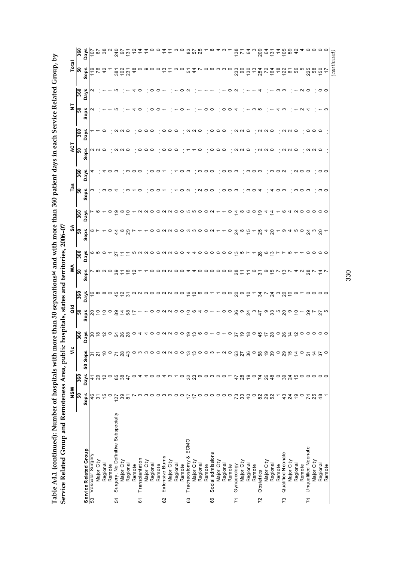Table A4.1 (continued): Number of hospitals with more than 50 separations<sup>(a)</sup> and with more than 360 patient days in each Service Related Group, by **Table A4.1 (continued): Number of hospitals with more than 50 separations(a) and with more than 360 patient days in each Service Related Group, by** 

|                | Service Related Group and Remoteness Area, public                | NSW                      |                             | š                                                                 |                                                  | ă                                               |                        | ≸               | hospitals, states and territories, 2006-07 | રુ              |                         | Ë               |                 | ACT               |                     | $\frac{1}{2}$ |                 | Total                           |                             |
|----------------|------------------------------------------------------------------|--------------------------|-----------------------------|-------------------------------------------------------------------|--------------------------------------------------|-------------------------------------------------|------------------------|-----------------|--------------------------------------------|-----------------|-------------------------|-----------------|-----------------|-------------------|---------------------|---------------|-----------------|---------------------------------|-----------------------------|
|                |                                                                  | ြိ                       | $\frac{8}{360}$             |                                                                   | 360                                              | န္တ                                             | 360                    | န္တ             | 360                                        | န္တ             | 360                     | န္တ             | 360             | န္တ               | 360                 | န္တ           | 360             | ြိ                              | 360                         |
|                |                                                                  | Seps                     | <b>Days</b>                 | Seps<br>50                                                        | Days                                             | Seps                                            | Days                   | Seps            | Days                                       | Seps            | Days                    | Seps            | Days            | Seps              | Days                | <b>Seps</b>   | <b>Days</b>     | Seps                            | <b>Days</b>                 |
|                | Service Related Group<br>53 Vascular Surgery<br>Vascular Surgery | 46                       | $\ddot{+}$                  | 51                                                                |                                                  |                                                 |                        |                 |                                            |                 |                         |                 |                 |                   |                     |               | ี               | 19                              | 107                         |
|                | Major City                                                       | 5                        | 29                          | $\overline{2}$                                                    | 800000                                           | <u>ន ៩</u>                                      | $\frac{6}{6}$ $\infty$ |                 |                                            | ∞ ∼             |                         |                 |                 | N N O             |                     |               |                 | 76                              | 67                          |
|                | Regional                                                         | 15                       | $\overline{\mathbf{C}}$     | $\overline{C}$                                                    |                                                  |                                                 | $\infty$ $\circ$       |                 |                                            |                 |                         |                 | ↴               |                   |                     |               |                 | 42                              | 38                          |
|                | Remote                                                           | $\circ$                  | $\circ$                     |                                                                   |                                                  |                                                 |                        |                 |                                            | o               | $\circ$                 |                 |                 |                   |                     |               |                 |                                 |                             |
| 54             | Surgery, No Definitive Subspecialty                              | 127                      | 85                          |                                                                   |                                                  |                                                 | 4525                   |                 | 27                                         | 4               | ၜ                       |                 |                 |                   |                     |               | ம               | 381                             | 240                         |
|                | Major City                                                       | $35\overline{6}$         |                             |                                                                   | 588                                              |                                                 |                        |                 | $\overline{1}$                             | $\infty$        | $\infty$                |                 |                 | N N O             | $Q \cap Q$          |               |                 |                                 |                             |
|                | Regional                                                         |                          | $rac{47}{4}$                | 783                                                               |                                                  | 20878                                           |                        | $\frac{6}{5}$   | $\overline{1}$                             | 29              | $\circ$                 |                 |                 |                   |                     |               |                 | $102$<br>$231$                  | $rac{2}{131}$               |
|                | Remote                                                           | $\overline{\phantom{0}}$ |                             |                                                                   |                                                  | $\ddot{ }$                                      |                        | $\tilde{c}$     |                                            |                 |                         |                 | က ဝ ဝ           |                   |                     |               | 4               | $\frac{8}{4}$                   |                             |
| 61             | Transplantation                                                  | ო                        | $\circ$ 4                   | onnoon                                                            |                                                  |                                                 | $\sim$ $\sim$          |                 |                                            |                 |                         |                 |                 | 0                 |                     |               | o               | တ                               | 54                          |
|                | Major City                                                       | ო                        | 4                           |                                                                   |                                                  |                                                 |                        |                 |                                            |                 | $\sim$                  |                 |                 | $\circ$           | 000                 |               |                 |                                 |                             |
|                | Regional                                                         | $\circ$                  |                             |                                                                   |                                                  |                                                 |                        |                 |                                            |                 |                         |                 |                 |                   |                     |               | $\circ$         |                                 |                             |
|                | Remote                                                           | $\circ$                  | $\circ$ $\circ$             |                                                                   |                                                  |                                                 | aoouaoo é 5            | 0 0 N           | 00N                                        |                 | O O N N O O W W O O N T |                 | $\circ$ $\circ$ |                   |                     |               | $\circ$         | $\circ \circ \circ$             | $\tilde{a}$ o o $\tilde{a}$ |
| 62             | Extensive Burns                                                  | ო                        | $\overline{4}$              |                                                                   |                                                  |                                                 |                        |                 |                                            |                 |                         |                 |                 | $\circ$           |                     |               |                 | ო                               |                             |
|                | Major City                                                       | ო                        | ო                           |                                                                   |                                                  |                                                 |                        |                 | $\sim$                                     |                 |                         |                 |                 |                   | 000                 |               |                 |                                 | Ξ                           |
|                | Regional                                                         | $\circ$                  |                             |                                                                   |                                                  |                                                 |                        |                 |                                            |                 |                         |                 |                 |                   |                     |               |                 | $\sim$                          | ო                           |
|                | Remote                                                           | $\circ$                  | $\circ$                     |                                                                   |                                                  |                                                 |                        |                 | $\circ$ $\circ$                            |                 |                         |                 | ဝ က             |                   |                     |               |                 | $\circ$                         | $\circ$                     |
| 63             | Tracheostomy & ECMO                                              |                          |                             | $\alpha$ $\circ$ $\circ$ $\alpha$ $\circ$ $\circ$ $\circ$ $\circ$ | $\circ$ $\alpha \wedge \circ \circ \circ \omega$ | $\circ$ $\alpha \alpha \circ \circ \beta \circ$ |                        | $N$ $O$ $O$ $4$ | 4                                          | ONNOOMMOON      |                         | $\circ$ $\sim$  |                 |                   |                     |               | O N             | 51                              |                             |
|                | Major City                                                       |                          |                             |                                                                   |                                                  |                                                 |                        |                 | 4                                          |                 |                         |                 |                 |                   | N N                 |               |                 | $\overline{4}$                  | <b>855</b>                  |
|                | Regional                                                         | 0                        |                             |                                                                   | ဖ                                                |                                                 | ဖ ဝ                    |                 |                                            |                 |                         |                 |                 | $\circ$           |                     |               |                 | Ľ                               |                             |
|                | Remote                                                           | $\circ$                  |                             |                                                                   |                                                  | $40 -$                                          |                        |                 | $\circ \circ \circ$                        |                 |                         | $\circ$ $\circ$ | က ဝ ဝ           |                   |                     | o             |                 |                                 | $-\infty$                   |
| 66             | Social admissions                                                | $\circ$                  |                             |                                                                   |                                                  |                                                 |                        |                 |                                            |                 |                         |                 |                 | $\circ$           |                     | $\circ$       |                 |                                 |                             |
|                | Major City                                                       | $\circ$                  |                             |                                                                   |                                                  | $\overline{ }$                                  |                        |                 | $\circ$ $\circ$                            |                 |                         |                 |                 | $\circ$ $\circ$   | $\circ \circ \circ$ |               |                 |                                 | $\overline{4}$              |
|                | Regional                                                         | $\circ$ $\circ$          |                             | $ \sim$ $\circ$                                                   |                                                  |                                                 | $\circ$                |                 |                                            |                 |                         | ၀ ၀ က           | ၀ ၀ က           |                   |                     | $\circ$       |                 | $\circ \circ \circ \circ \circ$ |                             |
|                | Remote                                                           |                          |                             |                                                                   | $\circ$                                          |                                                 | $\circ$                |                 | $\circ$                                    | $\circ$         | $\circ$                 |                 |                 |                   |                     | $\circ$       | 0               |                                 |                             |
| $\overline{7}$ | Gynaecology                                                      | 73                       | 47                          | $rac{3}{27}$                                                      | $\frac{6}{2}$                                    | ၀ ၀ ဗ္ဟ စ                                       | ္လ စ                   |                 | $\frac{10}{2}$                             | $\overline{24}$ | $\tilde{4}$             |                 |                 | NNO               | NNO                 | 4             |                 | 233                             | $77$<br>71                  |
|                | Major City                                                       | 33                       | $28$                        |                                                                   |                                                  |                                                 |                        | $\tilde{t}$     |                                            | $\infty$        | $\infty$                |                 |                 |                   |                     |               |                 | $\overline{90}$                 |                             |
|                | Regional                                                         | $\overline{4}$           | $\frac{6}{1}$               | 80828                                                             | $\frac{\infty}{\infty}$                          | 2404                                            | $\frac{1}{2}$ -        | $\tilde{t}$     |                                            | $\frac{5}{2}$   | ဖ ဝ စ္                  | ო               | က ၀ $\,$ က      |                   |                     |               |                 | 5.787282568                     | 64                          |
|                | Remote                                                           | $\circ$                  | $\circ$                     |                                                                   |                                                  |                                                 |                        | o               |                                            |                 |                         | $\circ$         |                 |                   |                     | ო ო           |                 |                                 |                             |
| 72             | Obstetrics                                                       | 82                       | 788                         |                                                                   | 45                                               |                                                 | $\mathfrak{F}$         | 51              | 28                                         | 25              |                         | 4               |                 | $\alpha$ $\alpha$ | N N O               |               | ↴               |                                 | 209                         |
|                | Major City                                                       | 29<br>52                 |                             |                                                                   | $\overline{z}$                                   |                                                 | $\overline{ }$         | თ               | $\infty$                                   | 4               | 4                       |                 |                 |                   |                     |               |                 |                                 | ढ                           |
|                | Regional                                                         |                          |                             |                                                                   | 28                                               | ၜၛၟၑၛၜ                                          | 24900                  | $\frac{5}{2}$   | $\frac{3}{2}$                              | $\overline{c}$  | Ξ,                      | 4               | m O N           |                   |                     |               |                 |                                 | 131                         |
|                | Remote                                                           |                          | $\circ$                     |                                                                   |                                                  |                                                 |                        | <b>N</b>        |                                            |                 |                         | $\circ$         |                 |                   |                     | 4             | ო ო             |                                 | $\dot{a}$                   |
| 73             | Qualified Neonate                                                | 43                       | $39$                        |                                                                   | $-84$                                            |                                                 |                        | ო               |                                            | တ               | ဖ                       | ო               |                 |                   |                     |               |                 |                                 | 105                         |
|                | Major City                                                       | 24                       | 24                          | 0.857                                                             |                                                  |                                                 |                        |                 | ယ                                          | 4               | 4                       |                 |                 | $\alpha$ $\alpha$ | N N Q               |               |                 |                                 | 59                          |
|                | Regional                                                         | $\overline{9}$           |                             |                                                                   |                                                  | $\tilde{c}$                                     | ၜ                      | 4               |                                            | <u> က</u> င     | NO O                    | ო               | $\circ$ $\circ$ |                   |                     |               |                 |                                 | 42                          |
|                | Remote                                                           | $\circ$                  |                             | $\circ$                                                           |                                                  |                                                 |                        | $\sim$          |                                            |                 |                         | $\circ$         |                 |                   |                     |               | $ \sim$ $\circ$ |                                 |                             |
| $\overline{7}$ | <b>Unqualified Neonate</b>                                       | $\overline{7}$           |                             | 51                                                                |                                                  | 39                                              | $\circ$ $\circ$        | 28              | $\circ$                                    | $\overline{24}$ |                         | ო               |                 |                   |                     |               |                 | 225                             |                             |
|                | Major City                                                       | 25                       | $\ddot{\mathfrak{b}}$ ooooo | $rac{2}{4}$ $rac{2}{5}$ $rac{1}{5}$                               | 200000                                           | $\overline{ }$                                  |                        |                 | $\circ \circ \circ$                        | က               | $\circ$                 |                 |                 | $\alpha$ $\alpha$ | $\circ \circ \circ$ |               |                 | 58                              | 40000                       |
|                | Regional                                                         | $\frac{8}{4}$            |                             |                                                                   |                                                  | $\frac{5}{2}$                                   | $\circ$ $\circ$        | $rac{1}{4}$     |                                            | $\frac{8}{1}$   | $\circ$ $\circ$         | က ဝ             | $\circ$ $\circ$ |                   |                     |               | $\circ$         | $150$<br>17                     |                             |
|                | Remote                                                           |                          |                             |                                                                   |                                                  |                                                 |                        |                 |                                            |                 |                         |                 |                 |                   |                     |               |                 |                                 |                             |
|                |                                                                  |                          |                             |                                                                   |                                                  |                                                 |                        |                 |                                            |                 |                         |                 |                 |                   |                     |               |                 | $_{(continued)}$                |                             |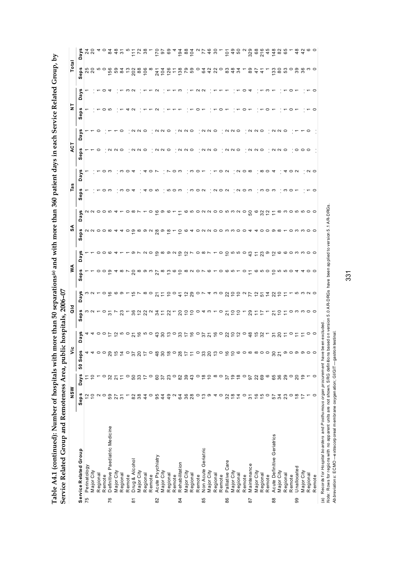| more than 50 separations(a) and with more than 360 patient days in each Service Related Group, by |                             |
|---------------------------------------------------------------------------------------------------|-----------------------------|
|                                                                                                   |                             |
| ì<br>l                                                                                            | re<br>Coco<br>.<br>ייב<br>ſ |
| l                                                                                                 | (<br>I                      |

|                | Table A4.1 (continued): Number of hospitals with m       |                       |                                                                                                |                    |                           |                             |                 |                                        |                | ore than 50 separations® and with more than 360 patient days in each Service Related Group, by |                                   |                 |                   |                      |                                   |             |                |                                              |                                                         |
|----------------|----------------------------------------------------------|-----------------------|------------------------------------------------------------------------------------------------|--------------------|---------------------------|-----------------------------|-----------------|----------------------------------------|----------------|------------------------------------------------------------------------------------------------|-----------------------------------|-----------------|-------------------|----------------------|-----------------------------------|-------------|----------------|----------------------------------------------|---------------------------------------------------------|
|                | Service Related Group and Remoteness Area, public        | MSW                   |                                                                                                | تا                 | hospitals,                | a<br>To                     | 2006-07         | ŠΑ                                     |                | રુ                                                                                             |                                   | Tas             |                   | ACT                  |                                   | 5           |                | Total                                        |                                                         |
|                |                                                          | Seps                  | <b>Days</b>                                                                                    | Seps<br>50         | Days                      | °g<br>မိခ                   | ays<br>$\Omega$ | U)<br>Sep:                             | ays<br>$\Box$  | U)<br>Sep                                                                                      | ays<br>$\Omega$                   | eps<br>Ŵ,       | U)<br>ā<br>۵      | Seps                 | w<br>δã                           | <b>Seps</b> | U)<br>.<br>Day | Seps                                         | <b>Days</b>                                             |
|                | Service Related Group<br>75 Perinatology<br>Perinatology |                       |                                                                                                |                    |                           |                             |                 |                                        |                |                                                                                                |                                   |                 |                   |                      |                                   |             |                |                                              |                                                         |
|                | Major City                                               | ₽                     | $\frac{1}{2}$                                                                                  |                    | 44                        | $\frac{1}{2}$ $\frac{1}{2}$ |                 |                                        |                | $N N$ $\circ$ $\circ$ $\circ$                                                                  |                                   |                 |                   |                      |                                   |             |                | 5<br>20<br>20<br>20                          | 24                                                      |
|                | Regional                                                 |                       |                                                                                                |                    |                           |                             |                 |                                        |                |                                                                                                |                                   |                 |                   |                      |                                   |             |                |                                              |                                                         |
|                | Remote                                                   | $\circ$               | $\circ$                                                                                        | $\circ$            |                           | $\circ$                     |                 |                                        |                |                                                                                                |                                   |                 | 0                 |                      |                                   |             |                |                                              | $\overline{4}$ 0                                        |
| 76             | Definitive Paediatric Medicine                           | 59                    | 32                                                                                             |                    |                           | స్                          |                 |                                        |                |                                                                                                | 00004                             |                 | S                 |                      |                                   |             |                |                                              |                                                         |
|                | Major City                                               | 27                    | $\frac{1}{2}$                                                                                  |                    |                           |                             |                 |                                        |                |                                                                                                |                                   |                 |                   |                      |                                   |             |                |                                              | <b>2222</b>                                             |
|                | Regional                                                 | $\overline{5}$        |                                                                                                | 29.570             | $\overline{a}$ is $\circ$ | 23                          |                 |                                        |                |                                                                                                |                                   |                 |                   |                      |                                   |             |                |                                              |                                                         |
|                | Remote                                                   | Γ                     | $\circ$                                                                                        |                    |                           |                             |                 |                                        |                |                                                                                                |                                   |                 | っ                 |                      |                                   |             |                |                                              |                                                         |
| $\overline{8}$ | Drug & Alcohol                                           | 82                    | 50                                                                                             | $\overline{37}$    | $\overline{5}$            | 8282                        |                 | $\overline{c}$                         |                | တ                                                                                              |                                   |                 |                   |                      |                                   |             |                | 5.8328888                                    | 728                                                     |
|                | MajorCity                                                | 38                    | 37                                                                                             |                    | $\frac{6}{5}$             |                             |                 |                                        |                |                                                                                                |                                   |                 |                   |                      | $\sim$ $\sim$                     |             |                |                                              |                                                         |
|                | Regional                                                 | 44                    |                                                                                                |                    | ော ဝ                      |                             |                 |                                        |                |                                                                                                |                                   |                 |                   |                      |                                   |             |                |                                              |                                                         |
|                | Remote                                                   | $\circ$               | $\circ$                                                                                        |                    |                           |                             |                 | ო                                      |                |                                                                                                |                                   |                 | っ                 |                      |                                   |             |                |                                              |                                                         |
| 82             | Acute Psychiatry                                         | 95                    | $\rm ^{60}$                                                                                    |                    | 30                        | $\approx$                   | ಸ               | 27                                     | ၜ              | 28                                                                                             | ဖ                                 |                 |                   |                      |                                   |             |                | $300000$<br>$4000000$                        |                                                         |
|                | MajorCity                                                | $\overline{4}$        | 57                                                                                             |                    |                           |                             | Ξ               | $\infty$                               | $\infty$       | တ                                                                                              | ၜ                                 |                 |                   | $\sim$ $\sim$        | NN O                              |             |                |                                              |                                                         |
|                | Regional                                                 | 49                    | $\frac{3}{2}$                                                                                  |                    | $\frac{1}{2}$             |                             | $\tilde{=}$     | ო                                      | ത പ            | ≌                                                                                              | ဖ                                 |                 |                   |                      |                                   |             |                |                                              |                                                         |
|                | Remote                                                   | $\mathbf{\Omega}$     |                                                                                                |                    | $\circ$                   |                             | $\circ$         | ∞                                      |                |                                                                                                |                                   |                 | 0                 |                      |                                   |             |                |                                              |                                                         |
| 84             | Rehabilitation                                           | 64                    | 82                                                                                             |                    |                           | 20                          | $\frac{4}{7}$   | $\circ$                                | ഉ              | ₽                                                                                              |                                   |                 | ო                 | $\sim$               |                                   |             |                |                                              |                                                         |
|                | Major City                                               | 36                    | 39 <sub>0</sub>                                                                                |                    |                           | 55                          | $\frac{2}{2}$   | ∞                                      | $\tilde{c}$    |                                                                                                |                                   |                 |                   | N O                  | $\cdot$ $\alpha$ $\alpha$ $\circ$ |             |                |                                              |                                                         |
|                | Regional                                                 | 28                    |                                                                                                |                    | 3.590                     |                             |                 | $\sim$                                 |                |                                                                                                |                                   |                 | ო                 |                      |                                   |             |                |                                              | $\frac{3}{8}$ $\frac{8}{5}$ $\frac{4}{8}$ $\frac{8}{1}$ |
|                | Remote                                                   | $\circ$               |                                                                                                |                    |                           | $\circ$                     | $\circ$         | $\circ$                                | $\circ$        |                                                                                                |                                   | $\circ$ $\sim$  | $\circ$           |                      |                                   |             |                | $\circ$                                      |                                                         |
| 85             | Geriatric<br>Non Acute                                   | $\frac{3}{2}$         | $\circ \stackrel{\alpha}{\circ} \stackrel{\alpha}{\circ} \circ \circ \stackrel{\alpha}{\circ}$ |                    | 57900200                  | 4                           |                 |                                        | $\infty$       |                                                                                                |                                   |                 |                   | $\sim$ $\sim$ $\sim$ | $\alpha$ $\alpha$                 |             |                | <b>842</b>                                   | 74.8                                                    |
|                | MajorCity                                                | ၜ                     |                                                                                                |                    |                           | ო                           |                 |                                        |                |                                                                                                |                                   |                 |                   |                      |                                   |             |                |                                              |                                                         |
|                | Regional                                                 | 4                     |                                                                                                |                    |                           |                             | က ဝ             |                                        |                |                                                                                                |                                   | $N$ $\circ$ $N$ |                   |                      |                                   |             |                |                                              |                                                         |
|                | Remote                                                   | $\circ$               |                                                                                                |                    |                           | $\circ$                     |                 |                                        | $\circ$        |                                                                                                |                                   |                 | $\circ$           |                      |                                   |             |                |                                              |                                                         |
| 86             | Palliative Care                                          | 32                    |                                                                                                |                    |                           | $\overline{a}$              |                 | $\circ$ $\sim$ $\circ$ $\circ$ $\circ$ | $\overline{c}$ |                                                                                                |                                   |                 | $\sim$            | $\sim$               |                                   |             |                |                                              | $\frac{5}{10}$                                          |
|                | Major City                                               | $\frac{8}{1}$         | $\frac{5}{6}$ $\frac{5}{6}$                                                                    |                    |                           | $\tilde{c}$                 | 2922            |                                        | <b>000</b>     | N O O M M O O                                                                                  |                                   |                 |                   | $\sim$ $\circ$       | $\alpha$ $\alpha$                 |             |                | $-844$                                       | 49                                                      |
|                | Regional                                                 | $\frac{4}{4}$         |                                                                                                |                    |                           | $\overline{c}$              |                 |                                        |                |                                                                                                |                                   |                 | $\alpha$ $\alpha$ |                      |                                   |             |                |                                              |                                                         |
|                | Remote                                                   | $\circ$               |                                                                                                |                    |                           |                             |                 | $\circ$                                |                |                                                                                                |                                   |                 |                   |                      |                                   |             |                |                                              |                                                         |
| 52             | Maintenance                                              | $\overline{3}$        | 67                                                                                             |                    | 48                        |                             | 77              |                                        | 43             |                                                                                                |                                   |                 |                   | $\sim$               | $\cdot$ $\alpha$ $\alpha$ $\circ$ |             |                | 89                                           | 329                                                     |
|                | MajorCity                                                | $\frac{6}{5}$         | 22                                                                                             |                    | $15 \text{ } 2$           |                             | $\frac{1}{2}$   | ဖ                                      | $\ddot{ }$     |                                                                                                |                                   |                 |                   | N O                  |                                   |             |                | 47                                           | 68                                                      |
|                | Regional                                                 | $\frac{15}{10}$       | 69                                                                                             |                    |                           |                             | 51              | w                                      | 23             |                                                                                                |                                   |                 | $\infty$          |                      |                                   |             |                | $\ddot{4}$                                   | 216<br>45                                               |
|                | Remote                                                   |                       | $\mathbf{\circ}$                                                                               |                    |                           |                             |                 | $\circ$                                | $\frac{1}{2}$  |                                                                                                |                                   |                 | っ                 |                      |                                   |             |                |                                              |                                                         |
| 88             | Acute Definitive Geriatrics                              | 57                    | 65                                                                                             | $\frac{5}{20}$     | $585977$                  |                             | 7927            | $\circ$                                |                |                                                                                                |                                   |                 |                   |                      | $\cdot$ $\alpha$ $\alpha$ $\circ$ |             |                | $\frac{3}{2}$<br>$\otimes$ $\stackrel{2}{2}$ | 148                                                     |
|                | Major City                                               | 34                    | 36                                                                                             |                    |                           | ₽                           |                 |                                        | ဖ              |                                                                                                | $\infty$ $\sim$ $\infty$ $\infty$ |                 |                   | $\sim$               |                                   |             |                |                                              | 82<br>65                                                |
|                | Regional                                                 | 23                    |                                                                                                |                    |                           |                             |                 |                                        |                |                                                                                                |                                   |                 |                   | $\circ$              |                                   |             |                |                                              |                                                         |
|                | Remote                                                   |                       |                                                                                                |                    |                           |                             |                 |                                        |                |                                                                                                |                                   |                 |                   |                      |                                   |             |                |                                              |                                                         |
| 99             | Unallocated                                              | $rac{\alpha}{\alpha}$ | 20000                                                                                          |                    |                           | ဝ က က                       |                 |                                        |                |                                                                                                |                                   |                 |                   | 0                    |                                   |             |                |                                              | 48                                                      |
|                | Major City                                               |                       |                                                                                                | <b>の 0 の の 0 0</b> |                           |                             |                 |                                        |                |                                                                                                |                                   |                 |                   | $\circ$              |                                   |             |                | ဝ စ္က ဖွ က ဝ                                 |                                                         |
|                | Regional                                                 |                       |                                                                                                |                    | $\circ$ $\circ$           |                             |                 |                                        |                |                                                                                                |                                   |                 | $\sim$ $\sim$     |                      |                                   |             |                |                                              |                                                         |
|                | Remote                                                   |                       | $\circ$                                                                                        |                    |                           |                             |                 |                                        |                |                                                                                                |                                   |                 |                   |                      |                                   |             |                |                                              |                                                         |

י בי השטחים של היה בין בי השטחים של היה של היה של היה של היה של היה של היה של היה של היה של היה של היה של היה של<br>(a) Records for *rlospital boarders* and *Posthu mous organ procurement* have been excluded.<br>Ab*breviations Note:* Rows for regions with no apparent units are not shown. S RG definitions based on version 5.0 A R-DRGs have been applied to version 5.1 A R-DRGs.

*Abbreviations:* ECMO —extracorporeal membrane oxygenation; GI/GIT—gastrointestinal.

(a) Records for *Hospital boarders* and *P osthumous organ procurement* have been excluded.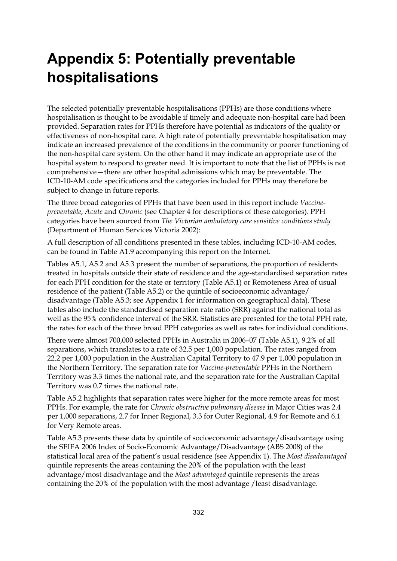### **Appendix 5: Potentially preventable hospitalisations**

The selected potentially preventable hospitalisations (PPHs) are those conditions where hospitalisation is thought to be avoidable if timely and adequate non-hospital care had been provided. Separation rates for PPHs therefore have potential as indicators of the quality or effectiveness of non-hospital care. A high rate of potentially preventable hospitalisation may indicate an increased prevalence of the conditions in the community or poorer functioning of the non-hospital care system. On the other hand it may indicate an appropriate use of the hospital system to respond to greater need. It is important to note that the list of PPHs is not comprehensive—there are other hospital admissions which may be preventable. The ICD-10-AM code specifications and the categories included for PPHs may therefore be subject to change in future reports.

The three broad categories of PPHs that have been used in this report include *Vaccinepreventable*, *Acute* and *Chronic* (see Chapter 4 for descriptions of these categories). PPH categories have been sourced from *The Victorian ambulatory care sensitive conditions study* (Department of Human Services Victoria 2002):

A full description of all conditions presented in these tables, including ICD-10-AM codes, can be found in Table A1.9 accompanying this report on the Internet.

Tables A5.1, A5.2 and A5.3 present the number of separations, the proportion of residents treated in hospitals outside their state of residence and the age-standardised separation rates for each PPH condition for the state or territory (Table A5.1) or Remoteness Area of usual residence of the patient (Table A5.2) or the quintile of socioeconomic advantage/ disadvantage (Table A5.3; see Appendix 1 for information on geographical data). These tables also include the standardised separation rate ratio (SRR) against the national total as well as the 95% confidence interval of the SRR. Statistics are presented for the total PPH rate, the rates for each of the three broad PPH categories as well as rates for individual conditions.

There were almost 700,000 selected PPHs in Australia in 2006–07 (Table A5.1), 9.2% of all separations, which translates to a rate of 32.5 per 1,000 population. The rates ranged from 22.2 per 1,000 population in the Australian Capital Territory to 47.9 per 1,000 population in the Northern Territory. The separation rate for *Vaccine-preventable* PPHs in the Northern Territory was 3.3 times the national rate, and the separation rate for the Australian Capital Territory was 0.7 times the national rate.

Table A5.2 highlights that separation rates were higher for the more remote areas for most PPHs. For example, the rate for *Chronic obstructive pulmonary disease* in Major Cities was 2.4 per 1,000 separations, 2.7 for Inner Regional, 3.3 for Outer Regional, 4.9 for Remote and 6.1 for Very Remote areas.

Table A5.3 presents these data by quintile of socioeconomic advantage/disadvantage using the SEIFA 2006 Index of Socio-Economic Advantage/Disadvantage (ABS 2008) of the statistical local area of the patient's usual residence (see Appendix 1). The *Most disadvantaged* quintile represents the areas containing the 20% of the population with the least advantage/most disadvantage and the *Most advantaged* quintile represents the areas containing the 20% of the population with the most advantage /least disadvantage.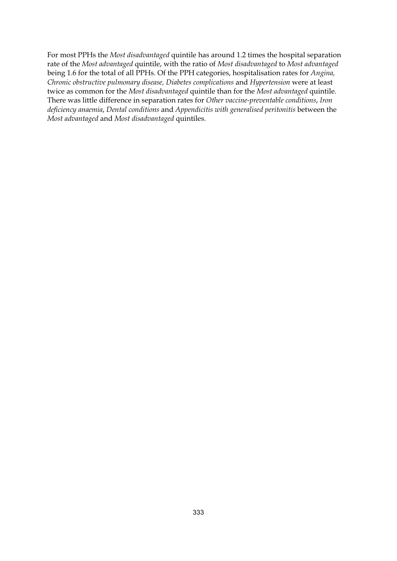For most PPHs the *Most disadvantaged* quintile has around 1.2 times the hospital separation rate of the *Most advantaged* quintile, with the ratio of *Most disadvantaged* to *Most advantaged* being 1.6 for the total of all PPHs. Of the PPH categories, hospitalisation rates for *Angina, Chronic obstructive pulmonary disease, Diabetes complications* and *Hypertension* were at least twice as common for the *Most disadvantaged* quintile than for the *Most advantaged* quintile. There was little difference in separation rates for *Other vaccine-preventable conditions*, *Iron deficiency anaemia*, *Dental conditions* and *Appendicitis with generalised peritonitis* between the *Most advantaged* and *Most disadvantaged* quintiles.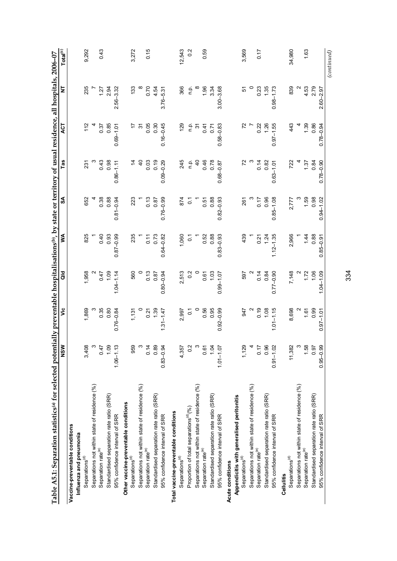| 366<br>1.96<br>1.35<br>839<br>2.79<br>235<br>$2.56 - 3.32$<br>133<br>$^{\circ}$<br>0.70<br>$\infty$<br>334<br>$3.00 - 3.68$<br>$\circ$<br>0.23<br>$0.98 - 1.73$<br>$\mathbf{\Omega}$<br>4.53<br>2.94<br>4.54<br>n.p.<br>5<br>$2.60 - 2.97$<br>$3.76 - 5.31$<br>1.27<br>$0.16 - 0.45$<br>72<br>0.86<br>0.85<br>0.05<br>0.30<br>129<br>$0.58 - 0.83$<br>0.22<br>1.26<br>$0.97 - 1.55$<br>443<br>1.39<br>$0.78 - 0.94$<br>112<br>$0.69 - 1.01$<br>$\tilde{\mathcal{E}}$<br>ف<br>p<br>17<br>$\tilde{\mathcal{E}}$<br>0.41<br>0.37<br>0.71<br>0.98<br>245<br>0.46<br>0.78<br>72<br>$0.78 - 0.90$<br>0.43<br>$\overline{a}$<br>0.03<br>0.19<br>$0.09 - 0.29$<br>ρ.<br>Γ<br>$\overline{a}$<br>722<br>4<br>$0.68 - 0.87$<br>0.14<br>0.82<br>0.84<br>231<br>$0.86 - 1.11$<br>1.37<br>$0.63 - 1.01$<br>0.88<br>0.38<br>$0.76 - 0.99$<br>0.88<br>0.96<br>$0.85 - 1.08$<br>$1.59$<br>0.98<br>652<br>$0.81 - 0.94$<br>$\frac{0.13}{0.87}$<br>874<br>$0.82 - 0.93$<br>$0.94 - 1.02$<br>0.17<br>2,777<br>223<br>0.51<br>261<br>$\overline{c}$<br>$0.87 - 0.99$<br>2,966<br>825<br>0.40<br>0.93<br>235<br>$0.64 - 0.82$<br>0.88<br>$0.83 - 0.93$<br>439<br>$1.12 - 1.35$<br>1.44<br>0.88<br>0.11<br>0.73<br>1,060<br>0.52<br>1.24<br>$0.85 - 0.91$<br>$\tilde{\circ}$<br>0.21<br>1.06<br>$1.04 - 1.14$<br>0.2<br>1.72<br>$1.04 - 1.09$<br>1,958<br>0.47<br>1.09<br>560<br>0.13<br>2,513<br>$\circ$<br>1.03<br>0.14<br>0.84<br>$0.77 - 0.90$<br>7,148<br>$0.80 - 0.94$<br>597<br>0.87<br>0.61<br>$0.99 - 1.07$<br>0.35<br>0.95<br>0.80<br>0.56<br>$0.92 - 0.99$<br>0.19<br>1.08<br>$1.01 - 1.15$<br>8,698<br>0.99<br>1,869<br>ო<br>$0.76 - 0.84$<br>$0.\overline{21}$<br>1.39<br>$\circ$<br>$1.31 - 1.47$<br>947<br>1.61<br>2,997<br>$\overline{0}$<br>$0.97 - 1.01$<br>1,131<br>3,408<br>S.<br>0.47<br>1.09<br>$1.06 - 1.13$<br>959<br>S<br>0.14<br>0.89<br>$0.83 - 0.94$<br>4,357<br>0.2<br>$\mathfrak{S}$<br>0.61<br>1.04<br>$1.01 - 1.07$<br>1,129<br>0.17<br>0.96<br>$0.91 - 1.02$<br>11,382<br>ო<br>1.58<br>0.97<br>$0.95 - 0.99$<br>Separations not within state of residence (%)<br>Separations not within state of residence (%)<br>Separations not within state of residence (%)<br>Separations not within state of residence (%)<br>Separations not within state of residence (%)<br>Standardised separation rate ratio (SRR)<br>Standardised separation rate ratio (SRR)<br>Standardised separation rate ratio (SRR)<br>Standardised separation rate ratio (SRR)<br>Standardised separation rate ratio (SRR)<br>Appendicitis with generalised peritonitis<br>Other vaccine-preventable conditions<br>Proportion of total separations <sup>(d)</sup> (%)<br>Total vaccine-preventable conditions<br>95% confidence interval of SRR<br>95% confidence interval of SRR<br>95% confidence interval of SRR<br>95% confidence interval of SRR<br>95% confidence interval of SRR<br>Vaccine-preventable conditions<br>Influenza and pneumonia<br>Separation rate <sup>(e)</sup><br>Separation rate <sup>(e)</sup><br>Separation rate <sup>(e)</sup><br>Separation rate <sup>(e)</sup><br>Separation rate <sup>(e)</sup><br>Separations <sup>(d)</sup><br>Separations <sup>(d)</sup><br>Separations <sup>(d)</sup><br>Separations <sup>(d)</sup><br>Separations <sup>(d)</sup><br>Acute conditions<br>Cellulitis | NSW | ۊ | as<br>To | ≸ | SA | Tas | ACT | Ż | $\mathsf{Total}^{(c)}$ |
|-----------------------------------------------------------------------------------------------------------------------------------------------------------------------------------------------------------------------------------------------------------------------------------------------------------------------------------------------------------------------------------------------------------------------------------------------------------------------------------------------------------------------------------------------------------------------------------------------------------------------------------------------------------------------------------------------------------------------------------------------------------------------------------------------------------------------------------------------------------------------------------------------------------------------------------------------------------------------------------------------------------------------------------------------------------------------------------------------------------------------------------------------------------------------------------------------------------------------------------------------------------------------------------------------------------------------------------------------------------------------------------------------------------------------------------------------------------------------------------------------------------------------------------------------------------------------------------------------------------------------------------------------------------------------------------------------------------------------------------------------------------------------------------------------------------------------------------------------------------------------------------------------------------------------------------------------------------------------------------------------------------------------------------------------------------------------------------------------------------------------------------------------------------------------------------------------------------------------------------------------------------------------------------------------------------------------------------------------------------------------------------------------------------------------------------------------------------------------------------------------------------------------------------------------------------------------------------------------------------------------------------------------------------------------------------------------------------------------------------------------------------------------------------------------------------------------------------------------------------------------------------------------------------------------------------------------------------------------------------------------------------------------------------------------------------------------------------------------------------------------------------------------------------------------------------------------------------------------------------------------------------------------------------------------------|-----|---|----------|---|----|-----|-----|---|------------------------|
|                                                                                                                                                                                                                                                                                                                                                                                                                                                                                                                                                                                                                                                                                                                                                                                                                                                                                                                                                                                                                                                                                                                                                                                                                                                                                                                                                                                                                                                                                                                                                                                                                                                                                                                                                                                                                                                                                                                                                                                                                                                                                                                                                                                                                                                                                                                                                                                                                                                                                                                                                                                                                                                                                                                                                                                                                                                                                                                                                                                                                                                                                                                                                                                                                                                                                                     |     |   |          |   |    |     |     |   |                        |
|                                                                                                                                                                                                                                                                                                                                                                                                                                                                                                                                                                                                                                                                                                                                                                                                                                                                                                                                                                                                                                                                                                                                                                                                                                                                                                                                                                                                                                                                                                                                                                                                                                                                                                                                                                                                                                                                                                                                                                                                                                                                                                                                                                                                                                                                                                                                                                                                                                                                                                                                                                                                                                                                                                                                                                                                                                                                                                                                                                                                                                                                                                                                                                                                                                                                                                     |     |   |          |   |    |     |     |   |                        |
|                                                                                                                                                                                                                                                                                                                                                                                                                                                                                                                                                                                                                                                                                                                                                                                                                                                                                                                                                                                                                                                                                                                                                                                                                                                                                                                                                                                                                                                                                                                                                                                                                                                                                                                                                                                                                                                                                                                                                                                                                                                                                                                                                                                                                                                                                                                                                                                                                                                                                                                                                                                                                                                                                                                                                                                                                                                                                                                                                                                                                                                                                                                                                                                                                                                                                                     |     |   |          |   |    |     |     |   | 9,292                  |
|                                                                                                                                                                                                                                                                                                                                                                                                                                                                                                                                                                                                                                                                                                                                                                                                                                                                                                                                                                                                                                                                                                                                                                                                                                                                                                                                                                                                                                                                                                                                                                                                                                                                                                                                                                                                                                                                                                                                                                                                                                                                                                                                                                                                                                                                                                                                                                                                                                                                                                                                                                                                                                                                                                                                                                                                                                                                                                                                                                                                                                                                                                                                                                                                                                                                                                     |     |   |          |   |    |     |     |   |                        |
|                                                                                                                                                                                                                                                                                                                                                                                                                                                                                                                                                                                                                                                                                                                                                                                                                                                                                                                                                                                                                                                                                                                                                                                                                                                                                                                                                                                                                                                                                                                                                                                                                                                                                                                                                                                                                                                                                                                                                                                                                                                                                                                                                                                                                                                                                                                                                                                                                                                                                                                                                                                                                                                                                                                                                                                                                                                                                                                                                                                                                                                                                                                                                                                                                                                                                                     |     |   |          |   |    |     |     |   | 0.43                   |
|                                                                                                                                                                                                                                                                                                                                                                                                                                                                                                                                                                                                                                                                                                                                                                                                                                                                                                                                                                                                                                                                                                                                                                                                                                                                                                                                                                                                                                                                                                                                                                                                                                                                                                                                                                                                                                                                                                                                                                                                                                                                                                                                                                                                                                                                                                                                                                                                                                                                                                                                                                                                                                                                                                                                                                                                                                                                                                                                                                                                                                                                                                                                                                                                                                                                                                     |     |   |          |   |    |     |     |   |                        |
|                                                                                                                                                                                                                                                                                                                                                                                                                                                                                                                                                                                                                                                                                                                                                                                                                                                                                                                                                                                                                                                                                                                                                                                                                                                                                                                                                                                                                                                                                                                                                                                                                                                                                                                                                                                                                                                                                                                                                                                                                                                                                                                                                                                                                                                                                                                                                                                                                                                                                                                                                                                                                                                                                                                                                                                                                                                                                                                                                                                                                                                                                                                                                                                                                                                                                                     |     |   |          |   |    |     |     |   |                        |
|                                                                                                                                                                                                                                                                                                                                                                                                                                                                                                                                                                                                                                                                                                                                                                                                                                                                                                                                                                                                                                                                                                                                                                                                                                                                                                                                                                                                                                                                                                                                                                                                                                                                                                                                                                                                                                                                                                                                                                                                                                                                                                                                                                                                                                                                                                                                                                                                                                                                                                                                                                                                                                                                                                                                                                                                                                                                                                                                                                                                                                                                                                                                                                                                                                                                                                     |     |   |          |   |    |     |     |   |                        |
|                                                                                                                                                                                                                                                                                                                                                                                                                                                                                                                                                                                                                                                                                                                                                                                                                                                                                                                                                                                                                                                                                                                                                                                                                                                                                                                                                                                                                                                                                                                                                                                                                                                                                                                                                                                                                                                                                                                                                                                                                                                                                                                                                                                                                                                                                                                                                                                                                                                                                                                                                                                                                                                                                                                                                                                                                                                                                                                                                                                                                                                                                                                                                                                                                                                                                                     |     |   |          |   |    |     |     |   | 3,272                  |
|                                                                                                                                                                                                                                                                                                                                                                                                                                                                                                                                                                                                                                                                                                                                                                                                                                                                                                                                                                                                                                                                                                                                                                                                                                                                                                                                                                                                                                                                                                                                                                                                                                                                                                                                                                                                                                                                                                                                                                                                                                                                                                                                                                                                                                                                                                                                                                                                                                                                                                                                                                                                                                                                                                                                                                                                                                                                                                                                                                                                                                                                                                                                                                                                                                                                                                     |     |   |          |   |    |     |     |   |                        |
|                                                                                                                                                                                                                                                                                                                                                                                                                                                                                                                                                                                                                                                                                                                                                                                                                                                                                                                                                                                                                                                                                                                                                                                                                                                                                                                                                                                                                                                                                                                                                                                                                                                                                                                                                                                                                                                                                                                                                                                                                                                                                                                                                                                                                                                                                                                                                                                                                                                                                                                                                                                                                                                                                                                                                                                                                                                                                                                                                                                                                                                                                                                                                                                                                                                                                                     |     |   |          |   |    |     |     |   | 0.15                   |
|                                                                                                                                                                                                                                                                                                                                                                                                                                                                                                                                                                                                                                                                                                                                                                                                                                                                                                                                                                                                                                                                                                                                                                                                                                                                                                                                                                                                                                                                                                                                                                                                                                                                                                                                                                                                                                                                                                                                                                                                                                                                                                                                                                                                                                                                                                                                                                                                                                                                                                                                                                                                                                                                                                                                                                                                                                                                                                                                                                                                                                                                                                                                                                                                                                                                                                     |     |   |          |   |    |     |     |   |                        |
|                                                                                                                                                                                                                                                                                                                                                                                                                                                                                                                                                                                                                                                                                                                                                                                                                                                                                                                                                                                                                                                                                                                                                                                                                                                                                                                                                                                                                                                                                                                                                                                                                                                                                                                                                                                                                                                                                                                                                                                                                                                                                                                                                                                                                                                                                                                                                                                                                                                                                                                                                                                                                                                                                                                                                                                                                                                                                                                                                                                                                                                                                                                                                                                                                                                                                                     |     |   |          |   |    |     |     |   |                        |
|                                                                                                                                                                                                                                                                                                                                                                                                                                                                                                                                                                                                                                                                                                                                                                                                                                                                                                                                                                                                                                                                                                                                                                                                                                                                                                                                                                                                                                                                                                                                                                                                                                                                                                                                                                                                                                                                                                                                                                                                                                                                                                                                                                                                                                                                                                                                                                                                                                                                                                                                                                                                                                                                                                                                                                                                                                                                                                                                                                                                                                                                                                                                                                                                                                                                                                     |     |   |          |   |    |     |     |   |                        |
|                                                                                                                                                                                                                                                                                                                                                                                                                                                                                                                                                                                                                                                                                                                                                                                                                                                                                                                                                                                                                                                                                                                                                                                                                                                                                                                                                                                                                                                                                                                                                                                                                                                                                                                                                                                                                                                                                                                                                                                                                                                                                                                                                                                                                                                                                                                                                                                                                                                                                                                                                                                                                                                                                                                                                                                                                                                                                                                                                                                                                                                                                                                                                                                                                                                                                                     |     |   |          |   |    |     |     |   | 12,543                 |
|                                                                                                                                                                                                                                                                                                                                                                                                                                                                                                                                                                                                                                                                                                                                                                                                                                                                                                                                                                                                                                                                                                                                                                                                                                                                                                                                                                                                                                                                                                                                                                                                                                                                                                                                                                                                                                                                                                                                                                                                                                                                                                                                                                                                                                                                                                                                                                                                                                                                                                                                                                                                                                                                                                                                                                                                                                                                                                                                                                                                                                                                                                                                                                                                                                                                                                     |     |   |          |   |    |     |     |   | $\frac{2}{3}$          |
|                                                                                                                                                                                                                                                                                                                                                                                                                                                                                                                                                                                                                                                                                                                                                                                                                                                                                                                                                                                                                                                                                                                                                                                                                                                                                                                                                                                                                                                                                                                                                                                                                                                                                                                                                                                                                                                                                                                                                                                                                                                                                                                                                                                                                                                                                                                                                                                                                                                                                                                                                                                                                                                                                                                                                                                                                                                                                                                                                                                                                                                                                                                                                                                                                                                                                                     |     |   |          |   |    |     |     |   |                        |
|                                                                                                                                                                                                                                                                                                                                                                                                                                                                                                                                                                                                                                                                                                                                                                                                                                                                                                                                                                                                                                                                                                                                                                                                                                                                                                                                                                                                                                                                                                                                                                                                                                                                                                                                                                                                                                                                                                                                                                                                                                                                                                                                                                                                                                                                                                                                                                                                                                                                                                                                                                                                                                                                                                                                                                                                                                                                                                                                                                                                                                                                                                                                                                                                                                                                                                     |     |   |          |   |    |     |     |   | 0.59                   |
|                                                                                                                                                                                                                                                                                                                                                                                                                                                                                                                                                                                                                                                                                                                                                                                                                                                                                                                                                                                                                                                                                                                                                                                                                                                                                                                                                                                                                                                                                                                                                                                                                                                                                                                                                                                                                                                                                                                                                                                                                                                                                                                                                                                                                                                                                                                                                                                                                                                                                                                                                                                                                                                                                                                                                                                                                                                                                                                                                                                                                                                                                                                                                                                                                                                                                                     |     |   |          |   |    |     |     |   |                        |
|                                                                                                                                                                                                                                                                                                                                                                                                                                                                                                                                                                                                                                                                                                                                                                                                                                                                                                                                                                                                                                                                                                                                                                                                                                                                                                                                                                                                                                                                                                                                                                                                                                                                                                                                                                                                                                                                                                                                                                                                                                                                                                                                                                                                                                                                                                                                                                                                                                                                                                                                                                                                                                                                                                                                                                                                                                                                                                                                                                                                                                                                                                                                                                                                                                                                                                     |     |   |          |   |    |     |     |   |                        |
|                                                                                                                                                                                                                                                                                                                                                                                                                                                                                                                                                                                                                                                                                                                                                                                                                                                                                                                                                                                                                                                                                                                                                                                                                                                                                                                                                                                                                                                                                                                                                                                                                                                                                                                                                                                                                                                                                                                                                                                                                                                                                                                                                                                                                                                                                                                                                                                                                                                                                                                                                                                                                                                                                                                                                                                                                                                                                                                                                                                                                                                                                                                                                                                                                                                                                                     |     |   |          |   |    |     |     |   |                        |
|                                                                                                                                                                                                                                                                                                                                                                                                                                                                                                                                                                                                                                                                                                                                                                                                                                                                                                                                                                                                                                                                                                                                                                                                                                                                                                                                                                                                                                                                                                                                                                                                                                                                                                                                                                                                                                                                                                                                                                                                                                                                                                                                                                                                                                                                                                                                                                                                                                                                                                                                                                                                                                                                                                                                                                                                                                                                                                                                                                                                                                                                                                                                                                                                                                                                                                     |     |   |          |   |    |     |     |   |                        |
|                                                                                                                                                                                                                                                                                                                                                                                                                                                                                                                                                                                                                                                                                                                                                                                                                                                                                                                                                                                                                                                                                                                                                                                                                                                                                                                                                                                                                                                                                                                                                                                                                                                                                                                                                                                                                                                                                                                                                                                                                                                                                                                                                                                                                                                                                                                                                                                                                                                                                                                                                                                                                                                                                                                                                                                                                                                                                                                                                                                                                                                                                                                                                                                                                                                                                                     |     |   |          |   |    |     |     |   | 3,569                  |
|                                                                                                                                                                                                                                                                                                                                                                                                                                                                                                                                                                                                                                                                                                                                                                                                                                                                                                                                                                                                                                                                                                                                                                                                                                                                                                                                                                                                                                                                                                                                                                                                                                                                                                                                                                                                                                                                                                                                                                                                                                                                                                                                                                                                                                                                                                                                                                                                                                                                                                                                                                                                                                                                                                                                                                                                                                                                                                                                                                                                                                                                                                                                                                                                                                                                                                     |     |   |          |   |    |     |     |   |                        |
|                                                                                                                                                                                                                                                                                                                                                                                                                                                                                                                                                                                                                                                                                                                                                                                                                                                                                                                                                                                                                                                                                                                                                                                                                                                                                                                                                                                                                                                                                                                                                                                                                                                                                                                                                                                                                                                                                                                                                                                                                                                                                                                                                                                                                                                                                                                                                                                                                                                                                                                                                                                                                                                                                                                                                                                                                                                                                                                                                                                                                                                                                                                                                                                                                                                                                                     |     |   |          |   |    |     |     |   | 7.0                    |
|                                                                                                                                                                                                                                                                                                                                                                                                                                                                                                                                                                                                                                                                                                                                                                                                                                                                                                                                                                                                                                                                                                                                                                                                                                                                                                                                                                                                                                                                                                                                                                                                                                                                                                                                                                                                                                                                                                                                                                                                                                                                                                                                                                                                                                                                                                                                                                                                                                                                                                                                                                                                                                                                                                                                                                                                                                                                                                                                                                                                                                                                                                                                                                                                                                                                                                     |     |   |          |   |    |     |     |   |                        |
|                                                                                                                                                                                                                                                                                                                                                                                                                                                                                                                                                                                                                                                                                                                                                                                                                                                                                                                                                                                                                                                                                                                                                                                                                                                                                                                                                                                                                                                                                                                                                                                                                                                                                                                                                                                                                                                                                                                                                                                                                                                                                                                                                                                                                                                                                                                                                                                                                                                                                                                                                                                                                                                                                                                                                                                                                                                                                                                                                                                                                                                                                                                                                                                                                                                                                                     |     |   |          |   |    |     |     |   |                        |
|                                                                                                                                                                                                                                                                                                                                                                                                                                                                                                                                                                                                                                                                                                                                                                                                                                                                                                                                                                                                                                                                                                                                                                                                                                                                                                                                                                                                                                                                                                                                                                                                                                                                                                                                                                                                                                                                                                                                                                                                                                                                                                                                                                                                                                                                                                                                                                                                                                                                                                                                                                                                                                                                                                                                                                                                                                                                                                                                                                                                                                                                                                                                                                                                                                                                                                     |     |   |          |   |    |     |     |   |                        |
|                                                                                                                                                                                                                                                                                                                                                                                                                                                                                                                                                                                                                                                                                                                                                                                                                                                                                                                                                                                                                                                                                                                                                                                                                                                                                                                                                                                                                                                                                                                                                                                                                                                                                                                                                                                                                                                                                                                                                                                                                                                                                                                                                                                                                                                                                                                                                                                                                                                                                                                                                                                                                                                                                                                                                                                                                                                                                                                                                                                                                                                                                                                                                                                                                                                                                                     |     |   |          |   |    |     |     |   | 34,980                 |
|                                                                                                                                                                                                                                                                                                                                                                                                                                                                                                                                                                                                                                                                                                                                                                                                                                                                                                                                                                                                                                                                                                                                                                                                                                                                                                                                                                                                                                                                                                                                                                                                                                                                                                                                                                                                                                                                                                                                                                                                                                                                                                                                                                                                                                                                                                                                                                                                                                                                                                                                                                                                                                                                                                                                                                                                                                                                                                                                                                                                                                                                                                                                                                                                                                                                                                     |     |   |          |   |    |     |     |   |                        |
|                                                                                                                                                                                                                                                                                                                                                                                                                                                                                                                                                                                                                                                                                                                                                                                                                                                                                                                                                                                                                                                                                                                                                                                                                                                                                                                                                                                                                                                                                                                                                                                                                                                                                                                                                                                                                                                                                                                                                                                                                                                                                                                                                                                                                                                                                                                                                                                                                                                                                                                                                                                                                                                                                                                                                                                                                                                                                                                                                                                                                                                                                                                                                                                                                                                                                                     |     |   |          |   |    |     |     |   | 1.63                   |
|                                                                                                                                                                                                                                                                                                                                                                                                                                                                                                                                                                                                                                                                                                                                                                                                                                                                                                                                                                                                                                                                                                                                                                                                                                                                                                                                                                                                                                                                                                                                                                                                                                                                                                                                                                                                                                                                                                                                                                                                                                                                                                                                                                                                                                                                                                                                                                                                                                                                                                                                                                                                                                                                                                                                                                                                                                                                                                                                                                                                                                                                                                                                                                                                                                                                                                     |     |   |          |   |    |     |     |   |                        |
|                                                                                                                                                                                                                                                                                                                                                                                                                                                                                                                                                                                                                                                                                                                                                                                                                                                                                                                                                                                                                                                                                                                                                                                                                                                                                                                                                                                                                                                                                                                                                                                                                                                                                                                                                                                                                                                                                                                                                                                                                                                                                                                                                                                                                                                                                                                                                                                                                                                                                                                                                                                                                                                                                                                                                                                                                                                                                                                                                                                                                                                                                                                                                                                                                                                                                                     |     |   |          |   |    |     |     |   |                        |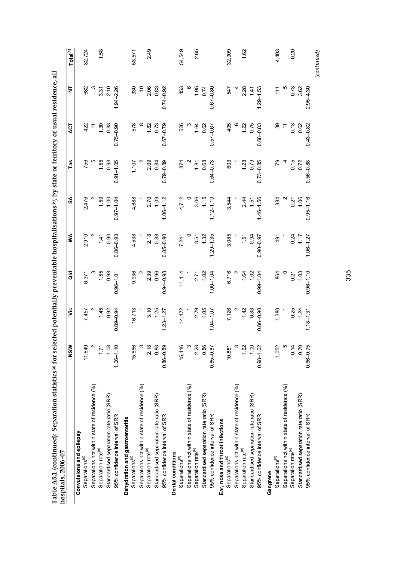| Table A5.1 (continued): Separation statistics® for sel<br>hospitals, 2006-07 |               |                            |                |                  |               |                    |                | ected potentially preventable hospitalisations®, by state or territory of usual residence, | 급                    |
|------------------------------------------------------------------------------|---------------|----------------------------|----------------|------------------|---------------|--------------------|----------------|--------------------------------------------------------------------------------------------|----------------------|
|                                                                              | NSW           | νiς                        | $\overline{a}$ | ≸                | SA            | Tas                | <b>ACT</b>     | 늧                                                                                          | Total <sup>(c)</sup> |
| Convulsions and epilepsy                                                     |               |                            |                |                  |               |                    |                |                                                                                            |                      |
| Separations <sup>(d)</sup>                                                   | 11,649        | 7,457                      | 6,371          | 2,910            | 2,476         | 756                | 422            | 682                                                                                        | 32,724               |
| Separations not within state of residence (%)                                | $\sim$        |                            |                |                  |               |                    |                |                                                                                            |                      |
| Separation rate <sup>(e)</sup>                                               | 1.71          |                            |                | 1.41             | 1.59          |                    | $\frac{30}{2}$ | 3.31                                                                                       | 1.58                 |
| Standardised separation rate ratio (SRR)                                     | 1.08          | $1.45$<br>0.92             | $1.55$<br>0.98 | 0.90             | 1,00          | $1.55$<br>0.98     | 0.83           | 2.10                                                                                       |                      |
| 95% confidence interval of SRR                                               | $1.06 - 1.10$ | $0.89 - 0.94$              | $0.96 - 1.01$  | $0.86 - 0.93$    | $0.97 - 1.04$ | $0.91 - 1.05$      | $0.75 - 0.90$  | $1.94 - 2.26$                                                                              |                      |
| Dehydration and gastroenteritis                                              |               |                            |                |                  |               |                    |                |                                                                                            |                      |
| Separations <sup>(d)</sup>                                                   | 15,666        | 16,713                     | 9,936          | 4,538            | 4,688         | 1,107              | 578            | 330                                                                                        | 53,571               |
| Separations not within state of residence (%)                                | $\infty$      |                            |                |                  |               |                    |                |                                                                                            |                      |
| Separation rate <sup>(e)</sup>                                               | 2.18          |                            | 2.39           | 2.18             | 2.70          | 2.09               |                | 2.06                                                                                       | 2.49                 |
| Standardised separation rate ratio (SRR)                                     | 0.88          | 3.125                      | 0.96           | 0.88             | 1.09          | 0.84               | $1.82$<br>0.73 | 0.83                                                                                       |                      |
| 95% confidence interval of SRR                                               | $0.86 - 0.89$ | $1.23 - 1.27$              | $0.94 - 0.98$  | $0.85 - 0.90$    | $1.06 - 1.12$ | $0.79 - 0.89$      | $0.67 - 0.79$  | $0.74 - 0.92$                                                                              |                      |
| Dental conditions                                                            |               |                            |                |                  |               |                    |                |                                                                                            |                      |
| Separations <sup>(d)</sup>                                                   | 15,416        | 14,172                     | 11,114         | 7,241            | 4,712         | 874                | 526            | 453                                                                                        | 54,549               |
| Separations not within state of residence (%)                                | $\infty$      |                            |                |                  |               |                    |                |                                                                                            |                      |
| Separation rate <sup>(e)</sup>                                               | 2.28          |                            | $2.71$<br>1.02 | $3.57$<br>$1.32$ | 3.06          | $\frac{180}{0.68}$ | $1.62$<br>0.62 | 1.95                                                                                       | 2.65                 |
| Standardised separation rate ratio (SRR)                                     | 0.86          | $2.79$<br>1.05             |                |                  | 1.15          |                    |                | 0.74                                                                                       |                      |
| 95% confidence interval of SRR                                               | $0.85 - 0.87$ | $1.04 - 1.07$              | $1.00 - 1.04$  | $1.29 - 1.35$    | $1.12 - 1.19$ | $0.64 - 0.73$      | $0.57 - 0.67$  | $0.67 - 0.80$                                                                              |                      |
| Ear, nose and throat infections                                              |               |                            |                |                  |               |                    |                |                                                                                            |                      |
| Separations <sup>(d)</sup>                                                   | 10,881        | 7,126                      | 6,716          | 3,085            | 3,544         | 603                | 405            | 547                                                                                        | 32,909               |
| Separations not within state of residence (%)                                | $\infty$      |                            |                |                  |               |                    |                |                                                                                            |                      |
| Separation rate <sup>(e)</sup>                                               | 1.62          |                            |                | 1.51             | 2.44          |                    | 1.22           | 2.28                                                                                       | 1.62                 |
| Standardised separation rate ratio (SRR)                                     | 1.00          | $^{2}$ $42$ 88<br>$-$ 0.88 | 180            | 0.94             | 1.51          | $1.28$<br>0.79     | 0.75           | 1.41                                                                                       |                      |
| 95% confidence interval of SRR                                               | $0.98 - 1.02$ | $0.86 - 0.90$              | $0.99 - 1.04$  | $0.90 - 0.97$    | $1.46 - 1.56$ | $0.73 - 0.85$      | $0.68 - 0.83$  | $1.29 - 1.53$                                                                              |                      |
| Gangrene                                                                     |               |                            |                |                  |               |                    |                |                                                                                            |                      |
| Separations <sup>(d)</sup>                                                   | 1,052         | 1,380                      | 864            | 491              | 384           |                    |                | $\frac{1}{11}$                                                                             | 4,403                |
| Separations not within state of residence (%)                                | LO            |                            |                |                  |               |                    | ニ              |                                                                                            |                      |
| Separation rate <sup>(e)</sup>                                               | 0.14          | 0.25                       | 0.21           | 0.24             | 0.21          | 0.15               | 0.13           | 0.73                                                                                       | 0.20                 |
| Standardised separation rate ratio (SRR)                                     | 0.70          | 1.24                       | 1.03           | 1.17             | 1.06          | 0.72               | 0.62           | 3.62                                                                                       |                      |
| 95% confidence interval of SRR                                               | $0.66 - 0.75$ | $1.18 - 1.31$              | $0.96 - 1.10$  | $1.06 - 1.27$    | $0.95 - 1.16$ | $0.56 - 0.88$      | $0.43 - 0.82$  | $2.95 - 4.30$                                                                              |                      |

335

 $\left( continued\right)$ *(continued)*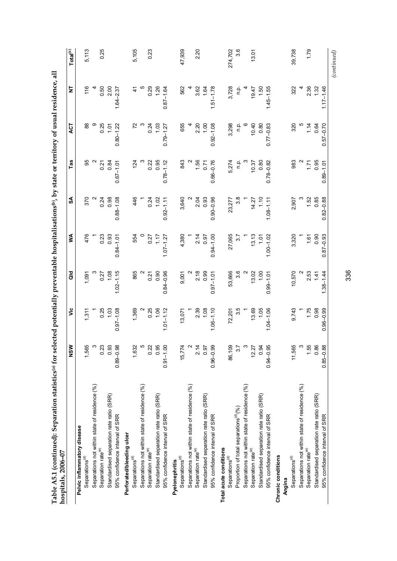| Table A5.1 (continued): Separation statistics® for selected potentially preventable hospitalisations®), by state or territory of usual residence,<br>hospitals, 2006-07 |               |                             |                           |                   |                 |                             |                |                 | ĘЕ                   |
|-------------------------------------------------------------------------------------------------------------------------------------------------------------------------|---------------|-----------------------------|---------------------------|-------------------|-----------------|-----------------------------|----------------|-----------------|----------------------|
|                                                                                                                                                                         | NSW           | υã                          | $\frac{6}{9}$             | ≸                 | వ్              | Tas                         | <b>ACT</b>     | 늧               | Total <sup>(c)</sup> |
| Pelvic inflammatory disease                                                                                                                                             |               |                             |                           |                   |                 |                             |                |                 |                      |
| Separations <sup>(d)</sup>                                                                                                                                              | 1,565         | 1,311                       | 1,091                     | 476               | 370             | 95                          | 88             | 116             | 5,113                |
| Separations not within state of residence (%)                                                                                                                           | $\infty$      |                             |                           |                   |                 |                             | თ              |                 |                      |
| Separation rate <sup>(e)</sup>                                                                                                                                          | 0.23          |                             |                           | 0.23              | 0.24            | 0.21                        | 0.25           | 0.50            | 0.25                 |
| Standardised separation rate ratio (SRR)                                                                                                                                | 0.93          | $0.25$<br>1.03              | $0.27$<br>1.08            | 0.93              | 0.98            | 0.84                        | 1.01           | 2.00            |                      |
| 95% confidence interval of SRR                                                                                                                                          | $0.89 - 0.98$ | $0.97 - 1.08$               | $1.02 - 1.15$             | $0.84 - 1.01$     | $0.88 - 1.08$   | $0.67 - 1.01$               | $0.80 - 1.22$  | $1.64 - 2.37$   |                      |
| Perforated/bleeding ulcer                                                                                                                                               |               |                             |                           |                   |                 |                             |                |                 |                      |
| Separations $^{(d)}$                                                                                                                                                    | 1,632         | 1,369                       | 865                       | 554               | 446             | 124                         |                |                 | 5,105                |
| Separations not within state of residence (%)                                                                                                                           | LO            |                             |                           |                   |                 |                             |                |                 |                      |
| Separation rate <sup>(e)</sup>                                                                                                                                          | 0.22          |                             |                           |                   | 0.24            |                             | 0.24           | 0.29            | 0.23                 |
| Standardised separation rate ratio (SRR)                                                                                                                                | 0.95          | $\frac{18}{0.25}$           | $0.\overline{21}$<br>0.90 | $0.\overline{17}$ | 1.02            | $0.22$<br>0.95              | 1.03           | 1,26            |                      |
| 95% confidence interval of SRR                                                                                                                                          | $0.91 - 1.00$ | $1.01 - 1.12$               | $0.84 - 0.96$             | $1.07 - 1.27$     | $0.92 - 1.11$   | $0.78 - 1.12$               | $0.79 - 1.27$  | $0.87 - 1.64$   |                      |
| Pyelonephritis                                                                                                                                                          |               |                             |                           |                   |                 |                             |                |                 |                      |
| Separations <sup>(d)</sup>                                                                                                                                              | 15,774        | 13,071                      | 9,001                     | 4,380             | 3,640           | 843                         | 655            | 562             | 47,939               |
| Separations not within state of residence (%)                                                                                                                           | $\sim$        |                             |                           |                   |                 |                             |                |                 |                      |
| Separation rate <sup>(e)</sup>                                                                                                                                          | 2.14          |                             | $2.18$<br>0.99            | 2.14              | 2.04            | 1.56                        | 2.20           | 3.62            | 2.20                 |
| Standardised separation rate ratio (SRR)                                                                                                                                | 0.97          |                             |                           | 0.97              | 0.93            | 0.71                        | 1.00           | 1.64            |                      |
| 95% confidence interval of SRR                                                                                                                                          | $0.96 - 0.99$ | $2.39$<br>1.08<br>1.06-1.10 | $0.97 - 1.01$             | $0.94 - 1.00$     | $0.90 - 0.96$   | $0.66 - 0.76$               | $0.92 - 1.08$  | $1.51 - 1.78$   |                      |
| Total acute conditions                                                                                                                                                  |               |                             |                           |                   |                 |                             |                |                 |                      |
| Separations <sup>(d)</sup>                                                                                                                                              | 86,109        | 72,201                      | 53,666                    | 27,065            | 23,277          | 5,274                       | 3,298          | 3,728           | 274,702              |
| Proportion of total separations <sup>(a)</sup> (%)                                                                                                                      | 3.7           | 3.5                         | 3.6                       | $\frac{27}{2}$    | 3.8             | $\frac{1}{2}$ $\frac{1}{2}$ | n.p.           | q.q             | 3.6                  |
| Separations not within state of residence (%)                                                                                                                           | $\infty$      |                             |                           |                   |                 |                             |                |                 |                      |
| Separation rate <sup>(e)</sup>                                                                                                                                          | 12.27         | $13.69$<br>$1.05$           | $13.02$<br>1.00           |                   |                 | 10.37                       | $0.80$<br>0.80 |                 | 13.01                |
| Standardised separation rate ratio (SRR)                                                                                                                                | 0.94          |                             |                           | $13.13$<br>1.01   | $14.27$<br>1.10 | 0.80                        |                | $79.47$<br>1.50 |                      |
| 95% confidence interval of SRR                                                                                                                                          | $0.94 - 0.95$ | $1.04 - 1.06$               | $0.99 - 1.0$              | $1.00 - 1.02$     | $1.08 - 1.11$   | $0.78 - 0.82$               | $0.77 - 0.83$  | $1.45 - 1.55$   |                      |
| Chronic conditions                                                                                                                                                      |               |                             |                           |                   |                 |                             |                |                 |                      |
| Angina                                                                                                                                                                  |               |                             |                           |                   |                 |                             |                |                 |                      |
| Separations <sup>(d)</sup>                                                                                                                                              | 11,565        | 9,743                       | 10,570                    | 3,320             | 2,907           | 983                         | 320            | 322             | 39,738               |
| Separations not within state of residence (%)                                                                                                                           | $\infty$      |                             |                           |                   |                 |                             |                |                 |                      |
| Separation rate <sup>(e)</sup>                                                                                                                                          | 1.55          | $1.75$<br>0.98              | $2.53$<br>1.41            | $1.61$<br>0.90    | $1.52$<br>0.85  | $77$<br>0.95                | 1.8            | 2.36<br>1.32    | 1.79                 |
| Standardised separation rate ratio (SRR)                                                                                                                                | 0.86          |                             |                           |                   |                 |                             |                |                 |                      |
| 95% confidence interval of SRR                                                                                                                                          | $0.85 - 0.88$ | $0.96 - 0.99$               | $1.38 - 1.44$             | $0.87 - 0.93$     | $0.82 - 0.88$   | $0.89 - 1.01$               | $0.57 - 0.70$  | $1.17 - 1.46$   |                      |

336

 $(continued)$ *(continued)*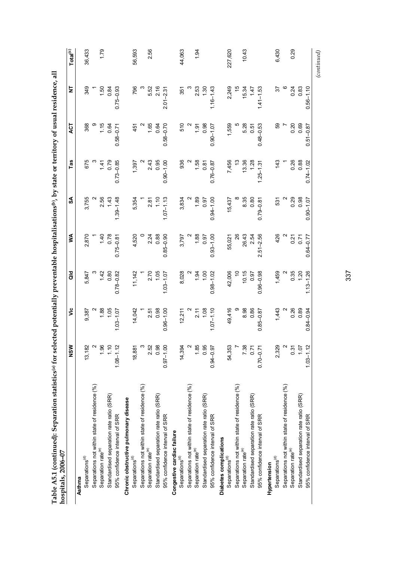| hospitals, 2006-07                            |               |                           |                                              |                    |                |                                                   |                |                |                      |
|-----------------------------------------------|---------------|---------------------------|----------------------------------------------|--------------------|----------------|---------------------------------------------------|----------------|----------------|----------------------|
|                                               | NSW           | قا                        | $\frac{d}{d}$                                | ⋚                  | SA             | Tas                                               | ГJ             | ż              | Total <sup>(c)</sup> |
| Asthma                                        |               |                           |                                              |                    |                |                                                   |                |                |                      |
| Separations <sup>(d)</sup>                    | 13,182        | 9,387                     | 5,847                                        | 2,870              | 3,755          | 675                                               | 368            | 349            | 36,433               |
| Separations not within state of residence (%) | $\sim$        |                           |                                              |                    |                |                                                   |                |                |                      |
| Separation rate <sup>(e)</sup>                | 1.96          | 1.88                      |                                              |                    |                |                                                   |                | 1.50           | 1.79                 |
| Standardised separation rate ratio (SRR)      | 1.10          | 105                       | $142$<br>0.80                                | $1.40$<br>0.78     | $2.56$<br>143  | $1.41$<br>0.79                                    | $1.15$<br>0.64 | 0.84           |                      |
| 95% confidence interval of SRR                | $1.08 - 1.12$ | $1.03 - 1.07$             | $0.78 - 0.82$                                | $0.75 - 0.81$      | $1.39 - 1.48$  | $0.73 - 0.85$                                     | $0.58 - 0.71$  | $0.75 - 0.93$  |                      |
| Chronic obstructive pulmonary disease         |               |                           |                                              |                    |                |                                                   |                |                |                      |
| Separations <sup>(d)</sup>                    | 18,881        | 14,042                    | 11,142                                       | 4,520              | 5,354          | 1,397                                             | 451            | 796            | 56,593               |
| Separations not within state of residence (%) | $\infty$      |                           |                                              |                    |                |                                                   |                |                |                      |
| Separation rate <sup>(e)</sup>                | 2.52          |                           | $2.70$<br>1.05<br>1.03-1.07                  | $2.24$<br>0.88     |                |                                                   |                |                | 2.56                 |
| Standardised separation rate ratio (SRR)      | 0.98          |                           |                                              |                    | $2.87$<br>1.10 |                                                   | $1.65$<br>0.64 | 5.52<br>2.16   |                      |
| 95% confidence interval of SRR                | $0.97 - 1.00$ | 2.51<br>0.98<br>0.96-1.00 |                                              | $0.85 - 0.90$      | $1.07 - 1.13$  | $2.43$<br>0.95<br>0.90-1.00                       | $0.58 - 0.70$  | $2.01 - 2.31$  |                      |
| Congestive cardiac failure                    |               |                           |                                              |                    |                |                                                   |                |                |                      |
| Separations <sup>(d)</sup>                    | 14,394        | 12,211                    | 8,028                                        | 3,797              | 3,834          | 936                                               | 510            | 351            | 44,063               |
| Separations not within state of residence (%) | $\sim$        |                           |                                              |                    |                |                                                   |                |                |                      |
| Separation rate <sup>(e)</sup>                | 1.85          |                           | $\frac{1}{36}$ 5                             | $\frac{188}{0.97}$ | $189$<br>0.97  |                                                   | $1.97$<br>0.98 | $2.53$<br>1.30 | $\frac{1}{94}$       |
| Standardised separation rate ratio (SRR)      | 0.95          | $2.78$<br>1.08            |                                              |                    |                | $\begin{array}{c} 2 \\ 1.58 \\ -0.81 \end{array}$ |                |                |                      |
| 95% confidence interval of SRR                | $0.94 - 0.97$ | $1.07 - 1.10$             | $0.98 - 1.02$                                | $0.93 - 1.00$      | $0.94 - 1.00$  | $0.76 - 0.87$                                     | $0.90 - 1.07$  | $1.16 - 1.43$  |                      |
| Diabetes complications                        |               |                           |                                              |                    |                |                                                   |                |                |                      |
| Separations <sup>(d)</sup>                    | 54,353        | 49,416                    | 42,006                                       | 55,021             | 15,437         | 7,456                                             | 1,559          | 2,249          | 227,620              |
| Separations not within state of residence (%) |               |                           | $\approx$                                    | <b>26</b>          |                |                                                   |                |                |                      |
| Separation rate <sup>(e)</sup>                | 7.38          | 8.98<br>0.86              | $\begin{array}{c} 10.15 \\ 0.97 \end{array}$ | $26.43$<br>$2.54$  | 8.35<br>0.80   | $13.36$<br>1.28                                   | $5.28$<br>0.51 | $15.34$<br>147 | 10.43                |
| Standardised separation rate ratio (SRR)      | 0.71          |                           |                                              |                    |                |                                                   |                |                |                      |
| 95% confidence interval of SRR                | $0.70 - 0.71$ | $0.85 - 0.87$             | $0.96 - 0.98$                                | $2.51 - 2.56$      | $0.79 - 0.81$  | $1.25 - 1.31$                                     | $0.48 - 0.53$  | $1.41 - 1.53$  |                      |
| Hypertension                                  |               |                           |                                              |                    |                |                                                   |                |                |                      |
| Separations <sup>(d)</sup>                    | 2,329         | 1,443                     | 1,459                                        | 426                | 531            | 143                                               | 69             | 57             | 6,430                |
| Separations not within state of residence (%) | $\sim$        |                           |                                              |                    |                |                                                   |                |                |                      |
| Separation rate <sup>(e)</sup>                | 0.31          | 0.89                      | 2<br>មិន<br>គី                               | 0.71               | $0.29$<br>0.98 | $0.26$<br>$0.88$                                  | 0.20           | 0.24           | 0.29                 |
| Standardised separation rate ratio (SRR)      | 1.07          |                           |                                              |                    |                |                                                   | 0.69           | 0.83           |                      |
| 95% confidence interval of SRR                | $1.03 - 1.12$ | $0.84 - 0.94$             | $1.13 - 1.26$                                | $0.64 - 0.77$      | $0.90 - 1.07$  | $0.74 - 1.02$                                     | $0.51 - 0.87$  | $0.56 - 1.10$  |                      |
|                                               |               |                           |                                              |                    |                |                                                   |                |                | $_{(continued)}$     |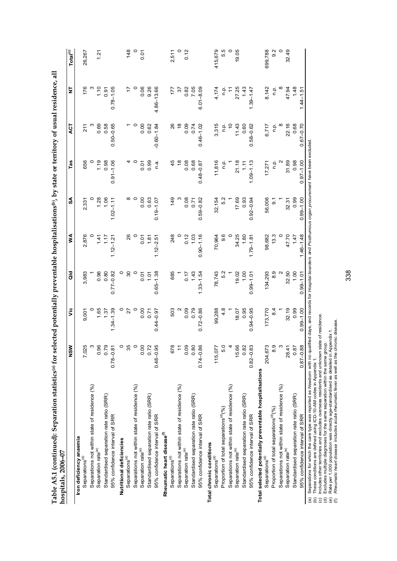| Table A5.1 (continued): Separation statistics <sup>(a)</sup> for sel<br>hospitals, 2006-07 |               | ected potentially preventable hospitalisations( <sup>b)</sup> , by state or territory of usual residence, all |                          |               |                                              |               |                |               |                      |
|--------------------------------------------------------------------------------------------|---------------|---------------------------------------------------------------------------------------------------------------|--------------------------|---------------|----------------------------------------------|---------------|----------------|---------------|----------------------|
|                                                                                            | NSW           | š                                                                                                             | $\frac{1}{\overline{a}}$ | Š             | SA                                           | Tas           | <b>LO</b>      | $\frac{1}{2}$ | Total <sup>(c)</sup> |
| Iron deficiency anaemia                                                                    |               |                                                                                                               |                          |               |                                              |               |                |               |                      |
| Separations <sup>(d)</sup>                                                                 | 7,025         | 9,001                                                                                                         | 3,983                    | 2,876         | 2,331                                        | 656           | $\frac{1}{2}$  | 176           | 26,267               |
| Separations not within state of residence (%)                                              | ო             |                                                                                                               |                          |               |                                              |               |                |               |                      |
| Separation rate <sup>(e)</sup>                                                             | 0.96          |                                                                                                               | 0.96                     | 1.41          | 1.06                                         | 1.19          | 0.69           | 1.10          | 1.21                 |
| Standardised separation rate ratio (SRR)                                                   | 0.79          | 1.37                                                                                                          | 0.80                     | 117           |                                              | 0.98          | 0.58           | 0.91          |                      |
| 95% confidence interval of SRR                                                             | $0.78 - 0.81$ | $1.34 - 1.39$                                                                                                 | $0.77 - 0.82$            | $1.12 - 1.21$ | $1.02 - 1.11$                                | $0.91 - 1.06$ | $0.50 - 0.65$  | $0.78 - 1.05$ |                      |
| Nutritional deficiencies                                                                   | $\circ$       |                                                                                                               |                          |               |                                              |               |                |               |                      |
| Separations <sup>(d)</sup>                                                                 | 35            | 27                                                                                                            | 8                        |               |                                              |               |                |               | 148                  |
| Separations not within state of residence (%)                                              | $\circ$       |                                                                                                               |                          |               |                                              |               |                |               |                      |
| Separation rate <sup>(e)</sup>                                                             | 0.00          | 0.00                                                                                                          | 0.07                     | 0.07          | 0.00                                         | 0.07          | 0.00           | 0.06          | 0.07                 |
| Standardised separation rate ratio (SRR)                                                   | 0.72          | 0.71                                                                                                          | 1.01                     | 1.81          | 0.63                                         | 0.99          | 0.62           | 9.26          |                      |
| 95% confidence interval of SRR                                                             | $0.48 - 0.95$ | $0.44 - 0.97$                                                                                                 | $0.65 - 1.38$            | $1.12 - 2.51$ | $0.19 - 1.07$                                | n.a.          | $-0.60 - 1.84$ | 4.86-13.66    |                      |
| Rheumatic heart disease <sup>(f)</sup>                                                     |               |                                                                                                               |                          |               |                                              |               |                |               |                      |
| Separations <sup>(d)</sup>                                                                 | 678           | 503                                                                                                           | 685                      | 248           | 149                                          | 45            | 26             | 177           | 2,511                |
| Separations not within state of residence (%)                                              | $\tilde{t}$   |                                                                                                               |                          |               |                                              |               | $\frac{8}{1}$  | 57            | $\circ$              |
| Separation rate <sup>(e)</sup>                                                             | 0.09          | 0.09                                                                                                          | 0.17                     | 0.12          | 0.08                                         | 0.08          | 0.09           | 0.82          | 0.12                 |
| Standardised separation rate ratio (SRR)                                                   | 0.80          | 0.79                                                                                                          | 1.43                     | 1.03          | 0.71                                         | 0.68          | 0.74           | 7.05          |                      |
| 95% confidence interval of SRR                                                             | $0.74 - 0.86$ | $0.72 - 0.86$                                                                                                 | $1.33 - 1.54$            | $0.90 - 1.16$ | $0.59 - 0.82$                                | $0.48 - 0.87$ | $0.46 - 1.02$  | $6.01 - 8.09$ |                      |
| Total chronic conditions                                                                   |               |                                                                                                               |                          |               |                                              |               |                |               |                      |
| Separations <sup>(d)</sup>                                                                 | 115,077       | 99,288                                                                                                        | 78,743                   | 70,964        | 32,154                                       | 11,816        | 3,315          | 4,174         | 415,679              |
| Proportion of total separations <sup>(d)</sup> (%)                                         | 5.0           | 4.8                                                                                                           | 5.2                      | 9.6           | 5.2                                          | ن<br>ء        | n.p.           | n.p.          | 5.5                  |
| Separations not within state of residence (%)                                              |               |                                                                                                               |                          |               |                                              |               | $\tilde{c}$    |               | $\circ$              |
| Separation rate <sup>(e)</sup>                                                             | 15.66         | 18.07                                                                                                         | 19.02                    | 34.25         | $\begin{array}{c} 17.69 \\ 0.93 \end{array}$ | 21.18         | 11.43          | 27.25         | 19.05                |
| Standardised separation rate ratio (SRR)                                                   | 0.82          | 0.95                                                                                                          | 1.00                     | 1.80          |                                              | 1.11          | 0.60           | 1.43          |                      |
| 95% confidence interval of SRR                                                             | $0.82 - 0.83$ | $0.94 - 0.95$                                                                                                 | $0.99 - 1.01$            | $1.79 - 1.81$ | $0.92 - 0.94$                                | $1.09 - 1.13$ | $0.58 - 0.62$  | $1.39 - 1.47$ |                      |
| Total selected potentially preventable hospitalisations                                    |               |                                                                                                               |                          |               |                                              |               |                |               |                      |
| Separations <sup>(d)</sup>                                                                 | 204,673       | 173,770                                                                                                       | 134,293                  | 98,682        | 56,006                                       | 17,271        | 6,717          | 8,142         | 699,788              |
| Proportion of total separations <sup>(d)</sup> (%)                                         | 8.9           | $\frac{4}{3}$                                                                                                 | 8.9                      | 13.3          | 5                                            | n.p.          | n p.           | n p.          | 9.2                  |
| Separations not within state of residence (%)                                              | ო             |                                                                                                               |                          |               |                                              |               |                |               | $\circ$              |
| Separation rate <sup>(e)</sup>                                                             | 28.41         | 32.19                                                                                                         | $32.50$<br>$1.00$        | 47.70         | 32.31                                        | 31.89         | 22.16          | 47.94         | 32.49                |
| Standardised separation rate ratio (SRR)                                                   | 0.87          | 0.99                                                                                                          |                          | 1.47          | 0.99                                         | 0.98          | 0.68           | 1.48          |                      |
| 95% confidence interval of SRR                                                             | $0.87 - 0.88$ | $0.99 - 1.00$                                                                                                 | $0.99 - 1.01$            | $1.46 - 1.48$ | $0.99 - 1.00$                                | $0.97 - 1.00$ | $0.67 - 0.70$  | $1.44 - 1.5$  |                      |

ocontrol and a communical method of the second and a subsequent of the conditional conditional conditions of the produced and populations for which the care type was reported as *Newborn* with no qualified days, and recor *Newborn* with no qualified days, and records for *Hospital boarders* and *Posthumous organ procurement* have been excluded. (a) Separations for which the care type was reported as

(b) These conditions are defined using ICD-10-AM codes in Appendix 1.

(c) Includes other territories and excludes overseas residents and unknown state of residence.

(d) Excludes multiple diagnoses for the same separation within the same group.

(e) Rate per 1,000 population was directly age-standardised as detailed in Appendix 1.

(f) *Rheumatic heart disease* includes acute rheumatic fever as well as the chronic disease.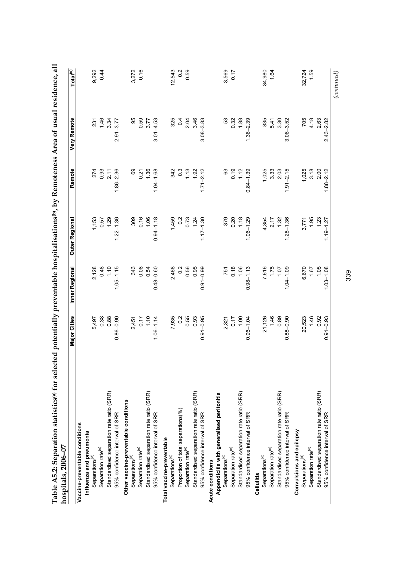| Standardised separation rate ratio (SRR)<br>Standardised separation rate ratio (SRR)<br>Other vaccine-preventable conditions<br>95% confidence interval of SRR<br>95% confidence interval of SRR<br>Vaccine-preventable conditions<br>Influenza and pneumonia<br>Total vaccine-preventable<br>Separation rate <sup>(e)</sup><br>Separation rate <sup>(e)</sup><br>Separations <sup>(d)</sup><br>Separations <sup>(d)</sup><br>Separations <sup>(d)</sup> | 5,497<br>0.38<br>0.88<br>$0.86 - 0.90$<br>$2,451$<br>0.17<br>1.10<br>$1.06 - 1.14$ |                                         |                                                      |                                                      |                           | Total <sup>(c)</sup> |
|----------------------------------------------------------------------------------------------------------------------------------------------------------------------------------------------------------------------------------------------------------------------------------------------------------------------------------------------------------------------------------------------------------------------------------------------------------|------------------------------------------------------------------------------------|-----------------------------------------|------------------------------------------------------|------------------------------------------------------|---------------------------|----------------------|
|                                                                                                                                                                                                                                                                                                                                                                                                                                                          |                                                                                    |                                         |                                                      |                                                      |                           |                      |
|                                                                                                                                                                                                                                                                                                                                                                                                                                                          |                                                                                    |                                         |                                                      |                                                      |                           |                      |
|                                                                                                                                                                                                                                                                                                                                                                                                                                                          |                                                                                    |                                         |                                                      |                                                      |                           | 9,292                |
|                                                                                                                                                                                                                                                                                                                                                                                                                                                          |                                                                                    |                                         |                                                      |                                                      |                           | 0.44                 |
|                                                                                                                                                                                                                                                                                                                                                                                                                                                          |                                                                                    | $2,128$<br>0.48<br>1.10                 | $\begin{array}{c} 1,153 \\ 0.57 \\ 1.29 \end{array}$ |                                                      | $231$<br>$1.46$<br>$3.34$ |                      |
|                                                                                                                                                                                                                                                                                                                                                                                                                                                          |                                                                                    | $1.05 - 1.15$                           | $1.22 - 1.36$                                        | $274$<br>0.93<br>2.11<br>1.86-2.36                   | $2.91 - 3.77$             |                      |
|                                                                                                                                                                                                                                                                                                                                                                                                                                                          |                                                                                    |                                         |                                                      |                                                      |                           |                      |
|                                                                                                                                                                                                                                                                                                                                                                                                                                                          |                                                                                    |                                         |                                                      |                                                      | 95                        | 3,272                |
|                                                                                                                                                                                                                                                                                                                                                                                                                                                          |                                                                                    | 343<br>0.05<br>0.54                     |                                                      |                                                      |                           | 0.16                 |
|                                                                                                                                                                                                                                                                                                                                                                                                                                                          |                                                                                    |                                         | 309<br>0.16<br>1.06                                  | 69<br>0.21<br>1.36                                   | 0.59<br>3.77              |                      |
|                                                                                                                                                                                                                                                                                                                                                                                                                                                          |                                                                                    | $0.48 - 0.60$                           | $0.94 - 1.18$                                        | $1.04 - 1.68$                                        | $3.01 - 4.53$             |                      |
|                                                                                                                                                                                                                                                                                                                                                                                                                                                          |                                                                                    |                                         |                                                      |                                                      |                           |                      |
|                                                                                                                                                                                                                                                                                                                                                                                                                                                          |                                                                                    | 2,468                                   |                                                      | $342$<br>0.3<br>0.3<br>1.13<br>1.71-2.12             | 325                       | 12,543               |
| Proportion of total separations(%)                                                                                                                                                                                                                                                                                                                                                                                                                       |                                                                                    | $0.\overline{2}$                        |                                                      |                                                      | $\overline{0}$            | $0.\overline{2}$     |
| Separation rate <sup>(e)</sup>                                                                                                                                                                                                                                                                                                                                                                                                                           |                                                                                    | 0.56<br>0.95                            |                                                      |                                                      | 2.46                      | 0.59                 |
| Standardised separation rate ratio (SRR)                                                                                                                                                                                                                                                                                                                                                                                                                 |                                                                                    |                                         |                                                      |                                                      |                           |                      |
| 95% confidence interval of SRR                                                                                                                                                                                                                                                                                                                                                                                                                           | $7,935$<br>0.2<br>0.55<br>0.91-0.95<br>0.91-0.95                                   | $0.91 - 0.99$                           | $1,459$<br>0.72<br>0.73<br>1.74<br>1.17-1.30         |                                                      | $3.08 - 3.83$             |                      |
| Acute conditions                                                                                                                                                                                                                                                                                                                                                                                                                                         |                                                                                    |                                         |                                                      |                                                      |                           |                      |
| Appendicitis with generalised peritonitis                                                                                                                                                                                                                                                                                                                                                                                                                |                                                                                    |                                         |                                                      |                                                      |                           |                      |
| Separations <sup>(d)</sup>                                                                                                                                                                                                                                                                                                                                                                                                                               |                                                                                    |                                         |                                                      | 63                                                   | 53                        | 3,569                |
| Separation rate <sup>(e)</sup>                                                                                                                                                                                                                                                                                                                                                                                                                           | $2,321$<br>0.17<br>1.00                                                            |                                         |                                                      |                                                      |                           | 0.17                 |
| Standardised separation rate ratio (SRR)                                                                                                                                                                                                                                                                                                                                                                                                                 |                                                                                    |                                         |                                                      |                                                      | $0.32$<br>1.88            |                      |
| 95% confidence interval of SRR                                                                                                                                                                                                                                                                                                                                                                                                                           | $0.96 - 1.04$                                                                      | 751<br>0.18<br>0.98-1.13                | $379$<br>0.20<br>1.18<br>1.06-1.29                   | $0.19$<br>1.12<br>0.84-1.39                          | $1.38 - 2.39$             |                      |
| Cellulitis                                                                                                                                                                                                                                                                                                                                                                                                                                               |                                                                                    |                                         |                                                      |                                                      |                           |                      |
| Separations <sup>(d)</sup>                                                                                                                                                                                                                                                                                                                                                                                                                               |                                                                                    |                                         |                                                      |                                                      | 835                       | 34,980               |
| Separation rate <sup>(e)</sup>                                                                                                                                                                                                                                                                                                                                                                                                                           | 21,126<br>1.46<br>0.89                                                             |                                         |                                                      |                                                      |                           | 1.64                 |
| Standardised separation rate ratio (SRR)                                                                                                                                                                                                                                                                                                                                                                                                                 |                                                                                    |                                         |                                                      |                                                      | $5.41$<br>3.30            |                      |
| 95% confidence interval of SRR                                                                                                                                                                                                                                                                                                                                                                                                                           | $0.88 - 0.90$                                                                      | 7,616<br>1.75<br>1.04-1.09<br>1.04-1.09 | $4,354$<br>2.17<br>1.32<br>1.28-1.36                 | $1,025$<br>3.33<br>2.03<br>1.91-2.15                 | $3.08 - 3.52$             |                      |
| Convulsions and epilepsy                                                                                                                                                                                                                                                                                                                                                                                                                                 |                                                                                    |                                         |                                                      |                                                      |                           |                      |
| Separations <sup>(d)</sup>                                                                                                                                                                                                                                                                                                                                                                                                                               | 20,523                                                                             | 6,670                                   | $3,771$<br>1.95<br>1.23<br>1.19-1.27                 |                                                      |                           | 32,724               |
| Separation rate <sup>(e)</sup>                                                                                                                                                                                                                                                                                                                                                                                                                           | $1.46$<br>0.92                                                                     |                                         |                                                      | $\begin{array}{c} 1,025 \\ 3.18 \\ 2.00 \end{array}$ |                           | 1.59                 |
| Standardised separation rate ratio (SRR)                                                                                                                                                                                                                                                                                                                                                                                                                 |                                                                                    | $1.67$<br>1.05                          |                                                      |                                                      | $705$<br>4.18<br>2.63     |                      |
| 95% confidence interval of SRR                                                                                                                                                                                                                                                                                                                                                                                                                           | $0.91 - 0.93$                                                                      | $1.03 - 1.08$                           |                                                      | $1.88 - 2.12$                                        | $2.43 - 2.82$             |                      |

| - (a), by Remoteness Area of usual residence, all |  |
|---------------------------------------------------|--|
|                                                   |  |
|                                                   |  |
|                                                   |  |
|                                                   |  |
|                                                   |  |
|                                                   |  |
| l                                                 |  |
|                                                   |  |
| ted potentially preventable host.                 |  |
|                                                   |  |
| l                                                 |  |
|                                                   |  |
|                                                   |  |
|                                                   |  |
|                                                   |  |
| ֖֧֧֚֚֚֚֚֚֚֚֚֚֚֚֚֚֚֚֚֚֚֚֚֚֚֚֚֚֚֬֝֡֡֡֡֡֡֡֬֝֬        |  |
|                                                   |  |
|                                                   |  |
|                                                   |  |
|                                                   |  |
| í                                                 |  |
|                                                   |  |
| י<br>יי                                           |  |
| ر<br>ما جا                                        |  |

339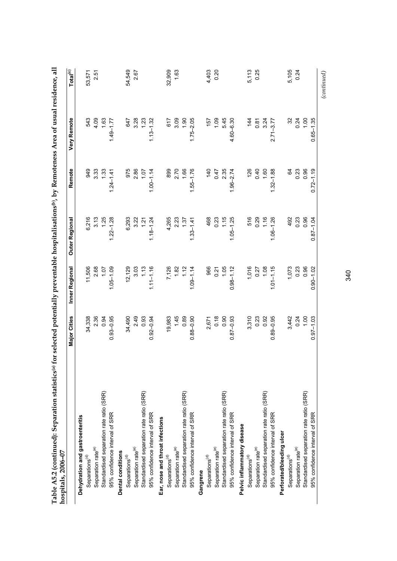| Standardised separation rate ratio (SRR)<br>Dehydration and gastroenteritis<br>Separation rate <sup>(e)</sup><br>Separations <sup>(d)</sup> | <b>Major Cities</b> | Inner Regional                                       | <b>Outer Regional</b> | Remote                | <b>Very Remote</b> | Total <sup>(c)</sup> |
|---------------------------------------------------------------------------------------------------------------------------------------------|---------------------|------------------------------------------------------|-----------------------|-----------------------|--------------------|----------------------|
|                                                                                                                                             |                     |                                                      |                       |                       |                    |                      |
|                                                                                                                                             | 34,338              | 11,506                                               | 6,216                 |                       | 543                | 53,571               |
|                                                                                                                                             |                     | 2.68                                                 |                       |                       | 4.09               | 2.51                 |
|                                                                                                                                             | 2.36<br>0.94        | 1.07                                                 | $3.13$<br>1.25        |                       | 1.63               |                      |
| 95% confidence interval of SRR                                                                                                              | $0.93 - 0.95$       | $1.05 - 1.09$                                        | $1.22 - 1.28$         | $1.24 - 1.41$         | $1.49 - 1.77$      |                      |
| <b>Dental conditions</b>                                                                                                                    |                     |                                                      |                       |                       |                    |                      |
| Separations <sup>(d)</sup>                                                                                                                  | 34,490              |                                                      |                       |                       | 647                | 54,549               |
| Separation rate <sup>(e)</sup>                                                                                                              |                     | $12, 129$<br>$3.03$<br>$1.13$                        | 6,293<br>3.22<br>1.21 | 975<br>2.86<br>1.07   | 3.28               | 2.67                 |
| Standardised separation rate ratio (SRR)                                                                                                    | 2.49<br>0.93        |                                                      |                       |                       | 1.23               |                      |
| 95% confidence interval of SRR                                                                                                              | $0.92 - 0.94$       | $1.11 - 1.16$                                        | $1.18 - 1.24$         | $1.00 - 1.14$         | $1.13 - 1.32$      |                      |
| Ear, nose and throat infections                                                                                                             |                     |                                                      |                       |                       |                    |                      |
| Separations <sup>(d)</sup>                                                                                                                  | 19,983              |                                                      | 4,265                 |                       | 617                | 32,909               |
| Separation rate <sup>(e)</sup>                                                                                                              | 1.45                | 7,126<br>1.82<br>1.12                                |                       | 89<br>2.70<br>1.66    | 3.09               | 1.63                 |
| Standardised separation rate ratio (SRR)                                                                                                    | 0.89                |                                                      | 2.23<br>1.37          |                       | 1.90               |                      |
| 95% confidence interval of SRR                                                                                                              | $0.88 - 0.90$       | $1.09 - 1.14$                                        | $1.33 - 1.41$         | $1.55 - 1.76$         | $1.75 - 2.05$      |                      |
| Gangrene                                                                                                                                    |                     |                                                      |                       |                       |                    |                      |
| Separations <sup>(d)</sup>                                                                                                                  | 2,671               | 966                                                  |                       |                       | 157                | 4,403                |
| Separation rate <sup>(e)</sup>                                                                                                              | 0.18                |                                                      |                       |                       | 1.09               | 0.20                 |
| Standardised separation rate ratio (SRR)                                                                                                    | 0.90                | $0.21$<br>1.05                                       | $468$<br>0.23<br>1.5  | $740$<br>0.47<br>2.35 | 5.45               |                      |
| 95% confidence interval of SRR                                                                                                              | $0.87 - 0.93$       | $0.98 - 1.12$                                        | $1.05 - 1.25$         | $1.96 - 2.74$         | $4.60 - 6.30$      |                      |
| Pelvic inflammatory disease                                                                                                                 |                     |                                                      |                       |                       |                    |                      |
| Separations <sup>(d)</sup>                                                                                                                  | 3,310               |                                                      |                       |                       | $\frac{4}{4}$      |                      |
| Separation rate <sup>(e)</sup>                                                                                                              |                     | $\begin{array}{c} 1,016 \\ 0.27 \\ 1.08 \end{array}$ | 516<br>0.29<br>1.16   | $126$<br>0.40<br>1.60 | 0.87               | 5,113<br>0.25        |
| Standardised separation rate ratio (SRR)                                                                                                    | $0.23$<br>$0.92$    |                                                      |                       |                       | 3.24               |                      |
| 95% confidence interval of SRR                                                                                                              | $0.89 - 0.95$       | $1.01 - 1.15$                                        | $1.06 - 1.26$         | $1.32 - 1.88$         | $2.71 - 3.77$      |                      |
| Perforated/bleeding ulcer                                                                                                                   |                     |                                                      |                       |                       |                    |                      |
| Separations <sup>(d)</sup>                                                                                                                  | 3,442               | 1,073                                                | 492                   | 24                    | $\mathcal{S}$      | 5,105                |
| Separation rate <sup>(e)</sup>                                                                                                              |                     | 0.23                                                 | 0.23<br>0.96          | 0.23                  | 0.24               | 0.24                 |
| Standardised separation rate ratio (SRR)                                                                                                    | $0.24$<br>1.00      | 0.96                                                 |                       | 0.96                  | 0.1                |                      |
| 95% confidence interval of SRR                                                                                                              | $0.97 - 1.03$       | $0.90 - 1.02$                                        | $0.87 - 1.04$         | $0.72 - 1.19$         | $0.65 - 1.35$      |                      |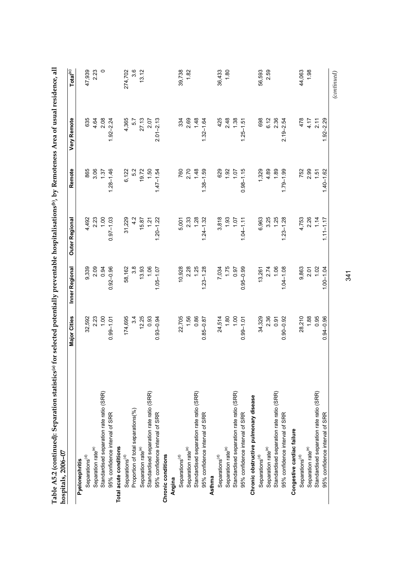| Standardised separation rate ratio (SRR)<br>Standardised separation rate ratio (SRR)<br>Proportion of total separations(%)<br>95% confidence interval of SRR<br>95% confidence interval of SRR<br>Total acute conditions<br>Separation rate <sup>(e)</sup><br>Separation rate <sup>(e)</sup><br>Chronic conditions<br>Separations <sup>(d)</sup><br>Separations <sup>(d)</sup><br>Pyelonephritis | 32,592<br>2.23<br>1.00<br>3.4<br>12.25<br>0.93<br>174,695<br>$0.93 - 0.94$<br>$0.99 - 1.01$ | 9,339<br>2.09<br>0.94 |                | Remote         | <b>Very Remote</b> | $\mathsf{Total}^{(c)}$ |
|--------------------------------------------------------------------------------------------------------------------------------------------------------------------------------------------------------------------------------------------------------------------------------------------------------------------------------------------------------------------------------------------------|---------------------------------------------------------------------------------------------|-----------------------|----------------|----------------|--------------------|------------------------|
|                                                                                                                                                                                                                                                                                                                                                                                                  |                                                                                             |                       |                |                |                    |                        |
|                                                                                                                                                                                                                                                                                                                                                                                                  |                                                                                             |                       | 4,492          | 865            | 635                | 47,939                 |
|                                                                                                                                                                                                                                                                                                                                                                                                  |                                                                                             |                       |                | 3.06           | 4.64               | 2.23                   |
|                                                                                                                                                                                                                                                                                                                                                                                                  |                                                                                             |                       | $2.23$<br>1.00 | 1.37           | 2.08               | $\circ$                |
|                                                                                                                                                                                                                                                                                                                                                                                                  |                                                                                             | $0.92 - 0.96$         | $0.97 - 1.03$  | $1.28 - 1.46$  | $1.92 - 2.24$      |                        |
|                                                                                                                                                                                                                                                                                                                                                                                                  |                                                                                             |                       |                |                |                    |                        |
|                                                                                                                                                                                                                                                                                                                                                                                                  |                                                                                             | 58,162                | 31,229         | 6,122          | 4,365              | 274,702                |
|                                                                                                                                                                                                                                                                                                                                                                                                  |                                                                                             | 3.8                   | 4.2            | 5.2            | 57                 | 3.6                    |
|                                                                                                                                                                                                                                                                                                                                                                                                  |                                                                                             | 13.93                 |                | 19.72          | 27.13              | 13.12                  |
|                                                                                                                                                                                                                                                                                                                                                                                                  |                                                                                             | 1.06                  | 15.87<br>1.21  | 1.50           | 2.07               |                        |
|                                                                                                                                                                                                                                                                                                                                                                                                  |                                                                                             | $1.05 - 1.07$         | $1.20 - 1.22$  | $1.47 - 1.54$  | $2.01 - 2.13$      |                        |
|                                                                                                                                                                                                                                                                                                                                                                                                  |                                                                                             |                       |                |                |                    |                        |
| Angina                                                                                                                                                                                                                                                                                                                                                                                           |                                                                                             |                       |                |                |                    |                        |
| Separations <sup>(d)</sup>                                                                                                                                                                                                                                                                                                                                                                       | 22,705                                                                                      | 10,928                | 5,001          | 760            | 334                | 39,738                 |
| Separation rate <sup>(e)</sup>                                                                                                                                                                                                                                                                                                                                                                   | 1.56                                                                                        |                       |                |                |                    | 1.82                   |
| Standardised separation rate ratio (SRR)                                                                                                                                                                                                                                                                                                                                                         | 0.86                                                                                        | $2.28$<br>1.25        | $2.33$<br>1.28 | $2.70$<br>1.48 | $2.69$<br>1.48     |                        |
| 95% confidence interval of SRR                                                                                                                                                                                                                                                                                                                                                                   | $0.85 - 0.87$                                                                               | $1.23 - 1.28$         | $1.24 - 1.32$  | $1.38 - 1.59$  | $1.32 - 1.64$      |                        |
| Asthma                                                                                                                                                                                                                                                                                                                                                                                           |                                                                                             |                       |                |                |                    |                        |
| Separations <sup>(d)</sup>                                                                                                                                                                                                                                                                                                                                                                       | 24,514                                                                                      | 7,034                 | 3,818          | 629            | 425                | 36,433                 |
| Separation rate <sup>(e)</sup>                                                                                                                                                                                                                                                                                                                                                                   | 1.80                                                                                        |                       |                |                | 2.48               | 1.80                   |
| Standardised separation rate ratio (SRR)                                                                                                                                                                                                                                                                                                                                                         | 1.00                                                                                        | 1.75<br>37.1          | $1.93$<br>1.07 | $1.07$<br>1.07 | 1.38               |                        |
| 95% confidence interval of SRR                                                                                                                                                                                                                                                                                                                                                                   | $0.99 - 1.01$                                                                               | $0.95 - 0.99$         | $1.04 - 1.11$  | $0.98 - 1.15$  | $1.25 - 1.51$      |                        |
| Chronic obstructive pulmonary disease                                                                                                                                                                                                                                                                                                                                                            |                                                                                             |                       |                |                |                    |                        |
| Separations <sup>(d)</sup>                                                                                                                                                                                                                                                                                                                                                                       | 34,329                                                                                      | 13,261                | 6,963          | 1,329          | 698                | 56,593                 |
| Separation rate <sup>(e)</sup>                                                                                                                                                                                                                                                                                                                                                                   | 2.36                                                                                        |                       |                | 4.89           | 6.12               | 2.59                   |
| Standardised separation rate ratio (SRR)                                                                                                                                                                                                                                                                                                                                                         | 0.91                                                                                        | $2.74$<br>1.06        | $3.25$<br>1.25 | 1.89           | 2.36               |                        |
| 95% confidence interval of SRR                                                                                                                                                                                                                                                                                                                                                                   | $0.90 - 0.92$                                                                               | $1.04 - 1.08$         | $1.23 - 1.28$  | $1.79 - 1.99$  | $2.19 - 2.54$      |                        |
| Congestive cardiac failure                                                                                                                                                                                                                                                                                                                                                                       |                                                                                             |                       |                |                |                    |                        |
| Separations <sup>(d)</sup>                                                                                                                                                                                                                                                                                                                                                                       | 28,210                                                                                      | 9,863                 | 4,753          | 752            | 478                | 44,063                 |
| Separation rate <sup>(e)</sup>                                                                                                                                                                                                                                                                                                                                                                   | 1.88                                                                                        | 2.01                  | $2.26$<br>1.14 | $2.99$<br>1.51 | 4.17               | 1.98                   |
| Standardised separation rate ratio (SRR)                                                                                                                                                                                                                                                                                                                                                         | 0.95                                                                                        | 1.02                  |                |                | 2.11               |                        |
| 95% confidence interval of SRR                                                                                                                                                                                                                                                                                                                                                                   | $0.94 - 0.96$                                                                               | $1.00 - 1.04$         | $1.11 - 1.17$  | $1.40 - 1.62$  | $1.92 - 2.29$      |                        |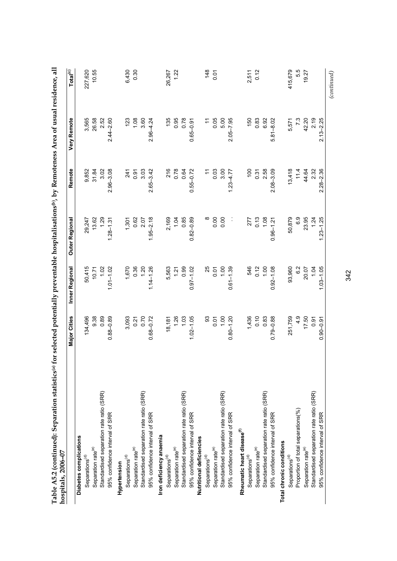| Table A5.2 (continued): Separation statistics(a) for selected potentially preventable hospitalisations(b), by Remoteness Area of usual residence, all<br>hospitals, 2006-07 |                         |                                        |                                             |                                             |                               |                      |
|-----------------------------------------------------------------------------------------------------------------------------------------------------------------------------|-------------------------|----------------------------------------|---------------------------------------------|---------------------------------------------|-------------------------------|----------------------|
|                                                                                                                                                                             | <b>Major Cities</b>     | Inner Regional                         | Outer Regional                              | Remote                                      | <b>Very Remote</b>            | Total <sup>(c)</sup> |
| Diabetes complications                                                                                                                                                      |                         |                                        |                                             |                                             |                               |                      |
| Separations <sup>(d)</sup>                                                                                                                                                  | 134,496                 |                                        |                                             |                                             |                               | 227,620              |
| Separation rate <sup>(e)</sup>                                                                                                                                              | 9.38                    |                                        |                                             | 9,852<br>31.84                              | 3,565<br>26.58                | 10.55                |
| Standardised separation rate ratio (SRR)                                                                                                                                    | 0.89                    |                                        | 29,247<br>13.62<br>1.29                     | 3.02                                        | 2.52                          |                      |
| 95% confidence interval of SRR                                                                                                                                              | $0.88 - 0.89$           | 50,415<br>10.71<br>1.07<br>1.01–1.02   | $1.28 - 1.31$                               | $2.96 - 3.08$                               | $2.44 - 2.60$                 |                      |
| Hypertension                                                                                                                                                                |                         |                                        |                                             |                                             |                               |                      |
| Separations <sup>(d)</sup>                                                                                                                                                  | 3,093                   |                                        | 1,301                                       | 241                                         | 123                           | 6,430                |
| Separation rate <sup>(e)</sup>                                                                                                                                              |                         |                                        |                                             |                                             | $1.08$<br>3.60                | 0.30                 |
| Standardised separation rate ratio (SRR)                                                                                                                                    | 0.70                    |                                        | $0.62$<br>$2.07$                            | $0.91$<br>$3.03$                            |                               |                      |
| 95% confidence interval of SRR                                                                                                                                              | $0.68 - 0.72$           | $1,670$<br>0.36<br>1.20<br>1.14 - 1.26 | $1.95 - 2.18$                               | $2.65 - 3.42$                               | $2.96 - 4.24$                 |                      |
| Iron deficiency anaemia                                                                                                                                                     |                         |                                        |                                             |                                             |                               |                      |
| Separations <sup>(d)</sup>                                                                                                                                                  | 18,181                  |                                        |                                             |                                             | 135                           | 26,267               |
| Separation rate <sup>(e)</sup>                                                                                                                                              |                         |                                        |                                             |                                             | 0.95                          | 1.22                 |
| Standardised separation rate ratio (SRR)                                                                                                                                    | $1.26$<br>1.03          |                                        | 2,169<br>1.04<br>0.85                       | 216<br>0.78<br>0.64                         | 0.78                          |                      |
| 95% confidence interval of SRR                                                                                                                                              | $1.02 - 1.05$           | 5,563<br>1.21<br>0.99<br>0.97–1.02     | $0.82 - 0.89$                               | $0.55 - 0.72$                               | $0.65 - 0.91$                 |                      |
| Nutritional deficiencies                                                                                                                                                    |                         |                                        |                                             |                                             |                               |                      |
| Separations <sup>(d)</sup>                                                                                                                                                  | 93                      | 25                                     |                                             | $\tilde{t}$                                 | $\div$                        | 148                  |
| Separation rate <sup>(e)</sup>                                                                                                                                              | 0.07                    | 0.07                                   | $\begin{array}{c} 0.00 \\ 0.00 \end{array}$ |                                             | 0.05                          | $\overline{0}$       |
| Standardised separation rate ratio (SRR)                                                                                                                                    |                         |                                        |                                             | $\begin{array}{c} 0.03 \\ 3.00 \end{array}$ | 5.00                          |                      |
| 95% confidence interval of SRR                                                                                                                                              | $0.80 - 1.20$           | $0.61 - 1.39$                          | Ĵ                                           | $1.23 - 4.77$                               | $2.05 - 7.95$                 |                      |
| Rheumatic heart disease <sup>(f)</sup>                                                                                                                                      |                         |                                        |                                             |                                             |                               |                      |
| Separations <sup>(d)</sup>                                                                                                                                                  |                         |                                        | 277                                         | $\overline{100}$                            | 150                           | 2,511                |
| Separation rate <sup>(e)</sup>                                                                                                                                              |                         |                                        |                                             |                                             | 0.83                          | 0.12                 |
| Standardised separation rate ratio (SRR)                                                                                                                                    | $1,436$<br>0.10<br>0.83 | 546<br>0.12<br>1.00                    | $0.13$<br>1.08                              | $0.31$<br>$2.58$                            | 6.92                          |                      |
| 95% confidence interval of SRR                                                                                                                                              | $0.79 - 0.88$           | $0.92 - 1.08$                          | $0.96 - 1.21$                               | $2.08 - 3.09$                               | $5.81 - 8.02$                 |                      |
| Total chronic conditions                                                                                                                                                    |                         |                                        |                                             |                                             |                               |                      |
| Separations <sup>(d)</sup>                                                                                                                                                  | 251,759                 |                                        | 50,879                                      |                                             |                               | 415,679              |
| Proportion of total separations(%)                                                                                                                                          |                         | 93,960<br>6.2                          | 6.9                                         | $13,418$<br>11.4<br>11.4                    | 5,571<br>7.3<br>42.20<br>2.19 | 5.5                  |
| Separation rate <sup>(e)</sup>                                                                                                                                              | $17.50$<br>0.91         | 20.07<br>1.04                          | 23.95<br>1.24                               |                                             |                               | 19.27                |
| Standardised separation rate ratio (SRR)                                                                                                                                    |                         |                                        |                                             | 2.32                                        |                               |                      |
| 95% confidence interval of SRR                                                                                                                                              | $0.90 - 0.91$           | $1.03 - 1.05$                          | $1.23 - 1.25$                               | $2.28 - 2.36$                               | $2.13 - 2.25$                 |                      |
|                                                                                                                                                                             |                         |                                        |                                             |                                             |                               | (continued)          |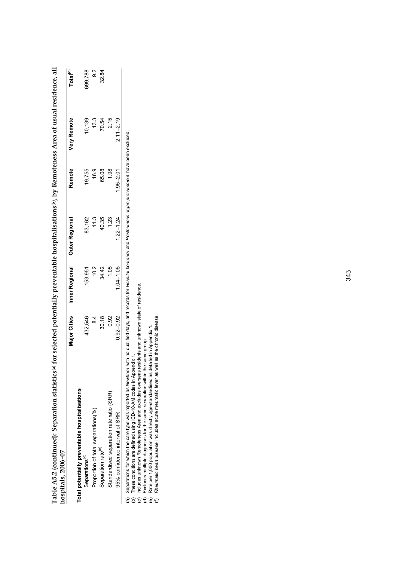| hospitals, 2006-07                             |                     |                               |               |               |                    |                      |
|------------------------------------------------|---------------------|-------------------------------|---------------|---------------|--------------------|----------------------|
|                                                | <b>Major Cities</b> | Inner Regional Outer Regional |               | Remote        | <b>Very Remote</b> | Total <sup>(c)</sup> |
| Total potentially preventable hospitalisations |                     |                               |               |               |                    |                      |
| Separations <sup>(d)</sup>                     | 432,546             | 153,951                       | 83,162        | 19,755        | 10,139             | 699,788              |
| Proportion of total separations(%)             | $\frac{4}{3}$       | 10.2                          | 11.3          | 16.9          | 13.3               | 9.2                  |
| Separation rate <sup>(e)</sup>                 | 30.18               | 34.42                         | 40.35         | 65.08         | 70.54              | 32.84                |
| Standardised separation rate ratio (SRR)       | 0.92                | 1.05                          | 1.23          | 1.98          | 2.15               |                      |
| 95% confidence interval of SRR                 | $0.92 - 0.92$       | $1.04 - 1.05$                 | $1.22 - 1.24$ | $1.95 - 2.01$ | $2.11 - 2.19$      |                      |
|                                                |                     |                               |               |               |                    |                      |

Table A5.2 (continued): Separation statistics(a) for selected potentially preventable hospitalisations(b), by Remoteness Area of usual residence, all **Table A5.2 (continued): Separation statistics(a) for selected potentially preventable hospitalisations(b), by Remoteness Area of usual residence, all hospitals, 2006–07**  <u>يۃ</u>

(a) Separations for which the care type was reported as Mewborn with no qualified days, and records for *Hospital boarders* and *Posthurnous organ procurement* have been excluded.<br>(b) These conditions are defined using ICD *Newborn* with no qualified days, and records for *Hospital boarders* and *Posthumous organ procurement* have been excluded.(a) Separations for which the care type was reported as

(b) These conditions are defined using ICD-10-AM codes in Appendix 1.

(c) Includes unknown Remoteness Area and excludes overseas residents and unknown state of residence.

(d) Excludes multiple diagnoses for the same separation within the same group.

(e) Rate per 1,000 population was directly age-standardised as detailed in Appendix 1. (f) *Rheumatic heart disease* includes acute rheumatic fever as well as the chronic disease.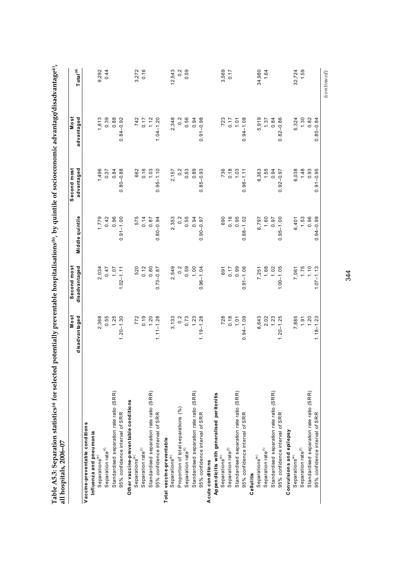| 1,613<br>0.39<br>0.88<br>2,348<br>0.56<br>5,919<br>$1.30$<br>0.82<br>$0.84 - 0.92$<br>742<br>0.17<br>1.12<br>$1.04 - 1.20$<br>$0.\overline{2}$<br>0.94<br>$0.91 - 0.98$<br>$723$<br>0.17<br>1.01<br>$0.94 - 1.08$<br>1.37<br>0.84<br>$0.82 - 0.86$<br>5,324<br>1,496<br>0.37<br>$0.95 - 1.10$<br>0.89<br>6,363<br>1.55<br>6,038<br>1.48<br>0.93<br>0.84<br>$0.80 - 0.88$<br>662<br>0.16<br>1.03<br>$\frac{2}{3}$<br>0.53<br>736<br>0.18<br>1.03<br>0.94<br>2,157<br>$0.85 - 0.93$<br>$0.96 - 1.11$<br>$0.92 - 0.97$<br>$1,779$<br>0.42<br>0.96<br>$0.91 - 1.00$<br>0.55<br>0.94<br>0.16<br>0.95<br>6,797<br>1.60<br>6,401<br>1.53<br>0.96<br>575<br>0.14<br>0.87<br>2,353<br>$0.\overline{2}$<br>690<br>$0.88 - 1.02$<br>$0.95 - 1.00$<br>$0.80 - 0.94$<br>0.97<br>$0.90 - 0.97$<br>2,549<br>$0.59$<br>1.00<br>$0.17$<br>0.99<br>$0.91 - 1.06$<br>7,061<br>1.75<br>1.10<br>2,034<br>520<br>$0.12$<br>$0.80$<br>0.2<br>$1.68$<br>$1.02$<br>$1.00 - 1.05$<br>7.07<br>$1.02 - 1.11$<br>$0.96 - 1.04$<br>7,251<br>$0.73 - 0.87$<br>691<br>0.55<br>1.25<br>7,885<br>1.91<br>1.20<br>2,368<br>$772$<br>0.19<br>1.20<br>$1.11 - 1.28$<br>$3,133$<br>0.2<br>$0.73$<br>1.23<br>$728$<br>0.18<br>1.01<br>$0.94 - 1.09$<br>8,643<br>$2.02$<br>1.23<br>$1.20 - 1.30$<br>$1.19 - 1.28$<br>$1.20 - 1.25$<br>Standardised separation rate ratio (SRR)<br>Standardised separation rate ratio (SRR)<br>Standardised separation rate ratio (SRR)<br>Standardised separation rate ratio (SRR)<br>Standardised separation rate ratio (SRR)<br>Standardised separation rate ratio (SRR)<br>Appendicitis with generalised peritonitis<br>Other vaccine-preventable conditions<br>Proportion of total separations (%)<br>95% confidence interval of SRR<br>95% confidence interval of SRR<br>95% confidence interval of SRR<br>95% confidence interval of SRR<br>95% confidence interval of SRR<br>Vaccine-preventable conditions<br>Convulsions and epilepsy<br>Influenza and pneumonia<br>Total vaccine-preventable<br>Separation rate <sup>(f)</sup><br>Separation rate <sup>(f)</sup><br>Separation rate <sup>(1)</sup><br>Separation rate <sup>(1)</sup><br>Separation rate <sup>(f)</sup><br>Separation rate <sup>(f)</sup><br>Separations <sup>(e)</sup><br>Separations <sup>(e)</sup><br>Separations <sup>(e)</sup><br>Separations <sup>(e)</sup><br>Separations <sup>(e)</sup><br>Separations <sup>(e)</sup><br>A cute conditions<br>Cellulitis |                                | Most<br>disadvantaged | Second most<br>disadvantaged | Middle quintile  | Second most<br>advantaged | Most<br>advantaged | Total <sup>(d)</sup> |
|-----------------------------------------------------------------------------------------------------------------------------------------------------------------------------------------------------------------------------------------------------------------------------------------------------------------------------------------------------------------------------------------------------------------------------------------------------------------------------------------------------------------------------------------------------------------------------------------------------------------------------------------------------------------------------------------------------------------------------------------------------------------------------------------------------------------------------------------------------------------------------------------------------------------------------------------------------------------------------------------------------------------------------------------------------------------------------------------------------------------------------------------------------------------------------------------------------------------------------------------------------------------------------------------------------------------------------------------------------------------------------------------------------------------------------------------------------------------------------------------------------------------------------------------------------------------------------------------------------------------------------------------------------------------------------------------------------------------------------------------------------------------------------------------------------------------------------------------------------------------------------------------------------------------------------------------------------------------------------------------------------------------------------------------------------------------------------------------------------------------------------------------------------------------------------------------------------------------------------------------------------------------------------------------------------------------------------------------------------------------------------------------------------------------------------------|--------------------------------|-----------------------|------------------------------|------------------|---------------------------|--------------------|----------------------|
|                                                                                                                                                                                                                                                                                                                                                                                                                                                                                                                                                                                                                                                                                                                                                                                                                                                                                                                                                                                                                                                                                                                                                                                                                                                                                                                                                                                                                                                                                                                                                                                                                                                                                                                                                                                                                                                                                                                                                                                                                                                                                                                                                                                                                                                                                                                                                                                                                                   |                                |                       |                              |                  |                           |                    |                      |
|                                                                                                                                                                                                                                                                                                                                                                                                                                                                                                                                                                                                                                                                                                                                                                                                                                                                                                                                                                                                                                                                                                                                                                                                                                                                                                                                                                                                                                                                                                                                                                                                                                                                                                                                                                                                                                                                                                                                                                                                                                                                                                                                                                                                                                                                                                                                                                                                                                   |                                |                       |                              |                  |                           |                    |                      |
|                                                                                                                                                                                                                                                                                                                                                                                                                                                                                                                                                                                                                                                                                                                                                                                                                                                                                                                                                                                                                                                                                                                                                                                                                                                                                                                                                                                                                                                                                                                                                                                                                                                                                                                                                                                                                                                                                                                                                                                                                                                                                                                                                                                                                                                                                                                                                                                                                                   |                                |                       |                              |                  |                           |                    | 9,292                |
|                                                                                                                                                                                                                                                                                                                                                                                                                                                                                                                                                                                                                                                                                                                                                                                                                                                                                                                                                                                                                                                                                                                                                                                                                                                                                                                                                                                                                                                                                                                                                                                                                                                                                                                                                                                                                                                                                                                                                                                                                                                                                                                                                                                                                                                                                                                                                                                                                                   |                                |                       |                              |                  |                           |                    | 0.44                 |
|                                                                                                                                                                                                                                                                                                                                                                                                                                                                                                                                                                                                                                                                                                                                                                                                                                                                                                                                                                                                                                                                                                                                                                                                                                                                                                                                                                                                                                                                                                                                                                                                                                                                                                                                                                                                                                                                                                                                                                                                                                                                                                                                                                                                                                                                                                                                                                                                                                   |                                |                       |                              |                  |                           |                    |                      |
|                                                                                                                                                                                                                                                                                                                                                                                                                                                                                                                                                                                                                                                                                                                                                                                                                                                                                                                                                                                                                                                                                                                                                                                                                                                                                                                                                                                                                                                                                                                                                                                                                                                                                                                                                                                                                                                                                                                                                                                                                                                                                                                                                                                                                                                                                                                                                                                                                                   |                                |                       |                              |                  |                           |                    |                      |
|                                                                                                                                                                                                                                                                                                                                                                                                                                                                                                                                                                                                                                                                                                                                                                                                                                                                                                                                                                                                                                                                                                                                                                                                                                                                                                                                                                                                                                                                                                                                                                                                                                                                                                                                                                                                                                                                                                                                                                                                                                                                                                                                                                                                                                                                                                                                                                                                                                   |                                |                       |                              |                  |                           |                    |                      |
|                                                                                                                                                                                                                                                                                                                                                                                                                                                                                                                                                                                                                                                                                                                                                                                                                                                                                                                                                                                                                                                                                                                                                                                                                                                                                                                                                                                                                                                                                                                                                                                                                                                                                                                                                                                                                                                                                                                                                                                                                                                                                                                                                                                                                                                                                                                                                                                                                                   |                                |                       |                              |                  |                           |                    | 3,272                |
|                                                                                                                                                                                                                                                                                                                                                                                                                                                                                                                                                                                                                                                                                                                                                                                                                                                                                                                                                                                                                                                                                                                                                                                                                                                                                                                                                                                                                                                                                                                                                                                                                                                                                                                                                                                                                                                                                                                                                                                                                                                                                                                                                                                                                                                                                                                                                                                                                                   |                                |                       |                              |                  |                           |                    | 0.16                 |
|                                                                                                                                                                                                                                                                                                                                                                                                                                                                                                                                                                                                                                                                                                                                                                                                                                                                                                                                                                                                                                                                                                                                                                                                                                                                                                                                                                                                                                                                                                                                                                                                                                                                                                                                                                                                                                                                                                                                                                                                                                                                                                                                                                                                                                                                                                                                                                                                                                   |                                |                       |                              |                  |                           |                    |                      |
|                                                                                                                                                                                                                                                                                                                                                                                                                                                                                                                                                                                                                                                                                                                                                                                                                                                                                                                                                                                                                                                                                                                                                                                                                                                                                                                                                                                                                                                                                                                                                                                                                                                                                                                                                                                                                                                                                                                                                                                                                                                                                                                                                                                                                                                                                                                                                                                                                                   |                                |                       |                              |                  |                           |                    |                      |
|                                                                                                                                                                                                                                                                                                                                                                                                                                                                                                                                                                                                                                                                                                                                                                                                                                                                                                                                                                                                                                                                                                                                                                                                                                                                                                                                                                                                                                                                                                                                                                                                                                                                                                                                                                                                                                                                                                                                                                                                                                                                                                                                                                                                                                                                                                                                                                                                                                   |                                |                       |                              |                  |                           |                    |                      |
|                                                                                                                                                                                                                                                                                                                                                                                                                                                                                                                                                                                                                                                                                                                                                                                                                                                                                                                                                                                                                                                                                                                                                                                                                                                                                                                                                                                                                                                                                                                                                                                                                                                                                                                                                                                                                                                                                                                                                                                                                                                                                                                                                                                                                                                                                                                                                                                                                                   |                                |                       |                              |                  |                           |                    | 12,543               |
|                                                                                                                                                                                                                                                                                                                                                                                                                                                                                                                                                                                                                                                                                                                                                                                                                                                                                                                                                                                                                                                                                                                                                                                                                                                                                                                                                                                                                                                                                                                                                                                                                                                                                                                                                                                                                                                                                                                                                                                                                                                                                                                                                                                                                                                                                                                                                                                                                                   |                                |                       |                              |                  |                           |                    | $0.\overline{2}$     |
|                                                                                                                                                                                                                                                                                                                                                                                                                                                                                                                                                                                                                                                                                                                                                                                                                                                                                                                                                                                                                                                                                                                                                                                                                                                                                                                                                                                                                                                                                                                                                                                                                                                                                                                                                                                                                                                                                                                                                                                                                                                                                                                                                                                                                                                                                                                                                                                                                                   |                                |                       |                              |                  |                           |                    | 0.59                 |
|                                                                                                                                                                                                                                                                                                                                                                                                                                                                                                                                                                                                                                                                                                                                                                                                                                                                                                                                                                                                                                                                                                                                                                                                                                                                                                                                                                                                                                                                                                                                                                                                                                                                                                                                                                                                                                                                                                                                                                                                                                                                                                                                                                                                                                                                                                                                                                                                                                   |                                |                       |                              |                  |                           |                    |                      |
|                                                                                                                                                                                                                                                                                                                                                                                                                                                                                                                                                                                                                                                                                                                                                                                                                                                                                                                                                                                                                                                                                                                                                                                                                                                                                                                                                                                                                                                                                                                                                                                                                                                                                                                                                                                                                                                                                                                                                                                                                                                                                                                                                                                                                                                                                                                                                                                                                                   |                                |                       |                              |                  |                           |                    |                      |
|                                                                                                                                                                                                                                                                                                                                                                                                                                                                                                                                                                                                                                                                                                                                                                                                                                                                                                                                                                                                                                                                                                                                                                                                                                                                                                                                                                                                                                                                                                                                                                                                                                                                                                                                                                                                                                                                                                                                                                                                                                                                                                                                                                                                                                                                                                                                                                                                                                   |                                |                       |                              |                  |                           |                    |                      |
|                                                                                                                                                                                                                                                                                                                                                                                                                                                                                                                                                                                                                                                                                                                                                                                                                                                                                                                                                                                                                                                                                                                                                                                                                                                                                                                                                                                                                                                                                                                                                                                                                                                                                                                                                                                                                                                                                                                                                                                                                                                                                                                                                                                                                                                                                                                                                                                                                                   |                                |                       |                              |                  |                           |                    |                      |
|                                                                                                                                                                                                                                                                                                                                                                                                                                                                                                                                                                                                                                                                                                                                                                                                                                                                                                                                                                                                                                                                                                                                                                                                                                                                                                                                                                                                                                                                                                                                                                                                                                                                                                                                                                                                                                                                                                                                                                                                                                                                                                                                                                                                                                                                                                                                                                                                                                   |                                |                       |                              |                  |                           |                    | 3,569                |
|                                                                                                                                                                                                                                                                                                                                                                                                                                                                                                                                                                                                                                                                                                                                                                                                                                                                                                                                                                                                                                                                                                                                                                                                                                                                                                                                                                                                                                                                                                                                                                                                                                                                                                                                                                                                                                                                                                                                                                                                                                                                                                                                                                                                                                                                                                                                                                                                                                   |                                |                       |                              |                  |                           |                    | 0.17                 |
|                                                                                                                                                                                                                                                                                                                                                                                                                                                                                                                                                                                                                                                                                                                                                                                                                                                                                                                                                                                                                                                                                                                                                                                                                                                                                                                                                                                                                                                                                                                                                                                                                                                                                                                                                                                                                                                                                                                                                                                                                                                                                                                                                                                                                                                                                                                                                                                                                                   |                                |                       |                              |                  |                           |                    |                      |
|                                                                                                                                                                                                                                                                                                                                                                                                                                                                                                                                                                                                                                                                                                                                                                                                                                                                                                                                                                                                                                                                                                                                                                                                                                                                                                                                                                                                                                                                                                                                                                                                                                                                                                                                                                                                                                                                                                                                                                                                                                                                                                                                                                                                                                                                                                                                                                                                                                   |                                |                       |                              |                  |                           |                    |                      |
|                                                                                                                                                                                                                                                                                                                                                                                                                                                                                                                                                                                                                                                                                                                                                                                                                                                                                                                                                                                                                                                                                                                                                                                                                                                                                                                                                                                                                                                                                                                                                                                                                                                                                                                                                                                                                                                                                                                                                                                                                                                                                                                                                                                                                                                                                                                                                                                                                                   |                                |                       |                              |                  |                           |                    |                      |
|                                                                                                                                                                                                                                                                                                                                                                                                                                                                                                                                                                                                                                                                                                                                                                                                                                                                                                                                                                                                                                                                                                                                                                                                                                                                                                                                                                                                                                                                                                                                                                                                                                                                                                                                                                                                                                                                                                                                                                                                                                                                                                                                                                                                                                                                                                                                                                                                                                   |                                |                       |                              |                  |                           |                    | 34,980               |
|                                                                                                                                                                                                                                                                                                                                                                                                                                                                                                                                                                                                                                                                                                                                                                                                                                                                                                                                                                                                                                                                                                                                                                                                                                                                                                                                                                                                                                                                                                                                                                                                                                                                                                                                                                                                                                                                                                                                                                                                                                                                                                                                                                                                                                                                                                                                                                                                                                   |                                |                       |                              |                  |                           |                    | 1.64                 |
|                                                                                                                                                                                                                                                                                                                                                                                                                                                                                                                                                                                                                                                                                                                                                                                                                                                                                                                                                                                                                                                                                                                                                                                                                                                                                                                                                                                                                                                                                                                                                                                                                                                                                                                                                                                                                                                                                                                                                                                                                                                                                                                                                                                                                                                                                                                                                                                                                                   |                                |                       |                              |                  |                           |                    |                      |
|                                                                                                                                                                                                                                                                                                                                                                                                                                                                                                                                                                                                                                                                                                                                                                                                                                                                                                                                                                                                                                                                                                                                                                                                                                                                                                                                                                                                                                                                                                                                                                                                                                                                                                                                                                                                                                                                                                                                                                                                                                                                                                                                                                                                                                                                                                                                                                                                                                   |                                |                       |                              |                  |                           |                    |                      |
|                                                                                                                                                                                                                                                                                                                                                                                                                                                                                                                                                                                                                                                                                                                                                                                                                                                                                                                                                                                                                                                                                                                                                                                                                                                                                                                                                                                                                                                                                                                                                                                                                                                                                                                                                                                                                                                                                                                                                                                                                                                                                                                                                                                                                                                                                                                                                                                                                                   |                                |                       |                              |                  |                           |                    |                      |
|                                                                                                                                                                                                                                                                                                                                                                                                                                                                                                                                                                                                                                                                                                                                                                                                                                                                                                                                                                                                                                                                                                                                                                                                                                                                                                                                                                                                                                                                                                                                                                                                                                                                                                                                                                                                                                                                                                                                                                                                                                                                                                                                                                                                                                                                                                                                                                                                                                   |                                |                       |                              |                  |                           |                    | 32,724               |
|                                                                                                                                                                                                                                                                                                                                                                                                                                                                                                                                                                                                                                                                                                                                                                                                                                                                                                                                                                                                                                                                                                                                                                                                                                                                                                                                                                                                                                                                                                                                                                                                                                                                                                                                                                                                                                                                                                                                                                                                                                                                                                                                                                                                                                                                                                                                                                                                                                   |                                |                       |                              |                  |                           |                    | 1.59                 |
|                                                                                                                                                                                                                                                                                                                                                                                                                                                                                                                                                                                                                                                                                                                                                                                                                                                                                                                                                                                                                                                                                                                                                                                                                                                                                                                                                                                                                                                                                                                                                                                                                                                                                                                                                                                                                                                                                                                                                                                                                                                                                                                                                                                                                                                                                                                                                                                                                                   |                                |                       |                              |                  |                           |                    |                      |
|                                                                                                                                                                                                                                                                                                                                                                                                                                                                                                                                                                                                                                                                                                                                                                                                                                                                                                                                                                                                                                                                                                                                                                                                                                                                                                                                                                                                                                                                                                                                                                                                                                                                                                                                                                                                                                                                                                                                                                                                                                                                                                                                                                                                                                                                                                                                                                                                                                   | 95% confidence interval of SRR | $1.18 - 1.23$         | $1.07 - 1.13$                | $94 - 0.99$<br>ö | $0.91 - 0.95$             | $0.80 - 0.84$      |                      |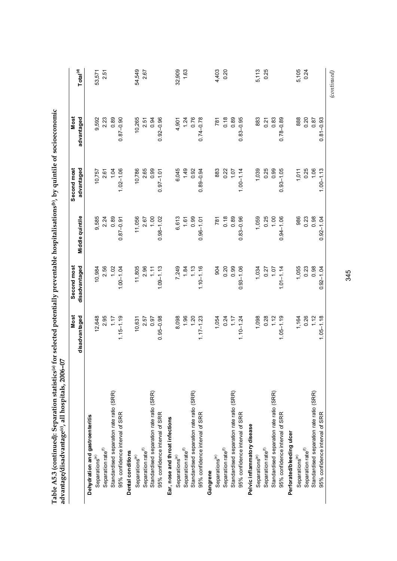| advantage/disadvantage©, all hospitals, 2006. | <b>Most</b><br>50- | Second most   |                 | Second most   | <b>Most</b>         |                      |
|-----------------------------------------------|--------------------|---------------|-----------------|---------------|---------------------|----------------------|
|                                               | disadvantaged      | disadvantaged | Middle quintile | advantaged    | advantaged          | Total <sup>(d)</sup> |
| Dehydration and gastroenteritis               |                    |               |                 |               |                     |                      |
| Separations $\binom{\mathbf{e}}{ }$           | 12,648             | 10,984        | 9,585           | 10,757        | 9,592               | 53,571               |
| Separation rate <sup>(f)</sup>                | 2.95               | 2.56          | 2.24            | 2.61          | 2.23                | 2.51                 |
| Standardised separation rate ratio (SRR)      | 1.17               | 1.02          | 0.89            | 1.04          | 0.89                |                      |
| 95% confidence interval of SRR                | $1.15 - 1.19$      | $1.00 - 1.04$ | $0.87 - 0.91$   | $1.02 - 1.06$ | $0.87 - 0.90$       |                      |
| Dental conditions                             |                    |               |                 |               |                     |                      |
| Separations <sup>(e)</sup>                    | 10,631             | 11,805        | 11,056          | 10,786        | 10,265              | 54,549               |
| Separation rate <sup>(f)</sup>                | 2.57               | 2.96          | 2.67            | 2.65          | 2.51                | 2.67                 |
| Standardised separation rate ratio (SRR)      | 0.97               | $1.11$        | 1.00            | 0.99          | 0.94                |                      |
| 95% confidence interval of SRR                | $0.95 - 0.98$      | $1.09 - 1.13$ | $0.98 - 1.02$   | $0.97 - 1.01$ | $0.92 - 0.96$       |                      |
| Ear, nose and throat infections               |                    |               |                 |               |                     |                      |
| Separations <sup>(e)</sup>                    | 8,098              | 7,249         | 6,613           | 6,045         | 4,901               | 32,909               |
| Separation rate <sup>(f)</sup>                | 1.96               | 1.84          | 1.61            | 1.49          | $\frac{1.24}{0.76}$ | 1.63                 |
| Standardised separation rate ratio (SRR)      | 1.20               | 1.13          | 0.99            | 0.92          |                     |                      |
| 95% confidence interval of SRR                | $1.17 - 1.23$      | $1.10 - 1.16$ | $0.96 - 1.01$   | $0.89 - 0.94$ | $0.74 - 0.78$       |                      |
| Gangrene                                      |                    |               |                 |               |                     |                      |
| Separations <sup>(e)</sup>                    | 1,054              | 904           | 781             | 883           | 781                 | 4,403                |
| Separation rate <sup>(f)</sup>                | 0.24               | 0.20          | 0.18            | 0.22          | 0.18                | 0.20                 |
| Standardised separation rate ratio (SRR)      | 1.17               | 0.99          | 0.89            | 107           | 0.89                |                      |
| 95% confidence interval of SRR                | $1.10 - 1.24$      | $0.93 - 1.06$ | $0.83 - 0.96$   | $1.00 - 1.14$ | $0.83 - 0.95$       |                      |
| Pelvic inflammatory disease                   |                    |               |                 |               |                     |                      |
| Separations <sup>(e)</sup>                    | 1,098              | 1,034         | 1,059           | 1,039         | 883                 | 5,113                |
| Separation rate <sup>(f)</sup>                | 0.28               | 0.27          | 0.25            | 0.25          | 0.21                | 0.25                 |
| Standardised separation rate ratio (SRR)      | 1.12               | 1.07          | 1.00            | 0.99          | 0.83                |                      |
| 95% confidence interval of SRR                | $1.05 - 1.19$      | $1.01 - 1.14$ | $0.94 - 1.06$   | $0.93 - 1.05$ | $0.78 - 0.89$       |                      |
| Perforated/bleeding ulcer                     |                    |               |                 |               |                     |                      |
| Separations <sup>(e)</sup>                    | 1,164              | 1,055         | 986             | 1,011         | 888                 | 5,105                |
| Separation rate <sup>(f)</sup>                | 0.26               | 0.23          | 0.23            | 0.25          | 0.20                | 0.24                 |
| Standardised separation rate ratio (SRR)      | 1.12               | 0.98          | 0.98            | 1.06          | 0.87                |                      |
| 95% confidence interval of SRR                | $1.05 - 1.18$      | $0.92 - 1.04$ | $0.92 - 1.04$   | $1.00 - 1.13$ | $0.81 - 0.93$       |                      |
|                                               |                    |               |                 |               |                     | $_{(continued)}$     |

Table A5.3 (continued): Separation statistics® for selected potentially preventable hospitalisations®, by quintile of socioeconomic **Table A5.3 (continued): Separation statistics(a) for selected potentially preventable hospitalisations(b), by quintile of socioeconomic**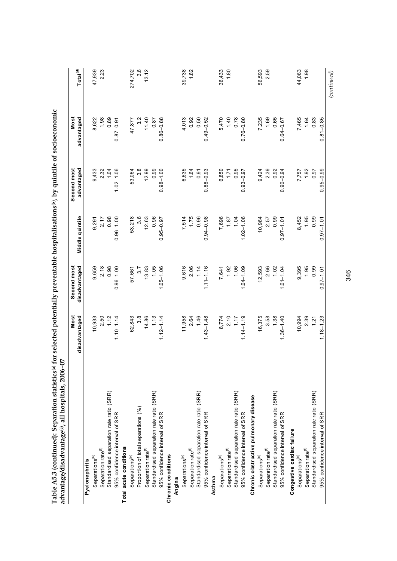| ŞΡ<br>advantage/disadvantage©, all hospitals, 2006- |                       |                              |                 |                           |                    |                      |
|-----------------------------------------------------|-----------------------|------------------------------|-----------------|---------------------------|--------------------|----------------------|
|                                                     | Most<br>disadvantaged | Second most<br>disadvantaged | Middle quintile | Second most<br>advantaged | Most<br>advantaged | Total <sup>(d)</sup> |
| Pyelonephritis                                      |                       |                              |                 |                           |                    |                      |
| Separations <sup>(e)</sup>                          | 10,933                | 9,659                        | 9,291           | 9,433                     | 8,622              | 47,939               |
| Separation rate <sup>(f)</sup>                      | 2.50                  | 2.18                         | 2.17            | 2.32                      | 1.98               | 2.23                 |
| Standardised separation rate ratio (SRR)            | 1.12                  | 0.98                         | 0.98            | 1.04                      | 0.89               |                      |
| 95% confidence interval of SRR                      | $1.10 - 1.14$         | $0.96 - 1.00$                | $0.96 - 1.00$   | $1.02 - 1.06$             | $0.87 - 0.91$      |                      |
| Total acute conditions                              |                       |                              |                 |                           |                    |                      |
| Separations <sup>(e)</sup>                          | 62,843                | 57,661                       | 53,218          | 53,064                    | 47,877             | 274,702              |
| Proportion of total separations (%)                 | $3.\overline{8}$      | 3.7                          | 3.6             | $3.\overline{8}$          | $3.\overline{2}$   | 3.6                  |
| Separation rate <sup>(f)</sup>                      | 14.86                 | 13.83                        | 12.63           | 12.99                     | 11.40              | 13.12                |
| Standardised separation rate ratio (SRR)            | 1.13                  | 1.05                         | 0.96            | 0.99                      | 0.87               |                      |
| 95% confidence interval of SRR                      | $1.12 - 1.14$         | $1.05 - 1.06$                | $0.95 - 0.97$   | $0.98 - 1.00$             | $0.86 - 0.88$      |                      |
| Chronic conditions                                  |                       |                              |                 |                           |                    |                      |
| Angina                                              |                       |                              |                 |                           |                    |                      |
| Separations <sup>(e)</sup>                          | 11,958                | 9,616                        | 7,514           | 6,635                     | 4,013              | 39,738               |
| Separation rate <sup>(f)</sup>                      | 2.64                  | 2.06                         | 1.75            | 1.64                      | 0.92               | 1.82                 |
| Standardised separation rate ratio (SRR)            | 1.46                  | 1.14                         | 0.96            | 0.91                      | 0.50               |                      |
| 95% confidence interval of SRR                      | $1.43 - 1.48$         | $1.11 - 1.16$                | $0.94 - 0.98$   | $0.88 - 0.93$             | $0.49 - 0.52$      |                      |
| Asthma                                              |                       |                              |                 |                           |                    |                      |
| Separations <sup>(e)</sup>                          | 8,774                 | 7,641                        | 7,696           | 6,850                     | 5,470              | 36,433               |
| Separation rate <sup>(f)</sup>                      |                       | 1.92                         | 1.87            | 1.71                      | 1.40               | 1.80                 |
| Standardised separation rate ratio (SRR)            | $2.10$<br>1.17        | 1.06                         | 1.04            | 0.95                      | 0.78               |                      |
| 95% confidence interval of SRR                      | $1.14 - 1.19$         | $1.04 - 1.09$                | $1.02 - 1.06$   | $0.93 - 0.97$             | $0.76 - 0.80$      |                      |
| Chronic obstructive pulmonary disease               |                       |                              |                 |                           |                    |                      |
| Separations <sup>(e)</sup>                          | 16,375                | 12,593                       | 10,964          | 9,424                     | 7,235              | 56,593               |
| Separation rate <sup>(f)</sup>                      | 3.58                  | 2.66                         | 2.57            | 2.39                      | 1.69               | 2.59                 |
| Standardised separation rate ratio (SRR)            | 1.38                  | 1.02                         | 0.99            | 0.92                      | 0.65               |                      |
| 95% confidence interval of SRR                      | $1.36 - 1.40$         | $1.01 - 1.04$                | $0.97 - 1.01$   | $0.90 - 0.94$             | $0.64 - 0.67$      |                      |
| Congestive cardiac failure                          |                       |                              |                 |                           |                    |                      |
| Separations <sup>(e)</sup>                          | 10,994                | 9,395                        | 8,452           | 7,757                     | 7,465              | 44,063               |
| Separation rate <sup>(f)</sup>                      | 2.39                  | 1.95                         | 1.95            | 1.92                      | 1.64               | 1.98                 |
| Standardised separation rate ratio (SRR)            | 1.21                  | 0.99                         | 0.99            | 0.97                      | 0.83               |                      |
| 95% confidence interval of SRR                      | $1.18 - 1.23$         | $0.97 - 1.01$                | $0.97 - 1.01$   | $0.95 - 0.99$             | $0.81 - 0.85$      |                      |
|                                                     |                       |                              |                 |                           |                    | (continued)          |

Table A5.3 (continued): Separation statistics<sup>(a)</sup> for selected potentially preventable hospitalisations<sup>(b)</sup>, by quintile of socioeconomic **Table A5.3 (continued): Separation statistics(a) for selected potentially preventable hospitalisations(b), by quintile of socioeconomic** 

346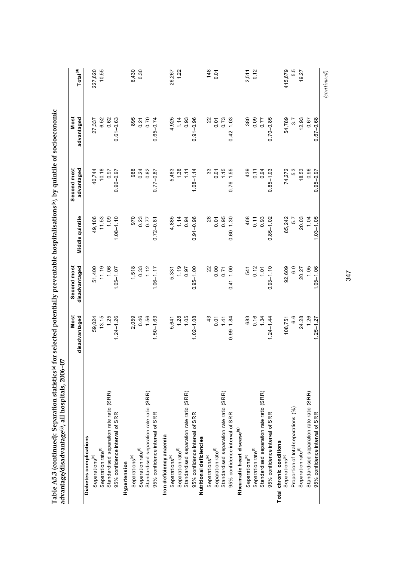| advantage/disadvantage©, all hospitals, 2006- | 50                    |                              |                 |                           |                    |                      |
|-----------------------------------------------|-----------------------|------------------------------|-----------------|---------------------------|--------------------|----------------------|
|                                               | Most<br>disadvantaged | Second most<br>disadvantaged | Middle quintile | Second most<br>advantaged | Most<br>advantaged | Total <sup>(d)</sup> |
| Diabetes complications                        |                       |                              |                 |                           |                    |                      |
| Separations <sup>(e)</sup>                    | 59,024                | 51,400                       | 49,106          | 40,744                    | 27,337             | 227,620              |
| Separation rate <sup>(f)</sup>                | 13.15                 | 11.19                        | 11.53           | 10.18                     | 6.52               | 10.55                |
| Standardised separation rate ratio (SRR)      | 1.25                  | 1.06                         | 1.09            | 0.97                      | 0.62               |                      |
| 95% confidence interval of SRR                | $1.24 - 1.26$         | $1.05 - 1.07$                | $1.08 - 1.10$   | $0.96 - 0.97$             | $0.61 - 0.63$      |                      |
| Hypertension                                  |                       |                              |                 |                           |                    |                      |
| Separations <sup>(e)</sup>                    | 2,059                 | 1,518                        | 970             | 988                       | 895                | 6,430                |
| Separation rate <sup>(f)</sup>                |                       | 0.33                         | 0.23            | 0.24                      |                    | 0.30                 |
| Standardised separation rate ratio (SRR)      | $0.46$<br>1.56        | 1.12                         | 0.77            | 0.82                      | $0.21$<br>$0.70$   |                      |
| 95% confidence interval of SRR                | $1.50 - 1.63$         | $1.06 - 1.17$                | $0.72 - 0.81$   | $0.77 - 0.87$             | $0.65 - 0.74$      |                      |
| Iron deficiency anaemia                       |                       |                              |                 |                           |                    |                      |
| Separations <sup>(e)</sup>                    | 5,641                 | 5,331                        | 4,885           | 5,483                     | 4,925              | 26,267               |
| Separation rate <sup>(f)</sup>                |                       | 1.19                         | 1.14            | 1.36                      | $1.14$<br>0.93     | 1.22                 |
| Standardised separation rate ratio (SRR)      | 1.05                  | 0.97                         | 0.94            | 1.11                      |                    |                      |
| 95% confidence interval of SRR                | $1.02 - 1.08$         | $0.95 - 1.00$                | $0.91 - 0.96$   | $1.08 - 1.14$             | $0.91 - 0.96$      |                      |
| Nutritional deficiencies                      |                       |                              |                 |                           |                    |                      |
| Separations <sup>(e)</sup>                    | 43                    | $22\,$                       | $28$            | 33                        | 22                 | 148                  |
| Separation rate <sup>(f)</sup>                |                       | 0.00                         | 0.01            | 0.01                      | $0.01$<br>$0.73$   | 0.01                 |
| Standardised separation rate ratio (SRR)      | $0.01$<br>1.41        | 0.71                         | 0.95            | 1.15                      |                    |                      |
| 95% confidence interval of SRR                | $0.99 - 1.84$         | $0.41 - 1.00$                | $0.60 - 1.30$   | $0.76 - 1.55$             | $0.42 - 1.03$      |                      |
| Rheumatic heart disease <sup>(g)</sup>        |                       |                              |                 |                           |                    |                      |
| Separations <sup>(e)</sup>                    | 683                   | 541                          | 468             | 439                       | 380                | 2,511                |
| Separation rate <sup>(f)</sup>                |                       | 0.12                         | 0.11            | 0.11                      |                    | 0.12                 |
| Standardised separation rate ratio (SRR)      | $0.16$<br>1.34        | 1.01                         | 0.93            | 0.94                      | 0.77               |                      |
| 95% confidence interval of SRR                | $1.24 - 1.44$         | $0.93 - 1.10$                | $0.85 - 1.02$   | $0.85 - 1.03$             | $0.70 - 0.85$      |                      |
| Total chronic conditions                      |                       |                              |                 |                           |                    |                      |
| Separations <sup>(e)</sup>                    | 108,751               | 92,609                       | 85,242          | 74,272                    | 54,789             | 415,679              |
| Proportion of total separations (%)           | 6.6                   | 6.0                          | 5.7             | 5.3                       | 3.7                | 5.5                  |
| Separation rate <sup>(f)</sup>                | 24.28                 | 20.27                        | 20.03           | 18.53                     | 12.93              | 19.27                |
| Standardised separation rate ratio (SRR)      | 1.26                  | 1.05                         | 1.04            | 0.96                      | 0.67               |                      |
| 95% confidence interval of SRR                | $1.25 - 1.27$         | $1.05 - 1.06$                | $1.03 - 1.05$   | $0.95 - 0.97$             | $0.67 - 0.68$      |                      |
|                                               |                       |                              |                 |                           |                    | (continued)          |

Table A5.3 (continued): Separation statistics<sup>(a)</sup> for selected potentially preventable hospitalisations<sup>(b)</sup>, by quintile of socioeconomic **Table A5.3 (continued): Separation statistics(a) for selected potentially preventable hospitalisations(b), by quintile of socioeconomic** 

347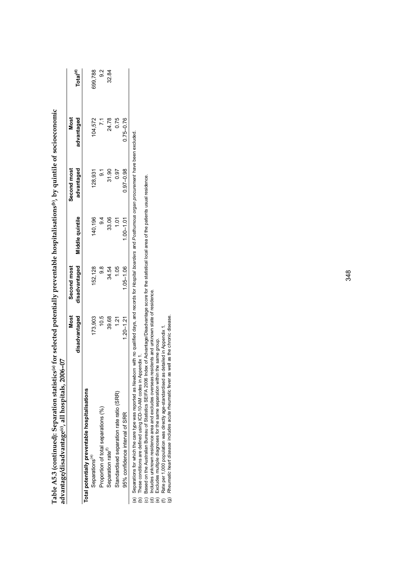|                                                | Most          | Second most   |                 | Second most   | Most          |                      |
|------------------------------------------------|---------------|---------------|-----------------|---------------|---------------|----------------------|
|                                                | disadvantaged | disadvantaged | Middle quintile | advantaged    | advantaged    | Total <sup>(d)</sup> |
| Total potentially preventable hospitalisations |               |               |                 |               |               |                      |
| Separations <sup>(e)</sup>                     | 173.903       | 152.128       | 140,196         | 128,931       | 104.572       | 699,788              |
| Proportion of total separations (%)            | 10.5          | ∞<br>တ        | $\frac{4}{9}$   |               |               | $\frac{2}{9}$        |
| Separation rate <sup>(1)</sup>                 | 39.68         | 34.54         | 33.06           | 31.90         | 24.78         | 32.84                |
| Standardised separation rate ratio (SRR)       | 1.21          | 1.05          | Ξ               | 0.97          | 0.75          |                      |
| 95% confidence interval of SRR                 | $1.20 - 1.21$ | $1.05 - 1.06$ | $1.00 - 1.01$   | $0.97 - 0.98$ | $0.75 - 0.76$ |                      |

**Table A5.3 (continued): Separation statistics(a) for selected potentially preventable hospitalisations(b), by quintile of socioeconomic**  Table A5.3 (continued): Separation statistics(a) for selected potentially preventable hospitalisations(b), by quintile of socioeconomic

(b) These conditions are defined using ICD-10-AM codes in Appendix 1.

(b) These conditions are defined using ICD-10-AM codes in Appendix 1.<br>(c) Based on the Australian Bureau of Statistics SEIFA 2006 Index of Advantage/Disadvantage score for the statistical local area of the patients usual r (c) Based on the Australian Bureau of Statistics SEIFA 2006 Index of Advantage/Disadvantage score for the statistical local area of the patients usual residence.

(d) Includes unknown residence area and excludes overseas residents and unknown state of residence.

(f) Rate per 1,000 population was directly age-standardised as detailed in Appendix 1. (e) Excludes multiple diagnoses for the same separation within the same group.

(g) *Rheumatic heart disease* includes acute rheumatic fever as well as the chronic disease.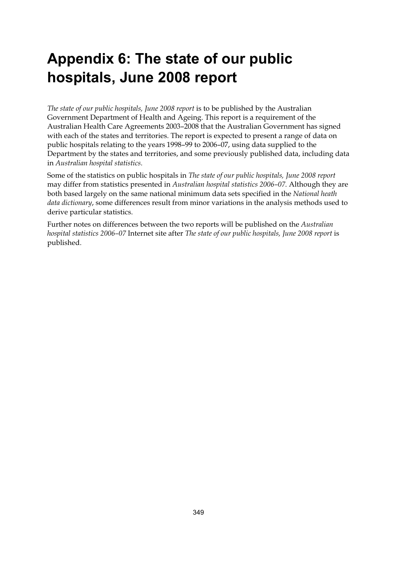## **Appendix 6: The state of our public hospitals, June 2008 report**

*The state of our public hospitals, June 2008 report* is to be published by the Australian Government Department of Health and Ageing. This report is a requirement of the Australian Health Care Agreements 2003–2008 that the Australian Government has signed with each of the states and territories. The report is expected to present a range of data on public hospitals relating to the years 1998–99 to 2006–07, using data supplied to the Department by the states and territories, and some previously published data, including data in *Australian hospital statistics*.

Some of the statistics on public hospitals in *The state of our public hospitals, June 2008 report* may differ from statistics presented in *Australian hospital statistics 2006–07*. Although they are both based largely on the same national minimum data sets specified in the *National heath data dictionary*, some differences result from minor variations in the analysis methods used to derive particular statistics.

Further notes on differences between the two reports will be published on the *Australian hospital statistics 2006–07* Internet site after *The state of our public hospitals, June 2008 report* is published.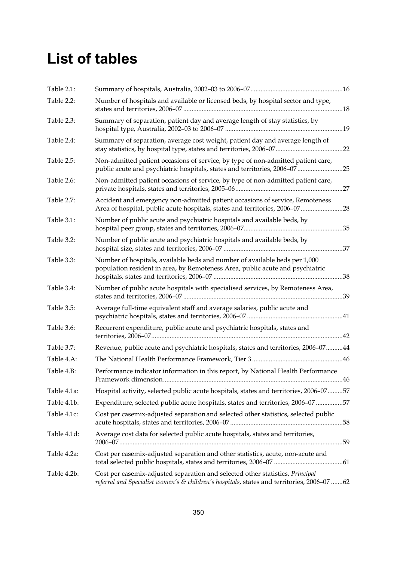### **List of tables**

| Table 2.1:  |                                                                                                                                                                             |  |
|-------------|-----------------------------------------------------------------------------------------------------------------------------------------------------------------------------|--|
| Table 2.2:  | Number of hospitals and available or licensed beds, by hospital sector and type,                                                                                            |  |
| Table 2.3:  | Summary of separation, patient day and average length of stay statistics, by                                                                                                |  |
| Table 2.4:  | Summary of separation, average cost weight, patient day and average length of                                                                                               |  |
| Table 2.5:  | Non-admitted patient occasions of service, by type of non-admitted patient care,<br>public acute and psychiatric hospitals, states and territories, 2006-0725               |  |
| Table 2.6:  | Non-admitted patient occasions of service, by type of non-admitted patient care,                                                                                            |  |
| Table 2.7:  | Accident and emergency non-admitted patient occasions of service, Remoteness<br>Area of hospital, public acute hospitals, states and territories, 2006-07 28                |  |
| Table 3.1:  | Number of public acute and psychiatric hospitals and available beds, by                                                                                                     |  |
| Table 3.2:  | Number of public acute and psychiatric hospitals and available beds, by                                                                                                     |  |
| Table 3.3:  | Number of hospitals, available beds and number of available beds per 1,000<br>population resident in area, by Remoteness Area, public acute and psychiatric                 |  |
| Table 3.4:  | Number of public acute hospitals with specialised services, by Remoteness Area,                                                                                             |  |
| Table 3.5:  | Average full-time equivalent staff and average salaries, public acute and                                                                                                   |  |
| Table 3.6:  | Recurrent expenditure, public acute and psychiatric hospitals, states and                                                                                                   |  |
| Table 3.7:  | Revenue, public acute and psychiatric hospitals, states and territories, 2006-0744                                                                                          |  |
| Table 4.A:  |                                                                                                                                                                             |  |
| Table 4.B:  | Performance indicator information in this report, by National Health Performance                                                                                            |  |
| Table 4.1a: | Hospital activity, selected public acute hospitals, states and territories, 2006-0757                                                                                       |  |
| Table 4.1b: | Expenditure, selected public acute hospitals, states and territories, 2006-07 57                                                                                            |  |
| Table 4.1c: | Cost per casemix-adjusted separation and selected other statistics, selected public                                                                                         |  |
| Table 4.1d: | Average cost data for selected public acute hospitals, states and territories,                                                                                              |  |
| Table 4.2a: | Cost per casemix-adjusted separation and other statistics, acute, non-acute and                                                                                             |  |
| Table 4.2b: | Cost per casemix-adjusted separation and selected other statistics, Principal<br>referral and Specialist women's & children's hospitals, states and territories, 2006-07 62 |  |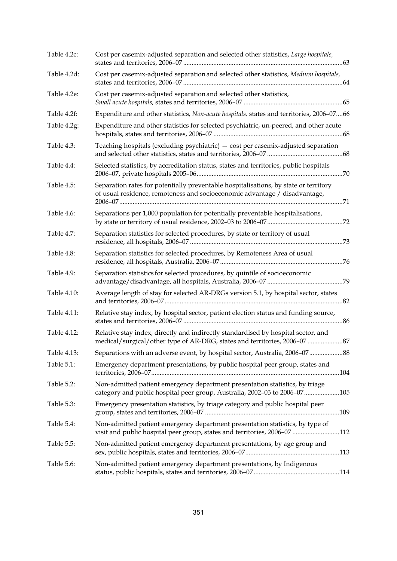| Table 4.2c: | Cost per casemix-adjusted separation and selected other statistics, Large hospitals,                                                                               |
|-------------|--------------------------------------------------------------------------------------------------------------------------------------------------------------------|
| Table 4.2d: | Cost per casemix-adjusted separation and selected other statistics, Medium hospitals,                                                                              |
| Table 4.2e: | Cost per casemix-adjusted separation and selected other statistics,                                                                                                |
| Table 4.2f: | Expenditure and other statistics, Non-acute hospitals, states and territories, 2006-0766                                                                           |
| Table 4.2g: | Expenditure and other statistics for selected psychiatric, un-peered, and other acute                                                                              |
| Table 4.3:  | Teaching hospitals (excluding psychiatric) - cost per casemix-adjusted separation                                                                                  |
| Table 4.4:  | Selected statistics, by accreditation status, states and territories, public hospitals                                                                             |
| Table 4.5:  | Separation rates for potentially preventable hospitalisations, by state or territory<br>of usual residence, remoteness and socioeconomic advantage / disadvantage, |
| Table 4.6:  | Separations per 1,000 population for potentially preventable hospitalisations,                                                                                     |
| Table 4.7:  | Separation statistics for selected procedures, by state or territory of usual                                                                                      |
| Table 4.8:  | Separation statistics for selected procedures, by Remoteness Area of usual                                                                                         |
| Table 4.9:  | Separation statistics for selected procedures, by quintile of socioeconomic                                                                                        |
| Table 4.10: | Average length of stay for selected AR-DRGs version 5.1, by hospital sector, states                                                                                |
| Table 4.11: | Relative stay index, by hospital sector, patient election status and funding source,                                                                               |
| Table 4.12: | Relative stay index, directly and indirectly standardised by hospital sector, and<br>medical/surgical/other type of AR-DRG, states and territories, 2006-07  87    |
| Table 4.13: | Separations with an adverse event, by hospital sector, Australia, 2006-0788                                                                                        |
| Table 5.1:  | Emergency department presentations, by public hospital peer group, states and                                                                                      |
| Table 5.2:  | Non-admitted patient emergency department presentation statistics, by triage<br>category and public hospital peer group, Australia, 2002-03 to 2006-07105          |
| Table 5.3:  | Emergency presentation statistics, by triage category and public hospital peer                                                                                     |
| Table 5.4:  | Non-admitted patient emergency department presentation statistics, by type of<br>visit and public hospital peer group, states and territories, 2006-07 112         |
| Table 5.5:  | Non-admitted patient emergency department presentations, by age group and                                                                                          |
| Table 5.6:  | Non-admitted patient emergency department presentations, by Indigenous                                                                                             |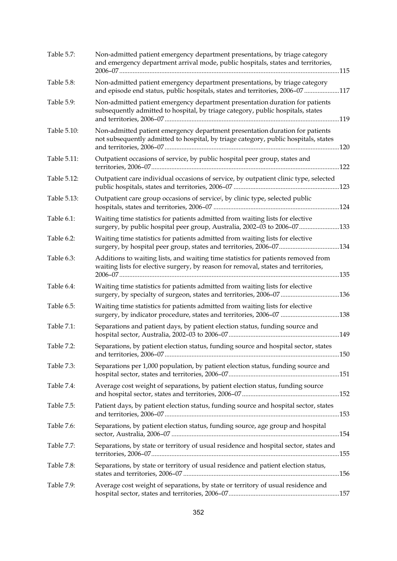| Table 5.7:  | Non-admitted patient emergency department presentations, by triage category<br>and emergency department arrival mode, public hospitals, states and territories,         |  |
|-------------|-------------------------------------------------------------------------------------------------------------------------------------------------------------------------|--|
| Table 5.8:  | Non-admitted patient emergency department presentations, by triage category<br>and episode end status, public hospitals, states and territories, 2006-07117             |  |
| Table 5.9:  | Non-admitted patient emergency department presentation duration for patients<br>subsequently admitted to hospital, by triage category, public hospitals, states         |  |
| Table 5.10: | Non-admitted patient emergency department presentation duration for patients<br>not subsequently admitted to hospital, by triage category, public hospitals, states     |  |
| Table 5.11: | Outpatient occasions of service, by public hospital peer group, states and                                                                                              |  |
| Table 5.12: | Outpatient care individual occasions of service, by outpatient clinic type, selected                                                                                    |  |
| Table 5.13: | Outpatient care group occasions of service <sup>(</sup> , by clinic type, selected public                                                                               |  |
| Table 6.1:  | Waiting time statistics for patients admitted from waiting lists for elective<br>surgery, by public hospital peer group, Australia, 2002-03 to 2006-07133               |  |
| Table 6.2:  | Waiting time statistics for patients admitted from waiting lists for elective                                                                                           |  |
| Table 6.3:  | Additions to waiting lists, and waiting time statistics for patients removed from<br>waiting lists for elective surgery, by reason for removal, states and territories, |  |
| Table 6.4:  | Waiting time statistics for patients admitted from waiting lists for elective<br>surgery, by specialty of surgeon, states and territories, 2006-07 136                  |  |
| Table 6.5:  | Waiting time statistics for patients admitted from waiting lists for elective<br>surgery, by indicator procedure, states and territories, 2006-07 138                   |  |
| Table 7.1:  | Separations and patient days, by patient election status, funding source and                                                                                            |  |
| Table 7.2:  | Separations, by patient election status, funding source and hospital sector, states                                                                                     |  |
| Table 7.3:  | Separations per 1,000 population, by patient election status, funding source and                                                                                        |  |
| Table 7.4:  | Average cost weight of separations, by patient election status, funding source                                                                                          |  |
| Table 7.5:  | Patient days, by patient election status, funding source and hospital sector, states                                                                                    |  |
| Table 7.6:  | Separations, by patient election status, funding source, age group and hospital                                                                                         |  |
| Table 7.7:  | Separations, by state or territory of usual residence and hospital sector, states and                                                                                   |  |
| Table 7.8:  | Separations, by state or territory of usual residence and patient election status,                                                                                      |  |
| Table 7.9:  | Average cost weight of separations, by state or territory of usual residence and                                                                                        |  |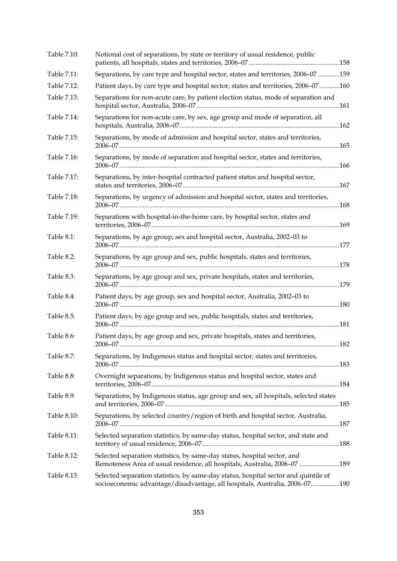| Table 7.10: | Notional cost of separations, by state or territory of usual residence, public                                                                                    |  |
|-------------|-------------------------------------------------------------------------------------------------------------------------------------------------------------------|--|
| Table 7.11: | Separations, by care type and hospital sector, states and territories, 2006-07 159                                                                                |  |
| Table 7.12: | Patient days, by care type and hospital sector, states and territories, 2006-07 160                                                                               |  |
| Table 7.13: | Separations for non-acute care, by patient election status, mode of separation and                                                                                |  |
| Table 7.14: | Separations for non-acute care, by sex, age group and mode of separation, all                                                                                     |  |
| Table 7.15: | Separations, by mode of admission and hospital sector, states and territories,                                                                                    |  |
| Table 7.16: | Separations, by mode of separation and hospital sector, states and territories,                                                                                   |  |
| Table 7.17: | Separations, by inter-hospital contracted patient status and hospital sector,                                                                                     |  |
| Table 7.18: | Separations, by urgency of admission and hospital sector, states and territories,                                                                                 |  |
| Table 7.19: | Separations with hospital-in-the-home care, by hospital sector, states and                                                                                        |  |
| Table 8.1:  | Separations, by age group, sex and hospital sector, Australia, 2002-03 to                                                                                         |  |
| Table 8.2:  | Separations, by age group and sex, public hospitals, states and territories,                                                                                      |  |
| Table 8.3:  | Separations, by age group and sex, private hospitals, states and territories,                                                                                     |  |
| Table 8.4:  | Patient days, by age group, sex and hospital sector, Australia, 2002-03 to                                                                                        |  |
| Table 8.5:  | Patient days, by age group and sex, public hospitals, states and territories,                                                                                     |  |
| Table 8.6:  | Patient days, by age group and sex, private hospitals, states and territories,                                                                                    |  |
| Table 8.7:  | Separations, by Indigenous status and hospital sector, states and territories,                                                                                    |  |
| Table 8.8:  | Overnight separations, by Indigenous status and hospital sector, states and                                                                                       |  |
| Table 8.9:  | Separations, by Indigenous status, age group and sex, all hospitals, selected states                                                                              |  |
| Table 8.10: | Separations, by selected country/region of birth and hospital sector, Australia,                                                                                  |  |
| Table 8.11: | Selected separation statistics, by same-day status, hospital sector, and state and                                                                                |  |
| Table 8.12: | Selected separation statistics, by same-day status, hospital sector, and<br>Remoteness Area of usual residence, all hospitals, Australia, 2006-07 189             |  |
| Table 8.13: | Selected separation statistics, by same-day status, hospital sector and quintile of<br>socioeconomic advantage/disadvantage, all hospitals, Australia, 2006-07190 |  |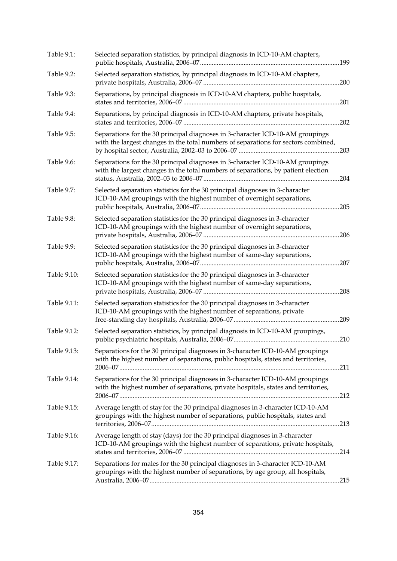| Table 9.1:  | Selected separation statistics, by principal diagnosis in ICD-10-AM chapters,                                                                                       |      |
|-------------|---------------------------------------------------------------------------------------------------------------------------------------------------------------------|------|
| Table 9.2:  | Selected separation statistics, by principal diagnosis in ICD-10-AM chapters,                                                                                       |      |
| Table 9.3:  | Separations, by principal diagnosis in ICD-10-AM chapters, public hospitals,                                                                                        |      |
| Table 9.4:  | Separations, by principal diagnosis in ICD-10-AM chapters, private hospitals,                                                                                       |      |
| Table 9.5:  | Separations for the 30 principal diagnoses in 3-character ICD-10-AM groupings<br>with the largest changes in the total numbers of separations for sectors combined, |      |
| Table 9.6:  | Separations for the 30 principal diagnoses in 3-character ICD-10-AM groupings<br>with the largest changes in the total numbers of separations, by patient election  |      |
| Table 9.7:  | Selected separation statistics for the 30 principal diagnoses in 3-character<br>ICD-10-AM groupings with the highest number of overnight separations,               |      |
| Table 9.8:  | Selected separation statistics for the 30 principal diagnoses in 3-character<br>ICD-10-AM groupings with the highest number of overnight separations,               | 206  |
| Table 9.9:  | Selected separation statistics for the 30 principal diagnoses in 3-character<br>ICD-10-AM groupings with the highest number of same-day separations,                | 207  |
| Table 9.10: | Selected separation statistics for the 30 principal diagnoses in 3-character<br>ICD-10-AM groupings with the highest number of same-day separations,                | 208  |
| Table 9.11: | Selected separation statistics for the 30 principal diagnoses in 3-character<br>ICD-10-AM groupings with the highest number of separations, private                 | .209 |
| Table 9.12: | Selected separation statistics, by principal diagnosis in ICD-10-AM groupings,                                                                                      | .210 |
| Table 9.13: | Separations for the 30 principal diagnoses in 3-character ICD-10-AM groupings<br>with the highest number of separations, public hospitals, states and territories,  | 211  |
| Table 9.14: | Separations for the 30 principal diagnoses in 3-character ICD-10-AM groupings<br>with the highest number of separations, private hospitals, states and territories, | 212  |
| Table 9.15: | Average length of stay for the 30 principal diagnoses in 3-character ICD-10-AM<br>groupings with the highest number of separations, public hospitals, states and    |      |
| Table 9.16: | Average length of stay (days) for the 30 principal diagnoses in 3-character<br>ICD-10-AM groupings with the highest number of separations, private hospitals,       |      |
| Table 9.17: | Separations for males for the 30 principal diagnoses in 3-character ICD-10-AM<br>groupings with the highest number of separations, by age group, all hospitals,     |      |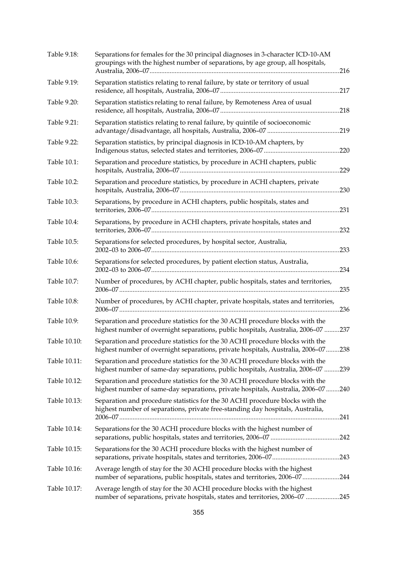| Table 9.18:  | Separations for females for the 30 principal diagnoses in 3-character ICD-10-AM<br>groupings with the highest number of separations, by age group, all hospitals,   |      |
|--------------|---------------------------------------------------------------------------------------------------------------------------------------------------------------------|------|
| Table 9.19:  | Separation statistics relating to renal failure, by state or territory of usual                                                                                     |      |
| Table 9.20:  | Separation statistics relating to renal failure, by Remoteness Area of usual                                                                                        |      |
| Table 9.21:  | Separation statistics relating to renal failure, by quintile of socioeconomic                                                                                       |      |
| Table 9.22:  | Separation statistics, by principal diagnosis in ICD-10-AM chapters, by                                                                                             |      |
| Table 10.1:  | Separation and procedure statistics, by procedure in ACHI chapters, public                                                                                          |      |
| Table 10.2:  | Separation and procedure statistics, by procedure in ACHI chapters, private                                                                                         | 230  |
| Table 10.3:  | Separations, by procedure in ACHI chapters, public hospitals, states and                                                                                            |      |
| Table 10.4:  | Separations, by procedure in ACHI chapters, private hospitals, states and                                                                                           | .232 |
| Table 10.5:  | Separations for selected procedures, by hospital sector, Australia,                                                                                                 | .233 |
| Table 10.6:  | Separations for selected procedures, by patient election status, Australia,                                                                                         | .234 |
| Table 10.7:  | Number of procedures, by ACHI chapter, public hospitals, states and territories,                                                                                    |      |
| Table 10.8:  | Number of procedures, by ACHI chapter, private hospitals, states and territories,                                                                                   |      |
| Table 10.9:  | Separation and procedure statistics for the 30 ACHI procedure blocks with the<br>highest number of overnight separations, public hospitals, Australia, 2006-07 237  |      |
| Table 10.10: | Separation and procedure statistics for the 30 ACHI procedure blocks with the<br>highest number of overnight separations, private hospitals, Australia, 2006-07 238 |      |
| Table 10.11: | Separation and procedure statistics for the 30 ACHI procedure blocks with the<br>highest number of same-day separations, public hospitals, Australia, 2006-07 239   |      |
| Table 10.12: | Separation and procedure statistics for the 30 ACHI procedure blocks with the<br>highest number of same-day separations, private hospitals, Australia, 2006-07 240  |      |
| Table 10.13: | Separation and procedure statistics for the 30 ACHI procedure blocks with the<br>highest number of separations, private free-standing day hospitals, Australia,     |      |
| Table 10.14: | Separations for the 30 ACHI procedure blocks with the highest number of                                                                                             |      |
| Table 10.15: | Separations for the 30 ACHI procedure blocks with the highest number of                                                                                             |      |
| Table 10.16: | Average length of stay for the 30 ACHI procedure blocks with the highest<br>number of separations, public hospitals, states and territories, 2006-07244             |      |
| Table 10.17: | Average length of stay for the 30 ACHI procedure blocks with the highest<br>number of separations, private hospitals, states and territories, 2006-07 245           |      |
|              |                                                                                                                                                                     |      |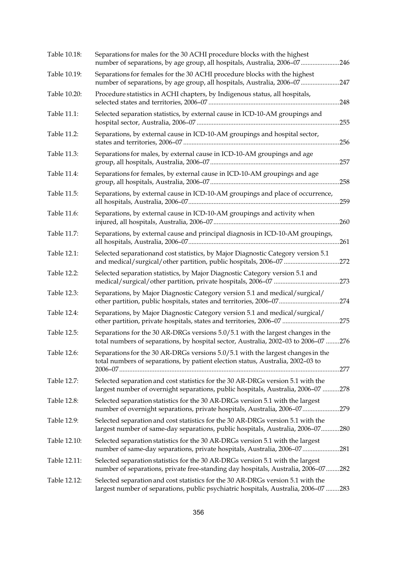| Table 10.18: | Separations for males for the 30 ACHI procedure blocks with the highest<br>number of separations, by age group, all hospitals, Australia, 2006-07246                   |      |
|--------------|------------------------------------------------------------------------------------------------------------------------------------------------------------------------|------|
| Table 10.19: | Separations for females for the 30 ACHI procedure blocks with the highest<br>number of separations, by age group, all hospitals, Australia, 2006-07 247                |      |
| Table 10.20: | Procedure statistics in ACHI chapters, by Indigenous status, all hospitals,                                                                                            |      |
| Table 11.1:  | Selected separation statistics, by external cause in ICD-10-AM groupings and                                                                                           |      |
| Table 11.2:  | Separations, by external cause in ICD-10-AM groupings and hospital sector,                                                                                             |      |
| Table 11.3:  | Separations for males, by external cause in ICD-10-AM groupings and age                                                                                                |      |
| Table 11.4:  | Separations for females, by external cause in ICD-10-AM groupings and age                                                                                              | .258 |
| Table 11.5:  | Separations, by external cause in ICD-10-AM groupings and place of occurrence,                                                                                         |      |
| Table 11.6:  | Separations, by external cause in ICD-10-AM groupings and activity when                                                                                                | .260 |
| Table 11.7:  | Separations, by external cause and principal diagnosis in ICD-10-AM groupings,                                                                                         |      |
| Table 12.1:  | Selected separationand cost statistics, by Major Diagnostic Category version 5.1<br>and medical/surgical/other partition, public hospitals, 2006-07 272                |      |
| Table 12.2:  | Selected separation statistics, by Major Diagnostic Category version 5.1 and                                                                                           |      |
| Table 12.3:  | Separations, by Major Diagnostic Category version 5.1 and medical/surgical/                                                                                            |      |
| Table 12.4:  | Separations, by Major Diagnostic Category version 5.1 and medical/surgical/<br>other partition, private hospitals, states and territories, 2006-07 275                 |      |
| Table 12.5:  | Separations for the 30 AR-DRGs versions 5.0/5.1 with the largest changes in the<br>total numbers of separations, by hospital sector, Australia, 2002-03 to 2006-07 276 |      |
| Table 12.6:  | Separations for the 30 AR-DRGs versions 5.0/5.1 with the largest changes in the<br>total numbers of separations, by patient election status, Australia, 2002-03 to     |      |
| Table 12.7:  | Selected separation and cost statistics for the 30 AR-DRGs version 5.1 with the<br>largest number of overnight separations, public hospitals, Australia, 2006-07 278   |      |
| Table 12.8:  | Selected separation statistics for the 30 AR-DRGs version 5.1 with the largest<br>number of overnight separations, private hospitals, Australia, 2006-07279            |      |
| Table 12.9:  | Selected separation and cost statistics for the 30 AR-DRGs version 5.1 with the<br>largest number of same-day separations, public hospitals, Australia, 2006-07280     |      |
| Table 12.10: | Selected separation statistics for the 30 AR-DRGs version 5.1 with the largest<br>number of same-day separations, private hospitals, Australia, 2006-07281             |      |
| Table 12.11: | Selected separation statistics for the 30 AR-DRGs version 5.1 with the largest<br>number of separations, private free-standing day hospitals, Australia, 2006-07282    |      |
| Table 12.12: | Selected separation and cost statistics for the 30 AR-DRGs version 5.1 with the<br>largest number of separations, public psychiatric hospitals, Australia, 2006-07 283 |      |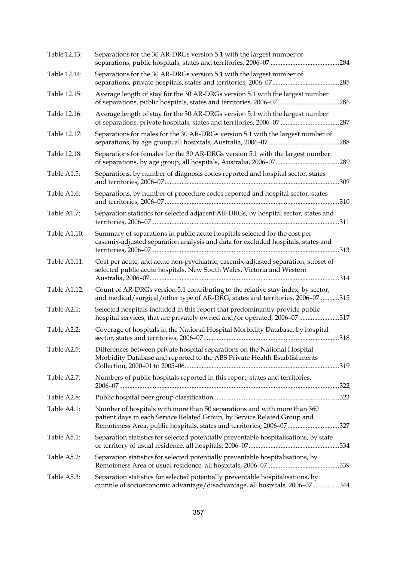| Table 12.13: | Separations for the 30 AR-DRGs version 5.1 with the largest number of                                                                                                                                                         |      |
|--------------|-------------------------------------------------------------------------------------------------------------------------------------------------------------------------------------------------------------------------------|------|
| Table 12.14: | Separations for the 30 AR-DRGs version 5.1 with the largest number of                                                                                                                                                         |      |
| Table 12.15: | Average length of stay for the 30 AR-DRGs version 5.1 with the largest number                                                                                                                                                 |      |
| Table 12.16: | Average length of stay for the 30 AR-DRGs version 5.1 with the largest number                                                                                                                                                 |      |
| Table 12.17: | Separations for males for the 30 AR-DRGs version 5.1 with the largest number of                                                                                                                                               | .288 |
| Table 12.18: | Separations for females for the 30 AR-DRGs version 5.1 with the largest number                                                                                                                                                |      |
| Table A1.5:  | Separations, by number of diagnosis codes reported and hospital sector, states                                                                                                                                                |      |
| Table A1.6:  | Separations, by number of procedure codes reported and hospital sector, states                                                                                                                                                |      |
| Table A1.7:  | Separation statistics for selected adjacent AR-DRGs, by hospital sector, states and                                                                                                                                           |      |
| Table A1.10: | Summary of separations in public acute hospitals selected for the cost per<br>casemix-adjusted separation analysis and data for excluded hospitals, states and                                                                |      |
| Table A1.11: | Cost per acute, and acute non-psychiatric, casemix-adjusted separation, subset of<br>selected public acute hospitals, New South Wales, Victoria and Western                                                                   |      |
| Table A1.12: | Count of AR-DRGs version 5.1 contributing to the relative stay index, by sector,<br>and medical/surgical/other type of AR-DRG, states and territories, 2006-07315                                                             |      |
| Table A2.1:  | Selected hospitals included in this report that predominantly provide public<br>hospital services, that are privately owned and/or operated, 2006-07 317                                                                      |      |
| Table A2.2:  | Coverage of hospitals in the National Hospital Morbidity Database, by hospital                                                                                                                                                |      |
| Table A2.5:  | Differences between private hospital separations on the National Hospital<br>Morbidity Database and reported to the ABS Private Health Establishments                                                                         |      |
| Table A2.7:  | Numbers of public hospitals reported in this report, states and territories,                                                                                                                                                  |      |
| Table A2.8:  |                                                                                                                                                                                                                               |      |
| Table A4.1:  | Number of hospitals with more than 50 separations and with more than 360<br>patient days in each Service Related Group, by Service Related Group and<br>Remoteness Area, public hospitals, states and territories, 2006-07327 |      |
| Table A5.1:  | Separation statistics for selected potentially preventable hospitalisations, by state                                                                                                                                         |      |
| Table A5.2:  | Separation statistics for selected potentially preventable hospitalisations, by                                                                                                                                               |      |
| Table A5.3:  | Separation statistics for selected potentially preventable hospitalisations, by<br>quintile of socioeconomic advantage/disadvantage, all hospitals, 2006-07344                                                                |      |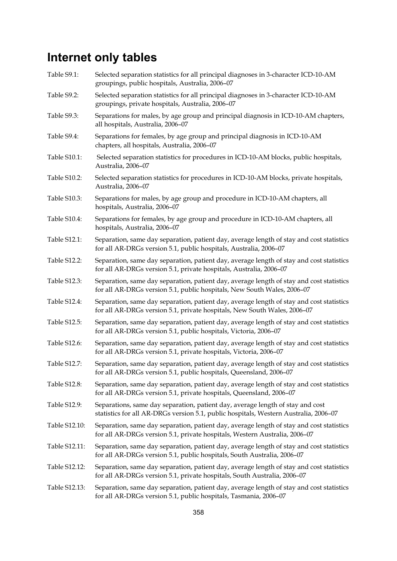#### **Internet only tables**

- Table S9.1: Selected separation statistics for all principal diagnoses in 3-character ICD-10-AM groupings, public hospitals, Australia, 2006–07
- Table S9.2: Selected separation statistics for all principal diagnoses in 3-character ICD-10-AM groupings, private hospitals, Australia, 2006–07
- Table S9.3: Separations for males, by age group and principal diagnosis in ICD-10-AM chapters, all hospitals, Australia, 2006–07
- Table S9.4: Separations for females, by age group and principal diagnosis in ICD-10-AM chapters, all hospitals, Australia, 2006–07
- Table S10.1: Selected separation statistics for procedures in ICD-10-AM blocks, public hospitals, Australia, 2006–07
- Table S10.2: Selected separation statistics for procedures in ICD-10-AM blocks, private hospitals, Australia, 2006–07
- Table S10.3: Separations for males, by age group and procedure in ICD-10-AM chapters, all hospitals, Australia, 2006–07
- Table S10.4: Separations for females, by age group and procedure in ICD-10-AM chapters, all hospitals, Australia, 2006–07
- Table S12.1: Separation, same day separation, patient day, average length of stay and cost statistics for all AR-DRGs version 5.1, public hospitals, Australia, 2006–07
- Table S12.2: Separation, same day separation, patient day, average length of stay and cost statistics for all AR-DRGs version 5.1, private hospitals, Australia, 2006–07
- Table S12.3: Separation, same day separation, patient day, average length of stay and cost statistics for all AR-DRGs version 5.1, public hospitals, New South Wales, 2006–07
- Table S12.4: Separation, same day separation, patient day, average length of stay and cost statistics for all AR-DRGs version 5.1, private hospitals, New South Wales, 2006–07
- Table S12.5: Separation, same day separation, patient day, average length of stay and cost statistics for all AR-DRGs version 5.1, public hospitals, Victoria, 2006–07
- Table S12.6: Separation, same day separation, patient day, average length of stay and cost statistics for all AR-DRGs version 5.1, private hospitals, Victoria, 2006–07
- Table S12.7: Separation, same day separation, patient day, average length of stay and cost statistics for all AR-DRGs version 5.1, public hospitals, Queensland, 2006–07
- Table S12.8: Separation, same day separation, patient day, average length of stay and cost statistics for all AR-DRGs version 5.1, private hospitals, Queensland, 2006–07
- Table S12.9: Separations, same day separation, patient day, average length of stay and cost statistics for all AR-DRGs version 5.1, public hospitals, Western Australia, 2006–07
- Table S12.10: Separation, same day separation, patient day, average length of stay and cost statistics for all AR-DRGs version 5.1, private hospitals, Western Australia, 2006–07
- Table S12.11: Separation, same day separation, patient day, average length of stay and cost statistics for all AR-DRGs version 5.1, public hospitals, South Australia, 2006–07
- Table S12.12: Separation, same day separation, patient day, average length of stay and cost statistics for all AR-DRGs version 5.1, private hospitals, South Australia, 2006–07
- Table S12.13: Separation, same day separation, patient day, average length of stay and cost statistics for all AR-DRGs version 5.1, public hospitals, Tasmania, 2006–07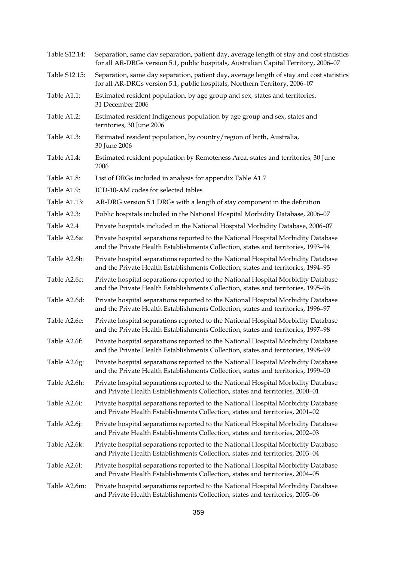| Separation, same day separation, patient day, average length of stay and cost statistics<br>for all AR-DRGs version 5.1, public hospitals, Australian Capital Territory, 2006-07 |
|----------------------------------------------------------------------------------------------------------------------------------------------------------------------------------|
| Separation, same day separation, patient day, average length of stay and cost statistics<br>for all AR-DRGs version 5.1, public hospitals, Northern Territory, 2006-07           |
| Estimated resident population, by age group and sex, states and territories,<br>31 December 2006                                                                                 |
| Estimated resident Indigenous population by age group and sex, states and<br>territories, 30 June 2006                                                                           |
| Estimated resident population, by country/region of birth, Australia,<br>30 June 2006                                                                                            |
| Estimated resident population by Remoteness Area, states and territories, 30 June<br>2006                                                                                        |
| List of DRGs included in analysis for appendix Table A1.7                                                                                                                        |
| ICD-10-AM codes for selected tables                                                                                                                                              |
| AR-DRG version 5.1 DRGs with a length of stay component in the definition                                                                                                        |
| Public hospitals included in the National Hospital Morbidity Database, 2006-07                                                                                                   |
| Private hospitals included in the National Hospital Morbidity Database, 2006-07                                                                                                  |
| Private hospital separations reported to the National Hospital Morbidity Database<br>and the Private Health Establishments Collection, states and territories, 1993-94           |
| Private hospital separations reported to the National Hospital Morbidity Database<br>and the Private Health Establishments Collection, states and territories, 1994-95           |
| Private hospital separations reported to the National Hospital Morbidity Database<br>and the Private Health Establishments Collection, states and territories, 1995-96           |
| Private hospital separations reported to the National Hospital Morbidity Database<br>and the Private Health Establishments Collection, states and territories, 1996-97           |
| Private hospital separations reported to the National Hospital Morbidity Database<br>and the Private Health Establishments Collection, states and territories, 1997-98           |
| Private hospital separations reported to the National Hospital Morbidity Database<br>and the Private Health Establishments Collection, states and territories, 1998-99           |
| Private hospital separations reported to the National Hospital Morbidity Database<br>and the Private Health Establishments Collection, states and territories, 1999-00           |
| Private hospital separations reported to the National Hospital Morbidity Database<br>and Private Health Establishments Collection, states and territories, 2000-01               |
| Private hospital separations reported to the National Hospital Morbidity Database<br>and Private Health Establishments Collection, states and territories, 2001-02               |
| Private hospital separations reported to the National Hospital Morbidity Database<br>and Private Health Establishments Collection, states and territories, 2002-03               |
| Private hospital separations reported to the National Hospital Morbidity Database<br>and Private Health Establishments Collection, states and territories, 2003-04               |
| Private hospital separations reported to the National Hospital Morbidity Database<br>and Private Health Establishments Collection, states and territories, 2004-05               |
| Private hospital separations reported to the National Hospital Morbidity Database<br>and Private Health Establishments Collection, states and territories, 2005-06               |
|                                                                                                                                                                                  |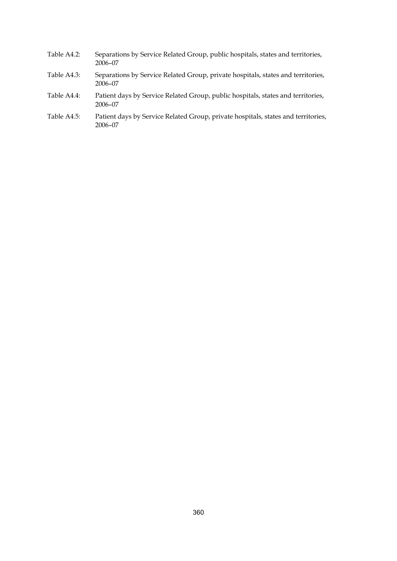- Table A4.2: Separations by Service Related Group, public hospitals, states and territories, 2006–07
- Table A4.3: Separations by Service Related Group, private hospitals, states and territories, 2006–07
- Table A4.4: Patient days by Service Related Group, public hospitals, states and territories, 2006–07
- Table A4.5: Patient days by Service Related Group, private hospitals, states and territories, 2006–07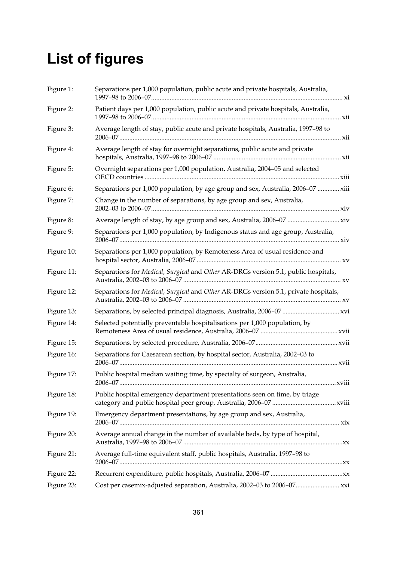# **List of figures**

| Figure 1:  | Separations per 1,000 population, public acute and private hospitals, Australia,    |
|------------|-------------------------------------------------------------------------------------|
| Figure 2:  | Patient days per 1,000 population, public acute and private hospitals, Australia,   |
| Figure 3:  | Average length of stay, public acute and private hospitals, Australia, 1997-98 to   |
| Figure 4:  | Average length of stay for overnight separations, public acute and private          |
| Figure 5:  | Overnight separations per 1,000 population, Australia, 2004-05 and selected         |
| Figure 6:  | Separations per 1,000 population, by age group and sex, Australia, 2006-07  xiii    |
| Figure 7:  | Change in the number of separations, by age group and sex, Australia,               |
| Figure 8:  | Average length of stay, by age group and sex, Australia, 2006-07  xiv               |
| Figure 9:  | Separations per 1,000 population, by Indigenous status and age group, Australia,    |
| Figure 10: | Separations per 1,000 population, by Remoteness Area of usual residence and         |
| Figure 11: | Separations for Medical, Surgical and Other AR-DRGs version 5.1, public hospitals,  |
| Figure 12: | Separations for Medical, Surgical and Other AR-DRGs version 5.1, private hospitals, |
| Figure 13: | Separations, by selected principal diagnosis, Australia, 2006-07  xvi               |
| Figure 14: | Selected potentially preventable hospitalisations per 1,000 population, by          |
| Figure 15: |                                                                                     |
| Figure 16: | Separations for Caesarean section, by hospital sector, Australia, 2002-03 to        |
| Figure 17: | Public hospital median waiting time, by specialty of surgeon, Australia,            |
| Figure 18: | Public hospital emergency department presentations seen on time, by triage          |
| Figure 19: | Emergency department presentations, by age group and sex, Australia,                |
| Figure 20: | Average annual change in the number of available beds, by type of hospital,         |
| Figure 21: | Average full-time equivalent staff, public hospitals, Australia, 1997-98 to         |
| Figure 22: |                                                                                     |
| Figure 23: |                                                                                     |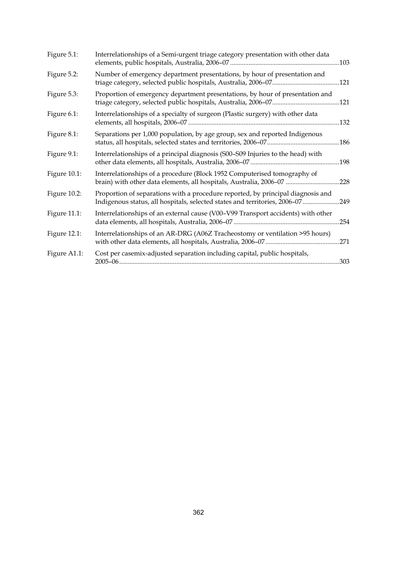| Figure 5.1:  | Interrelationships of a Semi-urgent triage category presentation with other data                                                                                 |      |
|--------------|------------------------------------------------------------------------------------------------------------------------------------------------------------------|------|
| Figure 5.2:  | Number of emergency department presentations, by hour of presentation and                                                                                        |      |
| Figure 5.3:  | Proportion of emergency department presentations, by hour of presentation and                                                                                    |      |
| Figure 6.1:  | Interrelationships of a specialty of surgeon (Plastic surgery) with other data                                                                                   |      |
| Figure 8.1:  | Separations per 1,000 population, by age group, sex and reported Indigenous                                                                                      |      |
| Figure 9.1:  | Interrelationships of a principal diagnosis (S00-S09 Injuries to the head) with                                                                                  | .198 |
| Figure 10.1: | Interrelationships of a procedure (Block 1952 Computerised tomography of<br>brain) with other data elements, all hospitals, Australia, 2006-07 228               |      |
| Figure 10.2: | Proportion of separations with a procedure reported, by principal diagnosis and<br>Indigenous status, all hospitals, selected states and territories, 2006-07249 |      |
| Figure 11.1: | Interrelationships of an external cause (V00-V99 Transport accidents) with other                                                                                 |      |
| Figure 12.1: | Interrelationships of an AR-DRG (A06Z Tracheostomy or ventilation >95 hours)                                                                                     |      |
| Figure A1.1: | Cost per casemix-adjusted separation including capital, public hospitals,                                                                                        | .303 |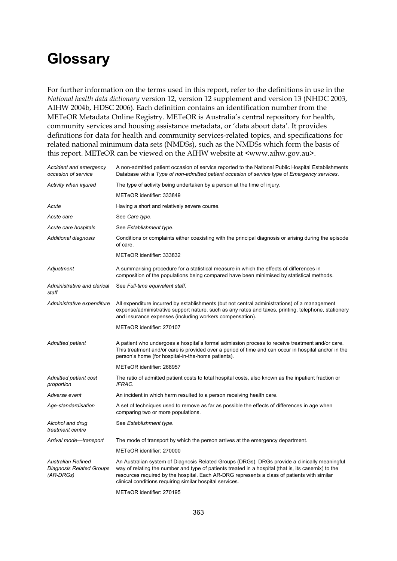## **Glossary**

For further information on the terms used in this report, refer to the definitions in use in the *National health data dictionary* version 12, version 12 supplement and version 13 (NHDC 2003, AIHW 2004b, HDSC 2006). Each definition contains an identification number from the METeOR Metadata Online Registry. METeOR is Australia's central repository for health, community services and housing assistance metadata, or 'data about data'. It provides definitions for data for health and community services-related topics, and specifications for related national minimum data sets (NMDSs), such as the NMDSs which form the basis of this report. METeOR can be viewed on the AIHW website at <www.aihw.gov.au>.

| Accident and emergency<br>occasion of service                      | A non-admitted patient occasion of service reported to the National Public Hospital Establishments<br>Database with a Type of non-admitted patient occasion of service type of Emergency services.                                                                                                                                                              |
|--------------------------------------------------------------------|-----------------------------------------------------------------------------------------------------------------------------------------------------------------------------------------------------------------------------------------------------------------------------------------------------------------------------------------------------------------|
| Activity when injured                                              | The type of activity being undertaken by a person at the time of injury.                                                                                                                                                                                                                                                                                        |
|                                                                    | METeOR identifier: 333849                                                                                                                                                                                                                                                                                                                                       |
| Acute                                                              | Having a short and relatively severe course.                                                                                                                                                                                                                                                                                                                    |
| Acute care                                                         | See Care type.                                                                                                                                                                                                                                                                                                                                                  |
| Acute care hospitals                                               | See Establishment type.                                                                                                                                                                                                                                                                                                                                         |
| Additional diagnosis                                               | Conditions or complaints either coexisting with the principal diagnosis or arising during the episode<br>of care.                                                                                                                                                                                                                                               |
|                                                                    | METeOR identifier: 333832                                                                                                                                                                                                                                                                                                                                       |
| Adjustment                                                         | A summarising procedure for a statistical measure in which the effects of differences in<br>composition of the populations being compared have been minimised by statistical methods.                                                                                                                                                                           |
| Administrative and clerical<br>staff                               | See Full-time equivalent staff.                                                                                                                                                                                                                                                                                                                                 |
| Administrative expenditure                                         | All expenditure incurred by establishments (but not central administrations) of a management<br>expense/administrative support nature, such as any rates and taxes, printing, telephone, stationery<br>and insurance expenses (including workers compensation).                                                                                                 |
|                                                                    | METeOR identifier: 270107                                                                                                                                                                                                                                                                                                                                       |
| <b>Admitted patient</b>                                            | A patient who undergoes a hospital's formal admission process to receive treatment and/or care.<br>This treatment and/or care is provided over a period of time and can occur in hospital and/or in the<br>person's home (for hospital-in-the-home patients).                                                                                                   |
|                                                                    | METeOR identifier: 268957                                                                                                                                                                                                                                                                                                                                       |
| Admitted patient cost<br>proportion                                | The ratio of admitted patient costs to total hospital costs, also known as the inpatient fraction or<br>IFRAC.                                                                                                                                                                                                                                                  |
| Adverse event                                                      | An incident in which harm resulted to a person receiving health care.                                                                                                                                                                                                                                                                                           |
| Age-standardisation                                                | A set of techniques used to remove as far as possible the effects of differences in age when<br>comparing two or more populations.                                                                                                                                                                                                                              |
| Alcohol and drug<br>treatment centre                               | See Establishment type.                                                                                                                                                                                                                                                                                                                                         |
| Arrival mode-transport                                             | The mode of transport by which the person arrives at the emergency department.                                                                                                                                                                                                                                                                                  |
|                                                                    | METeOR identifier: 270000                                                                                                                                                                                                                                                                                                                                       |
| <b>Australian Refined</b><br>Diagnosis Related Groups<br>(AR-DRGs) | An Australian system of Diagnosis Related Groups (DRGs). DRGs provide a clinically meaningful<br>way of relating the number and type of patients treated in a hospital (that is, its casemix) to the<br>resources required by the hospital. Each AR-DRG represents a class of patients with similar<br>clinical conditions requiring similar hospital services. |
|                                                                    | METeOR identifier: 270195                                                                                                                                                                                                                                                                                                                                       |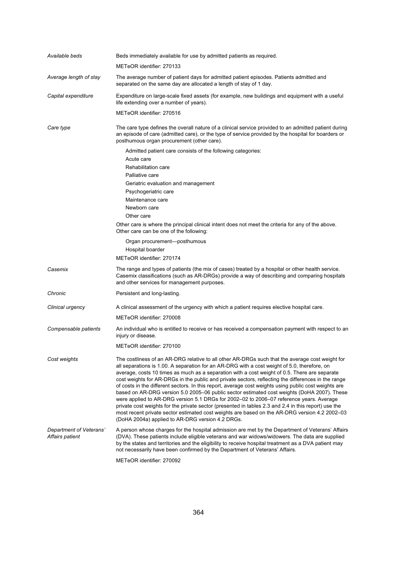| Available beds                             | Beds immediately available for use by admitted patients as required.                                                                                                                                                                                                                                                                                                                                                                                                                                                                                                                                                                                                                                                                                                                                                                                                                                                                                                    |
|--------------------------------------------|-------------------------------------------------------------------------------------------------------------------------------------------------------------------------------------------------------------------------------------------------------------------------------------------------------------------------------------------------------------------------------------------------------------------------------------------------------------------------------------------------------------------------------------------------------------------------------------------------------------------------------------------------------------------------------------------------------------------------------------------------------------------------------------------------------------------------------------------------------------------------------------------------------------------------------------------------------------------------|
|                                            | METeOR identifier: 270133                                                                                                                                                                                                                                                                                                                                                                                                                                                                                                                                                                                                                                                                                                                                                                                                                                                                                                                                               |
| Average length of stay                     | The average number of patient days for admitted patient episodes. Patients admitted and<br>separated on the same day are allocated a length of stay of 1 day.                                                                                                                                                                                                                                                                                                                                                                                                                                                                                                                                                                                                                                                                                                                                                                                                           |
| Capital expenditure                        | Expenditure on large-scale fixed assets (for example, new buildings and equipment with a useful<br>life extending over a number of years).                                                                                                                                                                                                                                                                                                                                                                                                                                                                                                                                                                                                                                                                                                                                                                                                                              |
|                                            | METeOR identifier: 270516                                                                                                                                                                                                                                                                                                                                                                                                                                                                                                                                                                                                                                                                                                                                                                                                                                                                                                                                               |
| Care type                                  | The care type defines the overall nature of a clinical service provided to an admitted patient during<br>an episode of care (admitted care), or the type of service provided by the hospital for boarders or<br>posthumous organ procurement (other care).                                                                                                                                                                                                                                                                                                                                                                                                                                                                                                                                                                                                                                                                                                              |
|                                            | Admitted patient care consists of the following categories:                                                                                                                                                                                                                                                                                                                                                                                                                                                                                                                                                                                                                                                                                                                                                                                                                                                                                                             |
|                                            | Acute care                                                                                                                                                                                                                                                                                                                                                                                                                                                                                                                                                                                                                                                                                                                                                                                                                                                                                                                                                              |
|                                            | Rehabilitation care                                                                                                                                                                                                                                                                                                                                                                                                                                                                                                                                                                                                                                                                                                                                                                                                                                                                                                                                                     |
|                                            | Palliative care                                                                                                                                                                                                                                                                                                                                                                                                                                                                                                                                                                                                                                                                                                                                                                                                                                                                                                                                                         |
|                                            | Geriatric evaluation and management                                                                                                                                                                                                                                                                                                                                                                                                                                                                                                                                                                                                                                                                                                                                                                                                                                                                                                                                     |
|                                            | Psychogeriatric care                                                                                                                                                                                                                                                                                                                                                                                                                                                                                                                                                                                                                                                                                                                                                                                                                                                                                                                                                    |
|                                            | Maintenance care                                                                                                                                                                                                                                                                                                                                                                                                                                                                                                                                                                                                                                                                                                                                                                                                                                                                                                                                                        |
|                                            | Newborn care                                                                                                                                                                                                                                                                                                                                                                                                                                                                                                                                                                                                                                                                                                                                                                                                                                                                                                                                                            |
|                                            | Other care                                                                                                                                                                                                                                                                                                                                                                                                                                                                                                                                                                                                                                                                                                                                                                                                                                                                                                                                                              |
|                                            | Other care is where the principal clinical intent does not meet the criteria for any of the above.<br>Other care can be one of the following:                                                                                                                                                                                                                                                                                                                                                                                                                                                                                                                                                                                                                                                                                                                                                                                                                           |
|                                            | Organ procurement-posthumous                                                                                                                                                                                                                                                                                                                                                                                                                                                                                                                                                                                                                                                                                                                                                                                                                                                                                                                                            |
|                                            | Hospital boarder                                                                                                                                                                                                                                                                                                                                                                                                                                                                                                                                                                                                                                                                                                                                                                                                                                                                                                                                                        |
|                                            | METeOR identifier: 270174                                                                                                                                                                                                                                                                                                                                                                                                                                                                                                                                                                                                                                                                                                                                                                                                                                                                                                                                               |
| Casemix                                    | The range and types of patients (the mix of cases) treated by a hospital or other health service.<br>Casemix classifications (such as AR-DRGs) provide a way of describing and comparing hospitals<br>and other services for management purposes.                                                                                                                                                                                                                                                                                                                                                                                                                                                                                                                                                                                                                                                                                                                       |
| Chronic                                    | Persistent and long-lasting.                                                                                                                                                                                                                                                                                                                                                                                                                                                                                                                                                                                                                                                                                                                                                                                                                                                                                                                                            |
| Clinical urgency                           | A clinical assessment of the urgency with which a patient requires elective hospital care.                                                                                                                                                                                                                                                                                                                                                                                                                                                                                                                                                                                                                                                                                                                                                                                                                                                                              |
|                                            | METeOR identifier: 270008                                                                                                                                                                                                                                                                                                                                                                                                                                                                                                                                                                                                                                                                                                                                                                                                                                                                                                                                               |
| Compensable patients                       | An individual who is entitled to receive or has received a compensation payment with respect to an<br>injury or disease.                                                                                                                                                                                                                                                                                                                                                                                                                                                                                                                                                                                                                                                                                                                                                                                                                                                |
|                                            | METeOR identifier: 270100                                                                                                                                                                                                                                                                                                                                                                                                                                                                                                                                                                                                                                                                                                                                                                                                                                                                                                                                               |
| Cost weights                               | The costliness of an AR-DRG relative to all other AR-DRGs such that the average cost weight for<br>all separations is 1.00. A separation for an AR-DRG with a cost weight of 5.0, therefore, on<br>average, costs 10 times as much as a separation with a cost weight of 0.5. There are separate<br>cost weights for AR-DRGs in the public and private sectors, reflecting the differences in the range<br>of costs in the different sectors. In this report, average cost weights using public cost weights are<br>based on AR-DRG version 5.0 2005–06 public sector estimated cost weights (DoHA 2007). These<br>were applied to AR-DRG version 5.1 DRGs for 2002-02 to 2006-07 reference years. Average<br>private cost weights for the private sector (presented in tables 2.3 and 2.4 in this report) use the<br>most recent private sector estimated cost weights are based on the AR-DRG version 4.2 2002-03<br>(DoHA 2004a) applied to AR-DRG version 4.2 DRGs. |
| Department of Veterans'<br>Affairs patient | A person whose charges for the hospital admission are met by the Department of Veterans' Affairs<br>(DVA). These patients include eligible veterans and war widows/widowers. The data are supplied<br>by the states and territories and the eligibility to receive hospital treatment as a DVA patient may<br>not necessarily have been confirmed by the Department of Veterans' Affairs.                                                                                                                                                                                                                                                                                                                                                                                                                                                                                                                                                                               |
|                                            | METeOR identifier: 270092                                                                                                                                                                                                                                                                                                                                                                                                                                                                                                                                                                                                                                                                                                                                                                                                                                                                                                                                               |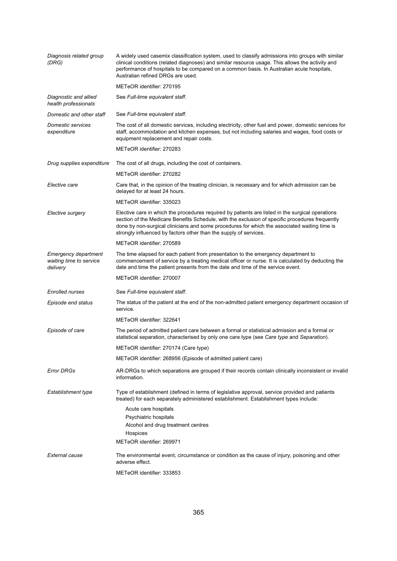| Diagnosis related group<br>(DRG)                                   | A widely used casemix classification system, used to classify admissions into groups with similar<br>clinical conditions (related diagnoses) and similar resource usage. This allows the activity and<br>performance of hospitals to be compared on a common basis. In Australian acute hospitals,<br>Australian refined DRGs are used.                                  |
|--------------------------------------------------------------------|--------------------------------------------------------------------------------------------------------------------------------------------------------------------------------------------------------------------------------------------------------------------------------------------------------------------------------------------------------------------------|
|                                                                    | METeOR identifier: 270195                                                                                                                                                                                                                                                                                                                                                |
| Diagnostic and allied<br>health professionals                      | See Full-time equivalent staff.                                                                                                                                                                                                                                                                                                                                          |
| Domestic and other staff                                           | See Full-time equivalent staff.                                                                                                                                                                                                                                                                                                                                          |
| <b>Domestic services</b><br>expenditure                            | The cost of all domestic services, including electricity, other fuel and power, domestic services for<br>staff, accommodation and kitchen expenses, but not including salaries and wages, food costs or<br>equipment replacement and repair costs.                                                                                                                       |
|                                                                    | METeOR identifier: 270283                                                                                                                                                                                                                                                                                                                                                |
| Drug supplies expenditure                                          | The cost of all drugs, including the cost of containers.                                                                                                                                                                                                                                                                                                                 |
|                                                                    | METeOR identifier: 270282                                                                                                                                                                                                                                                                                                                                                |
| Elective care                                                      | Care that, in the opinion of the treating clinician, is necessary and for which admission can be<br>delayed for at least 24 hours.                                                                                                                                                                                                                                       |
|                                                                    | METeOR identifier: 335023                                                                                                                                                                                                                                                                                                                                                |
| Elective surgery                                                   | Elective care in which the procedures required by patients are listed in the surgical operations<br>section of the Medicare Benefits Schedule, with the exclusion of specific procedures frequently<br>done by non-surgical clinicians and some procedures for which the associated waiting time is<br>strongly influenced by factors other than the supply of services. |
|                                                                    | METeOR identifier: 270589                                                                                                                                                                                                                                                                                                                                                |
| <b>Emergency department</b><br>waiting time to service<br>delivery | The time elapsed for each patient from presentation to the emergency department to<br>commencement of service by a treating medical officer or nurse. It is calculated by deducting the<br>date and time the patient presents from the date and time of the service event.                                                                                               |
|                                                                    | METeOR identifier: 270007                                                                                                                                                                                                                                                                                                                                                |
| <b>Enrolled nurses</b>                                             | See Full-time equivalent staff.                                                                                                                                                                                                                                                                                                                                          |
| Episode end status                                                 | The status of the patient at the end of the non-admitted patient emergency department occasion of<br>service.                                                                                                                                                                                                                                                            |
|                                                                    | METeOR identifier: 322641                                                                                                                                                                                                                                                                                                                                                |
| Episode of care                                                    | The period of admitted patient care between a formal or statistical admission and a formal or<br>statistical separation, characterised by only one care type (see Care type and Separation).                                                                                                                                                                             |
|                                                                    | METeOR identifier: 270174 (Care type)                                                                                                                                                                                                                                                                                                                                    |
|                                                                    | METeOR identifier: 268956 (Episode of admitted patient care)                                                                                                                                                                                                                                                                                                             |
| <b>Error DRGs</b>                                                  | AR-DRGs to which separations are grouped if their records contain clinically inconsistent or invalid<br>information.                                                                                                                                                                                                                                                     |
| Establishment type                                                 | Type of establishment (defined in terms of legislative approval, service provided and patients<br>treated) for each separately administered establishment. Establishment types include:                                                                                                                                                                                  |
|                                                                    | Acute care hospitals                                                                                                                                                                                                                                                                                                                                                     |
|                                                                    | Psychiatric hospitals                                                                                                                                                                                                                                                                                                                                                    |
|                                                                    | Alcohol and drug treatment centres<br>Hospices                                                                                                                                                                                                                                                                                                                           |
|                                                                    | METeOR identifier: 269971                                                                                                                                                                                                                                                                                                                                                |
| External cause                                                     | The environmental event, circumstance or condition as the cause of injury, poisoning and other<br>adverse effect.                                                                                                                                                                                                                                                        |
|                                                                    | METeOR identifier: 333853                                                                                                                                                                                                                                                                                                                                                |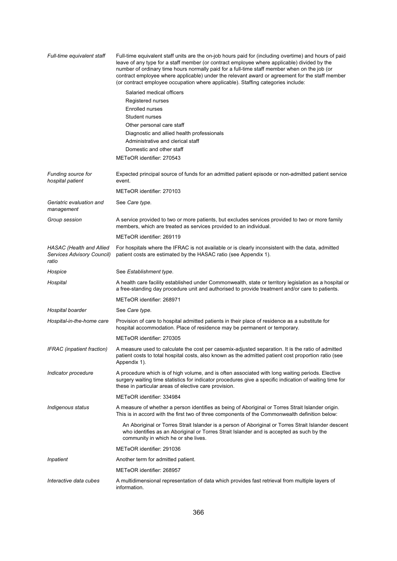| Full-time equivalent staff                                      | Full-time equivalent staff units are the on-job hours paid for (including overtime) and hours of paid<br>leave of any type for a staff member (or contract employee where applicable) divided by the<br>number of ordinary time hours normally paid for a full-time staff member when on the job (or<br>contract employee where applicable) under the relevant award or agreement for the staff member<br>(or contract employee occupation where applicable). Staffing categories include: |
|-----------------------------------------------------------------|--------------------------------------------------------------------------------------------------------------------------------------------------------------------------------------------------------------------------------------------------------------------------------------------------------------------------------------------------------------------------------------------------------------------------------------------------------------------------------------------|
|                                                                 | Salaried medical officers                                                                                                                                                                                                                                                                                                                                                                                                                                                                  |
|                                                                 | Registered nurses                                                                                                                                                                                                                                                                                                                                                                                                                                                                          |
|                                                                 | <b>Enrolled nurses</b>                                                                                                                                                                                                                                                                                                                                                                                                                                                                     |
|                                                                 | Student nurses                                                                                                                                                                                                                                                                                                                                                                                                                                                                             |
|                                                                 | Other personal care staff                                                                                                                                                                                                                                                                                                                                                                                                                                                                  |
|                                                                 | Diagnostic and allied health professionals                                                                                                                                                                                                                                                                                                                                                                                                                                                 |
|                                                                 | Administrative and clerical staff                                                                                                                                                                                                                                                                                                                                                                                                                                                          |
|                                                                 | Domestic and other staff                                                                                                                                                                                                                                                                                                                                                                                                                                                                   |
|                                                                 | METeOR identifier: 270543                                                                                                                                                                                                                                                                                                                                                                                                                                                                  |
| Funding source for<br>hospital patient                          | Expected principal source of funds for an admitted patient episode or non-admitted patient service<br>event.                                                                                                                                                                                                                                                                                                                                                                               |
|                                                                 | METeOR identifier: 270103                                                                                                                                                                                                                                                                                                                                                                                                                                                                  |
| Geriatric evaluation and<br>management                          | See Care type.                                                                                                                                                                                                                                                                                                                                                                                                                                                                             |
| Group session                                                   | A service provided to two or more patients, but excludes services provided to two or more family<br>members, which are treated as services provided to an individual.                                                                                                                                                                                                                                                                                                                      |
|                                                                 | METeOR identifier: 269119                                                                                                                                                                                                                                                                                                                                                                                                                                                                  |
| HASAC (Health and Allied<br>Services Advisory Council)<br>ratio | For hospitals where the IFRAC is not available or is clearly inconsistent with the data, admitted<br>patient costs are estimated by the HASAC ratio (see Appendix 1).                                                                                                                                                                                                                                                                                                                      |
| Hospice                                                         | See Establishment type.                                                                                                                                                                                                                                                                                                                                                                                                                                                                    |
| Hospital                                                        | A health care facility established under Commonwealth, state or territory legislation as a hospital or<br>a free-standing day procedure unit and authorised to provide treatment and/or care to patients.                                                                                                                                                                                                                                                                                  |
|                                                                 | METeOR identifier: 268971                                                                                                                                                                                                                                                                                                                                                                                                                                                                  |
| Hospital boarder                                                | See Care type.                                                                                                                                                                                                                                                                                                                                                                                                                                                                             |
| Hospital-in-the-home care                                       | Provision of care to hospital admitted patients in their place of residence as a substitute for<br>hospital accommodation. Place of residence may be permanent or temporary.                                                                                                                                                                                                                                                                                                               |
|                                                                 | METeOR identifier: 270305                                                                                                                                                                                                                                                                                                                                                                                                                                                                  |
| IFRAC (inpatient fraction)                                      | A measure used to calculate the cost per casemix-adjusted separation. It is the ratio of admitted<br>patient costs to total hospital costs, also known as the admitted patient cost proportion ratio (see<br>Appendix 1).                                                                                                                                                                                                                                                                  |
| Indicator procedure                                             | A procedure which is of high volume, and is often associated with long waiting periods. Elective<br>surgery waiting time statistics for indicator procedures give a specific indication of waiting time for<br>these in particular areas of elective care provision.                                                                                                                                                                                                                       |
|                                                                 | METeOR identifier: 334984                                                                                                                                                                                                                                                                                                                                                                                                                                                                  |
| Indigenous status                                               | A measure of whether a person identifies as being of Aboriginal or Torres Strait Islander origin.<br>This is in accord with the first two of three components of the Commonwealth definition below:                                                                                                                                                                                                                                                                                        |
|                                                                 | An Aboriginal or Torres Strait Islander is a person of Aboriginal or Torres Strait Islander descent<br>who identifies as an Aboriginal or Torres Strait Islander and is accepted as such by the<br>community in which he or she lives.                                                                                                                                                                                                                                                     |
|                                                                 | METeOR identifier: 291036                                                                                                                                                                                                                                                                                                                                                                                                                                                                  |
| Inpatient                                                       | Another term for admitted patient.                                                                                                                                                                                                                                                                                                                                                                                                                                                         |
|                                                                 | METeOR identifier: 268957                                                                                                                                                                                                                                                                                                                                                                                                                                                                  |
| Interactive data cubes                                          | A multidimensional representation of data which provides fast retrieval from multiple layers of<br>information.                                                                                                                                                                                                                                                                                                                                                                            |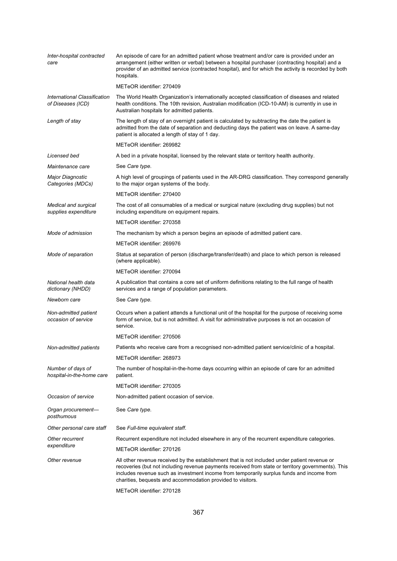| Inter-hospital contracted<br>care                 | An episode of care for an admitted patient whose treatment and/or care is provided under an<br>arrangement (either written or verbal) between a hospital purchaser (contracting hospital) and a<br>provider of an admitted service (contracted hospital), and for which the activity is recorded by both<br>hospitals.                                          |
|---------------------------------------------------|-----------------------------------------------------------------------------------------------------------------------------------------------------------------------------------------------------------------------------------------------------------------------------------------------------------------------------------------------------------------|
|                                                   | METeOR identifier: 270409                                                                                                                                                                                                                                                                                                                                       |
| International Classification<br>of Diseases (ICD) | The World Health Organization's internationally accepted classification of diseases and related<br>health conditions. The 10th revision, Australian modification (ICD-10-AM) is currently in use in<br>Australian hospitals for admitted patients.                                                                                                              |
| Length of stay                                    | The length of stay of an overnight patient is calculated by subtracting the date the patient is<br>admitted from the date of separation and deducting days the patient was on leave. A same-day<br>patient is allocated a length of stay of 1 day.                                                                                                              |
|                                                   | METeOR identifier: 269982                                                                                                                                                                                                                                                                                                                                       |
| Licensed bed                                      | A bed in a private hospital, licensed by the relevant state or territory health authority.                                                                                                                                                                                                                                                                      |
| Maintenance care                                  | See Care type.                                                                                                                                                                                                                                                                                                                                                  |
| Major Diagnostic<br>Categories (MDCs)             | A high level of groupings of patients used in the AR-DRG classification. They correspond generally<br>to the major organ systems of the body.                                                                                                                                                                                                                   |
|                                                   | METeOR identifier: 270400                                                                                                                                                                                                                                                                                                                                       |
| Medical and surgical<br>supplies expenditure      | The cost of all consumables of a medical or surgical nature (excluding drug supplies) but not<br>including expenditure on equipment repairs.                                                                                                                                                                                                                    |
|                                                   | METeOR identifier: 270358                                                                                                                                                                                                                                                                                                                                       |
| Mode of admission                                 | The mechanism by which a person begins an episode of admitted patient care.                                                                                                                                                                                                                                                                                     |
|                                                   | METeOR identifier: 269976                                                                                                                                                                                                                                                                                                                                       |
| Mode of separation                                | Status at separation of person (discharge/transfer/death) and place to which person is released<br>(where applicable).                                                                                                                                                                                                                                          |
|                                                   | METeOR identifier: 270094                                                                                                                                                                                                                                                                                                                                       |
| National health data<br>dictionary (NHDD)         | A publication that contains a core set of uniform definitions relating to the full range of health<br>services and a range of population parameters.                                                                                                                                                                                                            |
| Newborn care                                      | See Care type.                                                                                                                                                                                                                                                                                                                                                  |
| Non-admitted patient<br>occasion of service       | Occurs when a patient attends a functional unit of the hospital for the purpose of receiving some<br>form of service, but is not admitted. A visit for administrative purposes is not an occasion of<br>service.                                                                                                                                                |
|                                                   | METeOR identifier: 270506                                                                                                                                                                                                                                                                                                                                       |
| Non-admitted patients                             | Patients who receive care from a recognised non-admitted patient service/clinic of a hospital.                                                                                                                                                                                                                                                                  |
|                                                   | METeOR identifier: 268973                                                                                                                                                                                                                                                                                                                                       |
| Number of days of<br>hospital-in-the-home care    | The number of hospital-in-the-home days occurring within an episode of care for an admitted<br>patient.                                                                                                                                                                                                                                                         |
|                                                   | METeOR identifier: 270305                                                                                                                                                                                                                                                                                                                                       |
| Occasion of service                               | Non-admitted patient occasion of service.                                                                                                                                                                                                                                                                                                                       |
| Organ procurement-<br>posthumous                  | See Care type.                                                                                                                                                                                                                                                                                                                                                  |
| Other personal care staff                         | See Full-time equivalent staff.                                                                                                                                                                                                                                                                                                                                 |
| Other recurrent                                   | Recurrent expenditure not included elsewhere in any of the recurrent expenditure categories.                                                                                                                                                                                                                                                                    |
| expenditure                                       | METeOR identifier: 270126                                                                                                                                                                                                                                                                                                                                       |
| Other revenue                                     | All other revenue received by the establishment that is not included under patient revenue or<br>recoveries (but not including revenue payments received from state or territory governments). This<br>includes revenue such as investment income from temporarily surplus funds and income from<br>charities, bequests and accommodation provided to visitors. |
|                                                   | METeOR identifier: 270128                                                                                                                                                                                                                                                                                                                                       |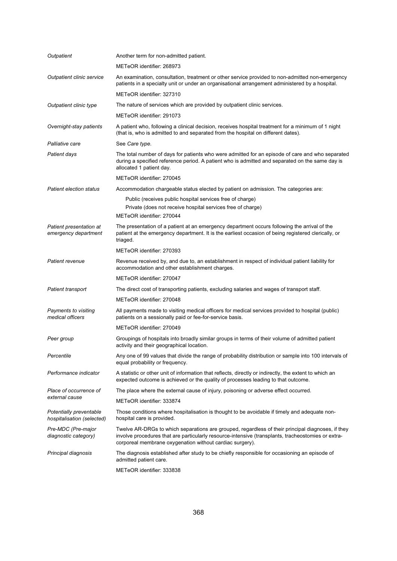| Outpatient                                            | Another term for non-admitted patient.                                                                                                                                                                                                                              |
|-------------------------------------------------------|---------------------------------------------------------------------------------------------------------------------------------------------------------------------------------------------------------------------------------------------------------------------|
|                                                       | METeOR identifier: 268973                                                                                                                                                                                                                                           |
| Outpatient clinic service                             | An examination, consultation, treatment or other service provided to non-admitted non-emergency<br>patients in a specialty unit or under an organisational arrangement administered by a hospital.                                                                  |
|                                                       | METeOR identifier: 327310                                                                                                                                                                                                                                           |
| Outpatient clinic type                                | The nature of services which are provided by outpatient clinic services.                                                                                                                                                                                            |
|                                                       | METeOR identifier: 291073                                                                                                                                                                                                                                           |
| Overnight-stay patients                               | A patient who, following a clinical decision, receives hospital treatment for a minimum of 1 night<br>(that is, who is admitted to and separated from the hospital on different dates).                                                                             |
| Palliative care                                       | See Care type.                                                                                                                                                                                                                                                      |
| Patient days                                          | The total number of days for patients who were admitted for an episode of care and who separated<br>during a specified reference period. A patient who is admitted and separated on the same day is<br>allocated 1 patient day.                                     |
|                                                       | METeOR identifier: 270045                                                                                                                                                                                                                                           |
| <b>Patient election status</b>                        | Accommodation chargeable status elected by patient on admission. The categories are:                                                                                                                                                                                |
|                                                       | Public (receives public hospital services free of charge)                                                                                                                                                                                                           |
|                                                       | Private (does not receive hospital services free of charge)                                                                                                                                                                                                         |
|                                                       | METeOR identifier: 270044                                                                                                                                                                                                                                           |
| Patient presentation at<br>emergency department       | The presentation of a patient at an emergency department occurs following the arrival of the<br>patient at the emergency department. It is the earliest occasion of being registered clerically, or<br>triaged.                                                     |
|                                                       | METeOR identifier: 270393                                                                                                                                                                                                                                           |
| Patient revenue                                       | Revenue received by, and due to, an establishment in respect of individual patient liability for<br>accommodation and other establishment charges.                                                                                                                  |
|                                                       | METeOR identifier: 270047                                                                                                                                                                                                                                           |
| Patient transport                                     | The direct cost of transporting patients, excluding salaries and wages of transport staff.                                                                                                                                                                          |
|                                                       | METeOR identifier: 270048                                                                                                                                                                                                                                           |
| Payments to visiting<br>medical officers              | All payments made to visiting medical officers for medical services provided to hospital (public)<br>patients on a sessionally paid or fee-for-service basis.                                                                                                       |
|                                                       | METeOR identifier: 270049                                                                                                                                                                                                                                           |
| Peer group                                            | Groupings of hospitals into broadly similar groups in terms of their volume of admitted patient<br>activity and their geographical location.                                                                                                                        |
| Percentile                                            | Any one of 99 values that divide the range of probability distribution or sample into 100 intervals of<br>equal probability or frequency.                                                                                                                           |
| Performance indicator                                 | A statistic or other unit of information that reflects, directly or indirectly, the extent to which an<br>expected outcome is achieved or the quality of processes leading to that outcome.                                                                         |
| Place of occurrence of                                | The place where the external cause of injury, poisoning or adverse effect occurred.                                                                                                                                                                                 |
| external cause                                        | METeOR identifier: 333874                                                                                                                                                                                                                                           |
| Potentially preventable<br>hospitalisation (selected) | Those conditions where hospitalisation is thought to be avoidable if timely and adequate non-<br>hospital care is provided.                                                                                                                                         |
| Pre-MDC (Pre-major<br>diagnostic category)            | Twelve AR-DRGs to which separations are grouped, regardless of their principal diagnoses, if they<br>involve procedures that are particularly resource-intensive (transplants, tracheostomies or extra-<br>corporeal membrane oxygenation without cardiac surgery). |
| Principal diagnosis                                   | The diagnosis established after study to be chiefly responsible for occasioning an episode of<br>admitted patient care.                                                                                                                                             |
|                                                       | METeOR identifier: 333838                                                                                                                                                                                                                                           |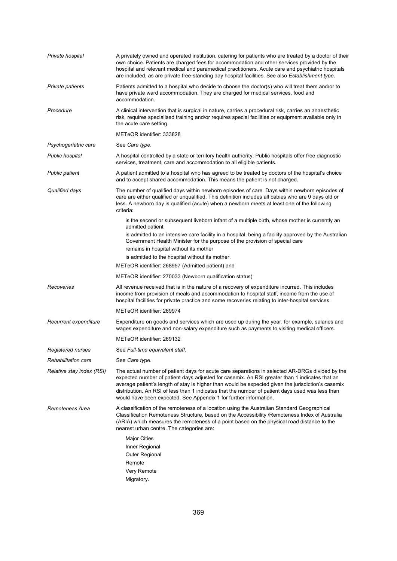| Private hospital          | A privately owned and operated institution, catering for patients who are treated by a doctor of their<br>own choice. Patients are charged fees for accommodation and other services provided by the<br>hospital and relevant medical and paramedical practitioners. Acute care and psychiatric hospitals<br>are included, as are private free-standing day hospital facilities. See also Establishment type.                                                                   |
|---------------------------|---------------------------------------------------------------------------------------------------------------------------------------------------------------------------------------------------------------------------------------------------------------------------------------------------------------------------------------------------------------------------------------------------------------------------------------------------------------------------------|
| Private patients          | Patients admitted to a hospital who decide to choose the doctor(s) who will treat them and/or to<br>have private ward accommodation. They are charged for medical services, food and<br>accommodation.                                                                                                                                                                                                                                                                          |
| Procedure                 | A clinical intervention that is surgical in nature, carries a procedural risk, carries an anaesthetic<br>risk, requires specialised training and/or requires special facilities or equipment available only in<br>the acute care setting.                                                                                                                                                                                                                                       |
|                           | METeOR identifier: 333828                                                                                                                                                                                                                                                                                                                                                                                                                                                       |
| Psychogeriatric care      | See Care type.                                                                                                                                                                                                                                                                                                                                                                                                                                                                  |
| Public hospital           | A hospital controlled by a state or territory health authority. Public hospitals offer free diagnostic<br>services, treatment, care and accommodation to all eligible patients.                                                                                                                                                                                                                                                                                                 |
| <b>Public patient</b>     | A patient admitted to a hospital who has agreed to be treated by doctors of the hospital's choice<br>and to accept shared accommodation. This means the patient is not charged.                                                                                                                                                                                                                                                                                                 |
| Qualified days            | The number of qualified days within newborn episodes of care. Days within newborn episodes of<br>care are either qualified or unqualified. This definition includes all babies who are 9 days old or<br>less. A newborn day is qualified (acute) when a newborn meets at least one of the following<br>criteria:                                                                                                                                                                |
|                           | is the second or subsequent liveborn infant of a multiple birth, whose mother is currently an<br>admitted patient<br>is admitted to an intensive care facility in a hospital, being a facility approved by the Australian                                                                                                                                                                                                                                                       |
|                           | Government Health Minister for the purpose of the provision of special care                                                                                                                                                                                                                                                                                                                                                                                                     |
|                           | remains in hospital without its mother                                                                                                                                                                                                                                                                                                                                                                                                                                          |
|                           | is admitted to the hospital without its mother.<br>METeOR identifier: 268957 (Admitted patient) and                                                                                                                                                                                                                                                                                                                                                                             |
|                           | METeOR identifier: 270033 (Newborn qualification status)                                                                                                                                                                                                                                                                                                                                                                                                                        |
|                           |                                                                                                                                                                                                                                                                                                                                                                                                                                                                                 |
| Recoveries                | All revenue received that is in the nature of a recovery of expenditure incurred. This includes<br>income from provision of meals and accommodation to hospital staff, income from the use of<br>hospital facilities for private practice and some recoveries relating to inter-hospital services.                                                                                                                                                                              |
|                           | METeOR identifier: 269974                                                                                                                                                                                                                                                                                                                                                                                                                                                       |
| Recurrent expenditure     | Expenditure on goods and services which are used up during the year, for example, salaries and<br>wages expenditure and non-salary expenditure such as payments to visiting medical officers.                                                                                                                                                                                                                                                                                   |
|                           | METeOR identifier: 269132                                                                                                                                                                                                                                                                                                                                                                                                                                                       |
| Registered nurses         | See Full-time equivalent staff.                                                                                                                                                                                                                                                                                                                                                                                                                                                 |
| Rehabilitation care       | See Care type.                                                                                                                                                                                                                                                                                                                                                                                                                                                                  |
| Relative stay index (RSI) | The actual number of patient days for acute care separations in selected AR-DRGs divided by the<br>expected number of patient days adjusted for casemix. An RSI greater than 1 indicates that an<br>average patient's length of stay is higher than would be expected given the jurisdiction's casemix<br>distribution. An RSI of less than 1 indicates that the number of patient days used was less than<br>would have been expected. See Appendix 1 for further information. |
| Remoteness Area           | A classification of the remoteness of a location using the Australian Standard Geographical<br>Classification Remoteness Structure, based on the Accessibility / Remoteness Index of Australia<br>(ARIA) which measures the remoteness of a point based on the physical road distance to the<br>nearest urban centre. The categories are:                                                                                                                                       |
|                           | <b>Major Cities</b><br>Inner Regional<br>Outer Regional<br>Remote<br>Very Remote                                                                                                                                                                                                                                                                                                                                                                                                |
|                           | Migratory.                                                                                                                                                                                                                                                                                                                                                                                                                                                                      |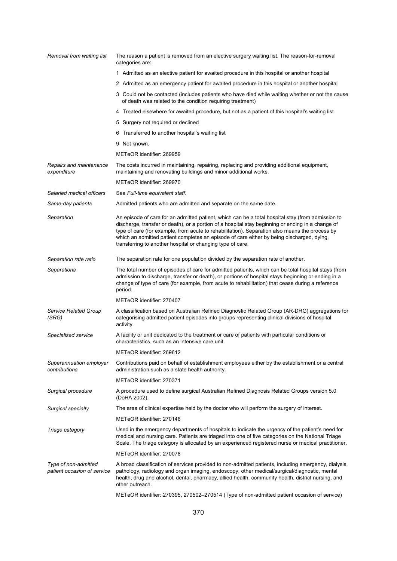| Removal from waiting list                           | The reason a patient is removed from an elective surgery waiting list. The reason-for-removal<br>categories are:                                                                                                                                                                                                                                                                                                                                                    |
|-----------------------------------------------------|---------------------------------------------------------------------------------------------------------------------------------------------------------------------------------------------------------------------------------------------------------------------------------------------------------------------------------------------------------------------------------------------------------------------------------------------------------------------|
|                                                     | 1 Admitted as an elective patient for awaited procedure in this hospital or another hospital                                                                                                                                                                                                                                                                                                                                                                        |
|                                                     | 2 Admitted as an emergency patient for awaited procedure in this hospital or another hospital                                                                                                                                                                                                                                                                                                                                                                       |
|                                                     | 3 Could not be contacted (includes patients who have died while waiting whether or not the cause<br>of death was related to the condition requiring treatment)                                                                                                                                                                                                                                                                                                      |
|                                                     | 4 Treated elsewhere for awaited procedure, but not as a patient of this hospital's waiting list                                                                                                                                                                                                                                                                                                                                                                     |
|                                                     | 5 Surgery not required or declined                                                                                                                                                                                                                                                                                                                                                                                                                                  |
|                                                     | 6 Transferred to another hospital's waiting list                                                                                                                                                                                                                                                                                                                                                                                                                    |
|                                                     | 9 Not known.                                                                                                                                                                                                                                                                                                                                                                                                                                                        |
|                                                     | METeOR identifier: 269959                                                                                                                                                                                                                                                                                                                                                                                                                                           |
| Repairs and maintenance<br>expenditure              | The costs incurred in maintaining, repairing, replacing and providing additional equipment,<br>maintaining and renovating buildings and minor additional works.                                                                                                                                                                                                                                                                                                     |
|                                                     | METeOR identifier: 269970                                                                                                                                                                                                                                                                                                                                                                                                                                           |
| Salaried medical officers                           | See Full-time equivalent staff.                                                                                                                                                                                                                                                                                                                                                                                                                                     |
| Same-day patients                                   | Admitted patients who are admitted and separate on the same date.                                                                                                                                                                                                                                                                                                                                                                                                   |
| Separation                                          | An episode of care for an admitted patient, which can be a total hospital stay (from admission to<br>discharge, transfer or death), or a portion of a hospital stay beginning or ending in a change of<br>type of care (for example, from acute to rehabilitation). Separation also means the process by<br>which an admitted patient completes an episode of care either by being discharged, dying,<br>transferring to another hospital or changing type of care. |
| Separation rate ratio                               | The separation rate for one population divided by the separation rate of another.                                                                                                                                                                                                                                                                                                                                                                                   |
| Separations                                         | The total number of episodes of care for admitted patients, which can be total hospital stays (from<br>admission to discharge, transfer or death), or portions of hospital stays beginning or ending in a<br>change of type of care (for example, from acute to rehabilitation) that cease during a reference<br>period.                                                                                                                                            |
|                                                     | METeOR identifier: 270407                                                                                                                                                                                                                                                                                                                                                                                                                                           |
| Service Related Group<br>(SRG)                      | A classification based on Australian Refined Diagnostic Related Group (AR-DRG) aggregations for<br>categorising admitted patient episodes into groups representing clinical divisions of hospital<br>activity.                                                                                                                                                                                                                                                      |
| Specialised service                                 | A facility or unit dedicated to the treatment or care of patients with particular conditions or<br>characteristics, such as an intensive care unit.                                                                                                                                                                                                                                                                                                                 |
|                                                     | METeOR identifier: 269612                                                                                                                                                                                                                                                                                                                                                                                                                                           |
| Superannuation employer<br>contributions            | Contributions paid on behalf of establishment employees either by the establishment or a central<br>administration such as a state health authority.                                                                                                                                                                                                                                                                                                                |
|                                                     | METeOR identifier: 270371                                                                                                                                                                                                                                                                                                                                                                                                                                           |
| Surgical procedure                                  | A procedure used to define surgical Australian Refined Diagnosis Related Groups version 5.0<br>(DoHA 2002).                                                                                                                                                                                                                                                                                                                                                         |
| Surgical specialty                                  | The area of clinical expertise held by the doctor who will perform the surgery of interest.                                                                                                                                                                                                                                                                                                                                                                         |
|                                                     | METeOR identifier: 270146                                                                                                                                                                                                                                                                                                                                                                                                                                           |
| Triage category                                     | Used in the emergency departments of hospitals to indicate the urgency of the patient's need for<br>medical and nursing care. Patients are triaged into one of five categories on the National Triage<br>Scale. The triage category is allocated by an experienced registered nurse or medical practitioner.                                                                                                                                                        |
|                                                     | METeOR identifier: 270078                                                                                                                                                                                                                                                                                                                                                                                                                                           |
| Type of non-admitted<br>patient occasion of service | A broad classification of services provided to non-admitted patients, including emergency, dialysis,<br>pathology, radiology and organ imaging, endoscopy, other medical/surgical/diagnostic, mental<br>health, drug and alcohol, dental, pharmacy, allied health, community health, district nursing, and<br>other outreach.                                                                                                                                       |
|                                                     | METeOR identifier: 270395, 270502-270514 (Type of non-admitted patient occasion of service)                                                                                                                                                                                                                                                                                                                                                                         |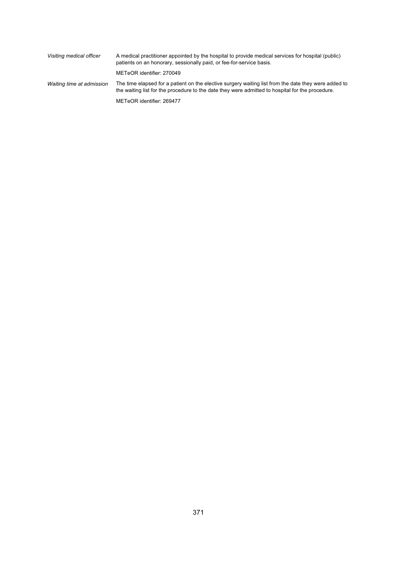| Visiting medical officer  | A medical practitioner appointed by the hospital to provide medical services for hospital (public)<br>patients on an honorary, sessionally paid, or fee-for-service basis.                               |
|---------------------------|----------------------------------------------------------------------------------------------------------------------------------------------------------------------------------------------------------|
|                           | METeOR identifier: 270049                                                                                                                                                                                |
| Waiting time at admission | The time elapsed for a patient on the elective surgery waiting list from the date they were added to<br>the waiting list for the procedure to the date they were admitted to hospital for the procedure. |
|                           | METeOR identifier: 269477                                                                                                                                                                                |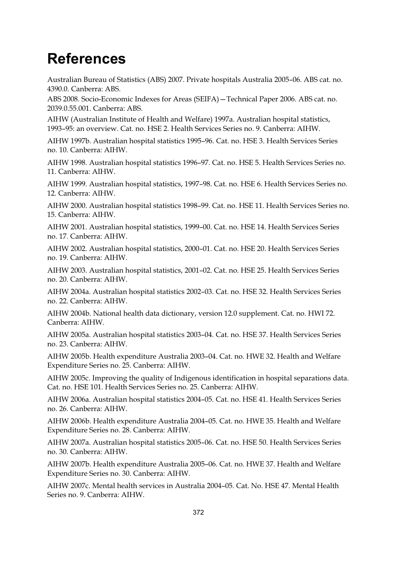## **References**

Australian Bureau of Statistics (ABS) 2007. Private hospitals Australia 2005–06. ABS cat. no. 4390.0. Canberra: ABS.

ABS 2008. Socio-Economic Indexes for Areas (SEIFA)—Technical Paper 2006. ABS cat. no. 2039.0.55.001. Canberra: ABS.

AIHW (Australian Institute of Health and Welfare) 1997a. Australian hospital statistics, 1993–95: an overview. Cat. no. HSE 2. Health Services Series no. 9. Canberra: AIHW.

AIHW 1997b. Australian hospital statistics 1995–96. Cat. no. HSE 3. Health Services Series no. 10. Canberra: AIHW.

AIHW 1998. Australian hospital statistics 1996–97. Cat. no. HSE 5. Health Services Series no. 11. Canberra: AIHW.

AIHW 1999. Australian hospital statistics, 1997–98. Cat. no. HSE 6. Health Services Series no. 12. Canberra: AIHW.

AIHW 2000. Australian hospital statistics 1998–99. Cat. no. HSE 11. Health Services Series no. 15. Canberra: AIHW.

AIHW 2001. Australian hospital statistics, 1999–00. Cat. no. HSE 14. Health Services Series no. 17. Canberra: AIHW.

AIHW 2002. Australian hospital statistics, 2000–01. Cat. no. HSE 20. Health Services Series no. 19. Canberra: AIHW.

AIHW 2003. Australian hospital statistics, 2001–02. Cat. no. HSE 25. Health Services Series no. 20. Canberra: AIHW.

AIHW 2004a. Australian hospital statistics 2002–03. Cat. no. HSE 32. Health Services Series no. 22. Canberra: AIHW.

AIHW 2004b. National health data dictionary, version 12.0 supplement. Cat. no. HWI 72. Canberra: AIHW.

AIHW 2005a. Australian hospital statistics 2003–04. Cat. no. HSE 37. Health Services Series no. 23. Canberra: AIHW.

AIHW 2005b. Health expenditure Australia 2003–04. Cat. no. HWE 32. Health and Welfare Expenditure Series no. 25. Canberra: AIHW.

AIHW 2005c. Improving the quality of Indigenous identification in hospital separations data. Cat. no. HSE 101. Health Services Series no. 25. Canberra: AIHW.

AIHW 2006a. Australian hospital statistics 2004–05. Cat. no. HSE 41. Health Services Series no. 26. Canberra: AIHW.

AIHW 2006b. Health expenditure Australia 2004–05. Cat. no. HWE 35. Health and Welfare Expenditure Series no. 28. Canberra: AIHW.

AIHW 2007a. Australian hospital statistics 2005–06. Cat. no. HSE 50. Health Services Series no. 30. Canberra: AIHW.

AIHW 2007b. Health expenditure Australia 2005–06. Cat. no. HWE 37. Health and Welfare Expenditure Series no. 30. Canberra: AIHW.

AIHW 2007c. Mental health services in Australia 2004–05. Cat. No. HSE 47. Mental Health Series no. 9. Canberra: AIHW.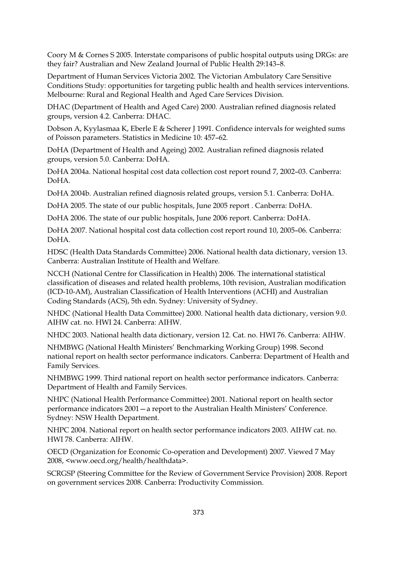Coory M & Cornes S 2005. Interstate comparisons of public hospital outputs using DRGs: are they fair? Australian and New Zealand Journal of Public Health 29:143–8.

Department of Human Services Victoria 2002. The Victorian Ambulatory Care Sensitive Conditions Study: opportunities for targeting public health and health services interventions. Melbourne: Rural and Regional Health and Aged Care Services Division.

DHAC (Department of Health and Aged Care) 2000. Australian refined diagnosis related groups, version 4.2. Canberra: DHAC.

Dobson A, Kyylasmaa K, Eberle E & Scherer J 1991. Confidence intervals for weighted sums of Poisson parameters. Statistics in Medicine 10: 457–62.

DoHA (Department of Health and Ageing) 2002. Australian refined diagnosis related groups, version 5.0. Canberra: DoHA.

DoHA 2004a. National hospital cost data collection cost report round 7, 2002–03. Canberra: DoHA.

DoHA 2004b. Australian refined diagnosis related groups, version 5.1. Canberra: DoHA.

DoHA 2005. The state of our public hospitals, June 2005 report . Canberra: DoHA.

DoHA 2006. The state of our public hospitals, June 2006 report. Canberra: DoHA.

DoHA 2007. National hospital cost data collection cost report round 10, 2005–06. Canberra: DoHA.

HDSC (Health Data Standards Committee) 2006. National health data dictionary, version 13. Canberra: Australian Institute of Health and Welfare.

NCCH (National Centre for Classification in Health) 2006. The international statistical classification of diseases and related health problems, 10th revision, Australian modification (ICD-10-AM), Australian Classification of Health Interventions (ACHI) and Australian Coding Standards (ACS), 5th edn. Sydney: University of Sydney.

NHDC (National Health Data Committee) 2000. National health data dictionary, version 9.0. AIHW cat. no. HWI 24. Canberra: AIHW.

NHDC 2003. National health data dictionary, version 12. Cat. no. HWI 76. Canberra: AIHW.

NHMBWG (National Health Ministers' Benchmarking Working Group) 1998. Second national report on health sector performance indicators. Canberra: Department of Health and Family Services.

NHMBWG 1999. Third national report on health sector performance indicators. Canberra: Department of Health and Family Services.

NHPC (National Health Performance Committee) 2001. National report on health sector performance indicators 2001—a report to the Australian Health Ministers' Conference. Sydney: NSW Health Department.

NHPC 2004. National report on health sector performance indicators 2003. AIHW cat. no. HWI 78. Canberra: AIHW.

OECD (Organization for Economic Co-operation and Development) 2007. Viewed 7 May 2008, <www.oecd.org/health/healthdata>.

SCRGSP (Steering Committee for the Review of Government Service Provision) 2008. Report on government services 2008. Canberra: Productivity Commission.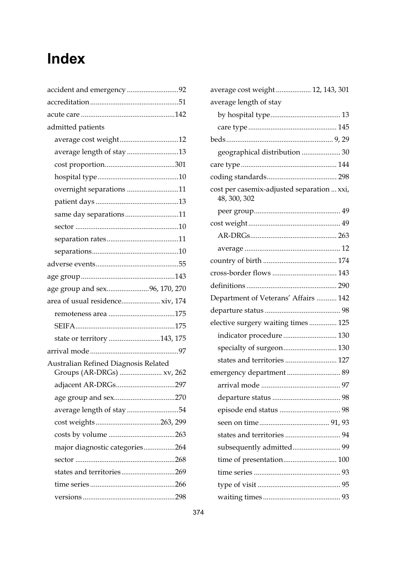## **Index**

| accident and emergency 92            |
|--------------------------------------|
|                                      |
|                                      |
| admitted patients                    |
| average cost weight12                |
| average length of stay 13            |
|                                      |
|                                      |
| overnight separations 11             |
|                                      |
| same day separations11               |
|                                      |
|                                      |
|                                      |
|                                      |
|                                      |
| age group and sex96, 170, 270        |
| area of usual residence xiv, 174     |
|                                      |
|                                      |
|                                      |
| state or territory 143, 175          |
|                                      |
| Australian Refined Diagnosis Related |
| Groups (AR-DRGs)  xv, 262            |
| adjacent AR-DRGs297                  |
|                                      |
| average length of stay54             |
|                                      |
|                                      |
| major diagnostic categories264       |
|                                      |
| states and territories269            |
|                                      |

| average cost weight 12, 143, 301                           |
|------------------------------------------------------------|
| average length of stay                                     |
|                                                            |
|                                                            |
|                                                            |
| geographical distribution  30                              |
|                                                            |
|                                                            |
| cost per casemix-adjusted separation  xxi,<br>48, 300, 302 |
|                                                            |
|                                                            |
|                                                            |
|                                                            |
|                                                            |
|                                                            |
|                                                            |
| Department of Veterans' Affairs  142                       |
|                                                            |
| elective surgery waiting times  125                        |
| indicator procedure  130                                   |
| specialty of surgeon 130                                   |
| states and territories 127                                 |
|                                                            |
|                                                            |
|                                                            |
|                                                            |
|                                                            |
|                                                            |
| subsequently admitted 99                                   |
| time of presentation 100                                   |
|                                                            |
|                                                            |
|                                                            |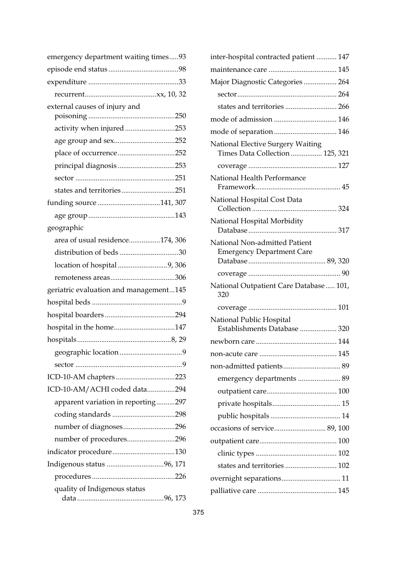| emergency department waiting times93   |
|----------------------------------------|
|                                        |
|                                        |
|                                        |
| external causes of injury and          |
|                                        |
| activity when injured 253              |
| age group and sex252                   |
| place of occurrence252                 |
| principal diagnosis253                 |
|                                        |
| states and territories251              |
| funding source 141, 307                |
|                                        |
| geographic                             |
| area of usual residence174, 306        |
|                                        |
| location of hospital 9, 306            |
|                                        |
| geriatric evaluation and management145 |
|                                        |
|                                        |
| hospital in the home147                |
|                                        |
|                                        |
|                                        |
| ICD-10-AM chapters 223                 |
| ICD-10-AM/ACHI coded data294           |
| apparent variation in reporting297     |
|                                        |
| number of diagnoses296                 |
| number of procedures296                |
|                                        |
|                                        |
|                                        |
| quality of Indigenous status           |
|                                        |

| inter-hospital contracted patient  147                                      |
|-----------------------------------------------------------------------------|
|                                                                             |
| Major Diagnostic Categories  264                                            |
|                                                                             |
| states and territories 266                                                  |
|                                                                             |
|                                                                             |
| <b>National Elective Surgery Waiting</b><br>Times Data Collection  125, 321 |
|                                                                             |
| National Health Performance                                                 |
| National Hospital Cost Data                                                 |
| National Hospital Morbidity                                                 |
| National Non-admitted Patient<br><b>Emergency Department Care</b>           |
|                                                                             |
|                                                                             |
| National Outpatient Care Database  101,<br>320                              |
|                                                                             |
| National Public Hospital<br>Establishments Database  320                    |
|                                                                             |
|                                                                             |
|                                                                             |
| emergency departments  89                                                   |
|                                                                             |
|                                                                             |
|                                                                             |
| occasions of service 89, 100                                                |
|                                                                             |
|                                                                             |
|                                                                             |
| overnight separations 11                                                    |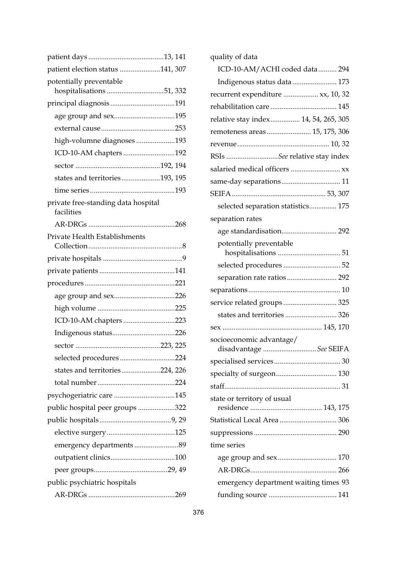| patient election status 141, 307                    |  |
|-----------------------------------------------------|--|
| potentially preventable<br>hospitalisations 51, 332 |  |
|                                                     |  |
| age group and sex195                                |  |
|                                                     |  |
| high-volumne diagnoses193                           |  |
| ICD-10-AM chapters 192                              |  |
|                                                     |  |
| states and territories193, 195                      |  |
|                                                     |  |
| private free-standing data hospital<br>facilities   |  |
|                                                     |  |
| Private Health Establishments                       |  |
|                                                     |  |
|                                                     |  |
|                                                     |  |
| age group and sex226                                |  |
|                                                     |  |
| ICD-10-AM chapters223                               |  |
|                                                     |  |
|                                                     |  |
| selected procedures224                              |  |
| states and territories224, 226                      |  |
|                                                     |  |
| psychogeriatric care 145                            |  |
| public hospital peer groups 322                     |  |
|                                                     |  |
|                                                     |  |
|                                                     |  |
|                                                     |  |
|                                                     |  |
| public psychiatric hospitals                        |  |
|                                                     |  |

| quality of data                                    |
|----------------------------------------------------|
| ICD-10-AM/ACHI coded data 294                      |
| Indigenous status data  173                        |
| recurrent expenditure  xx, 10, 32                  |
|                                                    |
| relative stay index 14, 54, 265, 305               |
| remoteness areas 15, 175, 306                      |
|                                                    |
| RSIs See relative stay index                       |
| salaried medical officers  xx                      |
| same-day separations 11                            |
|                                                    |
| selected separation statistics 175                 |
| separation rates                                   |
| age standardisation 292                            |
| potentially preventable                            |
| selected procedures  52                            |
|                                                    |
|                                                    |
| service related groups 325                         |
| states and territories 326                         |
|                                                    |
| socioeconomic advantage/<br>disadvantage See SEIFA |
|                                                    |
| specialty of surgeon 130                           |
|                                                    |
|                                                    |
| state or territory of usual                        |
| Statistical Local Area  306                        |
|                                                    |
| time series                                        |
|                                                    |
|                                                    |
| emergency department waiting times 93              |
|                                                    |